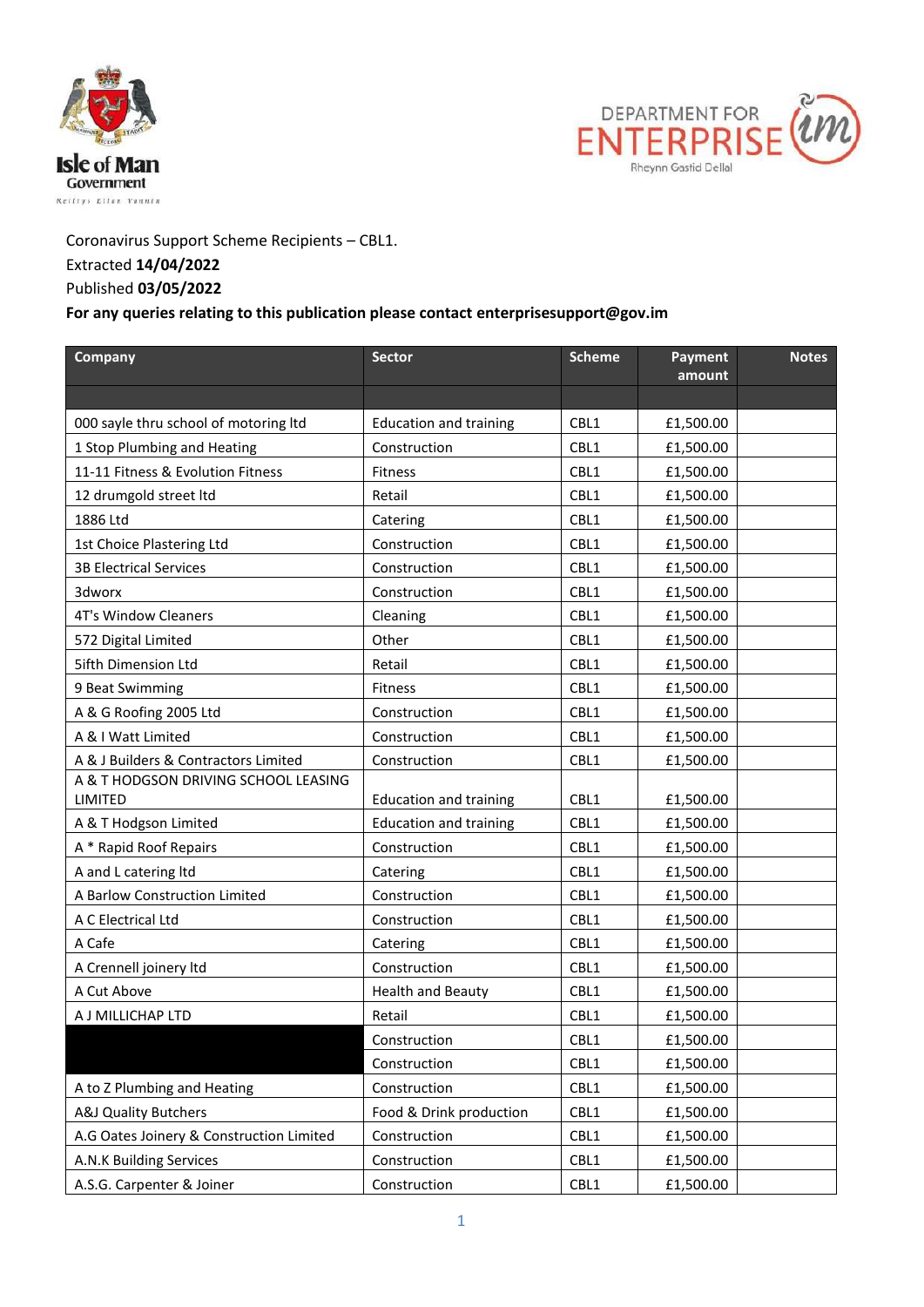



## Coronavirus Support Scheme Recipients – CBL1. Extracted **14/04/2022** Published **03/05/2022**

## **For any queries relating to this publication please contact enterprisesupport@gov.im**

| Company                                         | <b>Sector</b>                 | <b>Scheme</b> | Payment<br>amount | <b>Notes</b> |
|-------------------------------------------------|-------------------------------|---------------|-------------------|--------------|
|                                                 |                               |               |                   |              |
| 000 sayle thru school of motoring ltd           | <b>Education and training</b> | CBL1          | £1,500.00         |              |
| 1 Stop Plumbing and Heating                     | Construction                  | CBL1          | £1,500.00         |              |
| 11-11 Fitness & Evolution Fitness               | <b>Fitness</b>                | CBL1          | £1,500.00         |              |
| 12 drumgold street ltd                          | Retail                        | CBL1          | £1,500.00         |              |
| 1886 Ltd                                        | Catering                      | CBL1          | £1,500.00         |              |
| 1st Choice Plastering Ltd                       | Construction                  | CBL1          | £1,500.00         |              |
| <b>3B Electrical Services</b>                   | Construction                  | CBL1          | £1,500.00         |              |
| 3dworx                                          | Construction                  | CBL1          | £1,500.00         |              |
| <b>4T's Window Cleaners</b>                     | Cleaning                      | CBL1          | £1,500.00         |              |
| 572 Digital Limited                             | Other                         | CBL1          | £1,500.00         |              |
| <b>5ifth Dimension Ltd</b>                      | Retail                        | CBL1          | £1,500.00         |              |
| 9 Beat Swimming                                 | <b>Fitness</b>                | CBL1          | £1,500.00         |              |
| A & G Roofing 2005 Ltd                          | Construction                  | CBL1          | £1,500.00         |              |
| A & I Watt Limited                              | Construction                  | CBL1          | £1,500.00         |              |
| A & J Builders & Contractors Limited            | Construction                  | CBL1          | £1,500.00         |              |
| A & T HODGSON DRIVING SCHOOL LEASING<br>LIMITED | <b>Education and training</b> | CBL1          | £1,500.00         |              |
| A & T Hodgson Limited                           | <b>Education and training</b> | CBL1          | £1,500.00         |              |
| A * Rapid Roof Repairs                          | Construction                  | CBL1          | £1,500.00         |              |
| A and L catering Itd                            | Catering                      | CBL1          | £1,500.00         |              |
| A Barlow Construction Limited                   | Construction                  | CBL1          | £1,500.00         |              |
| A C Electrical Ltd                              | Construction                  | CBL1          | £1,500.00         |              |
| A Cafe                                          | Catering                      | CBL1          | £1,500.00         |              |
| A Crennell joinery Itd                          | Construction                  | CBL1          | £1,500.00         |              |
| A Cut Above                                     | <b>Health and Beauty</b>      | CBL1          | £1,500.00         |              |
| A J MILLICHAP LTD                               | Retail                        | CBL1          | £1,500.00         |              |
|                                                 | Construction                  | CBL1          | £1,500.00         |              |
|                                                 | Construction                  | CBL1          | £1,500.00         |              |
| A to Z Plumbing and Heating                     | Construction                  | CBL1          | £1,500.00         |              |
| <b>A&amp;J Quality Butchers</b>                 | Food & Drink production       | CBL1          | £1,500.00         |              |
| A.G Oates Joinery & Construction Limited        | Construction                  | CBL1          | £1,500.00         |              |
| A.N.K Building Services                         | Construction                  | CBL1          | £1,500.00         |              |
| A.S.G. Carpenter & Joiner                       | Construction                  | CBL1          | £1,500.00         |              |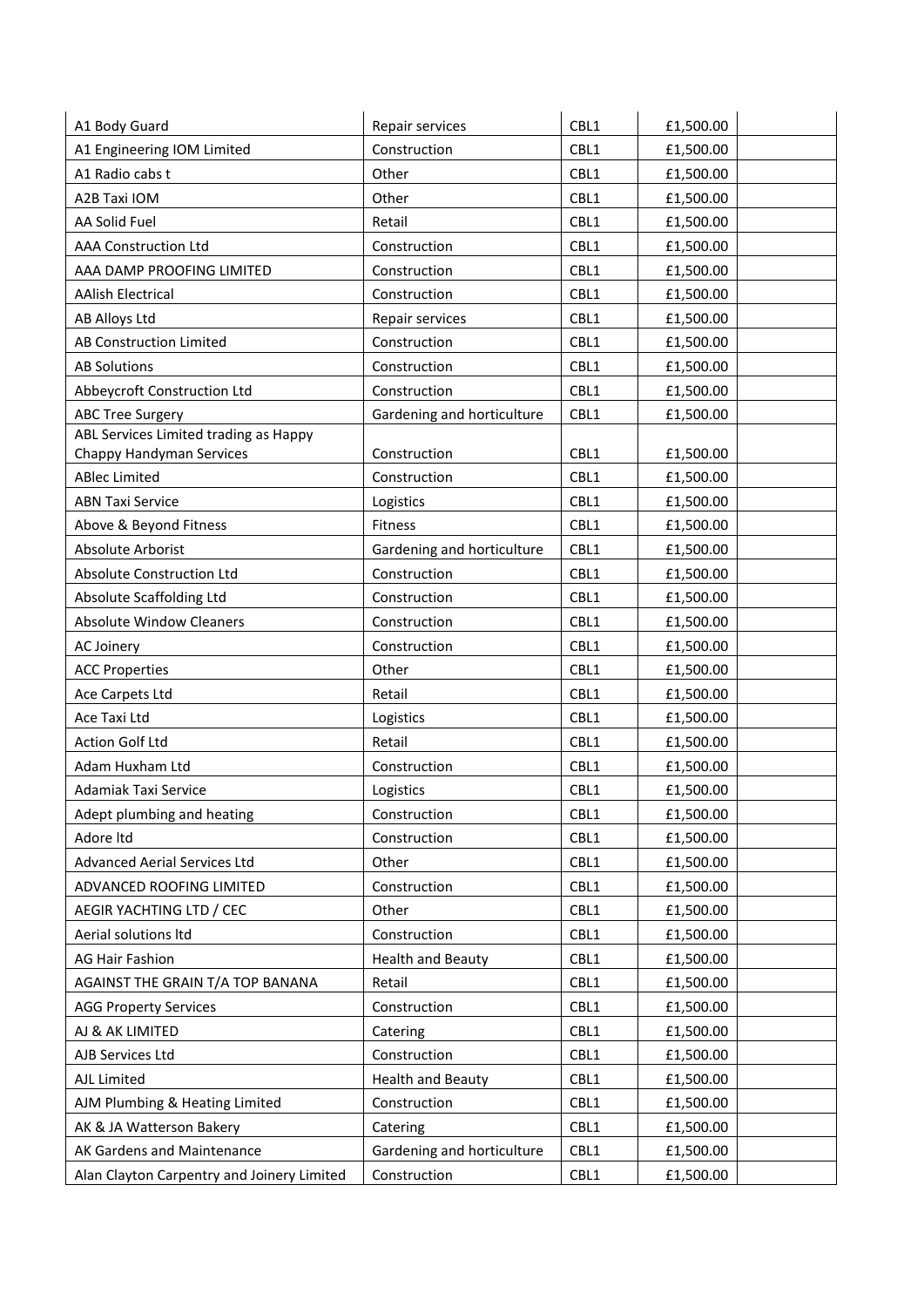| A1 Body Guard                              | Repair services            | CBL1 | £1,500.00 |
|--------------------------------------------|----------------------------|------|-----------|
| A1 Engineering IOM Limited                 | Construction               | CBL1 | £1,500.00 |
| A1 Radio cabs t                            | Other                      | CBL1 | £1,500.00 |
| A2B Taxi IOM                               | Other                      | CBL1 | £1,500.00 |
| AA Solid Fuel                              | Retail                     | CBL1 | £1,500.00 |
| <b>AAA Construction Ltd</b>                | Construction               | CBL1 | £1,500.00 |
| AAA DAMP PROOFING LIMITED                  | Construction               | CBL1 | £1,500.00 |
| <b>AAlish Electrical</b>                   | Construction               | CBL1 | £1,500.00 |
| <b>AB Alloys Ltd</b>                       | Repair services            | CBL1 | £1,500.00 |
| AB Construction Limited                    | Construction               | CBL1 | £1,500.00 |
| <b>AB Solutions</b>                        | Construction               | CBL1 | £1,500.00 |
| Abbeycroft Construction Ltd                | Construction               | CBL1 | £1,500.00 |
| <b>ABC Tree Surgery</b>                    | Gardening and horticulture | CBL1 | £1,500.00 |
| ABL Services Limited trading as Happy      |                            |      |           |
| Chappy Handyman Services                   | Construction               | CBL1 | £1,500.00 |
| <b>ABlec Limited</b>                       | Construction               | CBL1 | £1,500.00 |
| <b>ABN Taxi Service</b>                    | Logistics                  | CBL1 | £1,500.00 |
| Above & Beyond Fitness                     | Fitness                    | CBL1 | £1,500.00 |
| Absolute Arborist                          | Gardening and horticulture | CBL1 | £1,500.00 |
| Absolute Construction Ltd                  | Construction               | CBL1 | £1,500.00 |
| Absolute Scaffolding Ltd                   | Construction               | CBL1 | £1,500.00 |
| <b>Absolute Window Cleaners</b>            | Construction               | CBL1 | £1,500.00 |
| AC Joinery                                 | Construction               | CBL1 | £1,500.00 |
| <b>ACC Properties</b>                      | Other                      | CBL1 | £1,500.00 |
| Ace Carpets Ltd                            | Retail                     | CBL1 | £1,500.00 |
| Ace Taxi Ltd                               | Logistics                  | CBL1 | £1,500.00 |
| <b>Action Golf Ltd</b>                     | Retail                     | CBL1 | £1,500.00 |
| Adam Huxham Ltd                            | Construction               | CBL1 | £1,500.00 |
| Adamiak Taxi Service                       | Logistics                  | CBL1 | £1,500.00 |
| Adept plumbing and heating                 | Construction               | CBL1 | £1,500.00 |
| Adore Itd                                  | Construction               | CBL1 | £1,500.00 |
| Advanced Aerial Services Ltd               | Other                      | CBL1 | £1,500.00 |
| ADVANCED ROOFING LIMITED                   | Construction               | CBL1 | £1,500.00 |
| AEGIR YACHTING LTD / CEC                   | Other                      | CBL1 | £1,500.00 |
| Aerial solutions ltd                       | Construction               | CBL1 | £1,500.00 |
| AG Hair Fashion                            | <b>Health and Beauty</b>   | CBL1 | £1,500.00 |
| AGAINST THE GRAIN T/A TOP BANANA           | Retail                     | CBL1 | £1,500.00 |
| <b>AGG Property Services</b>               | Construction               | CBL1 | £1,500.00 |
| AJ & AK LIMITED                            | Catering                   | CBL1 | £1,500.00 |
| AJB Services Ltd                           | Construction               | CBL1 | £1,500.00 |
| AJL Limited                                | <b>Health and Beauty</b>   | CBL1 | £1,500.00 |
| AJM Plumbing & Heating Limited             | Construction               | CBL1 | £1,500.00 |
| AK & JA Watterson Bakery                   | Catering                   | CBL1 | £1,500.00 |
| AK Gardens and Maintenance                 | Gardening and horticulture | CBL1 | £1,500.00 |
| Alan Clayton Carpentry and Joinery Limited | Construction               | CBL1 | £1,500.00 |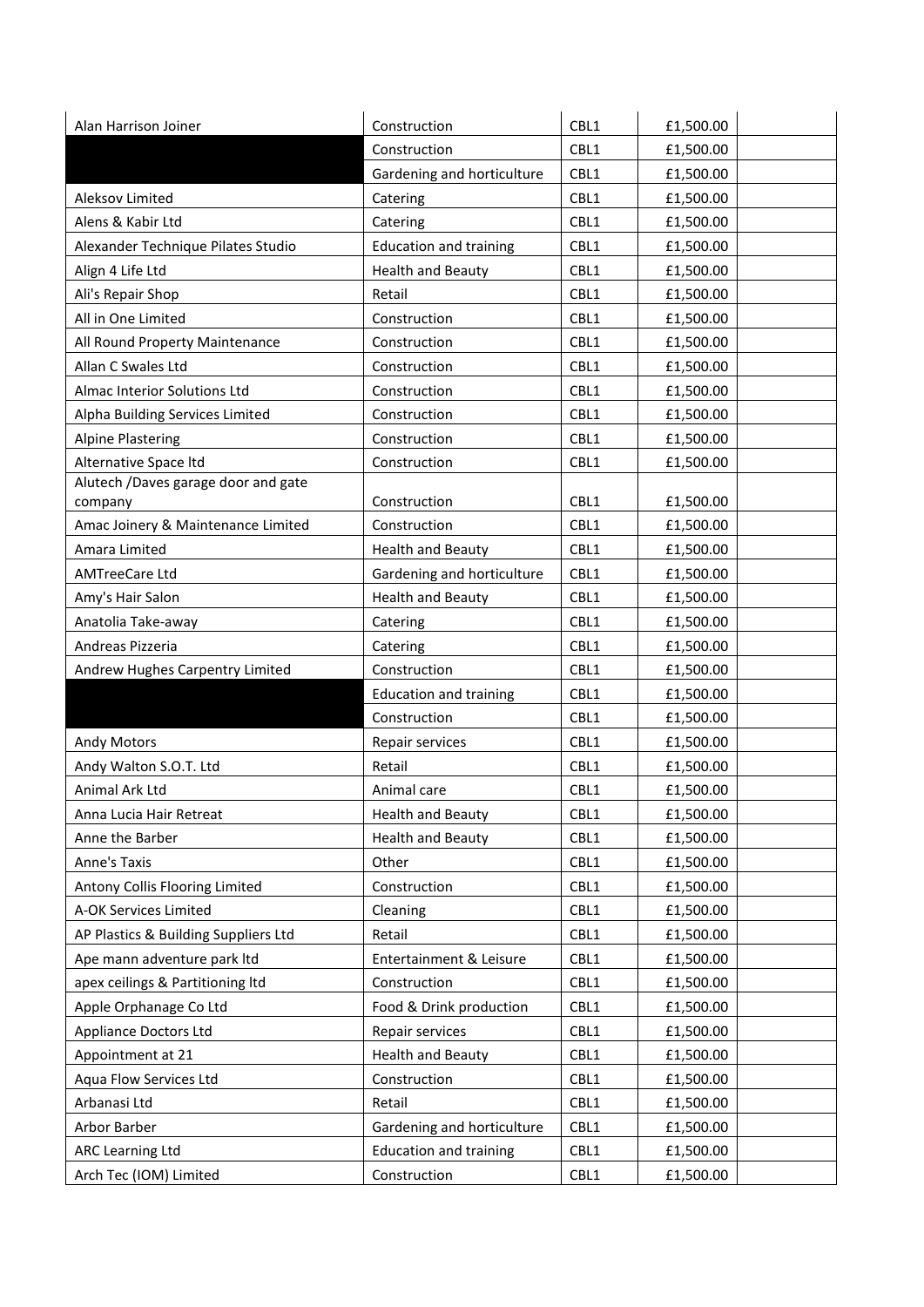| Alan Harrison Joiner                 | Construction                  | CBL1 | £1,500.00 |
|--------------------------------------|-------------------------------|------|-----------|
|                                      | Construction                  | CBL1 | £1,500.00 |
|                                      | Gardening and horticulture    | CBL1 | £1,500.00 |
| Aleksov Limited                      | Catering                      | CBL1 | £1,500.00 |
| Alens & Kabir Ltd                    | Catering                      | CBL1 | £1,500.00 |
| Alexander Technique Pilates Studio   | <b>Education and training</b> | CBL1 | £1,500.00 |
| Align 4 Life Ltd                     | <b>Health and Beauty</b>      | CBL1 | £1,500.00 |
| Ali's Repair Shop                    | Retail                        | CBL1 | £1,500.00 |
| All in One Limited                   | Construction                  | CBL1 | £1,500.00 |
| All Round Property Maintenance       | Construction                  | CBL1 | £1,500.00 |
| Allan C Swales Ltd                   | Construction                  | CBL1 | £1,500.00 |
| Almac Interior Solutions Ltd         | Construction                  | CBL1 | £1,500.00 |
| Alpha Building Services Limited      | Construction                  | CBL1 | £1,500.00 |
| <b>Alpine Plastering</b>             | Construction                  | CBL1 | £1,500.00 |
| Alternative Space Itd                | Construction                  | CBL1 | £1,500.00 |
| Alutech /Daves garage door and gate  |                               |      |           |
| company                              | Construction                  | CBL1 | £1,500.00 |
| Amac Joinery & Maintenance Limited   | Construction                  | CBL1 | £1,500.00 |
| Amara Limited                        | <b>Health and Beauty</b>      | CBL1 | £1,500.00 |
| <b>AMTreeCare Ltd</b>                | Gardening and horticulture    | CBL1 | £1,500.00 |
| Amy's Hair Salon                     | <b>Health and Beauty</b>      | CBL1 | £1,500.00 |
| Anatolia Take-away                   | Catering                      | CBL1 | £1,500.00 |
| Andreas Pizzeria                     | Catering                      | CBL1 | £1,500.00 |
| Andrew Hughes Carpentry Limited      | Construction                  | CBL1 | £1,500.00 |
|                                      | <b>Education and training</b> | CBL1 | £1,500.00 |
|                                      | Construction                  | CBL1 | £1,500.00 |
| <b>Andy Motors</b>                   | Repair services               | CBL1 | £1,500.00 |
| Andy Walton S.O.T. Ltd               | Retail                        | CBL1 | £1,500.00 |
| Animal Ark Ltd                       | Animal care                   | CBL1 | £1,500.00 |
| Anna Lucia Hair Retreat              | <b>Health and Beauty</b>      | CBL1 | £1,500.00 |
| Anne the Barber                      | <b>Health and Beauty</b>      | CBL1 | £1,500.00 |
| <b>Anne's Taxis</b>                  | Other                         | CBL1 | £1,500.00 |
| Antony Collis Flooring Limited       | Construction                  | CBL1 | £1,500.00 |
| A-OK Services Limited                | Cleaning                      | CBL1 | £1,500.00 |
| AP Plastics & Building Suppliers Ltd | Retail                        | CBL1 | £1,500.00 |
| Ape mann adventure park ltd          | Entertainment & Leisure       | CBL1 | £1,500.00 |
| apex ceilings & Partitioning ltd     | Construction                  | CBL1 | £1,500.00 |
| Apple Orphanage Co Ltd               | Food & Drink production       | CBL1 | £1,500.00 |
| <b>Appliance Doctors Ltd</b>         | Repair services               | CBL1 | £1,500.00 |
| Appointment at 21                    | <b>Health and Beauty</b>      | CBL1 | £1,500.00 |
| Aqua Flow Services Ltd               | Construction                  | CBL1 | £1,500.00 |
| Arbanasi Ltd                         | Retail                        | CBL1 | £1,500.00 |
| Arbor Barber                         | Gardening and horticulture    | CBL1 | £1,500.00 |
| ARC Learning Ltd                     | <b>Education and training</b> | CBL1 | £1,500.00 |
| Arch Tec (IOM) Limited               | Construction                  | CBL1 | £1,500.00 |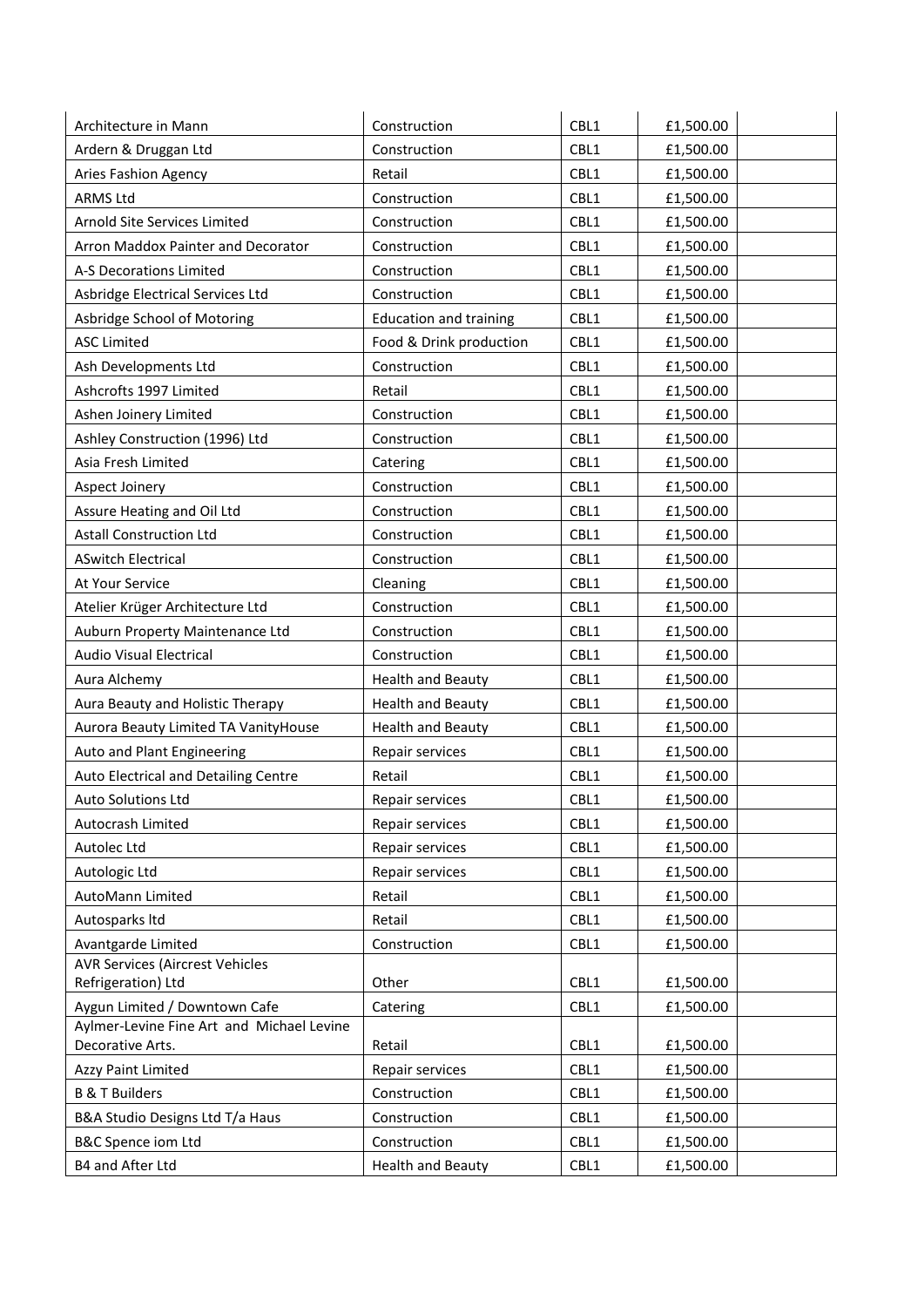| Architecture in Mann                                          | Construction                  | CBL1 | £1,500.00 |
|---------------------------------------------------------------|-------------------------------|------|-----------|
| Ardern & Druggan Ltd                                          | Construction                  | CBL1 | £1,500.00 |
| Aries Fashion Agency                                          | Retail                        | CBL1 | £1,500.00 |
| <b>ARMS Ltd</b>                                               | Construction                  | CBL1 | £1,500.00 |
| Arnold Site Services Limited                                  | Construction                  | CBL1 | £1,500.00 |
| Arron Maddox Painter and Decorator                            | Construction                  | CBL1 | £1,500.00 |
| A-S Decorations Limited                                       | Construction                  | CBL1 | £1,500.00 |
| Asbridge Electrical Services Ltd                              | Construction                  | CBL1 | £1,500.00 |
| Asbridge School of Motoring                                   | <b>Education and training</b> | CBL1 | £1,500.00 |
| <b>ASC Limited</b>                                            | Food & Drink production       | CBL1 | £1,500.00 |
| Ash Developments Ltd                                          | Construction                  | CBL1 | £1,500.00 |
| Ashcrofts 1997 Limited                                        | Retail                        | CBL1 | £1,500.00 |
| Ashen Joinery Limited                                         | Construction                  | CBL1 | £1,500.00 |
| Ashley Construction (1996) Ltd                                | Construction                  | CBL1 | £1,500.00 |
| Asia Fresh Limited                                            | Catering                      | CBL1 | £1,500.00 |
| Aspect Joinery                                                | Construction                  | CBL1 | £1,500.00 |
| Assure Heating and Oil Ltd                                    | Construction                  | CBL1 | £1,500.00 |
| <b>Astall Construction Ltd</b>                                | Construction                  | CBL1 | £1,500.00 |
| <b>ASwitch Electrical</b>                                     | Construction                  | CBL1 | £1,500.00 |
| At Your Service                                               | Cleaning                      | CBL1 | £1,500.00 |
| Atelier Krüger Architecture Ltd                               | Construction                  | CBL1 | £1,500.00 |
| Auburn Property Maintenance Ltd                               | Construction                  | CBL1 | £1,500.00 |
| <b>Audio Visual Electrical</b>                                | Construction                  | CBL1 | £1,500.00 |
| Aura Alchemy                                                  | <b>Health and Beauty</b>      | CBL1 | £1,500.00 |
| Aura Beauty and Holistic Therapy                              | <b>Health and Beauty</b>      | CBL1 | £1,500.00 |
| Aurora Beauty Limited TA VanityHouse                          | <b>Health and Beauty</b>      | CBL1 | £1,500.00 |
| Auto and Plant Engineering                                    | Repair services               | CBL1 | £1,500.00 |
| Auto Electrical and Detailing Centre                          | Retail                        | CBL1 | £1,500.00 |
| <b>Auto Solutions Ltd</b>                                     | Repair services               | CBL1 | £1,500.00 |
| Autocrash Limited                                             | Repair services               | CBL1 | £1,500.00 |
| Autolec Ltd                                                   | Repair services               | CBL1 | £1,500.00 |
| Autologic Ltd                                                 | Repair services               | CBL1 | £1,500.00 |
| AutoMann Limited                                              | Retail                        | CBL1 | £1,500.00 |
| Autosparks Itd                                                | Retail                        | CBL1 | £1,500.00 |
| Avantgarde Limited                                            | Construction                  | CBL1 | £1,500.00 |
| <b>AVR Services (Aircrest Vehicles</b>                        |                               |      |           |
| Refrigeration) Ltd                                            | Other                         | CBL1 | £1,500.00 |
| Aygun Limited / Downtown Cafe                                 | Catering                      | CBL1 | £1,500.00 |
| Aylmer-Levine Fine Art and Michael Levine<br>Decorative Arts. | Retail                        | CBL1 | £1,500.00 |
| Azzy Paint Limited                                            | Repair services               | CBL1 | £1,500.00 |
| <b>B &amp; T Builders</b>                                     | Construction                  | CBL1 | £1,500.00 |
| B&A Studio Designs Ltd T/a Haus                               | Construction                  | CBL1 | £1,500.00 |
| <b>B&amp;C Spence iom Ltd</b>                                 | Construction                  | CBL1 | £1,500.00 |
| B4 and After Ltd                                              | <b>Health and Beauty</b>      | CBL1 | £1,500.00 |
|                                                               |                               |      |           |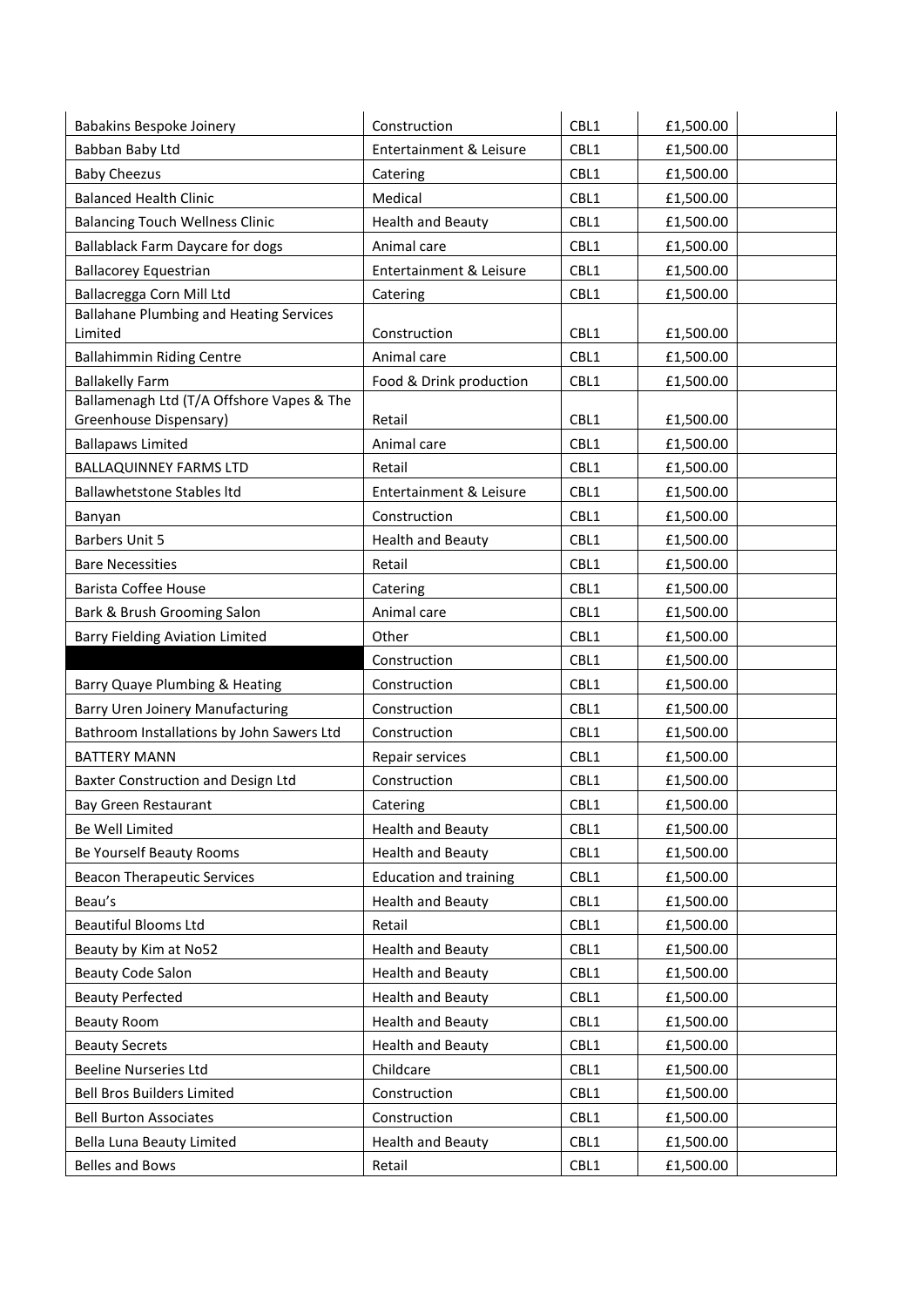| <b>Babakins Bespoke Joinery</b>                                     | Construction                  | CBL1 | £1,500.00 |
|---------------------------------------------------------------------|-------------------------------|------|-----------|
| Babban Baby Ltd                                                     | Entertainment & Leisure       | CBL1 | £1,500.00 |
| <b>Baby Cheezus</b>                                                 | Catering                      | CBL1 | £1,500.00 |
| <b>Balanced Health Clinic</b>                                       | Medical                       | CBL1 | £1,500.00 |
| <b>Balancing Touch Wellness Clinic</b>                              | <b>Health and Beauty</b>      | CBL1 | £1,500.00 |
| <b>Ballablack Farm Daycare for dogs</b>                             | Animal care                   | CBL1 | £1,500.00 |
| <b>Ballacorey Equestrian</b>                                        | Entertainment & Leisure       | CBL1 | £1,500.00 |
| Ballacregga Corn Mill Ltd                                           | Catering                      | CBL1 | £1,500.00 |
| <b>Ballahane Plumbing and Heating Services</b><br>Limited           | Construction                  | CBL1 | £1,500.00 |
| <b>Ballahimmin Riding Centre</b>                                    | Animal care                   | CBL1 | £1,500.00 |
| <b>Ballakelly Farm</b>                                              | Food & Drink production       | CBL1 | £1,500.00 |
| Ballamenagh Ltd (T/A Offshore Vapes & The<br>Greenhouse Dispensary) | Retail                        | CBL1 | £1,500.00 |
| <b>Ballapaws Limited</b>                                            | Animal care                   | CBL1 | £1,500.00 |
| <b>BALLAQUINNEY FARMS LTD</b>                                       | Retail                        | CBL1 | £1,500.00 |
| <b>Ballawhetstone Stables Itd</b>                                   | Entertainment & Leisure       | CBL1 | £1,500.00 |
| Banyan                                                              | Construction                  | CBL1 | £1,500.00 |
| <b>Barbers Unit 5</b>                                               | <b>Health and Beauty</b>      | CBL1 | £1,500.00 |
| <b>Bare Necessities</b>                                             | Retail                        | CBL1 | £1,500.00 |
| Barista Coffee House                                                | Catering                      | CBL1 | £1,500.00 |
| Bark & Brush Grooming Salon                                         | Animal care                   | CBL1 | £1,500.00 |
| <b>Barry Fielding Aviation Limited</b>                              | Other                         | CBL1 | £1,500.00 |
|                                                                     | Construction                  | CBL1 | £1,500.00 |
| Barry Quaye Plumbing & Heating                                      | Construction                  | CBL1 | £1,500.00 |
| <b>Barry Uren Joinery Manufacturing</b>                             | Construction                  | CBL1 | £1,500.00 |
| Bathroom Installations by John Sawers Ltd                           | Construction                  | CBL1 | £1,500.00 |
| <b>BATTERY MANN</b>                                                 | Repair services               | CBL1 | £1,500.00 |
| Baxter Construction and Design Ltd                                  | Construction                  | CBL1 | £1,500.00 |
| Bay Green Restaurant                                                | Catering                      | CBL1 | £1,500.00 |
| Be Well Limited                                                     | <b>Health and Beauty</b>      | CBL1 | £1,500.00 |
| Be Yourself Beauty Rooms                                            | <b>Health and Beauty</b>      | CBL1 | £1,500.00 |
| <b>Beacon Therapeutic Services</b>                                  | <b>Education and training</b> | CBL1 | £1,500.00 |
| Beau's                                                              | <b>Health and Beauty</b>      | CBL1 | £1,500.00 |
| <b>Beautiful Blooms Ltd</b>                                         | Retail                        | CBL1 | £1,500.00 |
| Beauty by Kim at No52                                               | <b>Health and Beauty</b>      | CBL1 | £1,500.00 |
| <b>Beauty Code Salon</b>                                            | <b>Health and Beauty</b>      | CBL1 | £1,500.00 |
| <b>Beauty Perfected</b>                                             | <b>Health and Beauty</b>      | CBL1 | £1,500.00 |
| <b>Beauty Room</b>                                                  | <b>Health and Beauty</b>      | CBL1 | £1,500.00 |
| <b>Beauty Secrets</b>                                               | <b>Health and Beauty</b>      | CBL1 | £1,500.00 |
| <b>Beeline Nurseries Ltd</b>                                        | Childcare                     | CBL1 | £1,500.00 |
| <b>Bell Bros Builders Limited</b>                                   | Construction                  | CBL1 | £1,500.00 |
| <b>Bell Burton Associates</b>                                       | Construction                  | CBL1 | £1,500.00 |
| Bella Luna Beauty Limited                                           | <b>Health and Beauty</b>      | CBL1 | £1,500.00 |
| <b>Belles and Bows</b>                                              | Retail                        | CBL1 | £1,500.00 |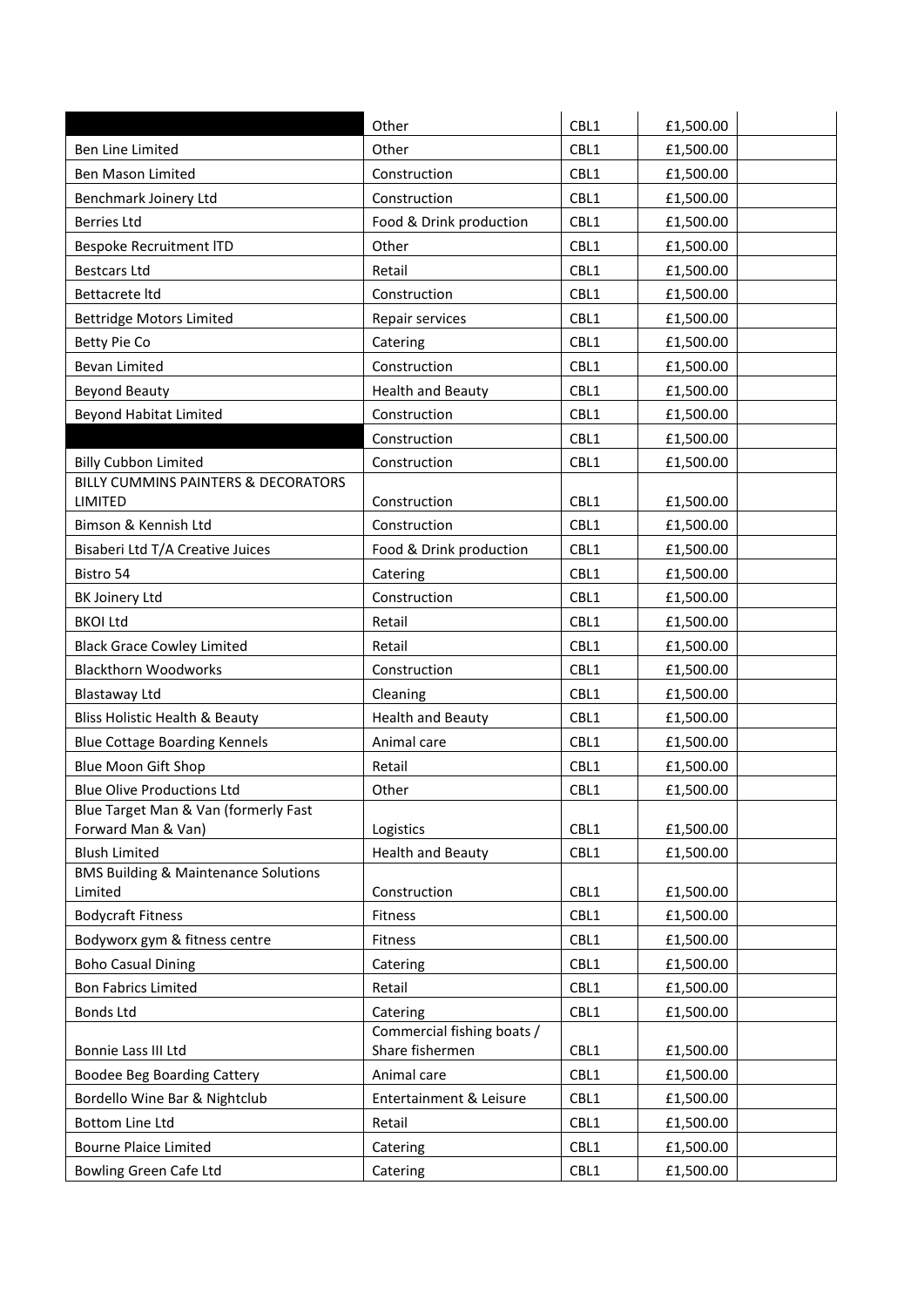| CBL1<br>Other<br>£1,500.00<br>Ben Line Limited<br>CBL1<br><b>Ben Mason Limited</b><br>Construction<br>£1,500.00<br>CBL1<br>Benchmark Joinery Ltd<br>Construction<br>£1,500.00<br><b>Berries Ltd</b><br>Food & Drink production<br>CBL1<br>£1,500.00<br>CBL1<br>Bespoke Recruitment ITD<br>Other<br>£1,500.00<br>CBL1<br><b>Bestcars Ltd</b><br>£1,500.00<br>Retail<br>Construction<br>CBL1<br>Bettacrete Itd<br>£1,500.00<br>CBL1<br><b>Bettridge Motors Limited</b><br>Repair services<br>£1,500.00<br>CBL1<br>Betty Pie Co<br>£1,500.00<br>Catering<br><b>Bevan Limited</b><br>Construction<br>CBL1<br>£1,500.00<br><b>Beyond Beauty</b><br><b>Health and Beauty</b><br>CBL1<br>£1,500.00<br><b>Beyond Habitat Limited</b><br>Construction<br>CBL1<br>£1,500.00<br>Construction<br>CBL1<br>£1,500.00<br><b>Billy Cubbon Limited</b><br>CBL1<br>Construction<br>£1,500.00<br>BILLY CUMMINS PAINTERS & DECORATORS<br>CBL1<br>LIMITED<br>Construction<br>£1,500.00<br>Bimson & Kennish Ltd<br>CBL1<br>Construction<br>£1,500.00<br>CBL1<br>Bisaberi Ltd T/A Creative Juices<br>Food & Drink production<br>£1,500.00<br>CBL1<br>Bistro 54<br>£1,500.00<br>Catering<br>CBL1<br>BK Joinery Ltd<br>Construction<br>£1,500.00<br><b>BKOI Ltd</b><br>CBL1<br>Retail<br>£1,500.00<br>CBL1<br><b>Black Grace Cowley Limited</b><br>Retail<br>£1,500.00<br><b>Blackthorn Woodworks</b><br>Construction<br>CBL1<br>£1,500.00<br>CBL1<br>£1,500.00<br>Blastaway Ltd<br>Cleaning<br><b>Bliss Holistic Health &amp; Beauty</b><br><b>Health and Beauty</b><br>CBL1<br>£1,500.00<br>CBL1<br><b>Blue Cottage Boarding Kennels</b><br>Animal care<br>£1,500.00<br>CBL1<br>Blue Moon Gift Shop<br>Retail<br>£1,500.00<br><b>Blue Olive Productions Ltd</b><br>CBL1<br>£1,500.00<br>Other<br>Blue Target Man & Van (formerly Fast<br>CBL1<br>Forward Man & Van)<br>£1,500.00<br>Logistics<br><b>Blush Limited</b><br>CBL1<br><b>Health and Beauty</b><br>£1,500.00<br><b>BMS Building &amp; Maintenance Solutions</b><br>Limited<br>Construction<br>CBL1<br>£1,500.00<br><b>Bodycraft Fitness</b><br>CBL1<br>Fitness<br>£1,500.00<br>Bodyworx gym & fitness centre<br>CBL1<br>£1,500.00<br>Fitness<br><b>Boho Casual Dining</b><br>CBL1<br>£1,500.00<br>Catering<br><b>Bon Fabrics Limited</b><br>Retail<br>CBL1<br>£1,500.00<br><b>Bonds Ltd</b><br>CBL1<br>Catering<br>£1,500.00<br>Commercial fishing boats /<br>Share fishermen<br>Bonnie Lass III Ltd<br>CBL1<br>£1,500.00<br>CBL1<br>Animal care<br>Boodee Beg Boarding Cattery<br>£1,500.00<br>CBL1<br>Bordello Wine Bar & Nightclub<br>Entertainment & Leisure<br>£1,500.00<br>CBL1<br><b>Bottom Line Ltd</b><br>Retail<br>£1,500.00<br>CBL1<br><b>Bourne Plaice Limited</b><br>£1,500.00<br>Catering |                        | Other    | CBL1 | £1,500.00 |
|--------------------------------------------------------------------------------------------------------------------------------------------------------------------------------------------------------------------------------------------------------------------------------------------------------------------------------------------------------------------------------------------------------------------------------------------------------------------------------------------------------------------------------------------------------------------------------------------------------------------------------------------------------------------------------------------------------------------------------------------------------------------------------------------------------------------------------------------------------------------------------------------------------------------------------------------------------------------------------------------------------------------------------------------------------------------------------------------------------------------------------------------------------------------------------------------------------------------------------------------------------------------------------------------------------------------------------------------------------------------------------------------------------------------------------------------------------------------------------------------------------------------------------------------------------------------------------------------------------------------------------------------------------------------------------------------------------------------------------------------------------------------------------------------------------------------------------------------------------------------------------------------------------------------------------------------------------------------------------------------------------------------------------------------------------------------------------------------------------------------------------------------------------------------------------------------------------------------------------------------------------------------------------------------------------------------------------------------------------------------------------------------------------------------------------------------------------------------------------------------------------------------------------------------------------------------------------------------------------------------------------------------------------------------------------------------------------------------------------------------|------------------------|----------|------|-----------|
|                                                                                                                                                                                                                                                                                                                                                                                                                                                                                                                                                                                                                                                                                                                                                                                                                                                                                                                                                                                                                                                                                                                                                                                                                                                                                                                                                                                                                                                                                                                                                                                                                                                                                                                                                                                                                                                                                                                                                                                                                                                                                                                                                                                                                                                                                                                                                                                                                                                                                                                                                                                                                                                                                                                                            |                        |          |      |           |
|                                                                                                                                                                                                                                                                                                                                                                                                                                                                                                                                                                                                                                                                                                                                                                                                                                                                                                                                                                                                                                                                                                                                                                                                                                                                                                                                                                                                                                                                                                                                                                                                                                                                                                                                                                                                                                                                                                                                                                                                                                                                                                                                                                                                                                                                                                                                                                                                                                                                                                                                                                                                                                                                                                                                            |                        |          |      |           |
|                                                                                                                                                                                                                                                                                                                                                                                                                                                                                                                                                                                                                                                                                                                                                                                                                                                                                                                                                                                                                                                                                                                                                                                                                                                                                                                                                                                                                                                                                                                                                                                                                                                                                                                                                                                                                                                                                                                                                                                                                                                                                                                                                                                                                                                                                                                                                                                                                                                                                                                                                                                                                                                                                                                                            |                        |          |      |           |
|                                                                                                                                                                                                                                                                                                                                                                                                                                                                                                                                                                                                                                                                                                                                                                                                                                                                                                                                                                                                                                                                                                                                                                                                                                                                                                                                                                                                                                                                                                                                                                                                                                                                                                                                                                                                                                                                                                                                                                                                                                                                                                                                                                                                                                                                                                                                                                                                                                                                                                                                                                                                                                                                                                                                            |                        |          |      |           |
|                                                                                                                                                                                                                                                                                                                                                                                                                                                                                                                                                                                                                                                                                                                                                                                                                                                                                                                                                                                                                                                                                                                                                                                                                                                                                                                                                                                                                                                                                                                                                                                                                                                                                                                                                                                                                                                                                                                                                                                                                                                                                                                                                                                                                                                                                                                                                                                                                                                                                                                                                                                                                                                                                                                                            |                        |          |      |           |
|                                                                                                                                                                                                                                                                                                                                                                                                                                                                                                                                                                                                                                                                                                                                                                                                                                                                                                                                                                                                                                                                                                                                                                                                                                                                                                                                                                                                                                                                                                                                                                                                                                                                                                                                                                                                                                                                                                                                                                                                                                                                                                                                                                                                                                                                                                                                                                                                                                                                                                                                                                                                                                                                                                                                            |                        |          |      |           |
|                                                                                                                                                                                                                                                                                                                                                                                                                                                                                                                                                                                                                                                                                                                                                                                                                                                                                                                                                                                                                                                                                                                                                                                                                                                                                                                                                                                                                                                                                                                                                                                                                                                                                                                                                                                                                                                                                                                                                                                                                                                                                                                                                                                                                                                                                                                                                                                                                                                                                                                                                                                                                                                                                                                                            |                        |          |      |           |
|                                                                                                                                                                                                                                                                                                                                                                                                                                                                                                                                                                                                                                                                                                                                                                                                                                                                                                                                                                                                                                                                                                                                                                                                                                                                                                                                                                                                                                                                                                                                                                                                                                                                                                                                                                                                                                                                                                                                                                                                                                                                                                                                                                                                                                                                                                                                                                                                                                                                                                                                                                                                                                                                                                                                            |                        |          |      |           |
|                                                                                                                                                                                                                                                                                                                                                                                                                                                                                                                                                                                                                                                                                                                                                                                                                                                                                                                                                                                                                                                                                                                                                                                                                                                                                                                                                                                                                                                                                                                                                                                                                                                                                                                                                                                                                                                                                                                                                                                                                                                                                                                                                                                                                                                                                                                                                                                                                                                                                                                                                                                                                                                                                                                                            |                        |          |      |           |
|                                                                                                                                                                                                                                                                                                                                                                                                                                                                                                                                                                                                                                                                                                                                                                                                                                                                                                                                                                                                                                                                                                                                                                                                                                                                                                                                                                                                                                                                                                                                                                                                                                                                                                                                                                                                                                                                                                                                                                                                                                                                                                                                                                                                                                                                                                                                                                                                                                                                                                                                                                                                                                                                                                                                            |                        |          |      |           |
|                                                                                                                                                                                                                                                                                                                                                                                                                                                                                                                                                                                                                                                                                                                                                                                                                                                                                                                                                                                                                                                                                                                                                                                                                                                                                                                                                                                                                                                                                                                                                                                                                                                                                                                                                                                                                                                                                                                                                                                                                                                                                                                                                                                                                                                                                                                                                                                                                                                                                                                                                                                                                                                                                                                                            |                        |          |      |           |
|                                                                                                                                                                                                                                                                                                                                                                                                                                                                                                                                                                                                                                                                                                                                                                                                                                                                                                                                                                                                                                                                                                                                                                                                                                                                                                                                                                                                                                                                                                                                                                                                                                                                                                                                                                                                                                                                                                                                                                                                                                                                                                                                                                                                                                                                                                                                                                                                                                                                                                                                                                                                                                                                                                                                            |                        |          |      |           |
|                                                                                                                                                                                                                                                                                                                                                                                                                                                                                                                                                                                                                                                                                                                                                                                                                                                                                                                                                                                                                                                                                                                                                                                                                                                                                                                                                                                                                                                                                                                                                                                                                                                                                                                                                                                                                                                                                                                                                                                                                                                                                                                                                                                                                                                                                                                                                                                                                                                                                                                                                                                                                                                                                                                                            |                        |          |      |           |
|                                                                                                                                                                                                                                                                                                                                                                                                                                                                                                                                                                                                                                                                                                                                                                                                                                                                                                                                                                                                                                                                                                                                                                                                                                                                                                                                                                                                                                                                                                                                                                                                                                                                                                                                                                                                                                                                                                                                                                                                                                                                                                                                                                                                                                                                                                                                                                                                                                                                                                                                                                                                                                                                                                                                            |                        |          |      |           |
|                                                                                                                                                                                                                                                                                                                                                                                                                                                                                                                                                                                                                                                                                                                                                                                                                                                                                                                                                                                                                                                                                                                                                                                                                                                                                                                                                                                                                                                                                                                                                                                                                                                                                                                                                                                                                                                                                                                                                                                                                                                                                                                                                                                                                                                                                                                                                                                                                                                                                                                                                                                                                                                                                                                                            |                        |          |      |           |
|                                                                                                                                                                                                                                                                                                                                                                                                                                                                                                                                                                                                                                                                                                                                                                                                                                                                                                                                                                                                                                                                                                                                                                                                                                                                                                                                                                                                                                                                                                                                                                                                                                                                                                                                                                                                                                                                                                                                                                                                                                                                                                                                                                                                                                                                                                                                                                                                                                                                                                                                                                                                                                                                                                                                            |                        |          |      |           |
|                                                                                                                                                                                                                                                                                                                                                                                                                                                                                                                                                                                                                                                                                                                                                                                                                                                                                                                                                                                                                                                                                                                                                                                                                                                                                                                                                                                                                                                                                                                                                                                                                                                                                                                                                                                                                                                                                                                                                                                                                                                                                                                                                                                                                                                                                                                                                                                                                                                                                                                                                                                                                                                                                                                                            |                        |          |      |           |
|                                                                                                                                                                                                                                                                                                                                                                                                                                                                                                                                                                                                                                                                                                                                                                                                                                                                                                                                                                                                                                                                                                                                                                                                                                                                                                                                                                                                                                                                                                                                                                                                                                                                                                                                                                                                                                                                                                                                                                                                                                                                                                                                                                                                                                                                                                                                                                                                                                                                                                                                                                                                                                                                                                                                            |                        |          |      |           |
|                                                                                                                                                                                                                                                                                                                                                                                                                                                                                                                                                                                                                                                                                                                                                                                                                                                                                                                                                                                                                                                                                                                                                                                                                                                                                                                                                                                                                                                                                                                                                                                                                                                                                                                                                                                                                                                                                                                                                                                                                                                                                                                                                                                                                                                                                                                                                                                                                                                                                                                                                                                                                                                                                                                                            |                        |          |      |           |
|                                                                                                                                                                                                                                                                                                                                                                                                                                                                                                                                                                                                                                                                                                                                                                                                                                                                                                                                                                                                                                                                                                                                                                                                                                                                                                                                                                                                                                                                                                                                                                                                                                                                                                                                                                                                                                                                                                                                                                                                                                                                                                                                                                                                                                                                                                                                                                                                                                                                                                                                                                                                                                                                                                                                            |                        |          |      |           |
|                                                                                                                                                                                                                                                                                                                                                                                                                                                                                                                                                                                                                                                                                                                                                                                                                                                                                                                                                                                                                                                                                                                                                                                                                                                                                                                                                                                                                                                                                                                                                                                                                                                                                                                                                                                                                                                                                                                                                                                                                                                                                                                                                                                                                                                                                                                                                                                                                                                                                                                                                                                                                                                                                                                                            |                        |          |      |           |
|                                                                                                                                                                                                                                                                                                                                                                                                                                                                                                                                                                                                                                                                                                                                                                                                                                                                                                                                                                                                                                                                                                                                                                                                                                                                                                                                                                                                                                                                                                                                                                                                                                                                                                                                                                                                                                                                                                                                                                                                                                                                                                                                                                                                                                                                                                                                                                                                                                                                                                                                                                                                                                                                                                                                            |                        |          |      |           |
|                                                                                                                                                                                                                                                                                                                                                                                                                                                                                                                                                                                                                                                                                                                                                                                                                                                                                                                                                                                                                                                                                                                                                                                                                                                                                                                                                                                                                                                                                                                                                                                                                                                                                                                                                                                                                                                                                                                                                                                                                                                                                                                                                                                                                                                                                                                                                                                                                                                                                                                                                                                                                                                                                                                                            |                        |          |      |           |
|                                                                                                                                                                                                                                                                                                                                                                                                                                                                                                                                                                                                                                                                                                                                                                                                                                                                                                                                                                                                                                                                                                                                                                                                                                                                                                                                                                                                                                                                                                                                                                                                                                                                                                                                                                                                                                                                                                                                                                                                                                                                                                                                                                                                                                                                                                                                                                                                                                                                                                                                                                                                                                                                                                                                            |                        |          |      |           |
|                                                                                                                                                                                                                                                                                                                                                                                                                                                                                                                                                                                                                                                                                                                                                                                                                                                                                                                                                                                                                                                                                                                                                                                                                                                                                                                                                                                                                                                                                                                                                                                                                                                                                                                                                                                                                                                                                                                                                                                                                                                                                                                                                                                                                                                                                                                                                                                                                                                                                                                                                                                                                                                                                                                                            |                        |          |      |           |
|                                                                                                                                                                                                                                                                                                                                                                                                                                                                                                                                                                                                                                                                                                                                                                                                                                                                                                                                                                                                                                                                                                                                                                                                                                                                                                                                                                                                                                                                                                                                                                                                                                                                                                                                                                                                                                                                                                                                                                                                                                                                                                                                                                                                                                                                                                                                                                                                                                                                                                                                                                                                                                                                                                                                            |                        |          |      |           |
|                                                                                                                                                                                                                                                                                                                                                                                                                                                                                                                                                                                                                                                                                                                                                                                                                                                                                                                                                                                                                                                                                                                                                                                                                                                                                                                                                                                                                                                                                                                                                                                                                                                                                                                                                                                                                                                                                                                                                                                                                                                                                                                                                                                                                                                                                                                                                                                                                                                                                                                                                                                                                                                                                                                                            |                        |          |      |           |
|                                                                                                                                                                                                                                                                                                                                                                                                                                                                                                                                                                                                                                                                                                                                                                                                                                                                                                                                                                                                                                                                                                                                                                                                                                                                                                                                                                                                                                                                                                                                                                                                                                                                                                                                                                                                                                                                                                                                                                                                                                                                                                                                                                                                                                                                                                                                                                                                                                                                                                                                                                                                                                                                                                                                            |                        |          |      |           |
|                                                                                                                                                                                                                                                                                                                                                                                                                                                                                                                                                                                                                                                                                                                                                                                                                                                                                                                                                                                                                                                                                                                                                                                                                                                                                                                                                                                                                                                                                                                                                                                                                                                                                                                                                                                                                                                                                                                                                                                                                                                                                                                                                                                                                                                                                                                                                                                                                                                                                                                                                                                                                                                                                                                                            |                        |          |      |           |
|                                                                                                                                                                                                                                                                                                                                                                                                                                                                                                                                                                                                                                                                                                                                                                                                                                                                                                                                                                                                                                                                                                                                                                                                                                                                                                                                                                                                                                                                                                                                                                                                                                                                                                                                                                                                                                                                                                                                                                                                                                                                                                                                                                                                                                                                                                                                                                                                                                                                                                                                                                                                                                                                                                                                            |                        |          |      |           |
|                                                                                                                                                                                                                                                                                                                                                                                                                                                                                                                                                                                                                                                                                                                                                                                                                                                                                                                                                                                                                                                                                                                                                                                                                                                                                                                                                                                                                                                                                                                                                                                                                                                                                                                                                                                                                                                                                                                                                                                                                                                                                                                                                                                                                                                                                                                                                                                                                                                                                                                                                                                                                                                                                                                                            |                        |          |      |           |
|                                                                                                                                                                                                                                                                                                                                                                                                                                                                                                                                                                                                                                                                                                                                                                                                                                                                                                                                                                                                                                                                                                                                                                                                                                                                                                                                                                                                                                                                                                                                                                                                                                                                                                                                                                                                                                                                                                                                                                                                                                                                                                                                                                                                                                                                                                                                                                                                                                                                                                                                                                                                                                                                                                                                            |                        |          |      |           |
|                                                                                                                                                                                                                                                                                                                                                                                                                                                                                                                                                                                                                                                                                                                                                                                                                                                                                                                                                                                                                                                                                                                                                                                                                                                                                                                                                                                                                                                                                                                                                                                                                                                                                                                                                                                                                                                                                                                                                                                                                                                                                                                                                                                                                                                                                                                                                                                                                                                                                                                                                                                                                                                                                                                                            |                        |          |      |           |
|                                                                                                                                                                                                                                                                                                                                                                                                                                                                                                                                                                                                                                                                                                                                                                                                                                                                                                                                                                                                                                                                                                                                                                                                                                                                                                                                                                                                                                                                                                                                                                                                                                                                                                                                                                                                                                                                                                                                                                                                                                                                                                                                                                                                                                                                                                                                                                                                                                                                                                                                                                                                                                                                                                                                            |                        |          |      |           |
|                                                                                                                                                                                                                                                                                                                                                                                                                                                                                                                                                                                                                                                                                                                                                                                                                                                                                                                                                                                                                                                                                                                                                                                                                                                                                                                                                                                                                                                                                                                                                                                                                                                                                                                                                                                                                                                                                                                                                                                                                                                                                                                                                                                                                                                                                                                                                                                                                                                                                                                                                                                                                                                                                                                                            |                        |          |      |           |
|                                                                                                                                                                                                                                                                                                                                                                                                                                                                                                                                                                                                                                                                                                                                                                                                                                                                                                                                                                                                                                                                                                                                                                                                                                                                                                                                                                                                                                                                                                                                                                                                                                                                                                                                                                                                                                                                                                                                                                                                                                                                                                                                                                                                                                                                                                                                                                                                                                                                                                                                                                                                                                                                                                                                            |                        |          |      |           |
|                                                                                                                                                                                                                                                                                                                                                                                                                                                                                                                                                                                                                                                                                                                                                                                                                                                                                                                                                                                                                                                                                                                                                                                                                                                                                                                                                                                                                                                                                                                                                                                                                                                                                                                                                                                                                                                                                                                                                                                                                                                                                                                                                                                                                                                                                                                                                                                                                                                                                                                                                                                                                                                                                                                                            |                        |          |      |           |
|                                                                                                                                                                                                                                                                                                                                                                                                                                                                                                                                                                                                                                                                                                                                                                                                                                                                                                                                                                                                                                                                                                                                                                                                                                                                                                                                                                                                                                                                                                                                                                                                                                                                                                                                                                                                                                                                                                                                                                                                                                                                                                                                                                                                                                                                                                                                                                                                                                                                                                                                                                                                                                                                                                                                            |                        |          |      |           |
|                                                                                                                                                                                                                                                                                                                                                                                                                                                                                                                                                                                                                                                                                                                                                                                                                                                                                                                                                                                                                                                                                                                                                                                                                                                                                                                                                                                                                                                                                                                                                                                                                                                                                                                                                                                                                                                                                                                                                                                                                                                                                                                                                                                                                                                                                                                                                                                                                                                                                                                                                                                                                                                                                                                                            |                        |          |      |           |
|                                                                                                                                                                                                                                                                                                                                                                                                                                                                                                                                                                                                                                                                                                                                                                                                                                                                                                                                                                                                                                                                                                                                                                                                                                                                                                                                                                                                                                                                                                                                                                                                                                                                                                                                                                                                                                                                                                                                                                                                                                                                                                                                                                                                                                                                                                                                                                                                                                                                                                                                                                                                                                                                                                                                            |                        |          |      |           |
|                                                                                                                                                                                                                                                                                                                                                                                                                                                                                                                                                                                                                                                                                                                                                                                                                                                                                                                                                                                                                                                                                                                                                                                                                                                                                                                                                                                                                                                                                                                                                                                                                                                                                                                                                                                                                                                                                                                                                                                                                                                                                                                                                                                                                                                                                                                                                                                                                                                                                                                                                                                                                                                                                                                                            |                        |          |      |           |
|                                                                                                                                                                                                                                                                                                                                                                                                                                                                                                                                                                                                                                                                                                                                                                                                                                                                                                                                                                                                                                                                                                                                                                                                                                                                                                                                                                                                                                                                                                                                                                                                                                                                                                                                                                                                                                                                                                                                                                                                                                                                                                                                                                                                                                                                                                                                                                                                                                                                                                                                                                                                                                                                                                                                            |                        |          |      |           |
|                                                                                                                                                                                                                                                                                                                                                                                                                                                                                                                                                                                                                                                                                                                                                                                                                                                                                                                                                                                                                                                                                                                                                                                                                                                                                                                                                                                                                                                                                                                                                                                                                                                                                                                                                                                                                                                                                                                                                                                                                                                                                                                                                                                                                                                                                                                                                                                                                                                                                                                                                                                                                                                                                                                                            | Bowling Green Cafe Ltd | Catering | CBL1 | £1,500.00 |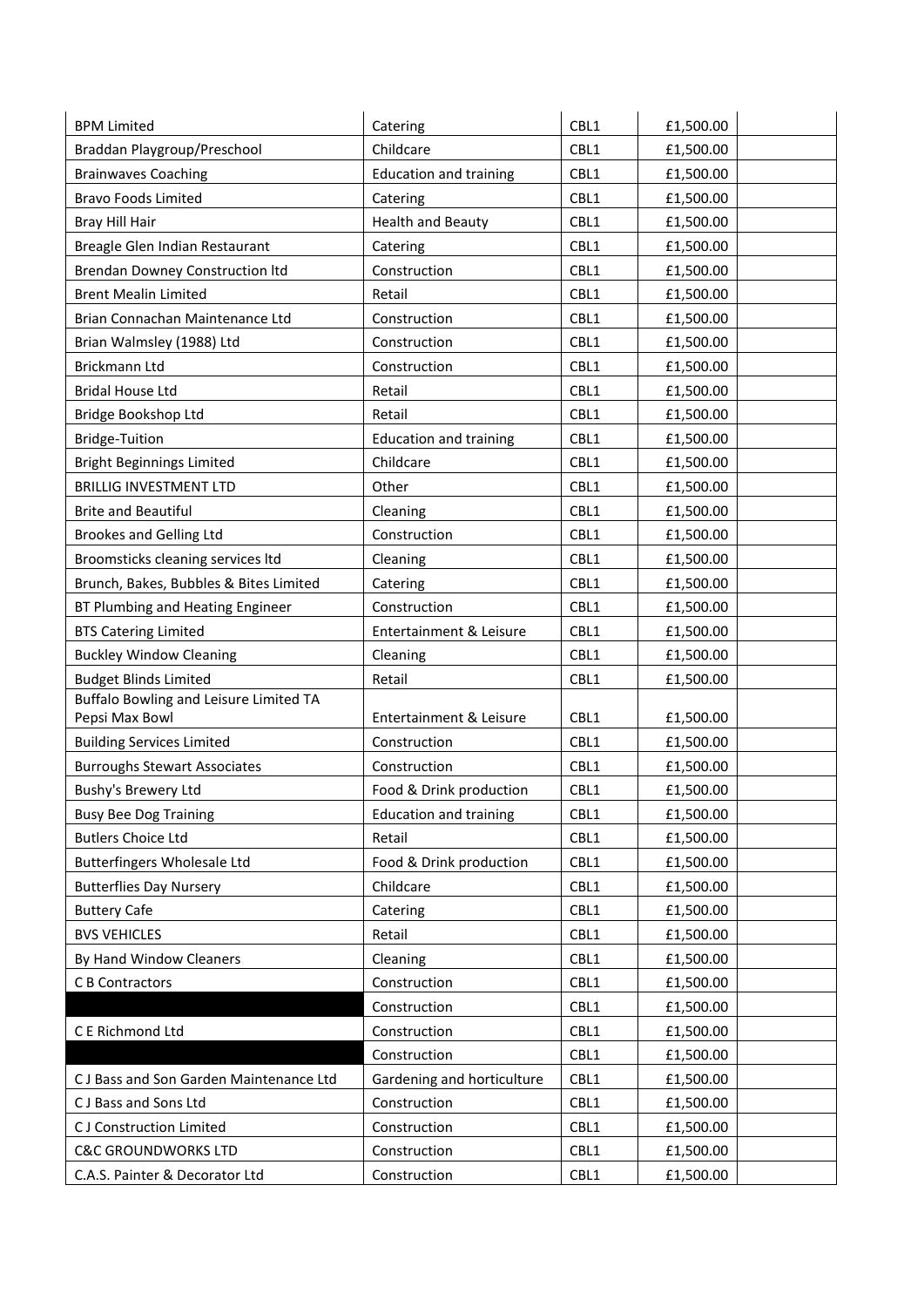| <b>BPM Limited</b>                                       | Catering                      | CBL1 | £1,500.00 |
|----------------------------------------------------------|-------------------------------|------|-----------|
| Braddan Playgroup/Preschool                              | Childcare                     | CBL1 | £1,500.00 |
| <b>Brainwaves Coaching</b>                               | <b>Education and training</b> | CBL1 | £1,500.00 |
| <b>Bravo Foods Limited</b>                               | Catering                      | CBL1 | £1,500.00 |
| Bray Hill Hair                                           | <b>Health and Beauty</b>      | CBL1 | £1,500.00 |
| Breagle Glen Indian Restaurant                           | Catering                      | CBL1 | £1,500.00 |
| <b>Brendan Downey Construction Itd</b>                   | Construction                  | CBL1 | £1,500.00 |
| <b>Brent Mealin Limited</b>                              | Retail                        | CBL1 | £1,500.00 |
| Brian Connachan Maintenance Ltd                          | Construction                  | CBL1 | £1,500.00 |
| Brian Walmsley (1988) Ltd                                | Construction                  | CBL1 | £1,500.00 |
| Brickmann Ltd                                            | Construction                  | CBL1 | £1,500.00 |
| <b>Bridal House Ltd</b>                                  | Retail                        | CBL1 | £1,500.00 |
| Bridge Bookshop Ltd                                      | Retail                        | CBL1 | £1,500.00 |
| <b>Bridge-Tuition</b>                                    | <b>Education and training</b> | CBL1 | £1,500.00 |
| <b>Bright Beginnings Limited</b>                         | Childcare                     | CBL1 | £1,500.00 |
| <b>BRILLIG INVESTMENT LTD</b>                            | Other                         | CBL1 | £1,500.00 |
| <b>Brite and Beautiful</b>                               | Cleaning                      | CBL1 | £1,500.00 |
| <b>Brookes and Gelling Ltd</b>                           | Construction                  | CBL1 | £1,500.00 |
| Broomsticks cleaning services ltd                        | Cleaning                      | CBL1 | £1,500.00 |
| Brunch, Bakes, Bubbles & Bites Limited                   | Catering                      | CBL1 | £1,500.00 |
| BT Plumbing and Heating Engineer                         | Construction                  | CBL1 | £1,500.00 |
| <b>BTS Catering Limited</b>                              | Entertainment & Leisure       | CBL1 | £1,500.00 |
| <b>Buckley Window Cleaning</b>                           | Cleaning                      | CBL1 | £1,500.00 |
| <b>Budget Blinds Limited</b>                             | Retail                        | CBL1 | £1,500.00 |
| Buffalo Bowling and Leisure Limited TA<br>Pepsi Max Bowl | Entertainment & Leisure       | CBL1 | £1,500.00 |
| <b>Building Services Limited</b>                         | Construction                  | CBL1 | £1,500.00 |
| <b>Burroughs Stewart Associates</b>                      | Construction                  | CBL1 | £1,500.00 |
| Bushy's Brewery Ltd                                      | Food & Drink production       | CBL1 | £1,500.00 |
| <b>Busy Bee Dog Training</b>                             | <b>Education and training</b> | CBL1 | £1,500.00 |
| <b>Butlers Choice Ltd</b>                                | Retail                        | CBL1 | £1,500.00 |
| <b>Butterfingers Wholesale Ltd</b>                       | Food & Drink production       | CBL1 | £1,500.00 |
| <b>Butterflies Day Nursery</b>                           | Childcare                     | CBL1 | £1,500.00 |
| <b>Buttery Cafe</b>                                      | Catering                      | CBL1 | £1,500.00 |
| <b>BVS VEHICLES</b>                                      | Retail                        | CBL1 | £1,500.00 |
| By Hand Window Cleaners                                  | Cleaning                      | CBL1 | £1,500.00 |
| C B Contractors                                          | Construction                  | CBL1 | £1,500.00 |
|                                                          | Construction                  | CBL1 | £1,500.00 |
| C E Richmond Ltd                                         | Construction                  | CBL1 | £1,500.00 |
|                                                          | Construction                  | CBL1 | £1,500.00 |
| CJ Bass and Son Garden Maintenance Ltd                   | Gardening and horticulture    | CBL1 | £1,500.00 |
| CJ Bass and Sons Ltd                                     | Construction                  | CBL1 | £1,500.00 |
| <b>CJ Construction Limited</b>                           | Construction                  | CBL1 | £1,500.00 |
| <b>C&amp;C GROUNDWORKS LTD</b>                           | Construction                  | CBL1 | £1,500.00 |
| C.A.S. Painter & Decorator Ltd                           | Construction                  | CBL1 | £1,500.00 |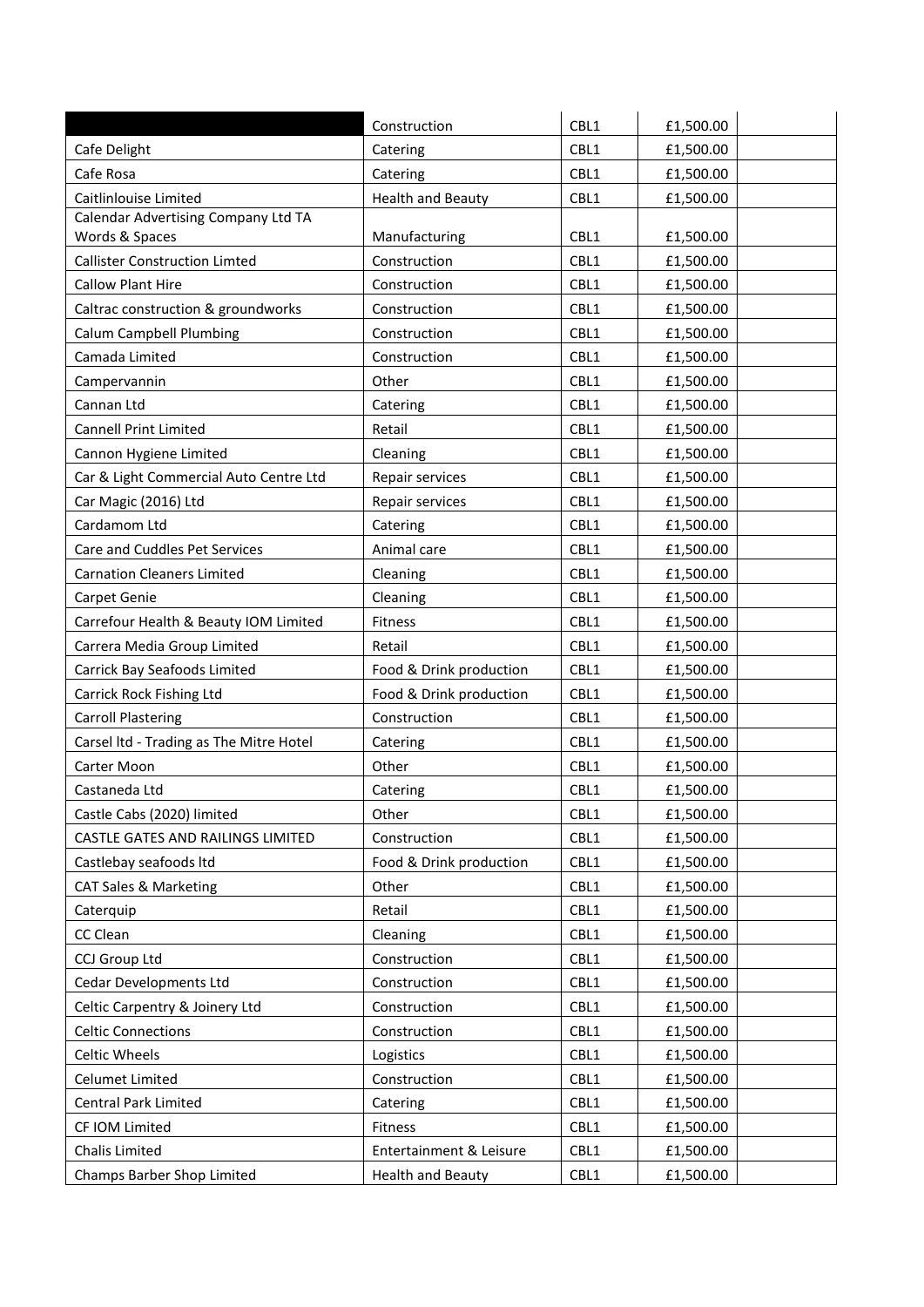| CBL1<br>£1,500.00<br>Cafe Delight<br>Catering<br>CBL1<br>Catering<br>£1,500.00<br>CBL1<br><b>Health and Beauty</b><br>£1,500.00<br>Calendar Advertising Company Ltd TA<br>Words & Spaces<br>Manufacturing<br>CBL1<br>£1,500.00<br><b>Callister Construction Limted</b><br>CBL1<br>Construction<br>£1,500.00<br><b>Callow Plant Hire</b><br>CBL1<br>Construction<br>£1,500.00<br>CBL1<br>Caltrac construction & groundworks<br>£1,500.00<br>Construction<br><b>Calum Campbell Plumbing</b><br>CBL1<br>Construction<br>£1,500.00<br>Camada Limited<br>CBL1<br>Construction<br>£1,500.00<br>Other<br>CBL1<br>£1,500.00<br>Campervannin<br>CBL1<br>Cannan Ltd<br>£1,500.00<br>Catering<br>CBL1<br><b>Cannell Print Limited</b><br>Retail<br>£1,500.00<br>CBL1<br>Cannon Hygiene Limited<br>Cleaning<br>£1,500.00<br>CBL1<br>Car & Light Commercial Auto Centre Ltd<br>£1,500.00<br>Repair services<br>CBL1<br>Car Magic (2016) Ltd<br>Repair services<br>£1,500.00<br>Cardamom Ltd<br>CBL1<br>Catering<br>£1,500.00<br>CBL1<br>Care and Cuddles Pet Services<br>Animal care<br>£1,500.00<br>CBL1<br><b>Carnation Cleaners Limited</b><br>Cleaning<br>£1,500.00<br>CBL1<br>Cleaning<br>£1,500.00<br>CBL1<br>Fitness<br>£1,500.00<br>CBL1<br>Retail<br>£1,500.00<br>Food & Drink production<br>CBL1<br>£1,500.00<br>CBL1<br>Food & Drink production<br>£1,500.00<br>Construction<br>CBL1<br>£1,500.00<br>CBL1<br>£1,500.00<br>Catering<br>CBL1<br>Other<br>£1,500.00<br>CBL1<br>£1,500.00<br>Catering<br>CBL1<br>Other<br>£1,500.00<br>CBL1<br>Construction<br>£1,500.00<br>Food & Drink production<br>CBL1<br>£1,500.00<br>CBL1<br>Other<br>£1,500.00<br>Retail<br>CBL1<br>£1,500.00<br>CBL1<br>£1,500.00<br>Cleaning<br>Construction<br>CBL1<br>£1,500.00<br>Construction<br>CBL1<br>£1,500.00<br>Construction<br>CBL1<br>£1,500.00<br>Construction<br>CBL1<br>£1,500.00<br>CBL1<br>Logistics<br>£1,500.00<br>CBL1<br>Construction<br>£1,500.00<br>CBL1<br>Catering<br>£1,500.00<br>CBL1<br>Fitness<br>£1,500.00<br>Chalis Limited<br>Entertainment & Leisure<br>CBL1<br>£1,500.00 |                                         |                          |      |           |
|--------------------------------------------------------------------------------------------------------------------------------------------------------------------------------------------------------------------------------------------------------------------------------------------------------------------------------------------------------------------------------------------------------------------------------------------------------------------------------------------------------------------------------------------------------------------------------------------------------------------------------------------------------------------------------------------------------------------------------------------------------------------------------------------------------------------------------------------------------------------------------------------------------------------------------------------------------------------------------------------------------------------------------------------------------------------------------------------------------------------------------------------------------------------------------------------------------------------------------------------------------------------------------------------------------------------------------------------------------------------------------------------------------------------------------------------------------------------------------------------------------------------------------------------------------------------------------------------------------------------------------------------------------------------------------------------------------------------------------------------------------------------------------------------------------------------------------------------------------------------------------------------------------------------------------------------------------------------------------------------------------------------------------------------------------------------------------|-----------------------------------------|--------------------------|------|-----------|
|                                                                                                                                                                                                                                                                                                                                                                                                                                                                                                                                                                                                                                                                                                                                                                                                                                                                                                                                                                                                                                                                                                                                                                                                                                                                                                                                                                                                                                                                                                                                                                                                                                                                                                                                                                                                                                                                                                                                                                                                                                                                                |                                         | Construction             | CBL1 | £1,500.00 |
|                                                                                                                                                                                                                                                                                                                                                                                                                                                                                                                                                                                                                                                                                                                                                                                                                                                                                                                                                                                                                                                                                                                                                                                                                                                                                                                                                                                                                                                                                                                                                                                                                                                                                                                                                                                                                                                                                                                                                                                                                                                                                |                                         |                          |      |           |
|                                                                                                                                                                                                                                                                                                                                                                                                                                                                                                                                                                                                                                                                                                                                                                                                                                                                                                                                                                                                                                                                                                                                                                                                                                                                                                                                                                                                                                                                                                                                                                                                                                                                                                                                                                                                                                                                                                                                                                                                                                                                                | Cafe Rosa                               |                          |      |           |
|                                                                                                                                                                                                                                                                                                                                                                                                                                                                                                                                                                                                                                                                                                                                                                                                                                                                                                                                                                                                                                                                                                                                                                                                                                                                                                                                                                                                                                                                                                                                                                                                                                                                                                                                                                                                                                                                                                                                                                                                                                                                                | Caitlinlouise Limited                   |                          |      |           |
|                                                                                                                                                                                                                                                                                                                                                                                                                                                                                                                                                                                                                                                                                                                                                                                                                                                                                                                                                                                                                                                                                                                                                                                                                                                                                                                                                                                                                                                                                                                                                                                                                                                                                                                                                                                                                                                                                                                                                                                                                                                                                |                                         |                          |      |           |
|                                                                                                                                                                                                                                                                                                                                                                                                                                                                                                                                                                                                                                                                                                                                                                                                                                                                                                                                                                                                                                                                                                                                                                                                                                                                                                                                                                                                                                                                                                                                                                                                                                                                                                                                                                                                                                                                                                                                                                                                                                                                                |                                         |                          |      |           |
|                                                                                                                                                                                                                                                                                                                                                                                                                                                                                                                                                                                                                                                                                                                                                                                                                                                                                                                                                                                                                                                                                                                                                                                                                                                                                                                                                                                                                                                                                                                                                                                                                                                                                                                                                                                                                                                                                                                                                                                                                                                                                |                                         |                          |      |           |
|                                                                                                                                                                                                                                                                                                                                                                                                                                                                                                                                                                                                                                                                                                                                                                                                                                                                                                                                                                                                                                                                                                                                                                                                                                                                                                                                                                                                                                                                                                                                                                                                                                                                                                                                                                                                                                                                                                                                                                                                                                                                                |                                         |                          |      |           |
|                                                                                                                                                                                                                                                                                                                                                                                                                                                                                                                                                                                                                                                                                                                                                                                                                                                                                                                                                                                                                                                                                                                                                                                                                                                                                                                                                                                                                                                                                                                                                                                                                                                                                                                                                                                                                                                                                                                                                                                                                                                                                |                                         |                          |      |           |
|                                                                                                                                                                                                                                                                                                                                                                                                                                                                                                                                                                                                                                                                                                                                                                                                                                                                                                                                                                                                                                                                                                                                                                                                                                                                                                                                                                                                                                                                                                                                                                                                                                                                                                                                                                                                                                                                                                                                                                                                                                                                                |                                         |                          |      |           |
|                                                                                                                                                                                                                                                                                                                                                                                                                                                                                                                                                                                                                                                                                                                                                                                                                                                                                                                                                                                                                                                                                                                                                                                                                                                                                                                                                                                                                                                                                                                                                                                                                                                                                                                                                                                                                                                                                                                                                                                                                                                                                |                                         |                          |      |           |
|                                                                                                                                                                                                                                                                                                                                                                                                                                                                                                                                                                                                                                                                                                                                                                                                                                                                                                                                                                                                                                                                                                                                                                                                                                                                                                                                                                                                                                                                                                                                                                                                                                                                                                                                                                                                                                                                                                                                                                                                                                                                                |                                         |                          |      |           |
|                                                                                                                                                                                                                                                                                                                                                                                                                                                                                                                                                                                                                                                                                                                                                                                                                                                                                                                                                                                                                                                                                                                                                                                                                                                                                                                                                                                                                                                                                                                                                                                                                                                                                                                                                                                                                                                                                                                                                                                                                                                                                |                                         |                          |      |           |
|                                                                                                                                                                                                                                                                                                                                                                                                                                                                                                                                                                                                                                                                                                                                                                                                                                                                                                                                                                                                                                                                                                                                                                                                                                                                                                                                                                                                                                                                                                                                                                                                                                                                                                                                                                                                                                                                                                                                                                                                                                                                                |                                         |                          |      |           |
|                                                                                                                                                                                                                                                                                                                                                                                                                                                                                                                                                                                                                                                                                                                                                                                                                                                                                                                                                                                                                                                                                                                                                                                                                                                                                                                                                                                                                                                                                                                                                                                                                                                                                                                                                                                                                                                                                                                                                                                                                                                                                |                                         |                          |      |           |
|                                                                                                                                                                                                                                                                                                                                                                                                                                                                                                                                                                                                                                                                                                                                                                                                                                                                                                                                                                                                                                                                                                                                                                                                                                                                                                                                                                                                                                                                                                                                                                                                                                                                                                                                                                                                                                                                                                                                                                                                                                                                                |                                         |                          |      |           |
|                                                                                                                                                                                                                                                                                                                                                                                                                                                                                                                                                                                                                                                                                                                                                                                                                                                                                                                                                                                                                                                                                                                                                                                                                                                                                                                                                                                                                                                                                                                                                                                                                                                                                                                                                                                                                                                                                                                                                                                                                                                                                |                                         |                          |      |           |
|                                                                                                                                                                                                                                                                                                                                                                                                                                                                                                                                                                                                                                                                                                                                                                                                                                                                                                                                                                                                                                                                                                                                                                                                                                                                                                                                                                                                                                                                                                                                                                                                                                                                                                                                                                                                                                                                                                                                                                                                                                                                                |                                         |                          |      |           |
|                                                                                                                                                                                                                                                                                                                                                                                                                                                                                                                                                                                                                                                                                                                                                                                                                                                                                                                                                                                                                                                                                                                                                                                                                                                                                                                                                                                                                                                                                                                                                                                                                                                                                                                                                                                                                                                                                                                                                                                                                                                                                |                                         |                          |      |           |
|                                                                                                                                                                                                                                                                                                                                                                                                                                                                                                                                                                                                                                                                                                                                                                                                                                                                                                                                                                                                                                                                                                                                                                                                                                                                                                                                                                                                                                                                                                                                                                                                                                                                                                                                                                                                                                                                                                                                                                                                                                                                                |                                         |                          |      |           |
|                                                                                                                                                                                                                                                                                                                                                                                                                                                                                                                                                                                                                                                                                                                                                                                                                                                                                                                                                                                                                                                                                                                                                                                                                                                                                                                                                                                                                                                                                                                                                                                                                                                                                                                                                                                                                                                                                                                                                                                                                                                                                | Carpet Genie                            |                          |      |           |
|                                                                                                                                                                                                                                                                                                                                                                                                                                                                                                                                                                                                                                                                                                                                                                                                                                                                                                                                                                                                                                                                                                                                                                                                                                                                                                                                                                                                                                                                                                                                                                                                                                                                                                                                                                                                                                                                                                                                                                                                                                                                                | Carrefour Health & Beauty IOM Limited   |                          |      |           |
|                                                                                                                                                                                                                                                                                                                                                                                                                                                                                                                                                                                                                                                                                                                                                                                                                                                                                                                                                                                                                                                                                                                                                                                                                                                                                                                                                                                                                                                                                                                                                                                                                                                                                                                                                                                                                                                                                                                                                                                                                                                                                | Carrera Media Group Limited             |                          |      |           |
|                                                                                                                                                                                                                                                                                                                                                                                                                                                                                                                                                                                                                                                                                                                                                                                                                                                                                                                                                                                                                                                                                                                                                                                                                                                                                                                                                                                                                                                                                                                                                                                                                                                                                                                                                                                                                                                                                                                                                                                                                                                                                | Carrick Bay Seafoods Limited            |                          |      |           |
|                                                                                                                                                                                                                                                                                                                                                                                                                                                                                                                                                                                                                                                                                                                                                                                                                                                                                                                                                                                                                                                                                                                                                                                                                                                                                                                                                                                                                                                                                                                                                                                                                                                                                                                                                                                                                                                                                                                                                                                                                                                                                | Carrick Rock Fishing Ltd                |                          |      |           |
|                                                                                                                                                                                                                                                                                                                                                                                                                                                                                                                                                                                                                                                                                                                                                                                                                                                                                                                                                                                                                                                                                                                                                                                                                                                                                                                                                                                                                                                                                                                                                                                                                                                                                                                                                                                                                                                                                                                                                                                                                                                                                | <b>Carroll Plastering</b>               |                          |      |           |
|                                                                                                                                                                                                                                                                                                                                                                                                                                                                                                                                                                                                                                                                                                                                                                                                                                                                                                                                                                                                                                                                                                                                                                                                                                                                                                                                                                                                                                                                                                                                                                                                                                                                                                                                                                                                                                                                                                                                                                                                                                                                                | Carsel Itd - Trading as The Mitre Hotel |                          |      |           |
|                                                                                                                                                                                                                                                                                                                                                                                                                                                                                                                                                                                                                                                                                                                                                                                                                                                                                                                                                                                                                                                                                                                                                                                                                                                                                                                                                                                                                                                                                                                                                                                                                                                                                                                                                                                                                                                                                                                                                                                                                                                                                | Carter Moon                             |                          |      |           |
|                                                                                                                                                                                                                                                                                                                                                                                                                                                                                                                                                                                                                                                                                                                                                                                                                                                                                                                                                                                                                                                                                                                                                                                                                                                                                                                                                                                                                                                                                                                                                                                                                                                                                                                                                                                                                                                                                                                                                                                                                                                                                | Castaneda Ltd                           |                          |      |           |
|                                                                                                                                                                                                                                                                                                                                                                                                                                                                                                                                                                                                                                                                                                                                                                                                                                                                                                                                                                                                                                                                                                                                                                                                                                                                                                                                                                                                                                                                                                                                                                                                                                                                                                                                                                                                                                                                                                                                                                                                                                                                                | Castle Cabs (2020) limited              |                          |      |           |
|                                                                                                                                                                                                                                                                                                                                                                                                                                                                                                                                                                                                                                                                                                                                                                                                                                                                                                                                                                                                                                                                                                                                                                                                                                                                                                                                                                                                                                                                                                                                                                                                                                                                                                                                                                                                                                                                                                                                                                                                                                                                                | CASTLE GATES AND RAILINGS LIMITED       |                          |      |           |
|                                                                                                                                                                                                                                                                                                                                                                                                                                                                                                                                                                                                                                                                                                                                                                                                                                                                                                                                                                                                                                                                                                                                                                                                                                                                                                                                                                                                                                                                                                                                                                                                                                                                                                                                                                                                                                                                                                                                                                                                                                                                                | Castlebay seafoods Itd                  |                          |      |           |
|                                                                                                                                                                                                                                                                                                                                                                                                                                                                                                                                                                                                                                                                                                                                                                                                                                                                                                                                                                                                                                                                                                                                                                                                                                                                                                                                                                                                                                                                                                                                                                                                                                                                                                                                                                                                                                                                                                                                                                                                                                                                                | <b>CAT Sales &amp; Marketing</b>        |                          |      |           |
|                                                                                                                                                                                                                                                                                                                                                                                                                                                                                                                                                                                                                                                                                                                                                                                                                                                                                                                                                                                                                                                                                                                                                                                                                                                                                                                                                                                                                                                                                                                                                                                                                                                                                                                                                                                                                                                                                                                                                                                                                                                                                | Caterquip                               |                          |      |           |
|                                                                                                                                                                                                                                                                                                                                                                                                                                                                                                                                                                                                                                                                                                                                                                                                                                                                                                                                                                                                                                                                                                                                                                                                                                                                                                                                                                                                                                                                                                                                                                                                                                                                                                                                                                                                                                                                                                                                                                                                                                                                                | CC Clean                                |                          |      |           |
|                                                                                                                                                                                                                                                                                                                                                                                                                                                                                                                                                                                                                                                                                                                                                                                                                                                                                                                                                                                                                                                                                                                                                                                                                                                                                                                                                                                                                                                                                                                                                                                                                                                                                                                                                                                                                                                                                                                                                                                                                                                                                | CCJ Group Ltd                           |                          |      |           |
|                                                                                                                                                                                                                                                                                                                                                                                                                                                                                                                                                                                                                                                                                                                                                                                                                                                                                                                                                                                                                                                                                                                                                                                                                                                                                                                                                                                                                                                                                                                                                                                                                                                                                                                                                                                                                                                                                                                                                                                                                                                                                | Cedar Developments Ltd                  |                          |      |           |
|                                                                                                                                                                                                                                                                                                                                                                                                                                                                                                                                                                                                                                                                                                                                                                                                                                                                                                                                                                                                                                                                                                                                                                                                                                                                                                                                                                                                                                                                                                                                                                                                                                                                                                                                                                                                                                                                                                                                                                                                                                                                                | Celtic Carpentry & Joinery Ltd          |                          |      |           |
|                                                                                                                                                                                                                                                                                                                                                                                                                                                                                                                                                                                                                                                                                                                                                                                                                                                                                                                                                                                                                                                                                                                                                                                                                                                                                                                                                                                                                                                                                                                                                                                                                                                                                                                                                                                                                                                                                                                                                                                                                                                                                | <b>Celtic Connections</b>               |                          |      |           |
|                                                                                                                                                                                                                                                                                                                                                                                                                                                                                                                                                                                                                                                                                                                                                                                                                                                                                                                                                                                                                                                                                                                                                                                                                                                                                                                                                                                                                                                                                                                                                                                                                                                                                                                                                                                                                                                                                                                                                                                                                                                                                | Celtic Wheels                           |                          |      |           |
|                                                                                                                                                                                                                                                                                                                                                                                                                                                                                                                                                                                                                                                                                                                                                                                                                                                                                                                                                                                                                                                                                                                                                                                                                                                                                                                                                                                                                                                                                                                                                                                                                                                                                                                                                                                                                                                                                                                                                                                                                                                                                | Celumet Limited                         |                          |      |           |
|                                                                                                                                                                                                                                                                                                                                                                                                                                                                                                                                                                                                                                                                                                                                                                                                                                                                                                                                                                                                                                                                                                                                                                                                                                                                                                                                                                                                                                                                                                                                                                                                                                                                                                                                                                                                                                                                                                                                                                                                                                                                                | <b>Central Park Limited</b>             |                          |      |           |
|                                                                                                                                                                                                                                                                                                                                                                                                                                                                                                                                                                                                                                                                                                                                                                                                                                                                                                                                                                                                                                                                                                                                                                                                                                                                                                                                                                                                                                                                                                                                                                                                                                                                                                                                                                                                                                                                                                                                                                                                                                                                                | CF IOM Limited                          |                          |      |           |
|                                                                                                                                                                                                                                                                                                                                                                                                                                                                                                                                                                                                                                                                                                                                                                                                                                                                                                                                                                                                                                                                                                                                                                                                                                                                                                                                                                                                                                                                                                                                                                                                                                                                                                                                                                                                                                                                                                                                                                                                                                                                                |                                         |                          |      |           |
|                                                                                                                                                                                                                                                                                                                                                                                                                                                                                                                                                                                                                                                                                                                                                                                                                                                                                                                                                                                                                                                                                                                                                                                                                                                                                                                                                                                                                                                                                                                                                                                                                                                                                                                                                                                                                                                                                                                                                                                                                                                                                | Champs Barber Shop Limited              | <b>Health and Beauty</b> | CBL1 | £1,500.00 |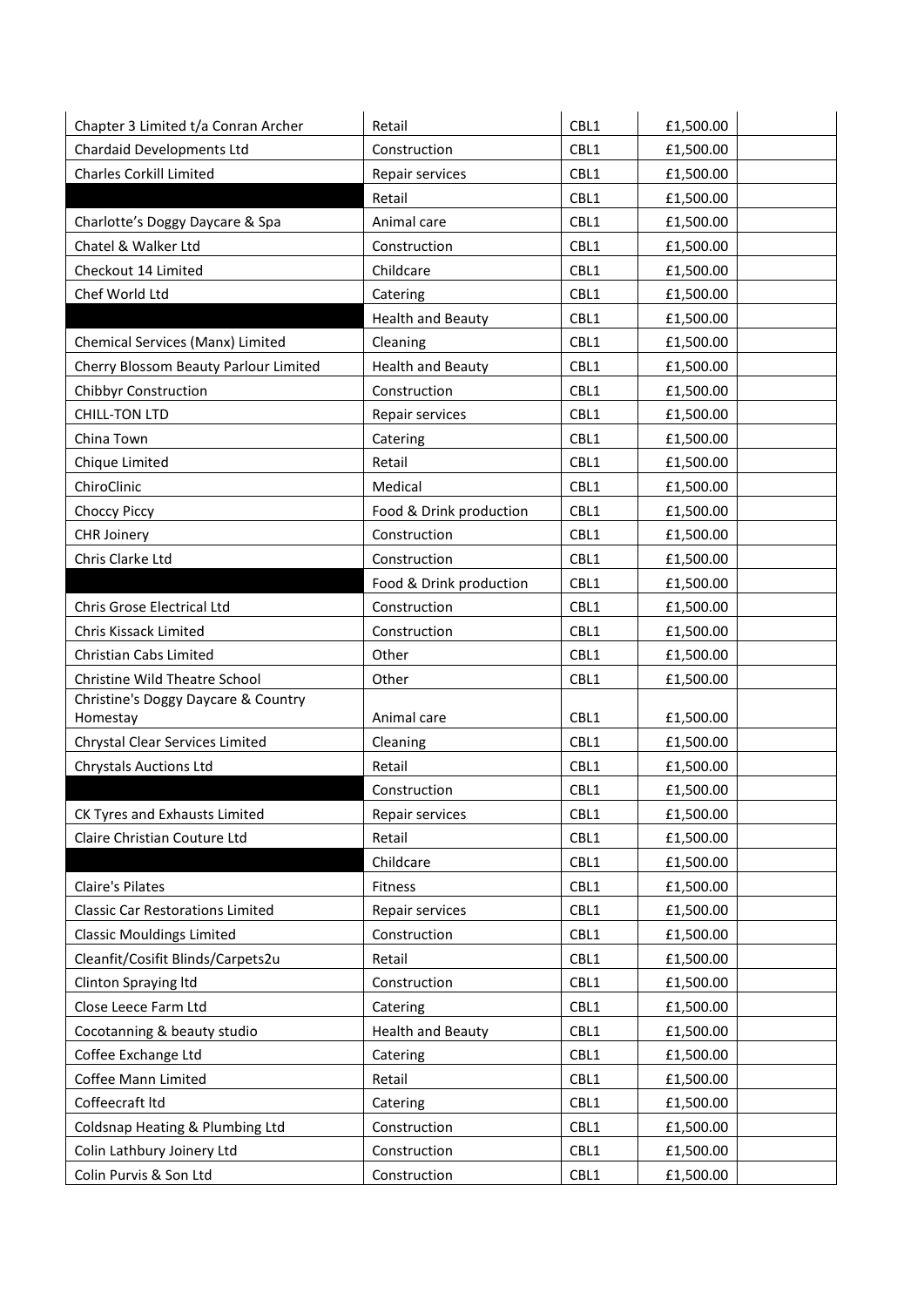| Chapter 3 Limited t/a Conran Archer     | Retail                   | CBL1 | £1,500.00 |
|-----------------------------------------|--------------------------|------|-----------|
| Chardaid Developments Ltd               | Construction             | CBL1 | £1,500.00 |
| <b>Charles Corkill Limited</b>          | Repair services          | CBL1 | £1,500.00 |
|                                         | Retail                   | CBL1 | £1,500.00 |
| Charlotte's Doggy Daycare & Spa         | Animal care              | CBL1 | £1,500.00 |
| Chatel & Walker Ltd                     | Construction             | CBL1 | £1,500.00 |
| Checkout 14 Limited                     | Childcare                | CBL1 | £1,500.00 |
| Chef World Ltd                          | Catering                 | CBL1 | £1,500.00 |
|                                         | <b>Health and Beauty</b> | CBL1 | £1,500.00 |
| Chemical Services (Manx) Limited        | Cleaning                 | CBL1 | £1,500.00 |
| Cherry Blossom Beauty Parlour Limited   | <b>Health and Beauty</b> | CBL1 | £1,500.00 |
| Chibbyr Construction                    | Construction             | CBL1 | £1,500.00 |
| <b>CHILL-TON LTD</b>                    | Repair services          | CBL1 | £1,500.00 |
| China Town                              | Catering                 | CBL1 | £1,500.00 |
| Chique Limited                          | Retail                   | CBL1 | £1,500.00 |
| ChiroClinic                             | Medical                  | CBL1 | £1,500.00 |
| Choccy Piccy                            | Food & Drink production  | CBL1 | £1,500.00 |
| <b>CHR Joinery</b>                      | Construction             | CBL1 | £1,500.00 |
| Chris Clarke Ltd                        | Construction             | CBL1 | £1,500.00 |
|                                         | Food & Drink production  | CBL1 | £1,500.00 |
| Chris Grose Electrical Ltd              | Construction             | CBL1 | £1,500.00 |
| Chris Kissack Limited                   | Construction             | CBL1 | £1,500.00 |
| Christian Cabs Limited                  | Other                    | CBL1 | £1,500.00 |
| Christine Wild Theatre School           | Other                    | CBL1 | £1,500.00 |
| Christine's Doggy Daycare & Country     |                          |      |           |
| Homestay                                | Animal care              | CBL1 | £1,500.00 |
| Chrystal Clear Services Limited         | Cleaning                 | CBL1 | £1,500.00 |
| <b>Chrystals Auctions Ltd</b>           | Retail                   | CBL1 | £1,500.00 |
|                                         | Construction             | CBL1 | £1,500.00 |
| CK Tyres and Exhausts Limited           | Repair services          | CBL1 | £1,500.00 |
| Claire Christian Couture Ltd            | Retail                   | CBL1 | £1,500.00 |
|                                         | Childcare                | CBL1 | £1,500.00 |
| Claire's Pilates                        | Fitness                  | CBL1 | £1,500.00 |
| <b>Classic Car Restorations Limited</b> | Repair services          | CBL1 | £1,500.00 |
| <b>Classic Mouldings Limited</b>        | Construction             | CBL1 | £1,500.00 |
| Cleanfit/Cosifit Blinds/Carpets2u       | Retail                   | CBL1 | £1,500.00 |
| Clinton Spraying Itd                    | Construction             | CBL1 | £1,500.00 |
| Close Leece Farm Ltd                    | Catering                 | CBL1 | £1,500.00 |
| Cocotanning & beauty studio             | <b>Health and Beauty</b> | CBL1 | £1,500.00 |
| Coffee Exchange Ltd                     | Catering                 | CBL1 | £1,500.00 |
| Coffee Mann Limited                     | Retail                   | CBL1 | £1,500.00 |
| Coffeecraft Itd                         | Catering                 | CBL1 | £1,500.00 |
| Coldsnap Heating & Plumbing Ltd         | Construction             | CBL1 | £1,500.00 |
| Colin Lathbury Joinery Ltd              | Construction             | CBL1 | £1,500.00 |
| Colin Purvis & Son Ltd                  | Construction             | CBL1 | £1,500.00 |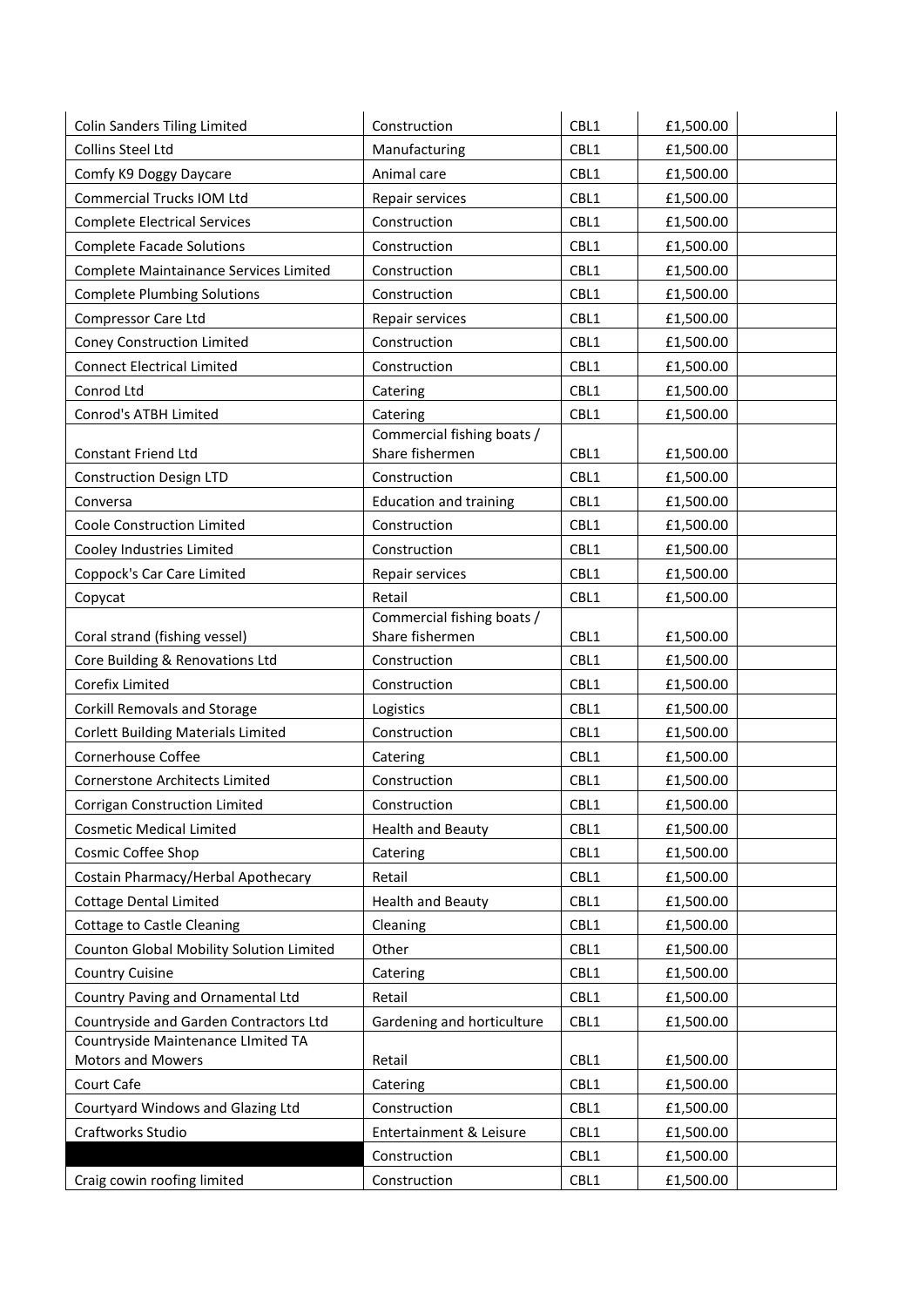| <b>Colin Sanders Tiling Limited</b>                     | Construction                                  | CBL1 | £1,500.00 |
|---------------------------------------------------------|-----------------------------------------------|------|-----------|
| Collins Steel Ltd                                       | Manufacturing                                 | CBL1 | £1,500.00 |
| Comfy K9 Doggy Daycare                                  | Animal care                                   | CBL1 | £1,500.00 |
| Commercial Trucks IOM Ltd                               | Repair services                               | CBL1 | £1,500.00 |
| <b>Complete Electrical Services</b>                     | Construction                                  | CBL1 | £1,500.00 |
| <b>Complete Facade Solutions</b>                        | Construction                                  | CBL1 | £1,500.00 |
| Complete Maintainance Services Limited                  | Construction                                  | CBL1 | £1,500.00 |
| <b>Complete Plumbing Solutions</b>                      | Construction                                  | CBL1 | £1,500.00 |
| Compressor Care Ltd                                     | Repair services                               | CBL1 | £1,500.00 |
| <b>Coney Construction Limited</b>                       | Construction                                  | CBL1 | £1,500.00 |
| <b>Connect Electrical Limited</b>                       | Construction                                  | CBL1 | £1,500.00 |
| Conrod Ltd                                              | Catering                                      | CBL1 | £1,500.00 |
| Conrod's ATBH Limited                                   | Catering                                      | CBL1 | £1,500.00 |
|                                                         | Commercial fishing boats /                    |      |           |
| <b>Constant Friend Ltd</b>                              | Share fishermen                               | CBL1 | £1,500.00 |
| <b>Construction Design LTD</b>                          | Construction                                  | CBL1 | £1,500.00 |
| Conversa                                                | <b>Education and training</b>                 | CBL1 | £1,500.00 |
| Coole Construction Limited                              | Construction                                  | CBL1 | £1,500.00 |
| Cooley Industries Limited                               | Construction                                  | CBL1 | £1,500.00 |
| Coppock's Car Care Limited                              | Repair services                               | CBL1 | £1,500.00 |
| Copycat                                                 | Retail                                        | CBL1 | £1,500.00 |
|                                                         | Commercial fishing boats /<br>Share fishermen | CBL1 |           |
| Coral strand (fishing vessel)                           |                                               | CBL1 | £1,500.00 |
| Core Building & Renovations Ltd                         | Construction                                  |      | £1,500.00 |
| Corefix Limited                                         | Construction                                  | CBL1 | £1,500.00 |
| <b>Corkill Removals and Storage</b>                     | Logistics                                     | CBL1 | £1,500.00 |
| <b>Corlett Building Materials Limited</b>               | Construction                                  | CBL1 | £1,500.00 |
| Cornerhouse Coffee                                      | Catering                                      | CBL1 | £1,500.00 |
| <b>Cornerstone Architects Limited</b>                   | Construction                                  | CBL1 | £1,500.00 |
| <b>Corrigan Construction Limited</b>                    | Construction                                  | CBL1 | £1,500.00 |
| <b>Cosmetic Medical Limited</b>                         | <b>Health and Beauty</b>                      | CBL1 | £1,500.00 |
| Cosmic Coffee Shop                                      | Catering                                      | CBL1 | £1,500.00 |
| Costain Pharmacy/Herbal Apothecary                      | Retail                                        | CBL1 | £1,500.00 |
| <b>Cottage Dental Limited</b>                           | <b>Health and Beauty</b>                      | CBL1 | £1,500.00 |
| <b>Cottage to Castle Cleaning</b>                       | Cleaning                                      | CBL1 | £1,500.00 |
| Counton Global Mobility Solution Limited                | Other                                         | CBL1 | £1,500.00 |
| <b>Country Cuisine</b>                                  | Catering                                      | CBL1 | £1,500.00 |
| Country Paving and Ornamental Ltd                       | Retail                                        | CBL1 | £1,500.00 |
| Countryside and Garden Contractors Ltd                  | Gardening and horticulture                    | CBL1 | £1,500.00 |
| Countryside Maintenance LImited TA<br>Motors and Mowers | Retail                                        | CBL1 | £1,500.00 |
| Court Cafe                                              | Catering                                      | CBL1 | £1,500.00 |
| Courtyard Windows and Glazing Ltd                       | Construction                                  | CBL1 | £1,500.00 |
| Craftworks Studio                                       | Entertainment & Leisure                       | CBL1 | £1,500.00 |
|                                                         | Construction                                  | CBL1 | £1,500.00 |
| Craig cowin roofing limited                             | Construction                                  | CBL1 | £1,500.00 |
|                                                         |                                               |      |           |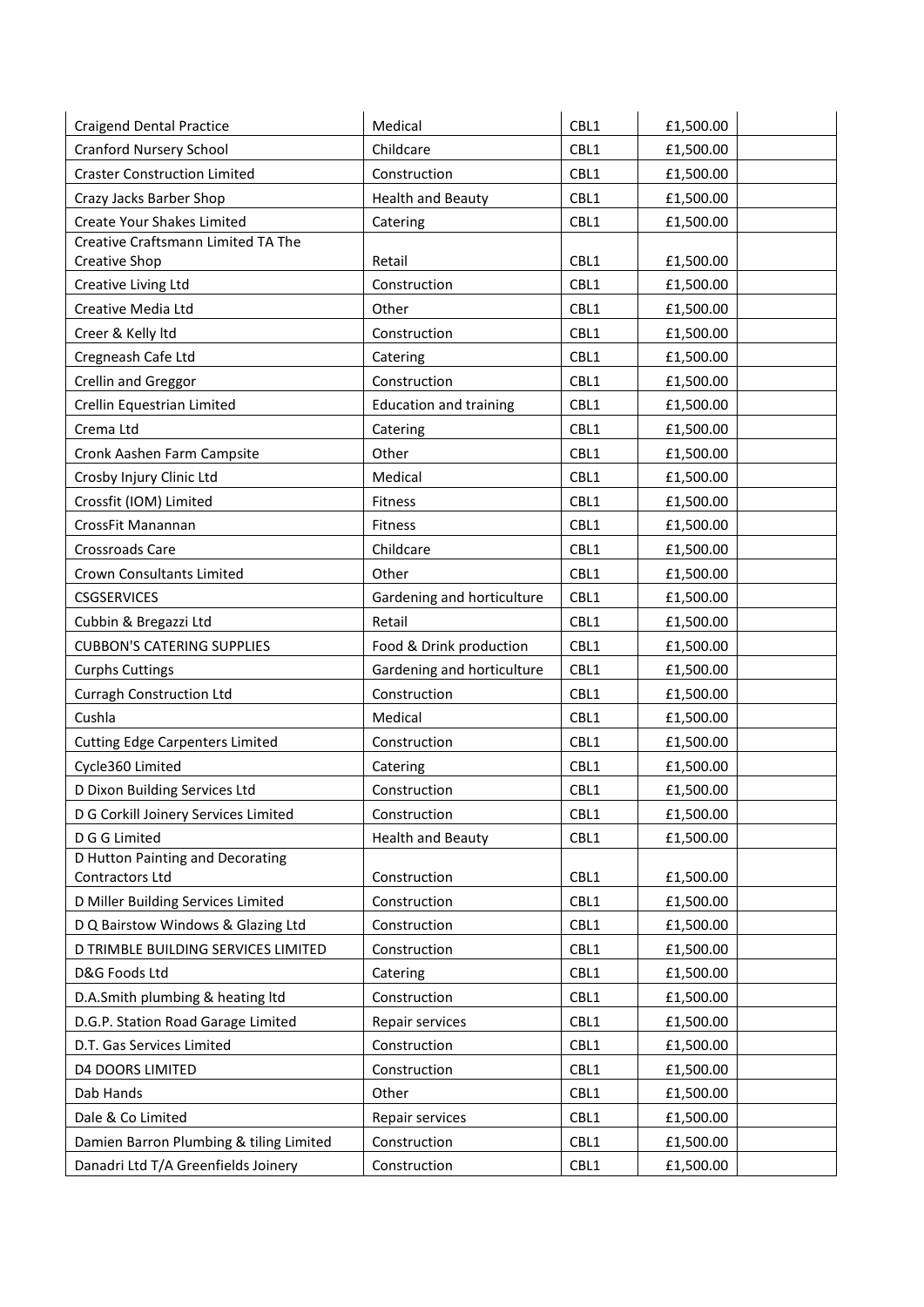| <b>Craigend Dental Practice</b>         | Medical                       | CBL1 | £1,500.00 |
|-----------------------------------------|-------------------------------|------|-----------|
| <b>Cranford Nursery School</b>          | Childcare                     | CBL1 | £1,500.00 |
| <b>Craster Construction Limited</b>     | Construction                  | CBL1 | £1,500.00 |
| Crazy Jacks Barber Shop                 | <b>Health and Beauty</b>      | CBL1 | £1,500.00 |
| Create Your Shakes Limited              | Catering                      | CBL1 | £1,500.00 |
| Creative Craftsmann Limited TA The      |                               |      |           |
| Creative Shop                           | Retail                        | CBL1 | £1,500.00 |
| Creative Living Ltd                     | Construction                  | CBL1 | £1,500.00 |
| Creative Media Ltd                      | Other                         | CBL1 | £1,500.00 |
| Creer & Kelly Itd                       | Construction                  | CBL1 | £1,500.00 |
| Cregneash Cafe Ltd                      | Catering                      | CBL1 | £1,500.00 |
| Crellin and Greggor                     | Construction                  | CBL1 | £1,500.00 |
| Crellin Equestrian Limited              | <b>Education and training</b> | CBL1 | £1,500.00 |
| Crema Ltd                               | Catering                      | CBL1 | £1,500.00 |
| Cronk Aashen Farm Campsite              | Other                         | CBL1 | £1,500.00 |
| Crosby Injury Clinic Ltd                | Medical                       | CBL1 | £1,500.00 |
| Crossfit (IOM) Limited                  | Fitness                       | CBL1 | £1,500.00 |
| CrossFit Manannan                       | Fitness                       | CBL1 | £1,500.00 |
| Crossroads Care                         | Childcare                     | CBL1 | £1,500.00 |
| Crown Consultants Limited               | Other                         | CBL1 | £1,500.00 |
| <b>CSGSERVICES</b>                      | Gardening and horticulture    | CBL1 | £1,500.00 |
| Cubbin & Bregazzi Ltd                   | Retail                        | CBL1 | £1,500.00 |
| <b>CUBBON'S CATERING SUPPLIES</b>       | Food & Drink production       | CBL1 | £1,500.00 |
| <b>Curphs Cuttings</b>                  | Gardening and horticulture    | CBL1 | £1,500.00 |
| Curragh Construction Ltd                | Construction                  | CBL1 | £1,500.00 |
| Cushla                                  | Medical                       | CBL1 | £1,500.00 |
| <b>Cutting Edge Carpenters Limited</b>  | Construction                  | CBL1 | £1,500.00 |
| Cycle360 Limited                        | Catering                      | CBL1 | £1,500.00 |
| D Dixon Building Services Ltd           | Construction                  | CBL1 | £1,500.00 |
| D G Corkill Joinery Services Limited    | Construction                  | CBL1 | £1,500.00 |
| D G G Limited                           | <b>Health and Beauty</b>      | CBL1 | £1,500.00 |
| D Hutton Painting and Decorating        |                               |      |           |
| Contractors Ltd                         | Construction                  | CBL1 | £1,500.00 |
| D Miller Building Services Limited      | Construction                  | CBL1 | £1,500.00 |
| D Q Bairstow Windows & Glazing Ltd      | Construction                  | CBL1 | £1,500.00 |
| D TRIMBLE BUILDING SERVICES LIMITED     | Construction                  | CBL1 | £1,500.00 |
| D&G Foods Ltd                           | Catering                      | CBL1 | £1,500.00 |
| D.A.Smith plumbing & heating ltd        | Construction                  | CBL1 | £1,500.00 |
| D.G.P. Station Road Garage Limited      | Repair services               | CBL1 | £1,500.00 |
| D.T. Gas Services Limited               | Construction                  | CBL1 | £1,500.00 |
| <b>D4 DOORS LIMITED</b>                 | Construction                  | CBL1 | £1,500.00 |
| Dab Hands                               | Other                         | CBL1 | £1,500.00 |
| Dale & Co Limited                       | Repair services               | CBL1 | £1,500.00 |
| Damien Barron Plumbing & tiling Limited | Construction                  | CBL1 | £1,500.00 |
| Danadri Ltd T/A Greenfields Joinery     | Construction                  | CBL1 | £1,500.00 |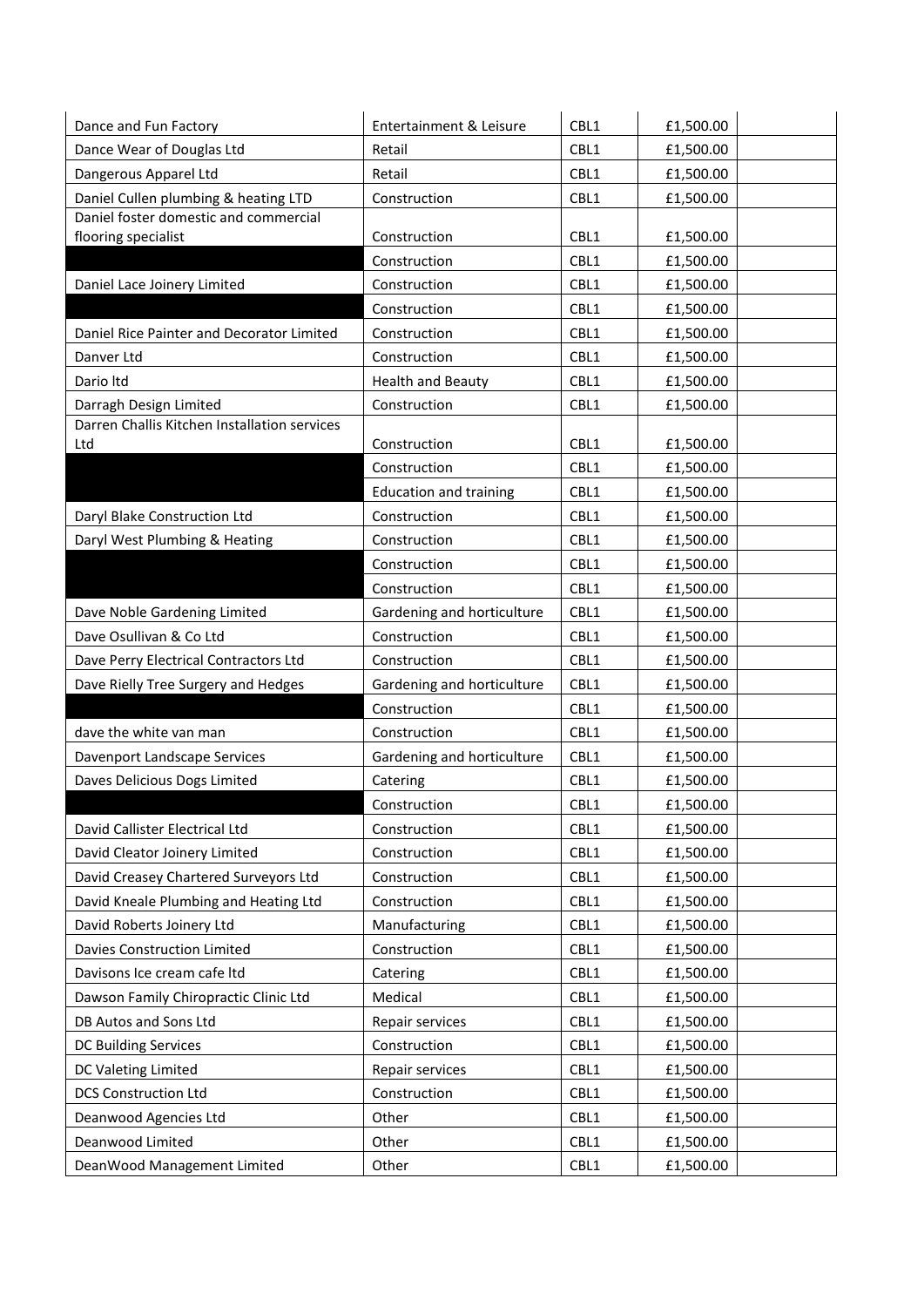| Dance and Fun Factory                        | Entertainment & Leisure       | CBL1 | £1,500.00 |
|----------------------------------------------|-------------------------------|------|-----------|
| Dance Wear of Douglas Ltd                    | Retail                        | CBL1 | £1,500.00 |
| Dangerous Apparel Ltd                        | Retail                        | CBL1 | £1,500.00 |
| Daniel Cullen plumbing & heating LTD         | Construction                  | CBL1 | £1,500.00 |
| Daniel foster domestic and commercial        |                               |      |           |
| flooring specialist                          | Construction                  | CBL1 | £1,500.00 |
|                                              | Construction                  | CBL1 | £1,500.00 |
| Daniel Lace Joinery Limited                  | Construction                  | CBL1 | £1,500.00 |
|                                              | Construction                  | CBL1 | £1,500.00 |
| Daniel Rice Painter and Decorator Limited    | Construction                  | CBL1 | £1,500.00 |
| Danver Ltd                                   | Construction                  | CBL1 | £1,500.00 |
| Dario Itd                                    | <b>Health and Beauty</b>      | CBL1 | £1,500.00 |
| Darragh Design Limited                       | Construction                  | CBL1 | £1,500.00 |
| Darren Challis Kitchen Installation services |                               |      |           |
| Ltd                                          | Construction                  | CBL1 | £1,500.00 |
|                                              | Construction                  | CBL1 | £1,500.00 |
|                                              | <b>Education and training</b> | CBL1 | £1,500.00 |
| Daryl Blake Construction Ltd                 | Construction                  | CBL1 | £1,500.00 |
| Daryl West Plumbing & Heating                | Construction                  | CBL1 | £1,500.00 |
|                                              | Construction                  | CBL1 | £1,500.00 |
|                                              | Construction                  | CBL1 | £1,500.00 |
| Dave Noble Gardening Limited                 | Gardening and horticulture    | CBL1 | £1,500.00 |
| Dave Osullivan & Co Ltd                      | Construction                  | CBL1 | £1,500.00 |
| Dave Perry Electrical Contractors Ltd        | Construction                  | CBL1 | £1,500.00 |
| Dave Rielly Tree Surgery and Hedges          | Gardening and horticulture    | CBL1 | £1,500.00 |
|                                              | Construction                  | CBL1 | £1,500.00 |
| dave the white van man                       | Construction                  | CBL1 | £1,500.00 |
| Davenport Landscape Services                 | Gardening and horticulture    | CBL1 | £1,500.00 |
| Daves Delicious Dogs Limited                 | Catering                      | CBL1 | £1,500.00 |
|                                              | Construction                  | CBL1 | £1,500.00 |
| David Callister Electrical Ltd               | Construction                  | CBL1 | £1,500.00 |
| David Cleator Joinery Limited                | Construction                  | CBL1 | £1,500.00 |
| David Creasey Chartered Surveyors Ltd        | Construction                  | CBL1 | £1,500.00 |
| David Kneale Plumbing and Heating Ltd        | Construction                  | CBL1 | £1,500.00 |
| David Roberts Joinery Ltd                    | Manufacturing                 | CBL1 | £1,500.00 |
| <b>Davies Construction Limited</b>           | Construction                  | CBL1 | £1,500.00 |
| Davisons Ice cream cafe Itd                  | Catering                      | CBL1 | £1,500.00 |
| Dawson Family Chiropractic Clinic Ltd        | Medical                       | CBL1 | £1,500.00 |
| DB Autos and Sons Ltd                        | Repair services               | CBL1 | £1,500.00 |
| DC Building Services                         | Construction                  | CBL1 | £1,500.00 |
| DC Valeting Limited                          | Repair services               | CBL1 | £1,500.00 |
| <b>DCS Construction Ltd</b>                  | Construction                  | CBL1 | £1,500.00 |
| Deanwood Agencies Ltd                        | Other                         | CBL1 | £1,500.00 |
| Deanwood Limited                             | Other                         | CBL1 | £1,500.00 |
| DeanWood Management Limited                  | Other                         | CBL1 | £1,500.00 |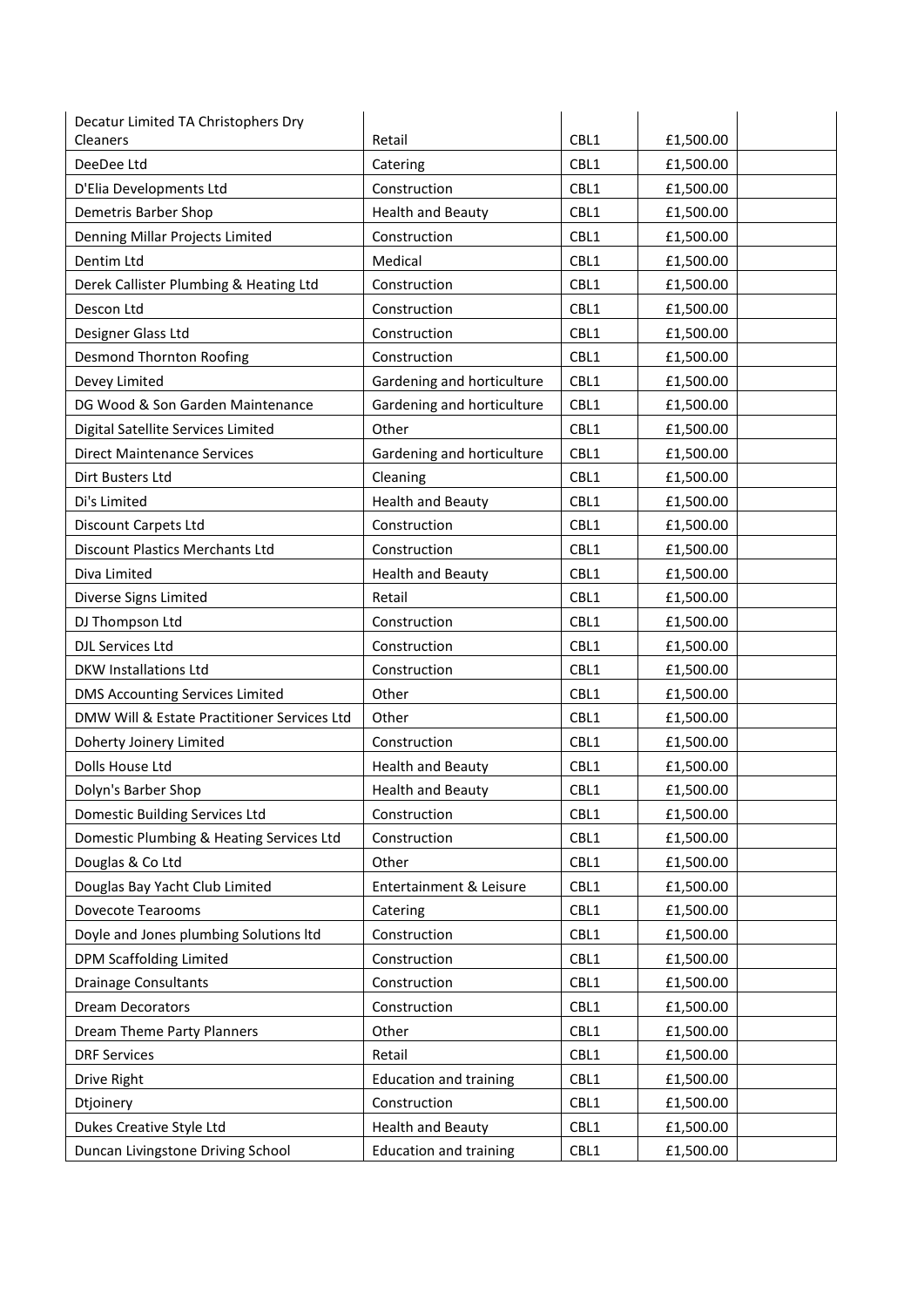| Decatur Limited TA Christophers Dry         |                               |      |           |
|---------------------------------------------|-------------------------------|------|-----------|
| Cleaners                                    | Retail                        | CBL1 | £1,500.00 |
| DeeDee Ltd                                  | Catering                      | CBL1 | £1,500.00 |
| D'Elia Developments Ltd                     | Construction                  | CBL1 | £1,500.00 |
| Demetris Barber Shop                        | <b>Health and Beauty</b>      | CBL1 | £1,500.00 |
| Denning Millar Projects Limited             | Construction                  | CBL1 | £1,500.00 |
| Dentim Ltd                                  | Medical                       | CBL1 | £1,500.00 |
| Derek Callister Plumbing & Heating Ltd      | Construction                  | CBL1 | £1,500.00 |
| Descon Ltd                                  | Construction                  | CBL1 | £1,500.00 |
| Designer Glass Ltd                          | Construction                  | CBL1 | £1,500.00 |
| <b>Desmond Thornton Roofing</b>             | Construction                  | CBL1 | £1,500.00 |
| Devey Limited                               | Gardening and horticulture    | CBL1 | £1,500.00 |
| DG Wood & Son Garden Maintenance            | Gardening and horticulture    | CBL1 | £1,500.00 |
| Digital Satellite Services Limited          | Other                         | CBL1 | £1,500.00 |
| <b>Direct Maintenance Services</b>          | Gardening and horticulture    | CBL1 | £1,500.00 |
| Dirt Busters Ltd                            | Cleaning                      | CBL1 | £1,500.00 |
| Di's Limited                                | <b>Health and Beauty</b>      | CBL1 | £1,500.00 |
| Discount Carpets Ltd                        | Construction                  | CBL1 | £1,500.00 |
| Discount Plastics Merchants Ltd             | Construction                  | CBL1 | £1,500.00 |
| Diva Limited                                | <b>Health and Beauty</b>      | CBL1 | £1,500.00 |
| Diverse Signs Limited                       | Retail                        | CBL1 | £1,500.00 |
| DJ Thompson Ltd                             | Construction                  | CBL1 | £1,500.00 |
| DJL Services Ltd                            | Construction                  | CBL1 | £1,500.00 |
| <b>DKW Installations Ltd</b>                | Construction                  | CBL1 | £1,500.00 |
| <b>DMS Accounting Services Limited</b>      | Other                         | CBL1 | £1,500.00 |
| DMW Will & Estate Practitioner Services Ltd | Other                         | CBL1 | £1,500.00 |
| Doherty Joinery Limited                     | Construction                  | CBL1 | £1,500.00 |
| Dolls House Ltd                             | <b>Health and Beauty</b>      | CBL1 | £1,500.00 |
| Dolyn's Barber Shop                         | <b>Health and Beauty</b>      | CBL1 | £1,500.00 |
| <b>Domestic Building Services Ltd</b>       | Construction                  | CBL1 | £1,500.00 |
| Domestic Plumbing & Heating Services Ltd    | Construction                  | CBL1 | £1,500.00 |
| Douglas & Co Ltd                            | Other                         | CBL1 | £1,500.00 |
| Douglas Bay Yacht Club Limited              | Entertainment & Leisure       | CBL1 | £1,500.00 |
| Dovecote Tearooms                           | Catering                      | CBL1 | £1,500.00 |
| Doyle and Jones plumbing Solutions Itd      | Construction                  | CBL1 | £1,500.00 |
| DPM Scaffolding Limited                     | Construction                  | CBL1 | £1,500.00 |
| <b>Drainage Consultants</b>                 | Construction                  | CBL1 | £1,500.00 |
| <b>Dream Decorators</b>                     | Construction                  | CBL1 | £1,500.00 |
| Dream Theme Party Planners                  | Other                         | CBL1 | £1,500.00 |
| <b>DRF Services</b>                         | Retail                        | CBL1 | £1,500.00 |
| Drive Right                                 | <b>Education and training</b> | CBL1 | £1,500.00 |
| Dtjoinery                                   | Construction                  | CBL1 | £1,500.00 |
| Dukes Creative Style Ltd                    | <b>Health and Beauty</b>      | CBL1 | £1,500.00 |
| Duncan Livingstone Driving School           | <b>Education and training</b> | CBL1 | £1,500.00 |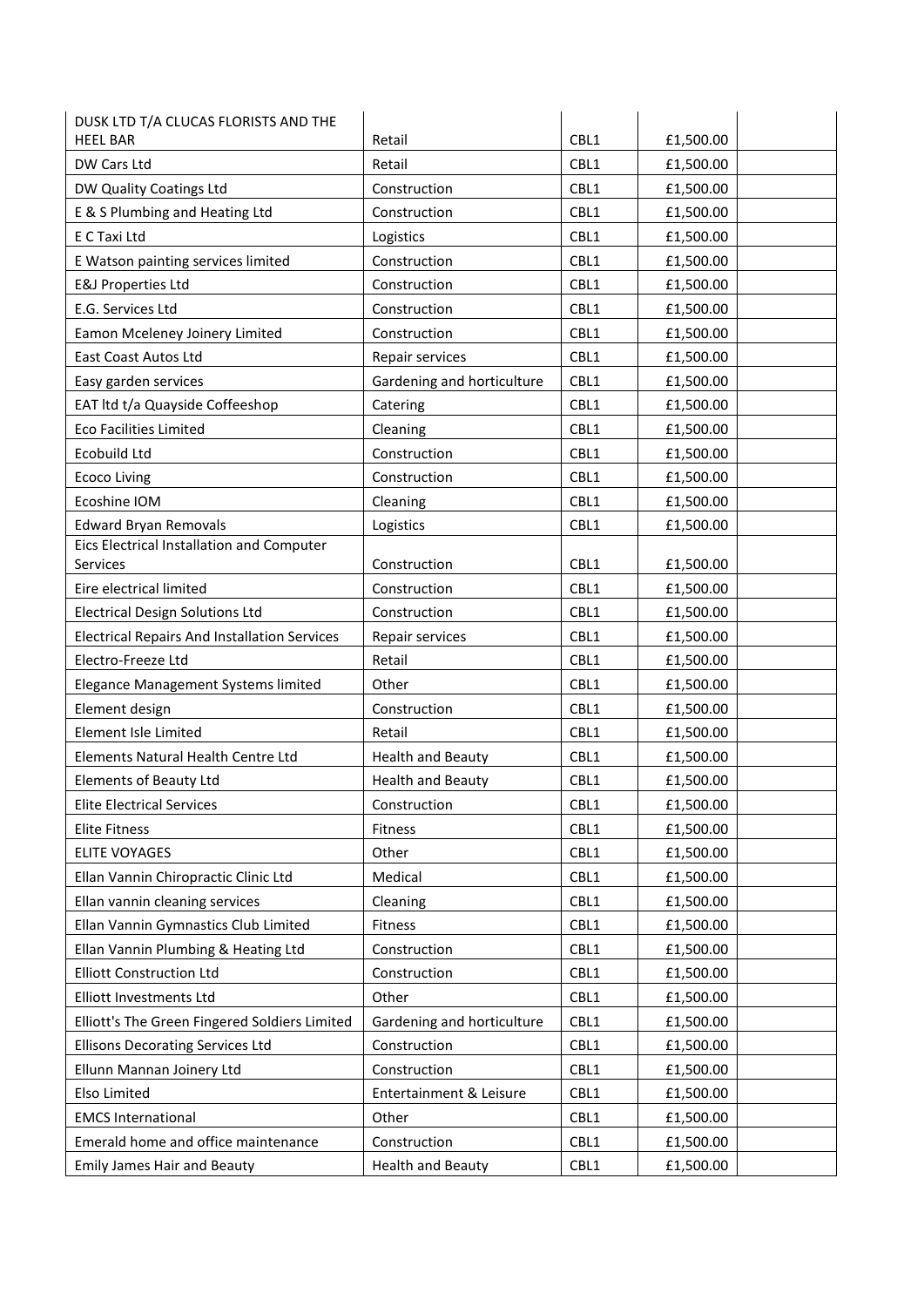| <b>HEEL BAR</b><br>CBL1<br>Retail<br>CBL1<br>DW Cars Ltd<br>Retail<br>£1,500.00<br>CBL1<br>DW Quality Coatings Ltd<br>Construction<br>£1,500.00<br>E & S Plumbing and Heating Ltd<br>CBL1<br>Construction<br>£1,500.00<br>E C Taxi Ltd<br>CBL1<br>Logistics<br>£1,500.00<br>CBL1<br>E Watson painting services limited<br>£1,500.00<br>Construction<br><b>E&amp;J Properties Ltd</b><br>CBL1<br>Construction<br>£1,500.00<br>CBL1<br>E.G. Services Ltd<br>Construction<br>£1,500.00<br>CBL1<br>Eamon Mceleney Joinery Limited<br>Construction<br>£1,500.00<br>CBL1<br>East Coast Autos Ltd<br>Repair services<br>£1,500.00<br>CBL1<br>Gardening and horticulture<br>£1,500.00<br>Easy garden services<br>EAT Itd t/a Quayside Coffeeshop<br>CBL1<br>£1,500.00<br>Catering<br><b>Eco Facilities Limited</b><br>CBL1<br>Cleaning<br>£1,500.00<br>Ecobuild Ltd<br>Construction<br>CBL1<br>£1,500.00<br>CBL1<br>Construction<br><b>Ecoco Living</b><br>£1,500.00<br>Ecoshine IOM<br>Cleaning<br>CBL1<br>£1,500.00<br><b>Edward Bryan Removals</b><br>CBL1<br>Logistics<br>£1,500.00<br>Eics Electrical Installation and Computer<br>Services<br>Construction<br>CBL1<br>£1,500.00<br>CBL1<br>Eire electrical limited<br>Construction<br>£1,500.00<br>CBL1<br><b>Electrical Design Solutions Ltd</b><br>Construction<br>£1,500.00<br><b>Electrical Repairs And Installation Services</b><br>CBL1<br>£1,500.00<br>Repair services<br>CBL1<br>Electro-Freeze Ltd<br>Retail<br>£1,500.00<br>CBL1<br>Elegance Management Systems limited<br>Other<br>£1,500.00<br>CBL1<br>Element design<br>Construction<br>£1,500.00<br>Element Isle Limited<br>CBL1<br>Retail<br>£1,500.00<br>Elements Natural Health Centre Ltd<br><b>Health and Beauty</b><br>CBL1<br>£1,500.00<br><b>Elements of Beauty Ltd</b><br><b>Health and Beauty</b><br>CBL1<br>£1,500.00<br><b>Elite Electrical Services</b><br>CBL1<br>£1,500.00<br>Construction<br>CBL1<br>£1,500.00<br><b>Elite Fitness</b><br>Fitness<br><b>ELITE VOYAGES</b><br>Other<br>CBL1<br>£1,500.00<br>CBL1<br>Ellan Vannin Chiropractic Clinic Ltd<br>Medical<br>£1,500.00<br>CBL1<br>Ellan vannin cleaning services<br>Cleaning<br>£1,500.00<br>Ellan Vannin Gymnastics Club Limited<br>CBL1<br>Fitness<br>£1,500.00<br>Ellan Vannin Plumbing & Heating Ltd<br>CBL1<br>Construction<br>£1,500.00<br><b>Elliott Construction Ltd</b><br>CBL1<br>Construction<br>£1,500.00<br>CBL1<br>Elliott Investments Ltd<br>Other<br>£1,500.00<br>Elliott's The Green Fingered Soldiers Limited<br>Gardening and horticulture<br>CBL1<br>£1,500.00<br><b>Ellisons Decorating Services Ltd</b><br>Construction<br>CBL1<br>£1,500.00<br>Ellunn Mannan Joinery Ltd<br>Construction<br>CBL1<br>£1,500.00<br>Elso Limited<br>Entertainment & Leisure<br>CBL1<br>£1,500.00<br><b>EMCS International</b><br>Other<br>CBL1<br>£1,500.00<br>Emerald home and office maintenance<br>Construction<br>CBL1<br>£1,500.00<br><b>Emily James Hair and Beauty</b><br><b>Health and Beauty</b><br>CBL1<br>£1,500.00 | DUSK LTD T/A CLUCAS FLORISTS AND THE |  |           |
|-------------------------------------------------------------------------------------------------------------------------------------------------------------------------------------------------------------------------------------------------------------------------------------------------------------------------------------------------------------------------------------------------------------------------------------------------------------------------------------------------------------------------------------------------------------------------------------------------------------------------------------------------------------------------------------------------------------------------------------------------------------------------------------------------------------------------------------------------------------------------------------------------------------------------------------------------------------------------------------------------------------------------------------------------------------------------------------------------------------------------------------------------------------------------------------------------------------------------------------------------------------------------------------------------------------------------------------------------------------------------------------------------------------------------------------------------------------------------------------------------------------------------------------------------------------------------------------------------------------------------------------------------------------------------------------------------------------------------------------------------------------------------------------------------------------------------------------------------------------------------------------------------------------------------------------------------------------------------------------------------------------------------------------------------------------------------------------------------------------------------------------------------------------------------------------------------------------------------------------------------------------------------------------------------------------------------------------------------------------------------------------------------------------------------------------------------------------------------------------------------------------------------------------------------------------------------------------------------------------------------------------------------------------------------------------------------------------------------------------------------------------------------------------------------------------------------------------------------------------------------------------------------------------------------------------------------------------------------------------------------------------------------|--------------------------------------|--|-----------|
|                                                                                                                                                                                                                                                                                                                                                                                                                                                                                                                                                                                                                                                                                                                                                                                                                                                                                                                                                                                                                                                                                                                                                                                                                                                                                                                                                                                                                                                                                                                                                                                                                                                                                                                                                                                                                                                                                                                                                                                                                                                                                                                                                                                                                                                                                                                                                                                                                                                                                                                                                                                                                                                                                                                                                                                                                                                                                                                                                                                                                         |                                      |  | £1,500.00 |
|                                                                                                                                                                                                                                                                                                                                                                                                                                                                                                                                                                                                                                                                                                                                                                                                                                                                                                                                                                                                                                                                                                                                                                                                                                                                                                                                                                                                                                                                                                                                                                                                                                                                                                                                                                                                                                                                                                                                                                                                                                                                                                                                                                                                                                                                                                                                                                                                                                                                                                                                                                                                                                                                                                                                                                                                                                                                                                                                                                                                                         |                                      |  |           |
|                                                                                                                                                                                                                                                                                                                                                                                                                                                                                                                                                                                                                                                                                                                                                                                                                                                                                                                                                                                                                                                                                                                                                                                                                                                                                                                                                                                                                                                                                                                                                                                                                                                                                                                                                                                                                                                                                                                                                                                                                                                                                                                                                                                                                                                                                                                                                                                                                                                                                                                                                                                                                                                                                                                                                                                                                                                                                                                                                                                                                         |                                      |  |           |
|                                                                                                                                                                                                                                                                                                                                                                                                                                                                                                                                                                                                                                                                                                                                                                                                                                                                                                                                                                                                                                                                                                                                                                                                                                                                                                                                                                                                                                                                                                                                                                                                                                                                                                                                                                                                                                                                                                                                                                                                                                                                                                                                                                                                                                                                                                                                                                                                                                                                                                                                                                                                                                                                                                                                                                                                                                                                                                                                                                                                                         |                                      |  |           |
|                                                                                                                                                                                                                                                                                                                                                                                                                                                                                                                                                                                                                                                                                                                                                                                                                                                                                                                                                                                                                                                                                                                                                                                                                                                                                                                                                                                                                                                                                                                                                                                                                                                                                                                                                                                                                                                                                                                                                                                                                                                                                                                                                                                                                                                                                                                                                                                                                                                                                                                                                                                                                                                                                                                                                                                                                                                                                                                                                                                                                         |                                      |  |           |
|                                                                                                                                                                                                                                                                                                                                                                                                                                                                                                                                                                                                                                                                                                                                                                                                                                                                                                                                                                                                                                                                                                                                                                                                                                                                                                                                                                                                                                                                                                                                                                                                                                                                                                                                                                                                                                                                                                                                                                                                                                                                                                                                                                                                                                                                                                                                                                                                                                                                                                                                                                                                                                                                                                                                                                                                                                                                                                                                                                                                                         |                                      |  |           |
|                                                                                                                                                                                                                                                                                                                                                                                                                                                                                                                                                                                                                                                                                                                                                                                                                                                                                                                                                                                                                                                                                                                                                                                                                                                                                                                                                                                                                                                                                                                                                                                                                                                                                                                                                                                                                                                                                                                                                                                                                                                                                                                                                                                                                                                                                                                                                                                                                                                                                                                                                                                                                                                                                                                                                                                                                                                                                                                                                                                                                         |                                      |  |           |
|                                                                                                                                                                                                                                                                                                                                                                                                                                                                                                                                                                                                                                                                                                                                                                                                                                                                                                                                                                                                                                                                                                                                                                                                                                                                                                                                                                                                                                                                                                                                                                                                                                                                                                                                                                                                                                                                                                                                                                                                                                                                                                                                                                                                                                                                                                                                                                                                                                                                                                                                                                                                                                                                                                                                                                                                                                                                                                                                                                                                                         |                                      |  |           |
|                                                                                                                                                                                                                                                                                                                                                                                                                                                                                                                                                                                                                                                                                                                                                                                                                                                                                                                                                                                                                                                                                                                                                                                                                                                                                                                                                                                                                                                                                                                                                                                                                                                                                                                                                                                                                                                                                                                                                                                                                                                                                                                                                                                                                                                                                                                                                                                                                                                                                                                                                                                                                                                                                                                                                                                                                                                                                                                                                                                                                         |                                      |  |           |
|                                                                                                                                                                                                                                                                                                                                                                                                                                                                                                                                                                                                                                                                                                                                                                                                                                                                                                                                                                                                                                                                                                                                                                                                                                                                                                                                                                                                                                                                                                                                                                                                                                                                                                                                                                                                                                                                                                                                                                                                                                                                                                                                                                                                                                                                                                                                                                                                                                                                                                                                                                                                                                                                                                                                                                                                                                                                                                                                                                                                                         |                                      |  |           |
|                                                                                                                                                                                                                                                                                                                                                                                                                                                                                                                                                                                                                                                                                                                                                                                                                                                                                                                                                                                                                                                                                                                                                                                                                                                                                                                                                                                                                                                                                                                                                                                                                                                                                                                                                                                                                                                                                                                                                                                                                                                                                                                                                                                                                                                                                                                                                                                                                                                                                                                                                                                                                                                                                                                                                                                                                                                                                                                                                                                                                         |                                      |  |           |
|                                                                                                                                                                                                                                                                                                                                                                                                                                                                                                                                                                                                                                                                                                                                                                                                                                                                                                                                                                                                                                                                                                                                                                                                                                                                                                                                                                                                                                                                                                                                                                                                                                                                                                                                                                                                                                                                                                                                                                                                                                                                                                                                                                                                                                                                                                                                                                                                                                                                                                                                                                                                                                                                                                                                                                                                                                                                                                                                                                                                                         |                                      |  |           |
|                                                                                                                                                                                                                                                                                                                                                                                                                                                                                                                                                                                                                                                                                                                                                                                                                                                                                                                                                                                                                                                                                                                                                                                                                                                                                                                                                                                                                                                                                                                                                                                                                                                                                                                                                                                                                                                                                                                                                                                                                                                                                                                                                                                                                                                                                                                                                                                                                                                                                                                                                                                                                                                                                                                                                                                                                                                                                                                                                                                                                         |                                      |  |           |
|                                                                                                                                                                                                                                                                                                                                                                                                                                                                                                                                                                                                                                                                                                                                                                                                                                                                                                                                                                                                                                                                                                                                                                                                                                                                                                                                                                                                                                                                                                                                                                                                                                                                                                                                                                                                                                                                                                                                                                                                                                                                                                                                                                                                                                                                                                                                                                                                                                                                                                                                                                                                                                                                                                                                                                                                                                                                                                                                                                                                                         |                                      |  |           |
|                                                                                                                                                                                                                                                                                                                                                                                                                                                                                                                                                                                                                                                                                                                                                                                                                                                                                                                                                                                                                                                                                                                                                                                                                                                                                                                                                                                                                                                                                                                                                                                                                                                                                                                                                                                                                                                                                                                                                                                                                                                                                                                                                                                                                                                                                                                                                                                                                                                                                                                                                                                                                                                                                                                                                                                                                                                                                                                                                                                                                         |                                      |  |           |
|                                                                                                                                                                                                                                                                                                                                                                                                                                                                                                                                                                                                                                                                                                                                                                                                                                                                                                                                                                                                                                                                                                                                                                                                                                                                                                                                                                                                                                                                                                                                                                                                                                                                                                                                                                                                                                                                                                                                                                                                                                                                                                                                                                                                                                                                                                                                                                                                                                                                                                                                                                                                                                                                                                                                                                                                                                                                                                                                                                                                                         |                                      |  |           |
|                                                                                                                                                                                                                                                                                                                                                                                                                                                                                                                                                                                                                                                                                                                                                                                                                                                                                                                                                                                                                                                                                                                                                                                                                                                                                                                                                                                                                                                                                                                                                                                                                                                                                                                                                                                                                                                                                                                                                                                                                                                                                                                                                                                                                                                                                                                                                                                                                                                                                                                                                                                                                                                                                                                                                                                                                                                                                                                                                                                                                         |                                      |  |           |
|                                                                                                                                                                                                                                                                                                                                                                                                                                                                                                                                                                                                                                                                                                                                                                                                                                                                                                                                                                                                                                                                                                                                                                                                                                                                                                                                                                                                                                                                                                                                                                                                                                                                                                                                                                                                                                                                                                                                                                                                                                                                                                                                                                                                                                                                                                                                                                                                                                                                                                                                                                                                                                                                                                                                                                                                                                                                                                                                                                                                                         |                                      |  |           |
|                                                                                                                                                                                                                                                                                                                                                                                                                                                                                                                                                                                                                                                                                                                                                                                                                                                                                                                                                                                                                                                                                                                                                                                                                                                                                                                                                                                                                                                                                                                                                                                                                                                                                                                                                                                                                                                                                                                                                                                                                                                                                                                                                                                                                                                                                                                                                                                                                                                                                                                                                                                                                                                                                                                                                                                                                                                                                                                                                                                                                         |                                      |  |           |
|                                                                                                                                                                                                                                                                                                                                                                                                                                                                                                                                                                                                                                                                                                                                                                                                                                                                                                                                                                                                                                                                                                                                                                                                                                                                                                                                                                                                                                                                                                                                                                                                                                                                                                                                                                                                                                                                                                                                                                                                                                                                                                                                                                                                                                                                                                                                                                                                                                                                                                                                                                                                                                                                                                                                                                                                                                                                                                                                                                                                                         |                                      |  |           |
|                                                                                                                                                                                                                                                                                                                                                                                                                                                                                                                                                                                                                                                                                                                                                                                                                                                                                                                                                                                                                                                                                                                                                                                                                                                                                                                                                                                                                                                                                                                                                                                                                                                                                                                                                                                                                                                                                                                                                                                                                                                                                                                                                                                                                                                                                                                                                                                                                                                                                                                                                                                                                                                                                                                                                                                                                                                                                                                                                                                                                         |                                      |  |           |
|                                                                                                                                                                                                                                                                                                                                                                                                                                                                                                                                                                                                                                                                                                                                                                                                                                                                                                                                                                                                                                                                                                                                                                                                                                                                                                                                                                                                                                                                                                                                                                                                                                                                                                                                                                                                                                                                                                                                                                                                                                                                                                                                                                                                                                                                                                                                                                                                                                                                                                                                                                                                                                                                                                                                                                                                                                                                                                                                                                                                                         |                                      |  |           |
|                                                                                                                                                                                                                                                                                                                                                                                                                                                                                                                                                                                                                                                                                                                                                                                                                                                                                                                                                                                                                                                                                                                                                                                                                                                                                                                                                                                                                                                                                                                                                                                                                                                                                                                                                                                                                                                                                                                                                                                                                                                                                                                                                                                                                                                                                                                                                                                                                                                                                                                                                                                                                                                                                                                                                                                                                                                                                                                                                                                                                         |                                      |  |           |
|                                                                                                                                                                                                                                                                                                                                                                                                                                                                                                                                                                                                                                                                                                                                                                                                                                                                                                                                                                                                                                                                                                                                                                                                                                                                                                                                                                                                                                                                                                                                                                                                                                                                                                                                                                                                                                                                                                                                                                                                                                                                                                                                                                                                                                                                                                                                                                                                                                                                                                                                                                                                                                                                                                                                                                                                                                                                                                                                                                                                                         |                                      |  |           |
|                                                                                                                                                                                                                                                                                                                                                                                                                                                                                                                                                                                                                                                                                                                                                                                                                                                                                                                                                                                                                                                                                                                                                                                                                                                                                                                                                                                                                                                                                                                                                                                                                                                                                                                                                                                                                                                                                                                                                                                                                                                                                                                                                                                                                                                                                                                                                                                                                                                                                                                                                                                                                                                                                                                                                                                                                                                                                                                                                                                                                         |                                      |  |           |
|                                                                                                                                                                                                                                                                                                                                                                                                                                                                                                                                                                                                                                                                                                                                                                                                                                                                                                                                                                                                                                                                                                                                                                                                                                                                                                                                                                                                                                                                                                                                                                                                                                                                                                                                                                                                                                                                                                                                                                                                                                                                                                                                                                                                                                                                                                                                                                                                                                                                                                                                                                                                                                                                                                                                                                                                                                                                                                                                                                                                                         |                                      |  |           |
|                                                                                                                                                                                                                                                                                                                                                                                                                                                                                                                                                                                                                                                                                                                                                                                                                                                                                                                                                                                                                                                                                                                                                                                                                                                                                                                                                                                                                                                                                                                                                                                                                                                                                                                                                                                                                                                                                                                                                                                                                                                                                                                                                                                                                                                                                                                                                                                                                                                                                                                                                                                                                                                                                                                                                                                                                                                                                                                                                                                                                         |                                      |  |           |
|                                                                                                                                                                                                                                                                                                                                                                                                                                                                                                                                                                                                                                                                                                                                                                                                                                                                                                                                                                                                                                                                                                                                                                                                                                                                                                                                                                                                                                                                                                                                                                                                                                                                                                                                                                                                                                                                                                                                                                                                                                                                                                                                                                                                                                                                                                                                                                                                                                                                                                                                                                                                                                                                                                                                                                                                                                                                                                                                                                                                                         |                                      |  |           |
|                                                                                                                                                                                                                                                                                                                                                                                                                                                                                                                                                                                                                                                                                                                                                                                                                                                                                                                                                                                                                                                                                                                                                                                                                                                                                                                                                                                                                                                                                                                                                                                                                                                                                                                                                                                                                                                                                                                                                                                                                                                                                                                                                                                                                                                                                                                                                                                                                                                                                                                                                                                                                                                                                                                                                                                                                                                                                                                                                                                                                         |                                      |  |           |
|                                                                                                                                                                                                                                                                                                                                                                                                                                                                                                                                                                                                                                                                                                                                                                                                                                                                                                                                                                                                                                                                                                                                                                                                                                                                                                                                                                                                                                                                                                                                                                                                                                                                                                                                                                                                                                                                                                                                                                                                                                                                                                                                                                                                                                                                                                                                                                                                                                                                                                                                                                                                                                                                                                                                                                                                                                                                                                                                                                                                                         |                                      |  |           |
|                                                                                                                                                                                                                                                                                                                                                                                                                                                                                                                                                                                                                                                                                                                                                                                                                                                                                                                                                                                                                                                                                                                                                                                                                                                                                                                                                                                                                                                                                                                                                                                                                                                                                                                                                                                                                                                                                                                                                                                                                                                                                                                                                                                                                                                                                                                                                                                                                                                                                                                                                                                                                                                                                                                                                                                                                                                                                                                                                                                                                         |                                      |  |           |
|                                                                                                                                                                                                                                                                                                                                                                                                                                                                                                                                                                                                                                                                                                                                                                                                                                                                                                                                                                                                                                                                                                                                                                                                                                                                                                                                                                                                                                                                                                                                                                                                                                                                                                                                                                                                                                                                                                                                                                                                                                                                                                                                                                                                                                                                                                                                                                                                                                                                                                                                                                                                                                                                                                                                                                                                                                                                                                                                                                                                                         |                                      |  |           |
|                                                                                                                                                                                                                                                                                                                                                                                                                                                                                                                                                                                                                                                                                                                                                                                                                                                                                                                                                                                                                                                                                                                                                                                                                                                                                                                                                                                                                                                                                                                                                                                                                                                                                                                                                                                                                                                                                                                                                                                                                                                                                                                                                                                                                                                                                                                                                                                                                                                                                                                                                                                                                                                                                                                                                                                                                                                                                                                                                                                                                         |                                      |  |           |
|                                                                                                                                                                                                                                                                                                                                                                                                                                                                                                                                                                                                                                                                                                                                                                                                                                                                                                                                                                                                                                                                                                                                                                                                                                                                                                                                                                                                                                                                                                                                                                                                                                                                                                                                                                                                                                                                                                                                                                                                                                                                                                                                                                                                                                                                                                                                                                                                                                                                                                                                                                                                                                                                                                                                                                                                                                                                                                                                                                                                                         |                                      |  |           |
|                                                                                                                                                                                                                                                                                                                                                                                                                                                                                                                                                                                                                                                                                                                                                                                                                                                                                                                                                                                                                                                                                                                                                                                                                                                                                                                                                                                                                                                                                                                                                                                                                                                                                                                                                                                                                                                                                                                                                                                                                                                                                                                                                                                                                                                                                                                                                                                                                                                                                                                                                                                                                                                                                                                                                                                                                                                                                                                                                                                                                         |                                      |  |           |
|                                                                                                                                                                                                                                                                                                                                                                                                                                                                                                                                                                                                                                                                                                                                                                                                                                                                                                                                                                                                                                                                                                                                                                                                                                                                                                                                                                                                                                                                                                                                                                                                                                                                                                                                                                                                                                                                                                                                                                                                                                                                                                                                                                                                                                                                                                                                                                                                                                                                                                                                                                                                                                                                                                                                                                                                                                                                                                                                                                                                                         |                                      |  |           |
|                                                                                                                                                                                                                                                                                                                                                                                                                                                                                                                                                                                                                                                                                                                                                                                                                                                                                                                                                                                                                                                                                                                                                                                                                                                                                                                                                                                                                                                                                                                                                                                                                                                                                                                                                                                                                                                                                                                                                                                                                                                                                                                                                                                                                                                                                                                                                                                                                                                                                                                                                                                                                                                                                                                                                                                                                                                                                                                                                                                                                         |                                      |  |           |
|                                                                                                                                                                                                                                                                                                                                                                                                                                                                                                                                                                                                                                                                                                                                                                                                                                                                                                                                                                                                                                                                                                                                                                                                                                                                                                                                                                                                                                                                                                                                                                                                                                                                                                                                                                                                                                                                                                                                                                                                                                                                                                                                                                                                                                                                                                                                                                                                                                                                                                                                                                                                                                                                                                                                                                                                                                                                                                                                                                                                                         |                                      |  |           |
|                                                                                                                                                                                                                                                                                                                                                                                                                                                                                                                                                                                                                                                                                                                                                                                                                                                                                                                                                                                                                                                                                                                                                                                                                                                                                                                                                                                                                                                                                                                                                                                                                                                                                                                                                                                                                                                                                                                                                                                                                                                                                                                                                                                                                                                                                                                                                                                                                                                                                                                                                                                                                                                                                                                                                                                                                                                                                                                                                                                                                         |                                      |  |           |
|                                                                                                                                                                                                                                                                                                                                                                                                                                                                                                                                                                                                                                                                                                                                                                                                                                                                                                                                                                                                                                                                                                                                                                                                                                                                                                                                                                                                                                                                                                                                                                                                                                                                                                                                                                                                                                                                                                                                                                                                                                                                                                                                                                                                                                                                                                                                                                                                                                                                                                                                                                                                                                                                                                                                                                                                                                                                                                                                                                                                                         |                                      |  |           |
|                                                                                                                                                                                                                                                                                                                                                                                                                                                                                                                                                                                                                                                                                                                                                                                                                                                                                                                                                                                                                                                                                                                                                                                                                                                                                                                                                                                                                                                                                                                                                                                                                                                                                                                                                                                                                                                                                                                                                                                                                                                                                                                                                                                                                                                                                                                                                                                                                                                                                                                                                                                                                                                                                                                                                                                                                                                                                                                                                                                                                         |                                      |  |           |
|                                                                                                                                                                                                                                                                                                                                                                                                                                                                                                                                                                                                                                                                                                                                                                                                                                                                                                                                                                                                                                                                                                                                                                                                                                                                                                                                                                                                                                                                                                                                                                                                                                                                                                                                                                                                                                                                                                                                                                                                                                                                                                                                                                                                                                                                                                                                                                                                                                                                                                                                                                                                                                                                                                                                                                                                                                                                                                                                                                                                                         |                                      |  |           |
|                                                                                                                                                                                                                                                                                                                                                                                                                                                                                                                                                                                                                                                                                                                                                                                                                                                                                                                                                                                                                                                                                                                                                                                                                                                                                                                                                                                                                                                                                                                                                                                                                                                                                                                                                                                                                                                                                                                                                                                                                                                                                                                                                                                                                                                                                                                                                                                                                                                                                                                                                                                                                                                                                                                                                                                                                                                                                                                                                                                                                         |                                      |  |           |
|                                                                                                                                                                                                                                                                                                                                                                                                                                                                                                                                                                                                                                                                                                                                                                                                                                                                                                                                                                                                                                                                                                                                                                                                                                                                                                                                                                                                                                                                                                                                                                                                                                                                                                                                                                                                                                                                                                                                                                                                                                                                                                                                                                                                                                                                                                                                                                                                                                                                                                                                                                                                                                                                                                                                                                                                                                                                                                                                                                                                                         |                                      |  |           |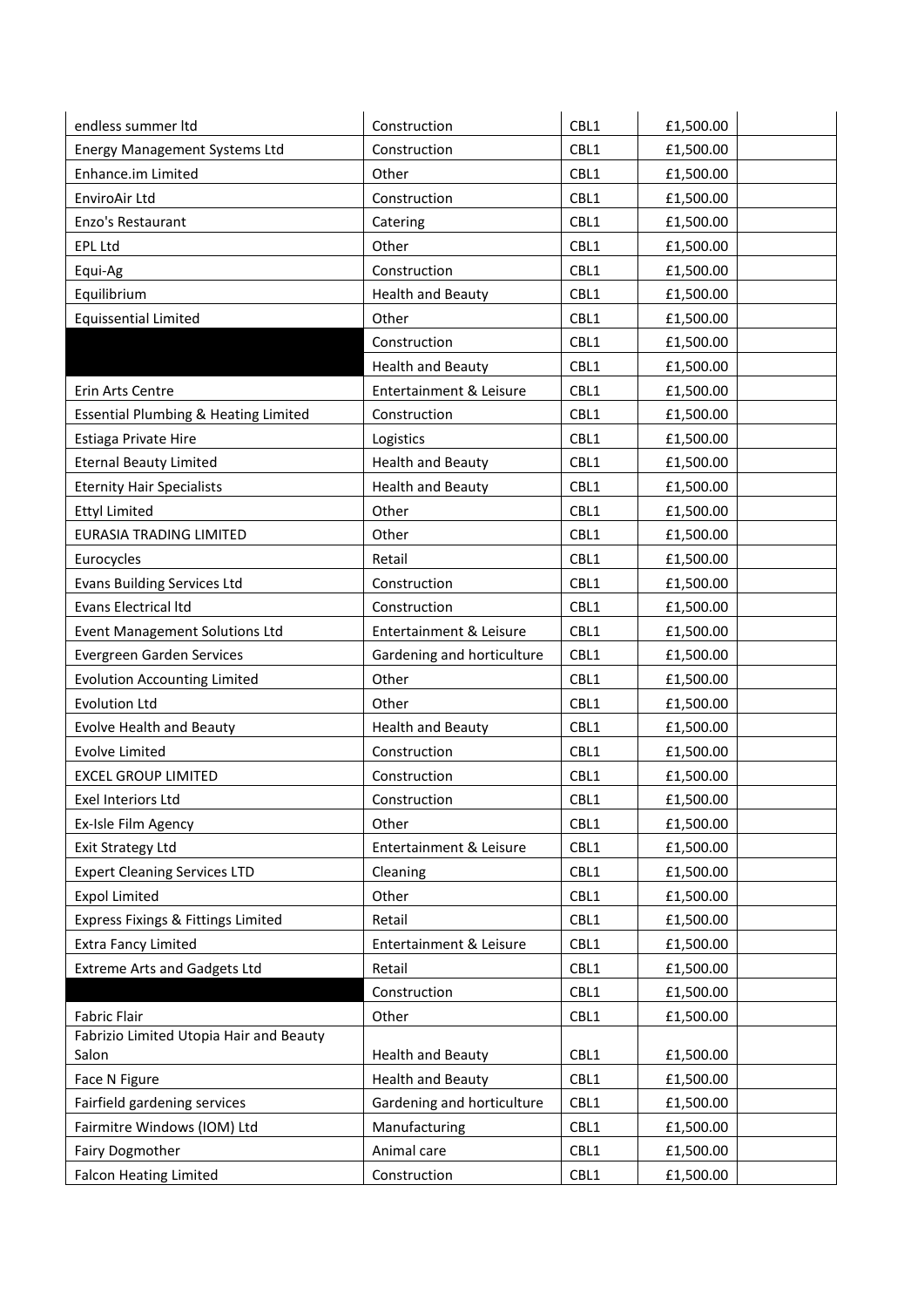| endless summer Itd                               | Construction               | CBL1 | £1,500.00 |
|--------------------------------------------------|----------------------------|------|-----------|
| <b>Energy Management Systems Ltd</b>             | Construction               | CBL1 | £1,500.00 |
| Enhance.im Limited                               | Other                      | CBL1 | £1,500.00 |
| EnviroAir Ltd                                    | Construction               | CBL1 | £1,500.00 |
| Enzo's Restaurant                                | Catering                   | CBL1 | £1,500.00 |
| <b>EPL Ltd</b>                                   | Other                      | CBL1 | £1,500.00 |
| Equi-Ag                                          | Construction               | CBL1 | £1,500.00 |
| Equilibrium                                      | <b>Health and Beauty</b>   | CBL1 | £1,500.00 |
| <b>Equissential Limited</b>                      | Other                      | CBL1 | £1,500.00 |
|                                                  | Construction               | CBL1 | £1,500.00 |
|                                                  | <b>Health and Beauty</b>   | CBL1 | £1,500.00 |
| Erin Arts Centre                                 | Entertainment & Leisure    | CBL1 | £1,500.00 |
| Essential Plumbing & Heating Limited             | Construction               | CBL1 | £1,500.00 |
| Estiaga Private Hire                             | Logistics                  | CBL1 | £1,500.00 |
| <b>Eternal Beauty Limited</b>                    | <b>Health and Beauty</b>   | CBL1 | £1,500.00 |
| <b>Eternity Hair Specialists</b>                 | <b>Health and Beauty</b>   | CBL1 | £1,500.00 |
| <b>Ettyl Limited</b>                             | Other                      | CBL1 | £1,500.00 |
| <b>EURASIA TRADING LIMITED</b>                   | Other                      | CBL1 | £1,500.00 |
| Eurocycles                                       | Retail                     | CBL1 | £1,500.00 |
| <b>Evans Building Services Ltd</b>               | Construction               | CBL1 | £1,500.00 |
| Evans Electrical Itd                             | Construction               | CBL1 | £1,500.00 |
| <b>Event Management Solutions Ltd</b>            | Entertainment & Leisure    | CBL1 | £1,500.00 |
| Evergreen Garden Services                        | Gardening and horticulture | CBL1 | £1,500.00 |
| <b>Evolution Accounting Limited</b>              | Other                      | CBL1 | £1,500.00 |
| <b>Evolution Ltd</b>                             | Other                      | CBL1 | £1,500.00 |
| <b>Evolve Health and Beauty</b>                  | <b>Health and Beauty</b>   | CBL1 | £1,500.00 |
| <b>Evolve Limited</b>                            | Construction               | CBL1 | £1,500.00 |
| <b>EXCEL GROUP LIMITED</b>                       | Construction               | CBL1 | £1,500.00 |
| Exel Interiors Ltd                               | Construction               | CBL1 | £1,500.00 |
| Ex-Isle Film Agency                              | Other                      | CBL1 | £1,500.00 |
| <b>Exit Strategy Ltd</b>                         | Entertainment & Leisure    | CBL1 | £1,500.00 |
| <b>Expert Cleaning Services LTD</b>              | Cleaning                   | CBL1 | £1,500.00 |
| <b>Expol Limited</b>                             | Other                      | CBL1 | £1,500.00 |
| Express Fixings & Fittings Limited               | Retail                     | CBL1 | £1,500.00 |
| <b>Extra Fancy Limited</b>                       | Entertainment & Leisure    | CBL1 | £1,500.00 |
| <b>Extreme Arts and Gadgets Ltd</b>              | Retail                     | CBL1 | £1,500.00 |
|                                                  | Construction               | CBL1 | £1,500.00 |
| <b>Fabric Flair</b>                              | Other                      | CBL1 | £1,500.00 |
| Fabrizio Limited Utopia Hair and Beauty<br>Salon | <b>Health and Beauty</b>   | CBL1 | £1,500.00 |
| Face N Figure                                    | <b>Health and Beauty</b>   | CBL1 | £1,500.00 |
| Fairfield gardening services                     | Gardening and horticulture | CBL1 | £1,500.00 |
| Fairmitre Windows (IOM) Ltd                      | Manufacturing              | CBL1 | £1,500.00 |
| <b>Fairy Dogmother</b>                           | Animal care                | CBL1 | £1,500.00 |
| <b>Falcon Heating Limited</b>                    | Construction               | CBL1 | £1,500.00 |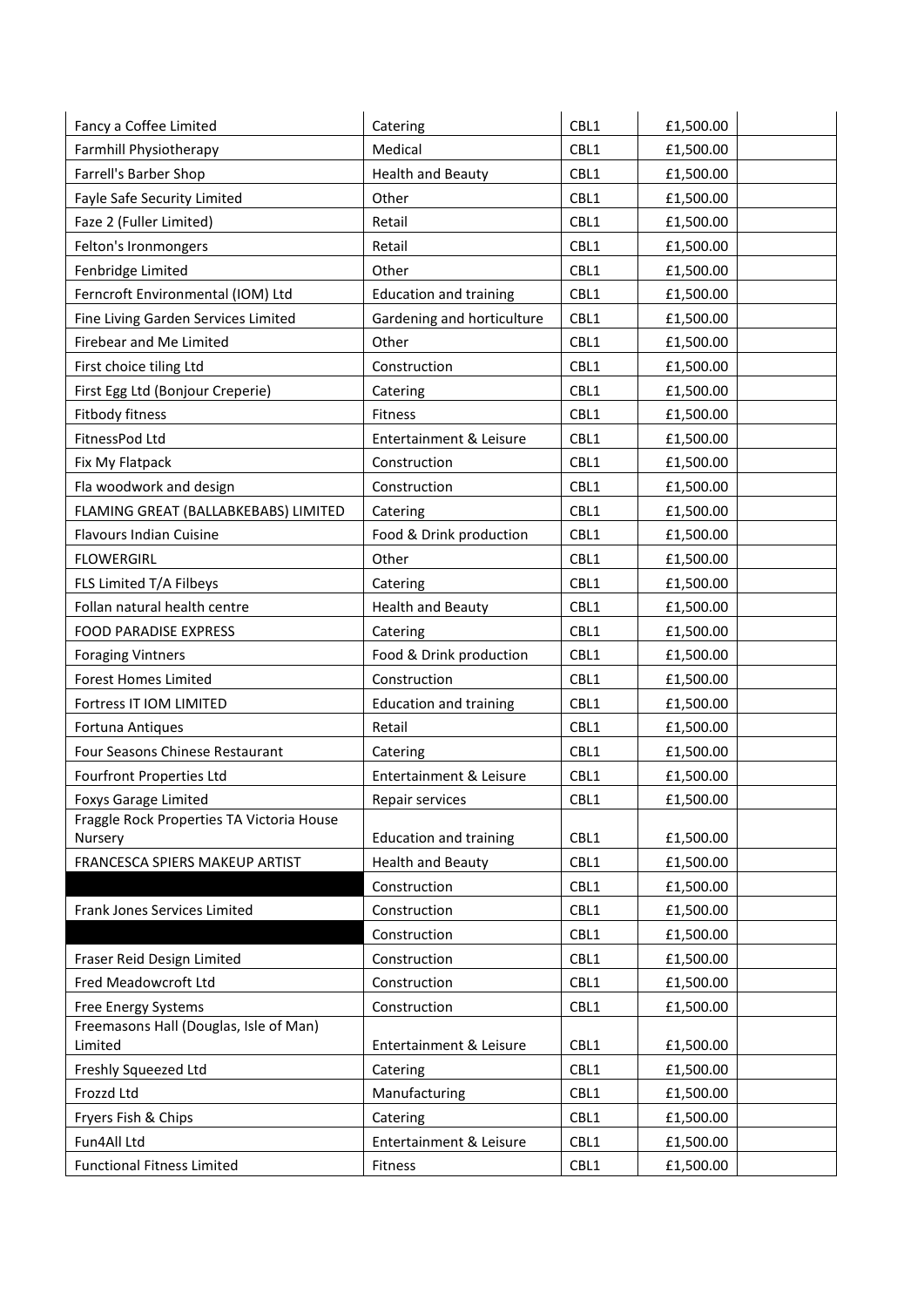| Fancy a Coffee Limited                            | Catering                      | CBL1 | £1,500.00 |
|---------------------------------------------------|-------------------------------|------|-----------|
| Farmhill Physiotherapy                            | Medical                       | CBL1 | £1,500.00 |
| Farrell's Barber Shop                             | <b>Health and Beauty</b>      | CBL1 | £1,500.00 |
| Fayle Safe Security Limited                       | Other                         | CBL1 | £1,500.00 |
| Faze 2 (Fuller Limited)                           | Retail                        | CBL1 | £1,500.00 |
| Felton's Ironmongers                              | Retail                        | CBL1 | £1,500.00 |
| Fenbridge Limited                                 | Other                         | CBL1 | £1,500.00 |
| Ferncroft Environmental (IOM) Ltd                 | <b>Education and training</b> | CBL1 | £1,500.00 |
| Fine Living Garden Services Limited               | Gardening and horticulture    | CBL1 | £1,500.00 |
| Firebear and Me Limited                           | Other                         | CBL1 | £1,500.00 |
| First choice tiling Ltd                           | Construction                  | CBL1 | £1,500.00 |
| First Egg Ltd (Bonjour Creperie)                  | Catering                      | CBL1 | £1,500.00 |
| Fitbody fitness                                   | Fitness                       | CBL1 | £1,500.00 |
| FitnessPod Ltd                                    | Entertainment & Leisure       | CBL1 | £1,500.00 |
| Fix My Flatpack                                   | Construction                  | CBL1 | £1,500.00 |
| Fla woodwork and design                           | Construction                  | CBL1 | £1,500.00 |
| FLAMING GREAT (BALLABKEBABS) LIMITED              | Catering                      | CBL1 | £1,500.00 |
| <b>Flavours Indian Cuisine</b>                    | Food & Drink production       | CBL1 | £1,500.00 |
| <b>FLOWERGIRL</b>                                 | Other                         | CBL1 | £1,500.00 |
| FLS Limited T/A Filbeys                           | Catering                      | CBL1 | £1,500.00 |
| Follan natural health centre                      | <b>Health and Beauty</b>      | CBL1 | £1,500.00 |
| FOOD PARADISE EXPRESS                             | Catering                      | CBL1 | £1,500.00 |
| <b>Foraging Vintners</b>                          | Food & Drink production       | CBL1 | £1,500.00 |
| <b>Forest Homes Limited</b>                       | Construction                  | CBL1 | £1,500.00 |
| Fortress IT IOM LIMITED                           | <b>Education and training</b> | CBL1 | £1,500.00 |
| Fortuna Antiques                                  | Retail                        | CBL1 | £1,500.00 |
| Four Seasons Chinese Restaurant                   | Catering                      | CBL1 | £1,500.00 |
| <b>Fourfront Properties Ltd</b>                   | Entertainment & Leisure       | CBL1 | £1,500.00 |
| <b>Foxys Garage Limited</b>                       | Repair services               | CBL1 | £1,500.00 |
| Fraggle Rock Properties TA Victoria House         |                               |      |           |
| Nursery                                           | <b>Education and training</b> | CBL1 | £1,500.00 |
| FRANCESCA SPIERS MAKEUP ARTIST                    | <b>Health and Beauty</b>      | CBL1 | £1,500.00 |
|                                                   | Construction                  | CBL1 | £1,500.00 |
| Frank Jones Services Limited                      | Construction                  | CBL1 | £1,500.00 |
|                                                   | Construction                  | CBL1 | £1,500.00 |
| Fraser Reid Design Limited                        | Construction                  | CBL1 | £1,500.00 |
| Fred Meadowcroft Ltd                              | Construction                  | CBL1 | £1,500.00 |
| Free Energy Systems                               | Construction                  | CBL1 | £1,500.00 |
| Freemasons Hall (Douglas, Isle of Man)<br>Limited | Entertainment & Leisure       | CBL1 | £1,500.00 |
| Freshly Squeezed Ltd                              | Catering                      | CBL1 | £1,500.00 |
| Frozzd Ltd                                        | Manufacturing                 | CBL1 | £1,500.00 |
| Fryers Fish & Chips                               | Catering                      | CBL1 | £1,500.00 |
| Fun4All Ltd                                       | Entertainment & Leisure       | CBL1 | £1,500.00 |
| <b>Functional Fitness Limited</b>                 | Fitness                       | CBL1 | £1,500.00 |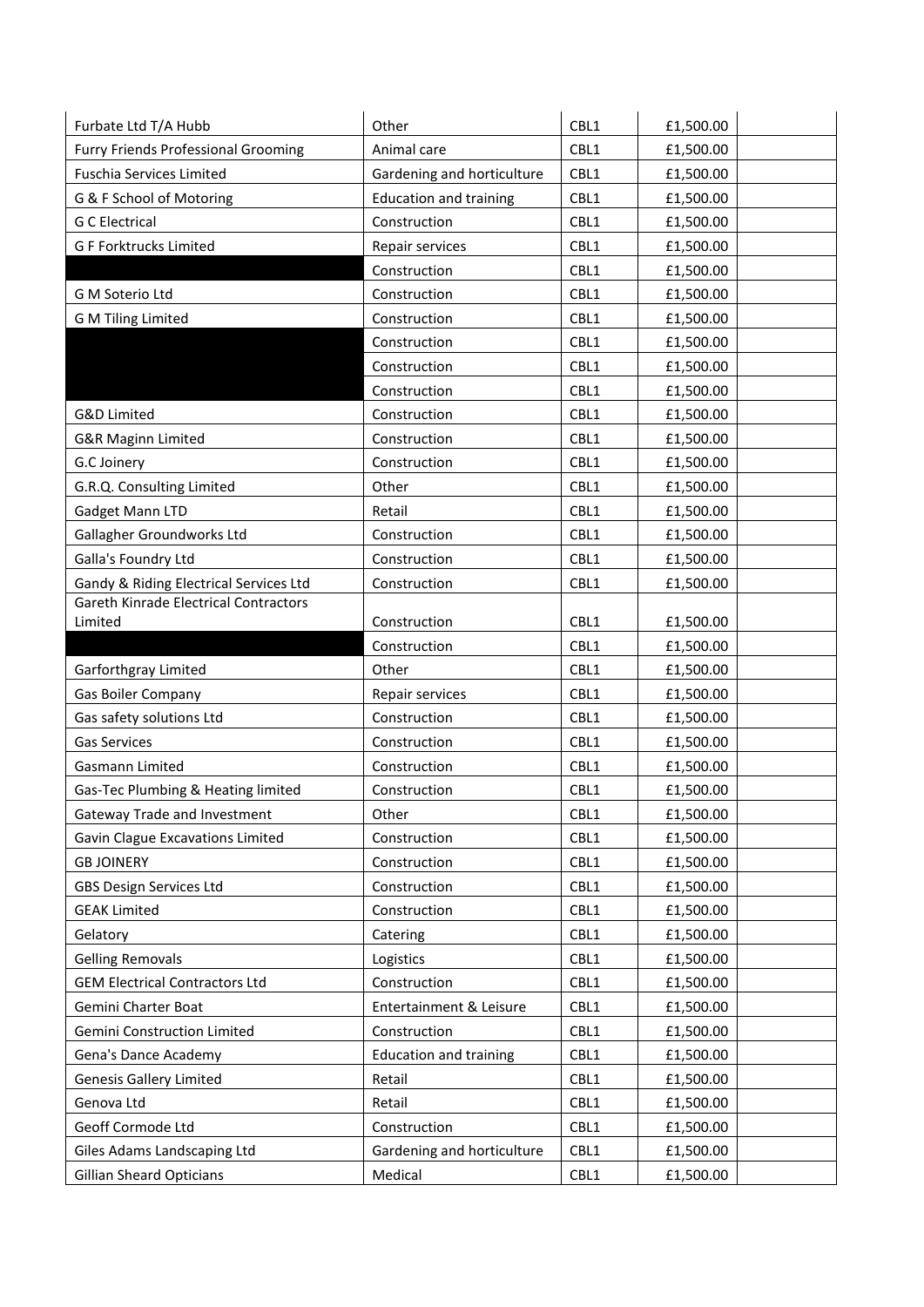| Furbate Ltd T/A Hubb                                           | Other                                 | CBL1         | £1,500.00              |  |
|----------------------------------------------------------------|---------------------------------------|--------------|------------------------|--|
| Furry Friends Professional Grooming                            | Animal care                           | CBL1         | £1,500.00              |  |
| <b>Fuschia Services Limited</b>                                | Gardening and horticulture            | CBL1         | £1,500.00              |  |
| G & F School of Motoring                                       | <b>Education and training</b>         | CBL1         | £1,500.00              |  |
| <b>G C Electrical</b>                                          | Construction                          | CBL1         | £1,500.00              |  |
| <b>GF Forktrucks Limited</b>                                   | Repair services                       | CBL1         | £1,500.00              |  |
|                                                                | Construction                          | CBL1         | £1,500.00              |  |
| G M Soterio Ltd                                                | Construction                          | CBL1         | £1,500.00              |  |
| <b>G M Tiling Limited</b>                                      | Construction                          | CBL1         | £1,500.00              |  |
|                                                                | Construction                          | CBL1         | £1,500.00              |  |
|                                                                | Construction                          | CBL1         | £1,500.00              |  |
|                                                                | Construction                          | CBL1         | £1,500.00              |  |
| G&D Limited                                                    | Construction                          | CBL1         | £1,500.00              |  |
| <b>G&amp;R Maginn Limited</b>                                  | Construction                          | CBL1         | £1,500.00              |  |
| G.C Joinery                                                    | Construction                          | CBL1         | £1,500.00              |  |
| G.R.Q. Consulting Limited                                      | Other                                 | CBL1         | £1,500.00              |  |
| Gadget Mann LTD                                                | Retail                                | CBL1         | £1,500.00              |  |
| Gallagher Groundworks Ltd                                      | Construction                          | CBL1         | £1,500.00              |  |
| Galla's Foundry Ltd                                            | Construction                          | CBL1         | £1,500.00              |  |
| Gandy & Riding Electrical Services Ltd                         | Construction                          | CBL1         | £1,500.00              |  |
| Gareth Kinrade Electrical Contractors                          |                                       |              |                        |  |
| Limited                                                        | Construction                          | CBL1         | £1,500.00              |  |
|                                                                | Construction                          | CBL1         | £1,500.00              |  |
|                                                                |                                       |              |                        |  |
| Garforthgray Limited                                           | Other                                 | CBL1         | £1,500.00              |  |
| Gas Boiler Company                                             | Repair services                       | CBL1         | £1,500.00              |  |
| Gas safety solutions Ltd                                       | Construction                          | CBL1         | £1,500.00              |  |
| <b>Gas Services</b>                                            | Construction                          | CBL1         | £1,500.00              |  |
| Gasmann Limited                                                | Construction                          | CBL1         | £1,500.00              |  |
| Gas-Tec Plumbing & Heating limited                             | Construction                          | CBL1         | £1,500.00              |  |
| Gateway Trade and Investment                                   | Other                                 | CBL1         | £1,500.00              |  |
| Gavin Clague Excavations Limited                               | Construction                          | CBL1         | £1,500.00              |  |
| <b>GB JOINERY</b>                                              | Construction                          | CBL1         | £1,500.00              |  |
| <b>GBS Design Services Ltd</b>                                 | Construction                          | CBL1         | £1,500.00              |  |
| <b>GEAK Limited</b>                                            | Construction                          | CBL1         | £1,500.00              |  |
| Gelatory                                                       | Catering                              | CBL1         | £1,500.00              |  |
| <b>Gelling Removals</b>                                        | Logistics                             | CBL1         | £1,500.00              |  |
| <b>GEM Electrical Contractors Ltd</b>                          | Construction                          | CBL1         | £1,500.00              |  |
| Gemini Charter Boat                                            | Entertainment & Leisure               | CBL1         | £1,500.00              |  |
| Gemini Construction Limited                                    | Construction                          | CBL1         | £1,500.00              |  |
| Gena's Dance Academy                                           | <b>Education and training</b>         | CBL1         | £1,500.00              |  |
| <b>Genesis Gallery Limited</b>                                 | Retail                                | CBL1         | £1,500.00              |  |
| Genova Ltd                                                     | Retail                                | CBL1         | £1,500.00              |  |
| Geoff Cormode Ltd                                              | Construction                          | CBL1         | £1,500.00              |  |
| Giles Adams Landscaping Ltd<br><b>Gillian Sheard Opticians</b> | Gardening and horticulture<br>Medical | CBL1<br>CBL1 | £1,500.00<br>£1,500.00 |  |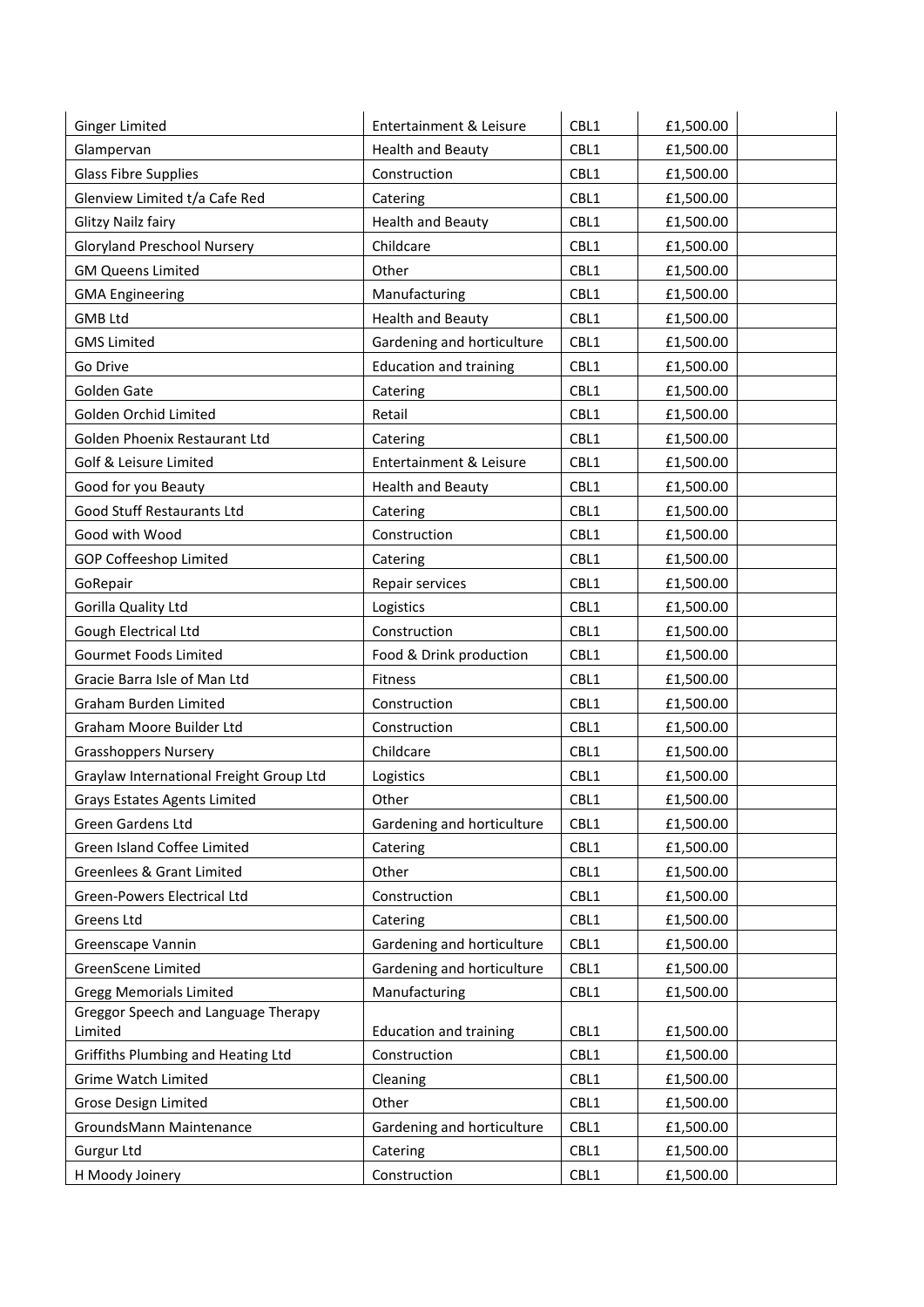| <b>Ginger Limited</b>                          | Entertainment & Leisure       | CBL1 | £1,500.00 |
|------------------------------------------------|-------------------------------|------|-----------|
| Glampervan                                     | <b>Health and Beauty</b>      | CBL1 | £1,500.00 |
| <b>Glass Fibre Supplies</b>                    | Construction                  | CBL1 | £1,500.00 |
| Glenview Limited t/a Cafe Red                  | Catering                      | CBL1 | £1,500.00 |
| Glitzy Nailz fairy                             | <b>Health and Beauty</b>      | CBL1 | £1,500.00 |
| <b>Gloryland Preschool Nursery</b>             | Childcare                     | CBL1 | £1,500.00 |
| <b>GM Queens Limited</b>                       | Other                         | CBL1 | £1,500.00 |
| <b>GMA Engineering</b>                         | Manufacturing                 | CBL1 | £1,500.00 |
| <b>GMB Ltd</b>                                 | <b>Health and Beauty</b>      | CBL1 | £1,500.00 |
| <b>GMS Limited</b>                             | Gardening and horticulture    | CBL1 | £1,500.00 |
| Go Drive                                       | <b>Education and training</b> | CBL1 | £1,500.00 |
| Golden Gate                                    | Catering                      | CBL1 | £1,500.00 |
| Golden Orchid Limited                          | Retail                        | CBL1 | £1,500.00 |
| Golden Phoenix Restaurant Ltd                  | Catering                      | CBL1 | £1,500.00 |
| Golf & Leisure Limited                         | Entertainment & Leisure       | CBL1 | £1,500.00 |
| Good for you Beauty                            | <b>Health and Beauty</b>      | CBL1 | £1,500.00 |
| Good Stuff Restaurants Ltd                     | Catering                      | CBL1 | £1,500.00 |
| Good with Wood                                 | Construction                  | CBL1 | £1,500.00 |
| <b>GOP Coffeeshop Limited</b>                  | Catering                      | CBL1 | £1,500.00 |
| GoRepair                                       | Repair services               | CBL1 | £1,500.00 |
| Gorilla Quality Ltd                            | Logistics                     | CBL1 | £1,500.00 |
| Gough Electrical Ltd                           | Construction                  | CBL1 | £1,500.00 |
| Gourmet Foods Limited                          | Food & Drink production       | CBL1 | £1,500.00 |
| Gracie Barra Isle of Man Ltd                   | Fitness                       | CBL1 | £1,500.00 |
| Graham Burden Limited                          | Construction                  | CBL1 | £1,500.00 |
| Graham Moore Builder Ltd                       | Construction                  | CBL1 | £1,500.00 |
| <b>Grasshoppers Nursery</b>                    | Childcare                     | CBL1 | £1,500.00 |
| Graylaw International Freight Group Ltd        | Logistics                     | CBL1 | £1,500.00 |
| <b>Grays Estates Agents Limited</b>            | Other                         | CBL1 | £1,500.00 |
| Green Gardens Ltd                              | Gardening and horticulture    | CBL1 | £1,500.00 |
| Green Island Coffee Limited                    | Catering                      | CBL1 | £1,500.00 |
| Greenlees & Grant Limited                      | Other                         | CBL1 | £1,500.00 |
| Green-Powers Electrical Ltd                    | Construction                  | CBL1 | £1,500.00 |
| Greens Ltd                                     | Catering                      | CBL1 | £1,500.00 |
| Greenscape Vannin                              | Gardening and horticulture    | CBL1 | £1,500.00 |
| GreenScene Limited                             | Gardening and horticulture    | CBL1 | £1,500.00 |
| <b>Gregg Memorials Limited</b>                 | Manufacturing                 | CBL1 | £1,500.00 |
| Greggor Speech and Language Therapy<br>Limited | <b>Education and training</b> | CBL1 | £1,500.00 |
| Griffiths Plumbing and Heating Ltd             | Construction                  | CBL1 | £1,500.00 |
| <b>Grime Watch Limited</b>                     | Cleaning                      | CBL1 | £1,500.00 |
| Grose Design Limited                           | Other                         | CBL1 | £1,500.00 |
| GroundsMann Maintenance                        | Gardening and horticulture    | CBL1 | £1,500.00 |
| Gurgur Ltd                                     | Catering                      | CBL1 | £1,500.00 |
| H Moody Joinery                                | Construction                  | CBL1 | £1,500.00 |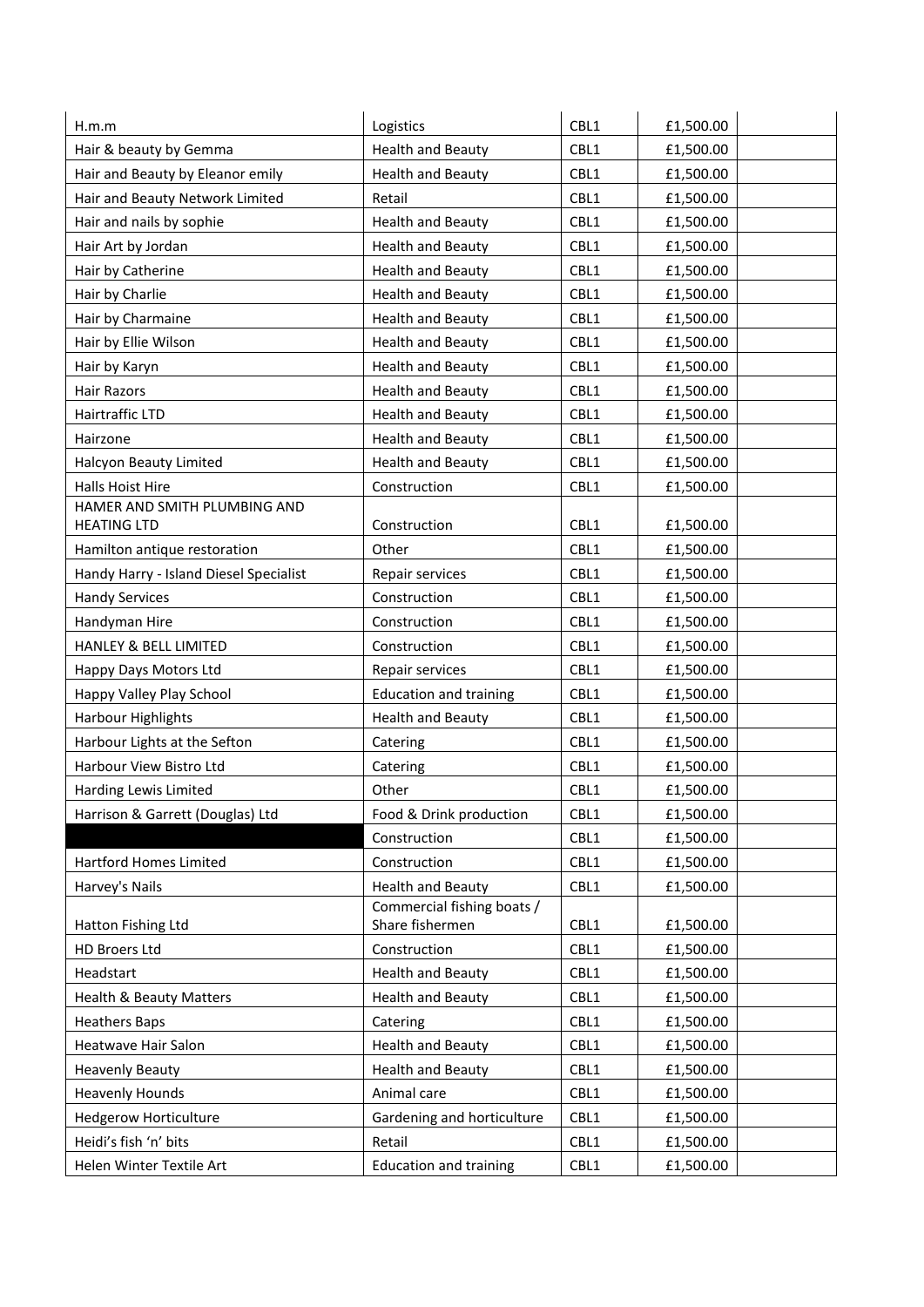| <b>Health and Beauty</b><br>CBL1<br>Hair & beauty by Gemma<br>£1,500.00<br>CBL1<br>Hair and Beauty by Eleanor emily<br><b>Health and Beauty</b><br>£1,500.00<br>Hair and Beauty Network Limited<br>CBL1<br>Retail<br>£1,500.00<br>Hair and nails by sophie<br>CBL1<br><b>Health and Beauty</b><br>£1,500.00<br>Hair Art by Jordan<br><b>Health and Beauty</b><br>CBL1<br>£1,500.00<br>Hair by Catherine<br><b>Health and Beauty</b><br>CBL1<br>£1,500.00<br>Hair by Charlie<br><b>Health and Beauty</b><br>CBL1<br>£1,500.00<br>CBL1<br>Hair by Charmaine<br><b>Health and Beauty</b><br>£1,500.00<br>Hair by Ellie Wilson<br><b>Health and Beauty</b><br>CBL1<br>£1,500.00<br>CBL1<br><b>Health and Beauty</b><br>£1,500.00<br>Hair by Karyn<br><b>Health and Beauty</b><br>CBL1<br><b>Hair Razors</b><br>£1,500.00<br>Hairtraffic LTD<br><b>Health and Beauty</b><br>CBL1<br>£1,500.00<br>CBL1<br><b>Health and Beauty</b><br>£1,500.00<br>Hairzone<br><b>Health and Beauty</b><br>CBL1<br>Halcyon Beauty Limited<br>£1,500.00<br>CBL1<br>Halls Hoist Hire<br>Construction<br>£1,500.00<br>HAMER AND SMITH PLUMBING AND<br><b>HEATING LTD</b><br>CBL1<br>Construction<br>£1,500.00<br>CBL1<br>Hamilton antique restoration<br>Other<br>£1,500.00<br>Handy Harry - Island Diesel Specialist<br>CBL1<br>Repair services<br>£1,500.00<br>CBL1<br><b>Handy Services</b><br>Construction<br>£1,500.00<br>CBL1<br>Handyman Hire<br>Construction<br>£1,500.00<br>CBL1<br>HANLEY & BELL LIMITED<br>Construction<br>£1,500.00<br>CBL1<br>Happy Days Motors Ltd<br>Repair services<br>£1,500.00<br>Happy Valley Play School<br><b>Education and training</b><br>CBL1<br>£1,500.00<br>CBL1<br>Harbour Highlights<br><b>Health and Beauty</b><br>£1,500.00<br>Harbour Lights at the Sefton<br>CBL1<br>Catering<br>£1,500.00<br>Harbour View Bistro Ltd<br>CBL1<br>£1,500.00<br>Catering<br>Other<br>CBL1<br>£1,500.00<br>Harding Lewis Limited<br>Harrison & Garrett (Douglas) Ltd<br>Food & Drink production<br>CBL1<br>£1,500.00<br>CBL1<br>Construction<br>£1,500.00<br><b>Hartford Homes Limited</b><br>Construction<br>CBL1<br>£1,500.00<br>CBL1<br>Harvey's Nails<br><b>Health and Beauty</b><br>£1,500.00<br>Commercial fishing boats /<br>Share fishermen<br>CBL1<br>Hatton Fishing Ltd<br>£1,500.00<br>Construction<br>CBL1<br><b>HD Broers Ltd</b><br>£1,500.00<br><b>Health and Beauty</b><br>CBL1<br>£1,500.00<br>Headstart<br>CBL1<br><b>Health and Beauty</b><br>£1,500.00<br><b>Health &amp; Beauty Matters</b><br>CBL1<br><b>Heathers Baps</b><br>Catering<br>£1,500.00<br>CBL1<br>Heatwave Hair Salon<br><b>Health and Beauty</b><br>£1,500.00<br>CBL1<br><b>Health and Beauty</b><br>£1,500.00<br><b>Heavenly Beauty</b><br>Animal care<br><b>Heavenly Hounds</b><br>CBL1<br>£1,500.00<br>CBL1<br><b>Hedgerow Horticulture</b><br>Gardening and horticulture<br>£1,500.00<br>Heidi's fish 'n' bits<br>CBL1<br>Retail<br>£1,500.00 | H.m.m | Logistics | CBL1 | £1,500.00 |
|-------------------------------------------------------------------------------------------------------------------------------------------------------------------------------------------------------------------------------------------------------------------------------------------------------------------------------------------------------------------------------------------------------------------------------------------------------------------------------------------------------------------------------------------------------------------------------------------------------------------------------------------------------------------------------------------------------------------------------------------------------------------------------------------------------------------------------------------------------------------------------------------------------------------------------------------------------------------------------------------------------------------------------------------------------------------------------------------------------------------------------------------------------------------------------------------------------------------------------------------------------------------------------------------------------------------------------------------------------------------------------------------------------------------------------------------------------------------------------------------------------------------------------------------------------------------------------------------------------------------------------------------------------------------------------------------------------------------------------------------------------------------------------------------------------------------------------------------------------------------------------------------------------------------------------------------------------------------------------------------------------------------------------------------------------------------------------------------------------------------------------------------------------------------------------------------------------------------------------------------------------------------------------------------------------------------------------------------------------------------------------------------------------------------------------------------------------------------------------------------------------------------------------------------------------------------------------------------------------------------------------------------------------------------------------------------------------------------------------------------------------------------------------------------------------------------------------------------------------------------------------------------------------------------------------------------|-------|-----------|------|-----------|
|                                                                                                                                                                                                                                                                                                                                                                                                                                                                                                                                                                                                                                                                                                                                                                                                                                                                                                                                                                                                                                                                                                                                                                                                                                                                                                                                                                                                                                                                                                                                                                                                                                                                                                                                                                                                                                                                                                                                                                                                                                                                                                                                                                                                                                                                                                                                                                                                                                                                                                                                                                                                                                                                                                                                                                                                                                                                                                                                           |       |           |      |           |
|                                                                                                                                                                                                                                                                                                                                                                                                                                                                                                                                                                                                                                                                                                                                                                                                                                                                                                                                                                                                                                                                                                                                                                                                                                                                                                                                                                                                                                                                                                                                                                                                                                                                                                                                                                                                                                                                                                                                                                                                                                                                                                                                                                                                                                                                                                                                                                                                                                                                                                                                                                                                                                                                                                                                                                                                                                                                                                                                           |       |           |      |           |
|                                                                                                                                                                                                                                                                                                                                                                                                                                                                                                                                                                                                                                                                                                                                                                                                                                                                                                                                                                                                                                                                                                                                                                                                                                                                                                                                                                                                                                                                                                                                                                                                                                                                                                                                                                                                                                                                                                                                                                                                                                                                                                                                                                                                                                                                                                                                                                                                                                                                                                                                                                                                                                                                                                                                                                                                                                                                                                                                           |       |           |      |           |
|                                                                                                                                                                                                                                                                                                                                                                                                                                                                                                                                                                                                                                                                                                                                                                                                                                                                                                                                                                                                                                                                                                                                                                                                                                                                                                                                                                                                                                                                                                                                                                                                                                                                                                                                                                                                                                                                                                                                                                                                                                                                                                                                                                                                                                                                                                                                                                                                                                                                                                                                                                                                                                                                                                                                                                                                                                                                                                                                           |       |           |      |           |
|                                                                                                                                                                                                                                                                                                                                                                                                                                                                                                                                                                                                                                                                                                                                                                                                                                                                                                                                                                                                                                                                                                                                                                                                                                                                                                                                                                                                                                                                                                                                                                                                                                                                                                                                                                                                                                                                                                                                                                                                                                                                                                                                                                                                                                                                                                                                                                                                                                                                                                                                                                                                                                                                                                                                                                                                                                                                                                                                           |       |           |      |           |
|                                                                                                                                                                                                                                                                                                                                                                                                                                                                                                                                                                                                                                                                                                                                                                                                                                                                                                                                                                                                                                                                                                                                                                                                                                                                                                                                                                                                                                                                                                                                                                                                                                                                                                                                                                                                                                                                                                                                                                                                                                                                                                                                                                                                                                                                                                                                                                                                                                                                                                                                                                                                                                                                                                                                                                                                                                                                                                                                           |       |           |      |           |
|                                                                                                                                                                                                                                                                                                                                                                                                                                                                                                                                                                                                                                                                                                                                                                                                                                                                                                                                                                                                                                                                                                                                                                                                                                                                                                                                                                                                                                                                                                                                                                                                                                                                                                                                                                                                                                                                                                                                                                                                                                                                                                                                                                                                                                                                                                                                                                                                                                                                                                                                                                                                                                                                                                                                                                                                                                                                                                                                           |       |           |      |           |
|                                                                                                                                                                                                                                                                                                                                                                                                                                                                                                                                                                                                                                                                                                                                                                                                                                                                                                                                                                                                                                                                                                                                                                                                                                                                                                                                                                                                                                                                                                                                                                                                                                                                                                                                                                                                                                                                                                                                                                                                                                                                                                                                                                                                                                                                                                                                                                                                                                                                                                                                                                                                                                                                                                                                                                                                                                                                                                                                           |       |           |      |           |
|                                                                                                                                                                                                                                                                                                                                                                                                                                                                                                                                                                                                                                                                                                                                                                                                                                                                                                                                                                                                                                                                                                                                                                                                                                                                                                                                                                                                                                                                                                                                                                                                                                                                                                                                                                                                                                                                                                                                                                                                                                                                                                                                                                                                                                                                                                                                                                                                                                                                                                                                                                                                                                                                                                                                                                                                                                                                                                                                           |       |           |      |           |
|                                                                                                                                                                                                                                                                                                                                                                                                                                                                                                                                                                                                                                                                                                                                                                                                                                                                                                                                                                                                                                                                                                                                                                                                                                                                                                                                                                                                                                                                                                                                                                                                                                                                                                                                                                                                                                                                                                                                                                                                                                                                                                                                                                                                                                                                                                                                                                                                                                                                                                                                                                                                                                                                                                                                                                                                                                                                                                                                           |       |           |      |           |
|                                                                                                                                                                                                                                                                                                                                                                                                                                                                                                                                                                                                                                                                                                                                                                                                                                                                                                                                                                                                                                                                                                                                                                                                                                                                                                                                                                                                                                                                                                                                                                                                                                                                                                                                                                                                                                                                                                                                                                                                                                                                                                                                                                                                                                                                                                                                                                                                                                                                                                                                                                                                                                                                                                                                                                                                                                                                                                                                           |       |           |      |           |
|                                                                                                                                                                                                                                                                                                                                                                                                                                                                                                                                                                                                                                                                                                                                                                                                                                                                                                                                                                                                                                                                                                                                                                                                                                                                                                                                                                                                                                                                                                                                                                                                                                                                                                                                                                                                                                                                                                                                                                                                                                                                                                                                                                                                                                                                                                                                                                                                                                                                                                                                                                                                                                                                                                                                                                                                                                                                                                                                           |       |           |      |           |
|                                                                                                                                                                                                                                                                                                                                                                                                                                                                                                                                                                                                                                                                                                                                                                                                                                                                                                                                                                                                                                                                                                                                                                                                                                                                                                                                                                                                                                                                                                                                                                                                                                                                                                                                                                                                                                                                                                                                                                                                                                                                                                                                                                                                                                                                                                                                                                                                                                                                                                                                                                                                                                                                                                                                                                                                                                                                                                                                           |       |           |      |           |
|                                                                                                                                                                                                                                                                                                                                                                                                                                                                                                                                                                                                                                                                                                                                                                                                                                                                                                                                                                                                                                                                                                                                                                                                                                                                                                                                                                                                                                                                                                                                                                                                                                                                                                                                                                                                                                                                                                                                                                                                                                                                                                                                                                                                                                                                                                                                                                                                                                                                                                                                                                                                                                                                                                                                                                                                                                                                                                                                           |       |           |      |           |
|                                                                                                                                                                                                                                                                                                                                                                                                                                                                                                                                                                                                                                                                                                                                                                                                                                                                                                                                                                                                                                                                                                                                                                                                                                                                                                                                                                                                                                                                                                                                                                                                                                                                                                                                                                                                                                                                                                                                                                                                                                                                                                                                                                                                                                                                                                                                                                                                                                                                                                                                                                                                                                                                                                                                                                                                                                                                                                                                           |       |           |      |           |
|                                                                                                                                                                                                                                                                                                                                                                                                                                                                                                                                                                                                                                                                                                                                                                                                                                                                                                                                                                                                                                                                                                                                                                                                                                                                                                                                                                                                                                                                                                                                                                                                                                                                                                                                                                                                                                                                                                                                                                                                                                                                                                                                                                                                                                                                                                                                                                                                                                                                                                                                                                                                                                                                                                                                                                                                                                                                                                                                           |       |           |      |           |
|                                                                                                                                                                                                                                                                                                                                                                                                                                                                                                                                                                                                                                                                                                                                                                                                                                                                                                                                                                                                                                                                                                                                                                                                                                                                                                                                                                                                                                                                                                                                                                                                                                                                                                                                                                                                                                                                                                                                                                                                                                                                                                                                                                                                                                                                                                                                                                                                                                                                                                                                                                                                                                                                                                                                                                                                                                                                                                                                           |       |           |      |           |
|                                                                                                                                                                                                                                                                                                                                                                                                                                                                                                                                                                                                                                                                                                                                                                                                                                                                                                                                                                                                                                                                                                                                                                                                                                                                                                                                                                                                                                                                                                                                                                                                                                                                                                                                                                                                                                                                                                                                                                                                                                                                                                                                                                                                                                                                                                                                                                                                                                                                                                                                                                                                                                                                                                                                                                                                                                                                                                                                           |       |           |      |           |
|                                                                                                                                                                                                                                                                                                                                                                                                                                                                                                                                                                                                                                                                                                                                                                                                                                                                                                                                                                                                                                                                                                                                                                                                                                                                                                                                                                                                                                                                                                                                                                                                                                                                                                                                                                                                                                                                                                                                                                                                                                                                                                                                                                                                                                                                                                                                                                                                                                                                                                                                                                                                                                                                                                                                                                                                                                                                                                                                           |       |           |      |           |
|                                                                                                                                                                                                                                                                                                                                                                                                                                                                                                                                                                                                                                                                                                                                                                                                                                                                                                                                                                                                                                                                                                                                                                                                                                                                                                                                                                                                                                                                                                                                                                                                                                                                                                                                                                                                                                                                                                                                                                                                                                                                                                                                                                                                                                                                                                                                                                                                                                                                                                                                                                                                                                                                                                                                                                                                                                                                                                                                           |       |           |      |           |
|                                                                                                                                                                                                                                                                                                                                                                                                                                                                                                                                                                                                                                                                                                                                                                                                                                                                                                                                                                                                                                                                                                                                                                                                                                                                                                                                                                                                                                                                                                                                                                                                                                                                                                                                                                                                                                                                                                                                                                                                                                                                                                                                                                                                                                                                                                                                                                                                                                                                                                                                                                                                                                                                                                                                                                                                                                                                                                                                           |       |           |      |           |
|                                                                                                                                                                                                                                                                                                                                                                                                                                                                                                                                                                                                                                                                                                                                                                                                                                                                                                                                                                                                                                                                                                                                                                                                                                                                                                                                                                                                                                                                                                                                                                                                                                                                                                                                                                                                                                                                                                                                                                                                                                                                                                                                                                                                                                                                                                                                                                                                                                                                                                                                                                                                                                                                                                                                                                                                                                                                                                                                           |       |           |      |           |
|                                                                                                                                                                                                                                                                                                                                                                                                                                                                                                                                                                                                                                                                                                                                                                                                                                                                                                                                                                                                                                                                                                                                                                                                                                                                                                                                                                                                                                                                                                                                                                                                                                                                                                                                                                                                                                                                                                                                                                                                                                                                                                                                                                                                                                                                                                                                                                                                                                                                                                                                                                                                                                                                                                                                                                                                                                                                                                                                           |       |           |      |           |
|                                                                                                                                                                                                                                                                                                                                                                                                                                                                                                                                                                                                                                                                                                                                                                                                                                                                                                                                                                                                                                                                                                                                                                                                                                                                                                                                                                                                                                                                                                                                                                                                                                                                                                                                                                                                                                                                                                                                                                                                                                                                                                                                                                                                                                                                                                                                                                                                                                                                                                                                                                                                                                                                                                                                                                                                                                                                                                                                           |       |           |      |           |
|                                                                                                                                                                                                                                                                                                                                                                                                                                                                                                                                                                                                                                                                                                                                                                                                                                                                                                                                                                                                                                                                                                                                                                                                                                                                                                                                                                                                                                                                                                                                                                                                                                                                                                                                                                                                                                                                                                                                                                                                                                                                                                                                                                                                                                                                                                                                                                                                                                                                                                                                                                                                                                                                                                                                                                                                                                                                                                                                           |       |           |      |           |
|                                                                                                                                                                                                                                                                                                                                                                                                                                                                                                                                                                                                                                                                                                                                                                                                                                                                                                                                                                                                                                                                                                                                                                                                                                                                                                                                                                                                                                                                                                                                                                                                                                                                                                                                                                                                                                                                                                                                                                                                                                                                                                                                                                                                                                                                                                                                                                                                                                                                                                                                                                                                                                                                                                                                                                                                                                                                                                                                           |       |           |      |           |
|                                                                                                                                                                                                                                                                                                                                                                                                                                                                                                                                                                                                                                                                                                                                                                                                                                                                                                                                                                                                                                                                                                                                                                                                                                                                                                                                                                                                                                                                                                                                                                                                                                                                                                                                                                                                                                                                                                                                                                                                                                                                                                                                                                                                                                                                                                                                                                                                                                                                                                                                                                                                                                                                                                                                                                                                                                                                                                                                           |       |           |      |           |
|                                                                                                                                                                                                                                                                                                                                                                                                                                                                                                                                                                                                                                                                                                                                                                                                                                                                                                                                                                                                                                                                                                                                                                                                                                                                                                                                                                                                                                                                                                                                                                                                                                                                                                                                                                                                                                                                                                                                                                                                                                                                                                                                                                                                                                                                                                                                                                                                                                                                                                                                                                                                                                                                                                                                                                                                                                                                                                                                           |       |           |      |           |
|                                                                                                                                                                                                                                                                                                                                                                                                                                                                                                                                                                                                                                                                                                                                                                                                                                                                                                                                                                                                                                                                                                                                                                                                                                                                                                                                                                                                                                                                                                                                                                                                                                                                                                                                                                                                                                                                                                                                                                                                                                                                                                                                                                                                                                                                                                                                                                                                                                                                                                                                                                                                                                                                                                                                                                                                                                                                                                                                           |       |           |      |           |
|                                                                                                                                                                                                                                                                                                                                                                                                                                                                                                                                                                                                                                                                                                                                                                                                                                                                                                                                                                                                                                                                                                                                                                                                                                                                                                                                                                                                                                                                                                                                                                                                                                                                                                                                                                                                                                                                                                                                                                                                                                                                                                                                                                                                                                                                                                                                                                                                                                                                                                                                                                                                                                                                                                                                                                                                                                                                                                                                           |       |           |      |           |
|                                                                                                                                                                                                                                                                                                                                                                                                                                                                                                                                                                                                                                                                                                                                                                                                                                                                                                                                                                                                                                                                                                                                                                                                                                                                                                                                                                                                                                                                                                                                                                                                                                                                                                                                                                                                                                                                                                                                                                                                                                                                                                                                                                                                                                                                                                                                                                                                                                                                                                                                                                                                                                                                                                                                                                                                                                                                                                                                           |       |           |      |           |
|                                                                                                                                                                                                                                                                                                                                                                                                                                                                                                                                                                                                                                                                                                                                                                                                                                                                                                                                                                                                                                                                                                                                                                                                                                                                                                                                                                                                                                                                                                                                                                                                                                                                                                                                                                                                                                                                                                                                                                                                                                                                                                                                                                                                                                                                                                                                                                                                                                                                                                                                                                                                                                                                                                                                                                                                                                                                                                                                           |       |           |      |           |
|                                                                                                                                                                                                                                                                                                                                                                                                                                                                                                                                                                                                                                                                                                                                                                                                                                                                                                                                                                                                                                                                                                                                                                                                                                                                                                                                                                                                                                                                                                                                                                                                                                                                                                                                                                                                                                                                                                                                                                                                                                                                                                                                                                                                                                                                                                                                                                                                                                                                                                                                                                                                                                                                                                                                                                                                                                                                                                                                           |       |           |      |           |
|                                                                                                                                                                                                                                                                                                                                                                                                                                                                                                                                                                                                                                                                                                                                                                                                                                                                                                                                                                                                                                                                                                                                                                                                                                                                                                                                                                                                                                                                                                                                                                                                                                                                                                                                                                                                                                                                                                                                                                                                                                                                                                                                                                                                                                                                                                                                                                                                                                                                                                                                                                                                                                                                                                                                                                                                                                                                                                                                           |       |           |      |           |
|                                                                                                                                                                                                                                                                                                                                                                                                                                                                                                                                                                                                                                                                                                                                                                                                                                                                                                                                                                                                                                                                                                                                                                                                                                                                                                                                                                                                                                                                                                                                                                                                                                                                                                                                                                                                                                                                                                                                                                                                                                                                                                                                                                                                                                                                                                                                                                                                                                                                                                                                                                                                                                                                                                                                                                                                                                                                                                                                           |       |           |      |           |
|                                                                                                                                                                                                                                                                                                                                                                                                                                                                                                                                                                                                                                                                                                                                                                                                                                                                                                                                                                                                                                                                                                                                                                                                                                                                                                                                                                                                                                                                                                                                                                                                                                                                                                                                                                                                                                                                                                                                                                                                                                                                                                                                                                                                                                                                                                                                                                                                                                                                                                                                                                                                                                                                                                                                                                                                                                                                                                                                           |       |           |      |           |
|                                                                                                                                                                                                                                                                                                                                                                                                                                                                                                                                                                                                                                                                                                                                                                                                                                                                                                                                                                                                                                                                                                                                                                                                                                                                                                                                                                                                                                                                                                                                                                                                                                                                                                                                                                                                                                                                                                                                                                                                                                                                                                                                                                                                                                                                                                                                                                                                                                                                                                                                                                                                                                                                                                                                                                                                                                                                                                                                           |       |           |      |           |
|                                                                                                                                                                                                                                                                                                                                                                                                                                                                                                                                                                                                                                                                                                                                                                                                                                                                                                                                                                                                                                                                                                                                                                                                                                                                                                                                                                                                                                                                                                                                                                                                                                                                                                                                                                                                                                                                                                                                                                                                                                                                                                                                                                                                                                                                                                                                                                                                                                                                                                                                                                                                                                                                                                                                                                                                                                                                                                                                           |       |           |      |           |
|                                                                                                                                                                                                                                                                                                                                                                                                                                                                                                                                                                                                                                                                                                                                                                                                                                                                                                                                                                                                                                                                                                                                                                                                                                                                                                                                                                                                                                                                                                                                                                                                                                                                                                                                                                                                                                                                                                                                                                                                                                                                                                                                                                                                                                                                                                                                                                                                                                                                                                                                                                                                                                                                                                                                                                                                                                                                                                                                           |       |           |      |           |
|                                                                                                                                                                                                                                                                                                                                                                                                                                                                                                                                                                                                                                                                                                                                                                                                                                                                                                                                                                                                                                                                                                                                                                                                                                                                                                                                                                                                                                                                                                                                                                                                                                                                                                                                                                                                                                                                                                                                                                                                                                                                                                                                                                                                                                                                                                                                                                                                                                                                                                                                                                                                                                                                                                                                                                                                                                                                                                                                           |       |           |      |           |
|                                                                                                                                                                                                                                                                                                                                                                                                                                                                                                                                                                                                                                                                                                                                                                                                                                                                                                                                                                                                                                                                                                                                                                                                                                                                                                                                                                                                                                                                                                                                                                                                                                                                                                                                                                                                                                                                                                                                                                                                                                                                                                                                                                                                                                                                                                                                                                                                                                                                                                                                                                                                                                                                                                                                                                                                                                                                                                                                           |       |           |      |           |
|                                                                                                                                                                                                                                                                                                                                                                                                                                                                                                                                                                                                                                                                                                                                                                                                                                                                                                                                                                                                                                                                                                                                                                                                                                                                                                                                                                                                                                                                                                                                                                                                                                                                                                                                                                                                                                                                                                                                                                                                                                                                                                                                                                                                                                                                                                                                                                                                                                                                                                                                                                                                                                                                                                                                                                                                                                                                                                                                           |       |           |      |           |
| Helen Winter Textile Art<br><b>Education and training</b><br>CBL1<br>£1,500.00                                                                                                                                                                                                                                                                                                                                                                                                                                                                                                                                                                                                                                                                                                                                                                                                                                                                                                                                                                                                                                                                                                                                                                                                                                                                                                                                                                                                                                                                                                                                                                                                                                                                                                                                                                                                                                                                                                                                                                                                                                                                                                                                                                                                                                                                                                                                                                                                                                                                                                                                                                                                                                                                                                                                                                                                                                                            |       |           |      |           |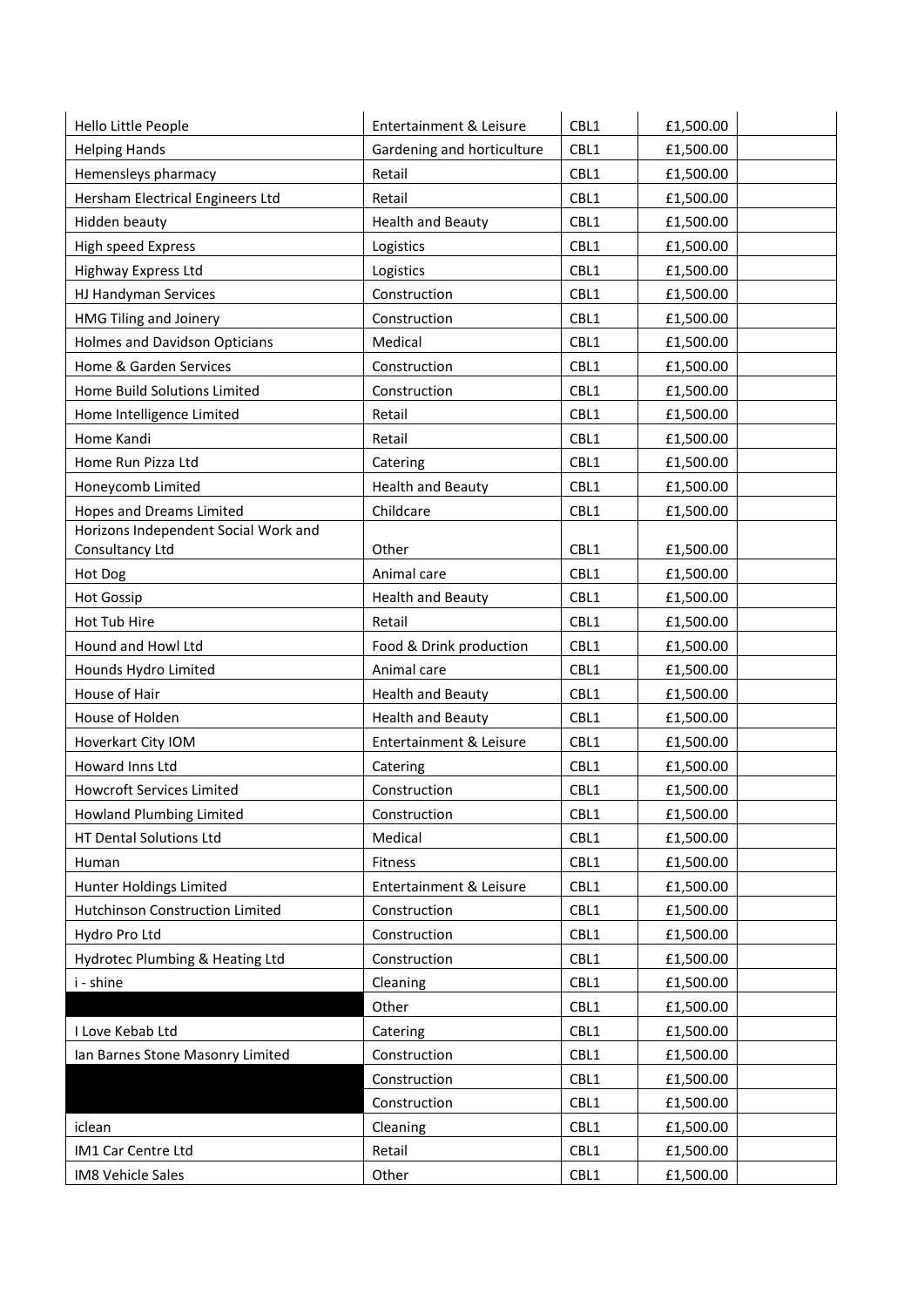| Hello Little People                  | Entertainment & Leisure    | CBL1 | £1,500.00 |
|--------------------------------------|----------------------------|------|-----------|
| <b>Helping Hands</b>                 | Gardening and horticulture | CBL1 | £1,500.00 |
| Hemensleys pharmacy                  | Retail                     | CBL1 | £1,500.00 |
| Hersham Electrical Engineers Ltd     | Retail                     | CBL1 | £1,500.00 |
| Hidden beauty                        | <b>Health and Beauty</b>   | CBL1 | £1,500.00 |
| High speed Express                   | Logistics                  | CBL1 | £1,500.00 |
| Highway Express Ltd                  | Logistics                  | CBL1 | £1,500.00 |
| HJ Handyman Services                 | Construction               | CBL1 | £1,500.00 |
| HMG Tiling and Joinery               | Construction               | CBL1 | £1,500.00 |
| <b>Holmes and Davidson Opticians</b> | Medical                    | CBL1 | £1,500.00 |
| Home & Garden Services               | Construction               | CBL1 | £1,500.00 |
| Home Build Solutions Limited         | Construction               | CBL1 | £1,500.00 |
| Home Intelligence Limited            | Retail                     | CBL1 | £1,500.00 |
| Home Kandi                           | Retail                     | CBL1 | £1,500.00 |
| Home Run Pizza Ltd                   | Catering                   | CBL1 | £1,500.00 |
| Honeycomb Limited                    | <b>Health and Beauty</b>   | CBL1 | £1,500.00 |
| <b>Hopes and Dreams Limited</b>      | Childcare                  | CBL1 | £1,500.00 |
| Horizons Independent Social Work and |                            |      |           |
| Consultancy Ltd                      | Other                      | CBL1 | £1,500.00 |
| Hot Dog                              | Animal care                | CBL1 | £1,500.00 |
| <b>Hot Gossip</b>                    | <b>Health and Beauty</b>   | CBL1 | £1,500.00 |
| Hot Tub Hire                         | Retail                     | CBL1 | £1,500.00 |
| Hound and Howl Ltd                   | Food & Drink production    | CBL1 | £1,500.00 |
| Hounds Hydro Limited                 | Animal care                | CBL1 | £1,500.00 |
| House of Hair                        | <b>Health and Beauty</b>   | CBL1 | £1,500.00 |
| House of Holden                      | <b>Health and Beauty</b>   | CBL1 | £1,500.00 |
| Hoverkart City IOM                   | Entertainment & Leisure    | CBL1 | £1,500.00 |
| Howard Inns Ltd                      | Catering                   | CBL1 | £1,500.00 |
| <b>Howcroft Services Limited</b>     | Construction               | CBL1 | £1,500.00 |
| Howland Plumbing Limited             | Construction               | CBL1 | £1,500.00 |
| HT Dental Solutions Ltd              | Medical                    | CBL1 | £1,500.00 |
| Human                                | Fitness                    | CBL1 | £1,500.00 |
| Hunter Holdings Limited              | Entertainment & Leisure    | CBL1 | £1,500.00 |
| Hutchinson Construction Limited      | Construction               | CBL1 | £1,500.00 |
| Hydro Pro Ltd                        | Construction               | CBL1 | £1,500.00 |
| Hydrotec Plumbing & Heating Ltd      | Construction               | CBL1 | £1,500.00 |
| i - shine                            | Cleaning                   | CBL1 | £1,500.00 |
|                                      | Other                      | CBL1 | £1,500.00 |
| I Love Kebab Ltd                     | Catering                   | CBL1 | £1,500.00 |
| Ian Barnes Stone Masonry Limited     | Construction               | CBL1 | £1,500.00 |
|                                      | Construction               | CBL1 | £1,500.00 |
|                                      | Construction               | CBL1 | £1,500.00 |
| iclean                               | Cleaning                   | CBL1 | £1,500.00 |
| IM1 Car Centre Ltd                   | Retail                     | CBL1 | £1,500.00 |
| <b>IM8 Vehicle Sales</b>             | Other                      | CBL1 | £1,500.00 |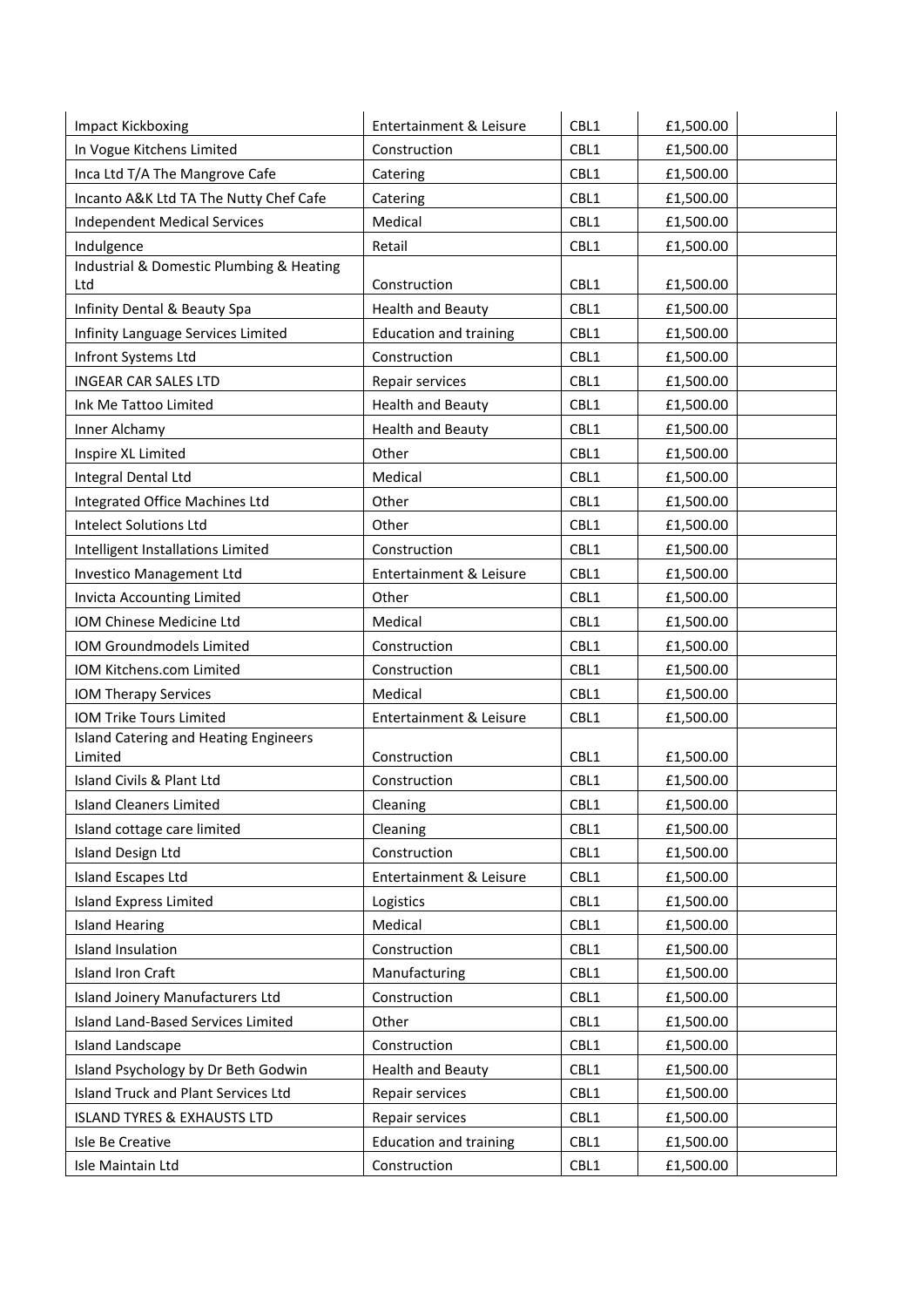| <b>Impact Kickboxing</b>                         | Entertainment & Leisure       | CBL1 | £1,500.00 |
|--------------------------------------------------|-------------------------------|------|-----------|
| In Vogue Kitchens Limited                        | Construction                  | CBL1 | £1,500.00 |
| Inca Ltd T/A The Mangrove Cafe                   | Catering                      | CBL1 | £1,500.00 |
| Incanto A&K Ltd TA The Nutty Chef Cafe           | Catering                      | CBL1 | £1,500.00 |
| <b>Independent Medical Services</b>              | Medical                       | CBL1 | £1,500.00 |
| Indulgence                                       | Retail                        | CBL1 | £1,500.00 |
| Industrial & Domestic Plumbing & Heating<br>Ltd  | Construction                  | CBL1 | £1,500.00 |
| Infinity Dental & Beauty Spa                     | <b>Health and Beauty</b>      | CBL1 | £1,500.00 |
| Infinity Language Services Limited               | <b>Education and training</b> | CBL1 | £1,500.00 |
| Infront Systems Ltd                              | Construction                  | CBL1 | £1,500.00 |
| <b>INGEAR CAR SALES LTD</b>                      | Repair services               | CBL1 | £1,500.00 |
| Ink Me Tattoo Limited                            | <b>Health and Beauty</b>      | CBL1 | £1,500.00 |
| Inner Alchamy                                    | <b>Health and Beauty</b>      | CBL1 | £1,500.00 |
| Inspire XL Limited                               | Other                         | CBL1 | £1,500.00 |
| Integral Dental Ltd                              | Medical                       | CBL1 | £1,500.00 |
| Integrated Office Machines Ltd                   | Other                         | CBL1 | £1,500.00 |
| <b>Intelect Solutions Ltd</b>                    | Other                         | CBL1 | £1,500.00 |
| Intelligent Installations Limited                | Construction                  | CBL1 | £1,500.00 |
| Investico Management Ltd                         | Entertainment & Leisure       | CBL1 | £1,500.00 |
| Invicta Accounting Limited                       | Other                         | CBL1 | £1,500.00 |
| IOM Chinese Medicine Ltd                         | Medical                       | CBL1 | £1,500.00 |
| IOM Groundmodels Limited                         | Construction                  | CBL1 | £1,500.00 |
| IOM Kitchens.com Limited                         | Construction                  | CBL1 | £1,500.00 |
| IOM Therapy Services                             | Medical                       | CBL1 | £1,500.00 |
| IOM Trike Tours Limited                          | Entertainment & Leisure       | CBL1 | £1,500.00 |
| Island Catering and Heating Engineers<br>Limited | Construction                  | CBL1 | £1,500.00 |
| Island Civils & Plant Ltd                        | Construction                  | CBL1 | £1,500.00 |
| <b>Island Cleaners Limited</b>                   | Cleaning                      | CBL1 | £1,500.00 |
| Island cottage care limited                      | Cleaning                      | CBL1 | £1,500.00 |
| <b>Island Design Ltd</b>                         | Construction                  | CBL1 | £1,500.00 |
| Island Escapes Ltd                               | Entertainment & Leisure       | CBL1 | £1,500.00 |
| <b>Island Express Limited</b>                    | Logistics                     | CBL1 | £1,500.00 |
| <b>Island Hearing</b>                            | Medical                       | CBL1 | £1,500.00 |
| Island Insulation                                | Construction                  | CBL1 | £1,500.00 |
| <b>Island Iron Craft</b>                         | Manufacturing                 | CBL1 | £1,500.00 |
| Island Joinery Manufacturers Ltd                 | Construction                  | CBL1 | £1,500.00 |
| Island Land-Based Services Limited               | Other                         | CBL1 | £1,500.00 |
| Island Landscape                                 | Construction                  | CBL1 | £1,500.00 |
| Island Psychology by Dr Beth Godwin              | <b>Health and Beauty</b>      | CBL1 | £1,500.00 |
| Island Truck and Plant Services Ltd              | Repair services               | CBL1 | £1,500.00 |
| <b>ISLAND TYRES &amp; EXHAUSTS LTD</b>           | Repair services               | CBL1 | £1,500.00 |
| Isle Be Creative                                 | <b>Education and training</b> | CBL1 | £1,500.00 |
| Isle Maintain Ltd                                | Construction                  | CBL1 | £1,500.00 |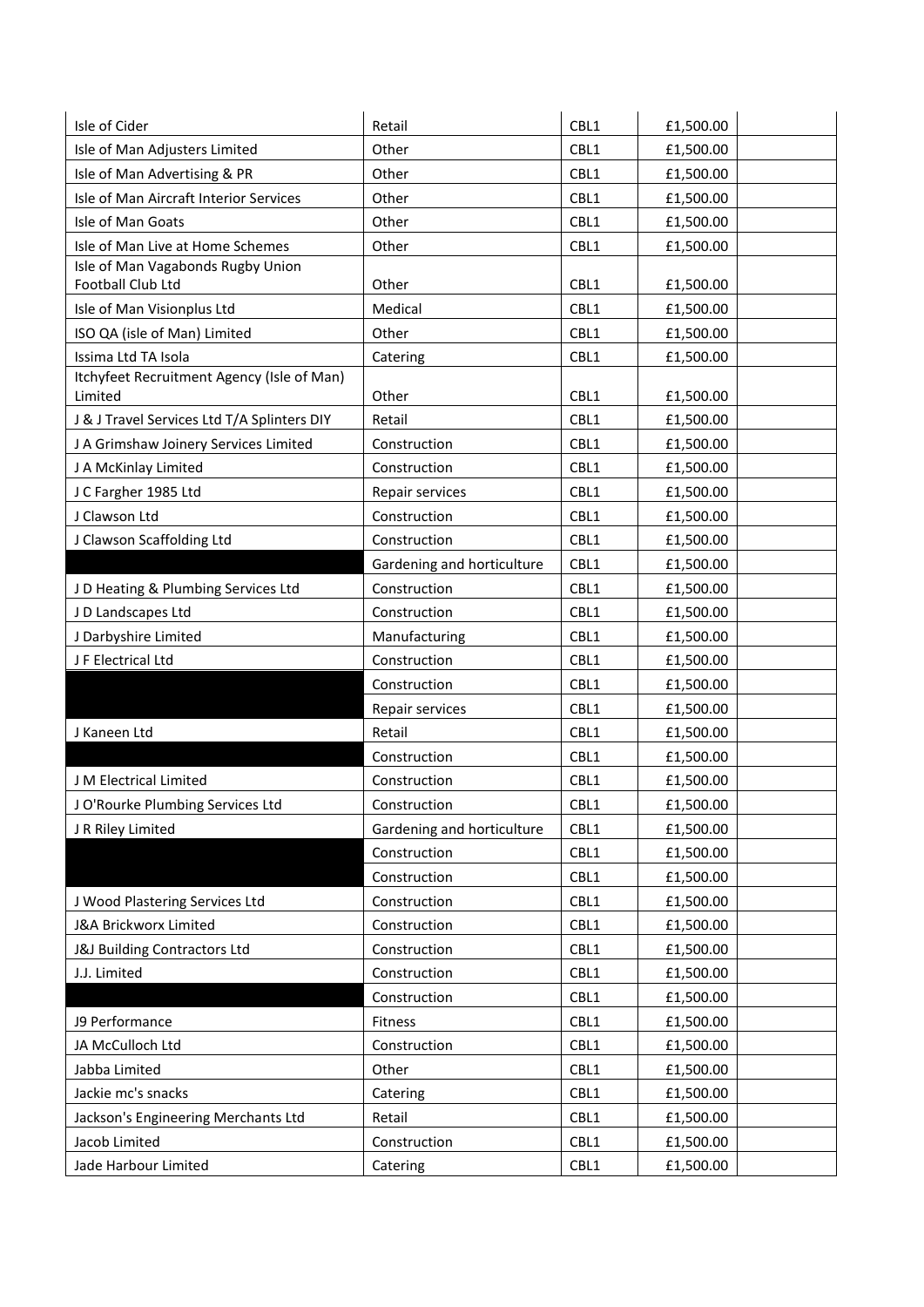| Isle of Cider                                          | Retail                     | CBL1 | £1,500.00 |
|--------------------------------------------------------|----------------------------|------|-----------|
| Isle of Man Adjusters Limited                          | Other                      | CBL1 | £1,500.00 |
| Isle of Man Advertising & PR                           | Other                      | CBL1 | £1,500.00 |
| Isle of Man Aircraft Interior Services                 | Other                      | CBL1 | £1,500.00 |
| Isle of Man Goats                                      | Other                      | CBL1 | £1,500.00 |
| Isle of Man Live at Home Schemes                       | Other                      | CBL1 | £1,500.00 |
| Isle of Man Vagabonds Rugby Union<br>Football Club Ltd | Other                      | CBL1 | £1,500.00 |
| Isle of Man Visionplus Ltd                             | Medical                    | CBL1 | £1,500.00 |
| ISO QA (isle of Man) Limited                           | Other                      | CBL1 | £1,500.00 |
| Issima Ltd TA Isola                                    | Catering                   | CBL1 | £1,500.00 |
| Itchyfeet Recruitment Agency (Isle of Man)<br>Limited  | Other                      | CBL1 | £1,500.00 |
| J & J Travel Services Ltd T/A Splinters DIY            | Retail                     | CBL1 | £1,500.00 |
| J A Grimshaw Joinery Services Limited                  | Construction               | CBL1 | £1,500.00 |
| J A McKinlay Limited                                   | Construction               | CBL1 | £1,500.00 |
| J C Fargher 1985 Ltd                                   | Repair services            | CBL1 | £1,500.00 |
| J Clawson Ltd                                          | Construction               | CBL1 | £1,500.00 |
| J Clawson Scaffolding Ltd                              | Construction               | CBL1 | £1,500.00 |
|                                                        | Gardening and horticulture | CBL1 | £1,500.00 |
| J D Heating & Plumbing Services Ltd                    | Construction               | CBL1 | £1,500.00 |
| J D Landscapes Ltd                                     | Construction               | CBL1 | £1,500.00 |
| J Darbyshire Limited                                   | Manufacturing              | CBL1 | £1,500.00 |
| J F Electrical Ltd                                     | Construction               | CBL1 | £1,500.00 |
|                                                        | Construction               | CBL1 | £1,500.00 |
|                                                        | Repair services            | CBL1 | £1,500.00 |
| J Kaneen Ltd                                           | Retail                     | CBL1 | £1,500.00 |
|                                                        | Construction               | CBL1 | £1,500.00 |
| J M Electrical Limited                                 | Construction               | CBL1 | £1,500.00 |
| J O'Rourke Plumbing Services Ltd                       | Construction               | CBL1 | £1,500.00 |
| J R Riley Limited                                      | Gardening and horticulture | CBL1 | £1,500.00 |
|                                                        | Construction               | CBL1 | £1,500.00 |
|                                                        | Construction               | CBL1 | £1,500.00 |
| J Wood Plastering Services Ltd                         | Construction               | CBL1 | £1,500.00 |
| J&A Brickworx Limited                                  | Construction               | CBL1 | £1,500.00 |
| J&J Building Contractors Ltd                           | Construction               | CBL1 | £1,500.00 |
| J.J. Limited                                           | Construction               | CBL1 | £1,500.00 |
|                                                        | Construction               | CBL1 | £1,500.00 |
| J9 Performance                                         | Fitness                    | CBL1 | £1,500.00 |
| JA McCulloch Ltd                                       | Construction               | CBL1 | £1,500.00 |
| Jabba Limited                                          | Other                      | CBL1 | £1,500.00 |
| Jackie mc's snacks                                     | Catering                   | CBL1 | £1,500.00 |
| Jackson's Engineering Merchants Ltd                    | Retail                     | CBL1 | £1,500.00 |
| Jacob Limited                                          | Construction               | CBL1 | £1,500.00 |
| Jade Harbour Limited                                   | Catering                   | CBL1 | £1,500.00 |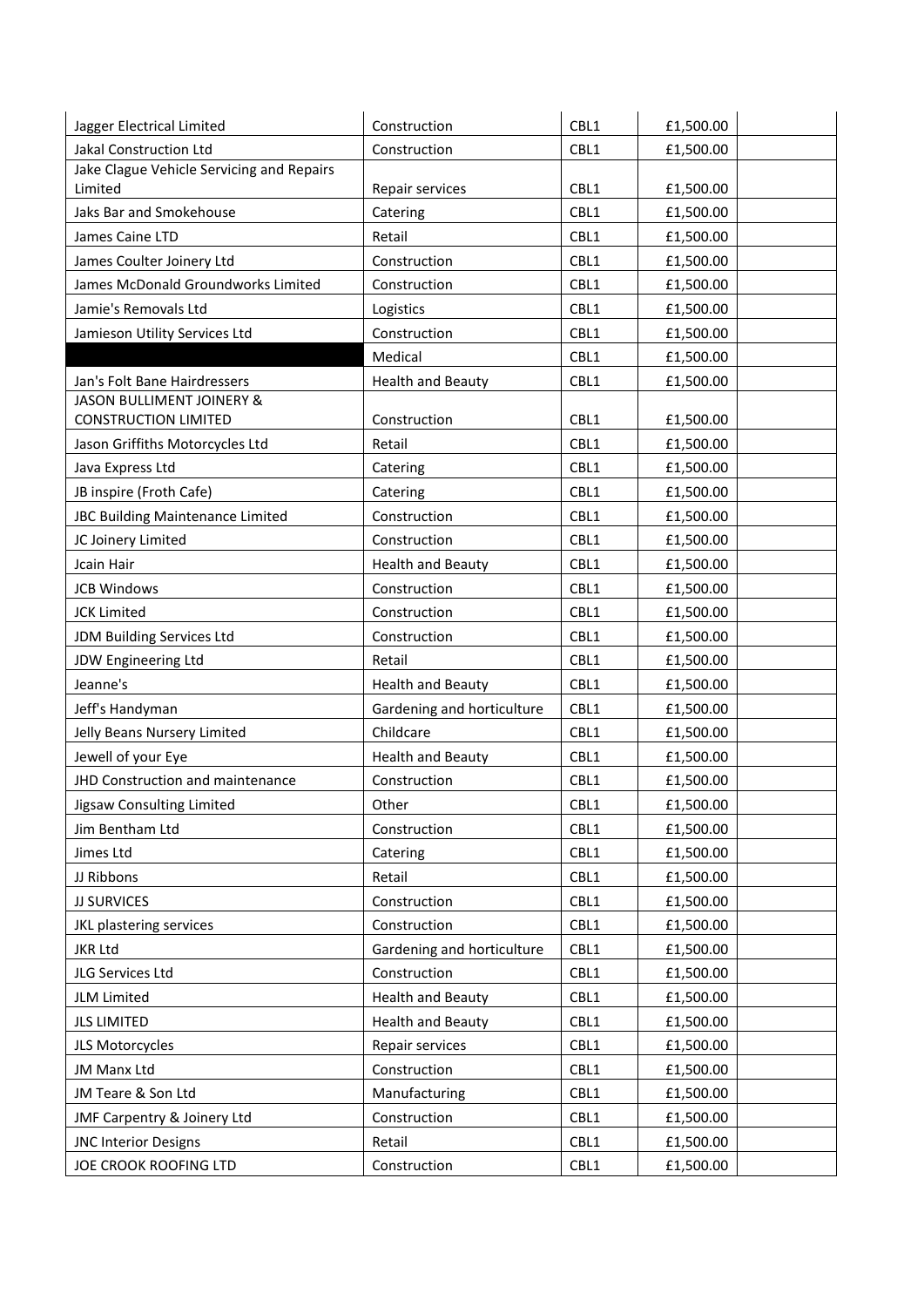| Jagger Electrical Limited                                | Construction               | CBL1 | £1,500.00 |
|----------------------------------------------------------|----------------------------|------|-----------|
| Jakal Construction Ltd                                   | Construction               | CBL1 | £1,500.00 |
| Jake Clague Vehicle Servicing and Repairs                |                            |      |           |
| Limited                                                  | Repair services            | CBL1 | £1,500.00 |
| Jaks Bar and Smokehouse                                  | Catering                   | CBL1 | £1,500.00 |
| James Caine LTD                                          | Retail                     | CBL1 | £1,500.00 |
| James Coulter Joinery Ltd                                | Construction               | CBL1 | £1,500.00 |
| James McDonald Groundworks Limited                       | Construction               | CBL1 | £1,500.00 |
| Jamie's Removals Ltd                                     | Logistics                  | CBL1 | £1,500.00 |
| Jamieson Utility Services Ltd                            | Construction               | CBL1 | £1,500.00 |
|                                                          | Medical                    | CBL1 | £1,500.00 |
| Jan's Folt Bane Hairdressers                             | <b>Health and Beauty</b>   | CBL1 | £1,500.00 |
| JASON BULLIMENT JOINERY &<br><b>CONSTRUCTION LIMITED</b> | Construction               | CBL1 | £1,500.00 |
| Jason Griffiths Motorcycles Ltd                          | Retail                     | CBL1 | £1,500.00 |
| Java Express Ltd                                         | Catering                   | CBL1 | £1,500.00 |
| JB inspire (Froth Cafe)                                  | Catering                   | CBL1 | £1,500.00 |
| JBC Building Maintenance Limited                         | Construction               | CBL1 | £1,500.00 |
| JC Joinery Limited                                       | Construction               | CBL1 | £1,500.00 |
| Jcain Hair                                               | <b>Health and Beauty</b>   | CBL1 | £1,500.00 |
| <b>JCB Windows</b>                                       | Construction               | CBL1 | £1,500.00 |
| <b>JCK Limited</b>                                       | Construction               | CBL1 | £1,500.00 |
| JDM Building Services Ltd                                | Construction               | CBL1 | £1,500.00 |
| JDW Engineering Ltd                                      | Retail                     | CBL1 | £1,500.00 |
| Jeanne's                                                 | <b>Health and Beauty</b>   | CBL1 | £1,500.00 |
| Jeff's Handyman                                          | Gardening and horticulture | CBL1 | £1,500.00 |
| Jelly Beans Nursery Limited                              | Childcare                  | CBL1 | £1,500.00 |
| Jewell of your Eye                                       | <b>Health and Beauty</b>   | CBL1 | £1,500.00 |
| JHD Construction and maintenance                         | Construction               | CBL1 | £1,500.00 |
| Jigsaw Consulting Limited                                | Other                      | CBL1 | £1,500.00 |
| Jim Bentham Ltd                                          | Construction               | CBL1 | £1,500.00 |
| Jimes Ltd                                                | Catering                   | CBL1 | £1,500.00 |
| JJ Ribbons                                               | Retail                     | CBL1 | £1,500.00 |
| <b>JJ SURVICES</b>                                       | Construction               | CBL1 | £1,500.00 |
| JKL plastering services                                  | Construction               | CBL1 | £1,500.00 |
| <b>JKR Ltd</b>                                           | Gardening and horticulture | CBL1 | £1,500.00 |
| JLG Services Ltd                                         | Construction               | CBL1 | £1,500.00 |
| JLM Limited                                              | <b>Health and Beauty</b>   | CBL1 | £1,500.00 |
| <b>JLS LIMITED</b>                                       | <b>Health and Beauty</b>   | CBL1 | £1,500.00 |
| JLS Motorcycles                                          | Repair services            | CBL1 | £1,500.00 |
| JM Manx Ltd                                              | Construction               | CBL1 | £1,500.00 |
| JM Teare & Son Ltd                                       | Manufacturing              | CBL1 | £1,500.00 |
| JMF Carpentry & Joinery Ltd                              | Construction               | CBL1 | £1,500.00 |
| <b>JNC Interior Designs</b>                              | Retail                     | CBL1 | £1,500.00 |
| JOE CROOK ROOFING LTD                                    | Construction               | CBL1 | £1,500.00 |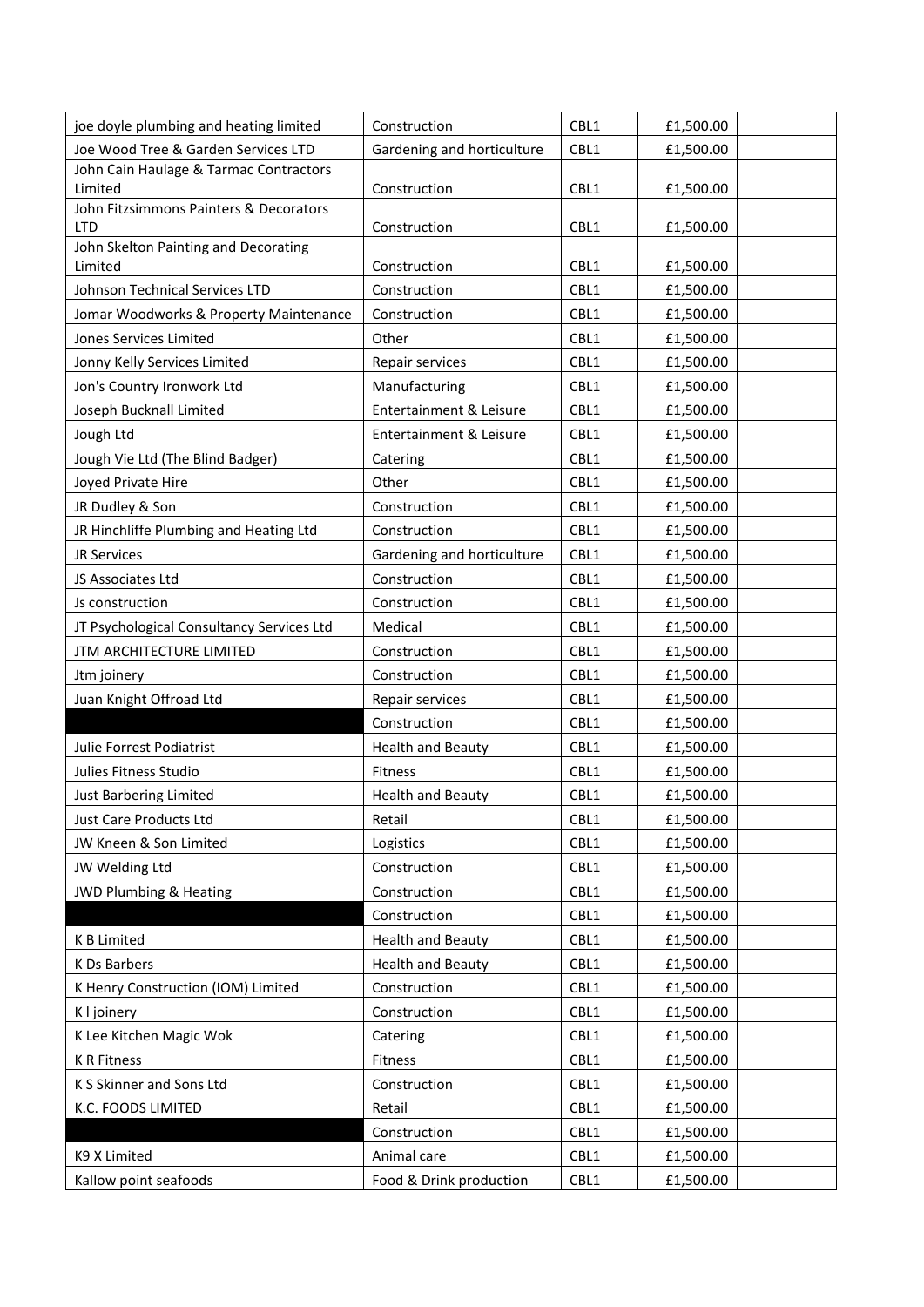| joe doyle plumbing and heating limited               | Construction               | CBL1 | £1,500.00 |
|------------------------------------------------------|----------------------------|------|-----------|
| Joe Wood Tree & Garden Services LTD                  | Gardening and horticulture | CBL1 | £1,500.00 |
| John Cain Haulage & Tarmac Contractors               |                            |      |           |
| Limited                                              | Construction               | CBL1 | £1,500.00 |
| John Fitzsimmons Painters & Decorators<br><b>LTD</b> | Construction               | CBL1 | £1,500.00 |
| John Skelton Painting and Decorating                 |                            |      |           |
| Limited                                              | Construction               | CBL1 | £1,500.00 |
| Johnson Technical Services LTD                       | Construction               | CBL1 | £1,500.00 |
| Jomar Woodworks & Property Maintenance               | Construction               | CBL1 | £1,500.00 |
| Jones Services Limited                               | Other                      | CBL1 | £1,500.00 |
| Jonny Kelly Services Limited                         | Repair services            | CBL1 | £1,500.00 |
| Jon's Country Ironwork Ltd                           | Manufacturing              | CBL1 | £1,500.00 |
| Joseph Bucknall Limited                              | Entertainment & Leisure    | CBL1 | £1,500.00 |
| Jough Ltd                                            | Entertainment & Leisure    | CBL1 | £1,500.00 |
| Jough Vie Ltd (The Blind Badger)                     | Catering                   | CBL1 | £1,500.00 |
| Joyed Private Hire                                   | Other                      | CBL1 | £1,500.00 |
| JR Dudley & Son                                      | Construction               | CBL1 | £1,500.00 |
| JR Hinchliffe Plumbing and Heating Ltd               | Construction               | CBL1 | £1,500.00 |
| <b>JR Services</b>                                   | Gardening and horticulture | CBL1 | £1,500.00 |
| JS Associates Ltd                                    | Construction               | CBL1 | £1,500.00 |
| Js construction                                      | Construction               | CBL1 | £1,500.00 |
| JT Psychological Consultancy Services Ltd            | Medical                    | CBL1 | £1,500.00 |
| JTM ARCHITECTURE LIMITED                             | Construction               | CBL1 | £1,500.00 |
| Jtm joinery                                          | Construction               | CBL1 | £1,500.00 |
| Juan Knight Offroad Ltd                              | Repair services            | CBL1 | £1,500.00 |
|                                                      | Construction               | CBL1 | £1,500.00 |
| Julie Forrest Podiatrist                             | <b>Health and Beauty</b>   | CBL1 | £1,500.00 |
| Julies Fitness Studio                                | Fitness                    | CBL1 | £1,500.00 |
| Just Barbering Limited                               | <b>Health and Beauty</b>   | CBL1 | £1,500.00 |
| Just Care Products Ltd                               | Retail                     | CBL1 | £1,500.00 |
| JW Kneen & Son Limited                               | Logistics                  | CBL1 | £1,500.00 |
| JW Welding Ltd                                       | Construction               | CBL1 | £1,500.00 |
| <b>JWD Plumbing &amp; Heating</b>                    | Construction               | CBL1 | £1,500.00 |
|                                                      | Construction               | CBL1 | £1,500.00 |
| <b>KB Limited</b>                                    | <b>Health and Beauty</b>   | CBL1 | £1,500.00 |
| K Ds Barbers                                         | <b>Health and Beauty</b>   | CBL1 | £1,500.00 |
| K Henry Construction (IOM) Limited                   | Construction               | CBL1 | £1,500.00 |
| K I joinery                                          | Construction               | CBL1 | £1,500.00 |
| K Lee Kitchen Magic Wok                              | Catering                   | CBL1 | £1,500.00 |
| <b>KR Fitness</b>                                    | Fitness                    | CBL1 | £1,500.00 |
| K S Skinner and Sons Ltd                             | Construction               | CBL1 | £1,500.00 |
| K.C. FOODS LIMITED                                   | Retail                     | CBL1 | £1,500.00 |
|                                                      | Construction               | CBL1 | £1,500.00 |
| K9 X Limited                                         | Animal care                | CBL1 | £1,500.00 |
| Kallow point seafoods                                | Food & Drink production    | CBL1 | £1,500.00 |
|                                                      |                            |      |           |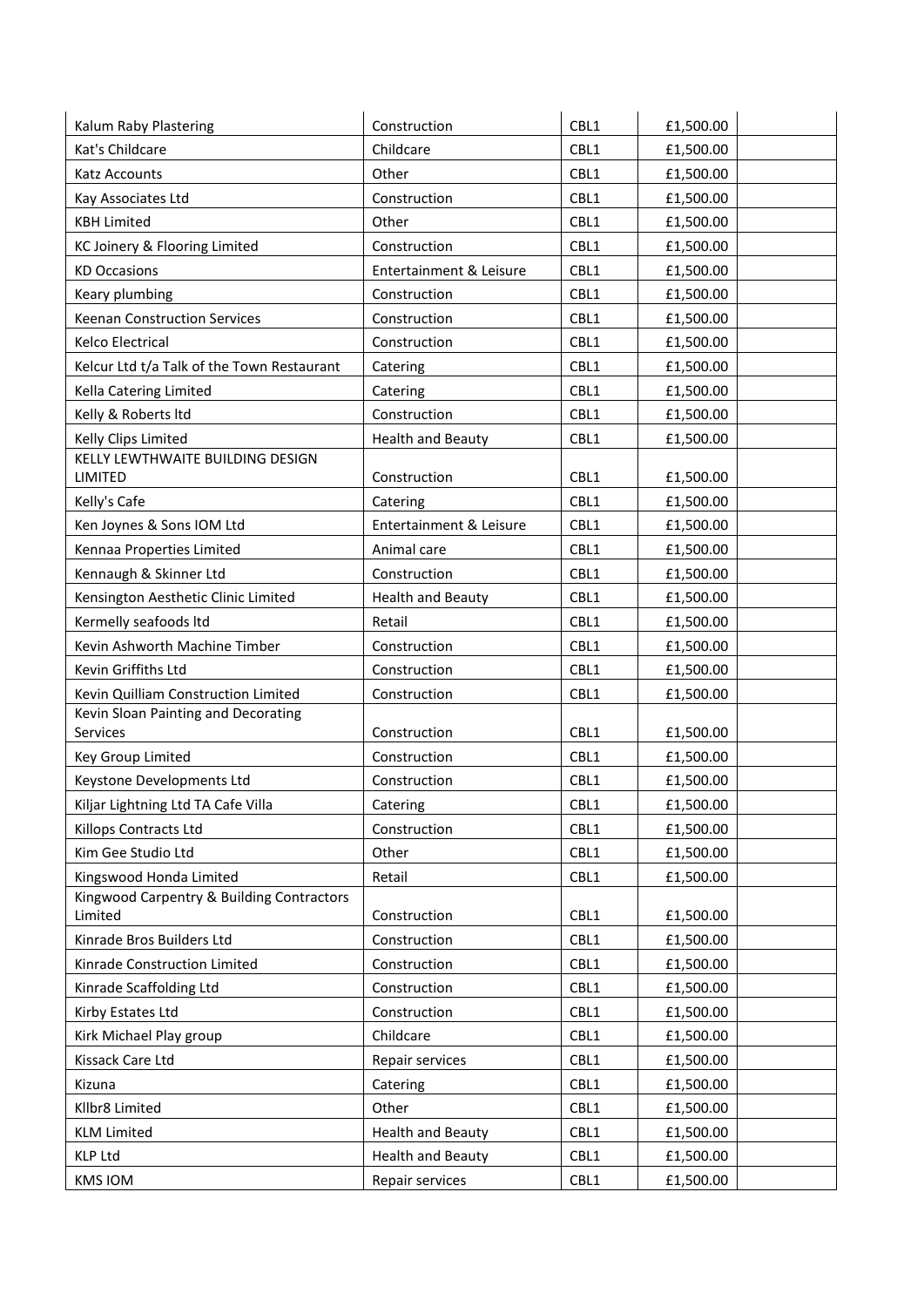| Kalum Raby Plastering                           | Construction                       | CBL1 | £1,500.00 |
|-------------------------------------------------|------------------------------------|------|-----------|
| Kat's Childcare                                 | Childcare                          | CBL1 | £1,500.00 |
| Katz Accounts                                   | Other                              | CBL1 | £1,500.00 |
| Kay Associates Ltd                              | Construction                       | CBL1 | £1,500.00 |
| <b>KBH Limited</b>                              | Other                              | CBL1 | £1,500.00 |
| KC Joinery & Flooring Limited                   | Construction                       | CBL1 | £1,500.00 |
| <b>KD Occasions</b>                             | <b>Entertainment &amp; Leisure</b> | CBL1 | £1,500.00 |
| Keary plumbing                                  | Construction                       | CBL1 | £1,500.00 |
| Keenan Construction Services                    | Construction                       | CBL1 | £1,500.00 |
| Kelco Electrical                                | Construction                       | CBL1 | £1,500.00 |
| Kelcur Ltd t/a Talk of the Town Restaurant      | Catering                           | CBL1 | £1,500.00 |
| Kella Catering Limited                          | Catering                           | CBL1 | £1,500.00 |
| Kelly & Roberts ltd                             | Construction                       | CBL1 | £1,500.00 |
| Kelly Clips Limited                             | <b>Health and Beauty</b>           | CBL1 | £1,500.00 |
| KELLY LEWTHWAITE BUILDING DESIGN                |                                    |      |           |
| LIMITED                                         | Construction                       | CBL1 | £1,500.00 |
| Kelly's Cafe                                    | Catering                           | CBL1 | £1,500.00 |
| Ken Joynes & Sons IOM Ltd                       | Entertainment & Leisure            | CBL1 | £1,500.00 |
| Kennaa Properties Limited                       | Animal care                        | CBL1 | £1,500.00 |
| Kennaugh & Skinner Ltd                          | Construction                       | CBL1 | £1,500.00 |
| Kensington Aesthetic Clinic Limited             | <b>Health and Beauty</b>           | CBL1 | £1,500.00 |
| Kermelly seafoods Itd                           | Retail                             | CBL1 | £1,500.00 |
| Kevin Ashworth Machine Timber                   | Construction                       | CBL1 | £1,500.00 |
| Kevin Griffiths Ltd                             | Construction                       | CBL1 | £1,500.00 |
| Kevin Quilliam Construction Limited             | Construction                       | CBL1 | £1,500.00 |
| Kevin Sloan Painting and Decorating<br>Services | Construction                       | CBL1 | £1,500.00 |
| Key Group Limited                               | Construction                       | CBL1 | £1,500.00 |
| Keystone Developments Ltd                       | Construction                       | CBL1 | £1,500.00 |
| Kiljar Lightning Ltd TA Cafe Villa              | Catering                           | CBL1 | £1,500.00 |
| Killops Contracts Ltd                           | Construction                       | CBL1 | £1,500.00 |
| Kim Gee Studio Ltd                              | Other                              | CBL1 | £1,500.00 |
| Kingswood Honda Limited                         | Retail                             | CBL1 | £1,500.00 |
| Kingwood Carpentry & Building Contractors       |                                    |      |           |
| Limited                                         | Construction                       | CBL1 | £1,500.00 |
| Kinrade Bros Builders Ltd                       | Construction                       | CBL1 | £1,500.00 |
| Kinrade Construction Limited                    | Construction                       | CBL1 | £1,500.00 |
| Kinrade Scaffolding Ltd                         | Construction                       | CBL1 | £1,500.00 |
| Kirby Estates Ltd                               | Construction                       | CBL1 | £1,500.00 |
| Kirk Michael Play group                         | Childcare                          | CBL1 | £1,500.00 |
| Kissack Care Ltd                                | Repair services                    | CBL1 | £1,500.00 |
| Kizuna                                          | Catering                           | CBL1 | £1,500.00 |
| Kllbr8 Limited                                  | Other                              | CBL1 | £1,500.00 |
| <b>KLM Limited</b>                              | <b>Health and Beauty</b>           | CBL1 | £1,500.00 |
| <b>KLP Ltd</b>                                  | <b>Health and Beauty</b>           | CBL1 | £1,500.00 |
| <b>KMS IOM</b>                                  | Repair services                    | CBL1 | £1,500.00 |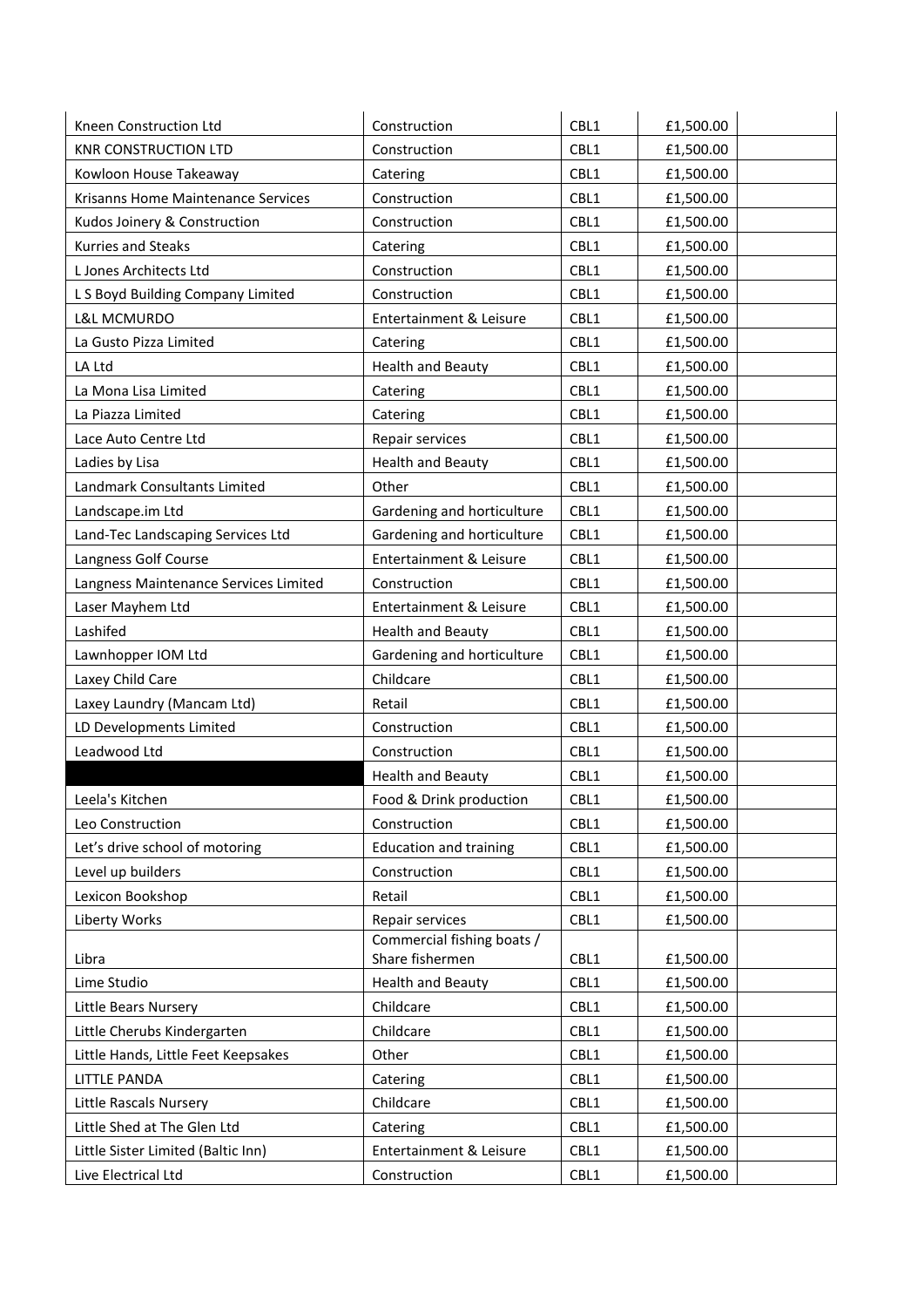| Kneen Construction Ltd                | Construction                                  | CBL1 | £1,500.00 |
|---------------------------------------|-----------------------------------------------|------|-----------|
| <b>KNR CONSTRUCTION LTD</b>           | Construction                                  | CBL1 | £1,500.00 |
| Kowloon House Takeaway                | Catering                                      | CBL1 | £1,500.00 |
| Krisanns Home Maintenance Services    | Construction                                  | CBL1 | £1,500.00 |
| Kudos Joinery & Construction          | Construction                                  | CBL1 | £1,500.00 |
| Kurries and Steaks                    | Catering                                      | CBL1 | £1,500.00 |
| L Jones Architects Ltd                | Construction                                  | CBL1 | £1,500.00 |
| L S Boyd Building Company Limited     | Construction                                  | CBL1 | £1,500.00 |
| L&L MCMURDO                           | Entertainment & Leisure                       | CBL1 | £1,500.00 |
| La Gusto Pizza Limited                | Catering                                      | CBL1 | £1,500.00 |
| LA Ltd                                | <b>Health and Beauty</b>                      | CBL1 | £1,500.00 |
| La Mona Lisa Limited                  | Catering                                      | CBL1 | £1,500.00 |
| La Piazza Limited                     | Catering                                      | CBL1 | £1,500.00 |
| Lace Auto Centre Ltd                  | Repair services                               | CBL1 | £1,500.00 |
| Ladies by Lisa                        | <b>Health and Beauty</b>                      | CBL1 | £1,500.00 |
| Landmark Consultants Limited          | Other                                         | CBL1 | £1,500.00 |
| Landscape.im Ltd                      | Gardening and horticulture                    | CBL1 | £1,500.00 |
| Land-Tec Landscaping Services Ltd     | Gardening and horticulture                    | CBL1 | £1,500.00 |
| Langness Golf Course                  | Entertainment & Leisure                       | CBL1 | £1,500.00 |
| Langness Maintenance Services Limited | Construction                                  | CBL1 | £1,500.00 |
| Laser Mayhem Ltd                      | Entertainment & Leisure                       | CBL1 | £1,500.00 |
| Lashifed                              | <b>Health and Beauty</b>                      | CBL1 | £1,500.00 |
| Lawnhopper IOM Ltd                    | Gardening and horticulture                    | CBL1 | £1,500.00 |
| Laxey Child Care                      | Childcare                                     | CBL1 | £1,500.00 |
| Laxey Laundry (Mancam Ltd)            | Retail                                        | CBL1 | £1,500.00 |
| LD Developments Limited               | Construction                                  | CBL1 | £1,500.00 |
| Leadwood Ltd                          | Construction                                  | CBL1 | £1,500.00 |
|                                       | <b>Health and Beauty</b>                      | CBL1 | £1,500.00 |
| Leela's Kitchen                       | Food & Drink production                       | CBL1 | £1,500.00 |
| Leo Construction                      | Construction                                  | CBL1 | £1,500.00 |
| Let's drive school of motoring        | <b>Education and training</b>                 | CBL1 | £1,500.00 |
| Level up builders                     | Construction                                  | CBL1 | £1,500.00 |
| Lexicon Bookshop                      | Retail                                        | CBL1 | £1,500.00 |
| Liberty Works                         | Repair services                               | CBL1 | £1,500.00 |
| Libra                                 | Commercial fishing boats /<br>Share fishermen | CBL1 | £1,500.00 |
| Lime Studio                           | <b>Health and Beauty</b>                      | CBL1 | £1,500.00 |
| Little Bears Nursery                  | Childcare                                     | CBL1 | £1,500.00 |
| Little Cherubs Kindergarten           | Childcare                                     | CBL1 | £1,500.00 |
| Little Hands, Little Feet Keepsakes   | Other                                         | CBL1 | £1,500.00 |
| <b>LITTLE PANDA</b>                   | Catering                                      | CBL1 | £1,500.00 |
| Little Rascals Nursery                | Childcare                                     | CBL1 | £1,500.00 |
| Little Shed at The Glen Ltd           | Catering                                      | CBL1 | £1,500.00 |
| Little Sister Limited (Baltic Inn)    | Entertainment & Leisure                       | CBL1 | £1,500.00 |
| Live Electrical Ltd                   | Construction                                  | CBL1 | £1,500.00 |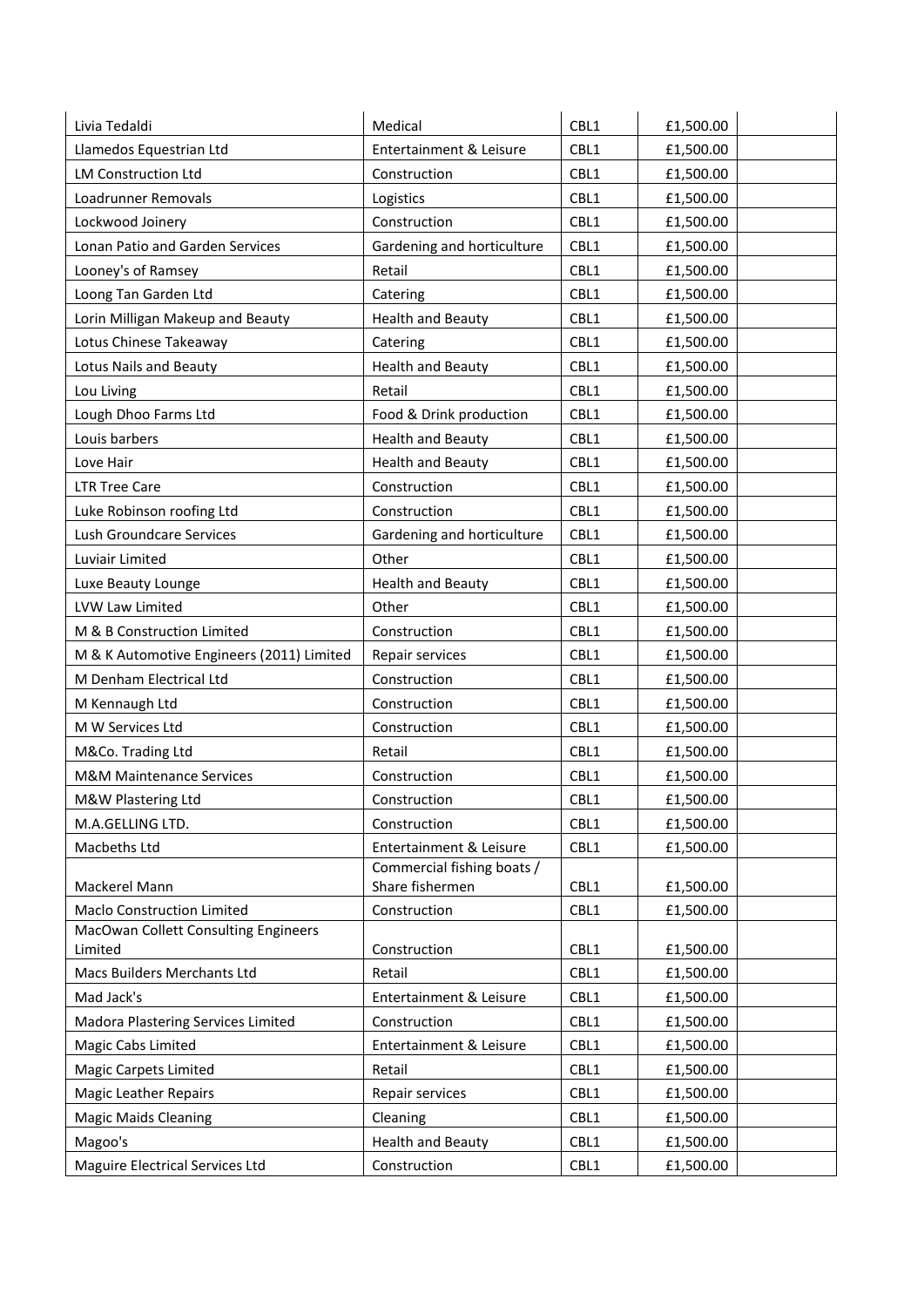| Livia Tedaldi                             | Medical                                       | CBL1 | £1,500.00 |
|-------------------------------------------|-----------------------------------------------|------|-----------|
| Llamedos Equestrian Ltd                   | Entertainment & Leisure                       | CBL1 | £1,500.00 |
| <b>LM Construction Ltd</b>                | Construction                                  | CBL1 | £1,500.00 |
| Loadrunner Removals                       | Logistics                                     | CBL1 | £1,500.00 |
| Lockwood Joinery                          | Construction                                  | CBL1 | £1,500.00 |
| Lonan Patio and Garden Services           | Gardening and horticulture                    | CBL1 | £1,500.00 |
| Looney's of Ramsey                        | Retail                                        | CBL1 | £1,500.00 |
| Loong Tan Garden Ltd                      | Catering                                      | CBL1 | £1,500.00 |
| Lorin Milligan Makeup and Beauty          | <b>Health and Beauty</b>                      | CBL1 | £1,500.00 |
| Lotus Chinese Takeaway                    | Catering                                      | CBL1 | £1,500.00 |
| Lotus Nails and Beauty                    | <b>Health and Beauty</b>                      | CBL1 | £1,500.00 |
| Lou Living                                | Retail                                        | CBL1 | £1,500.00 |
| Lough Dhoo Farms Ltd                      | Food & Drink production                       | CBL1 | £1,500.00 |
| Louis barbers                             | <b>Health and Beauty</b>                      | CBL1 | £1,500.00 |
| Love Hair                                 | <b>Health and Beauty</b>                      | CBL1 | £1,500.00 |
| <b>LTR Tree Care</b>                      | Construction                                  | CBL1 | £1,500.00 |
| Luke Robinson roofing Ltd                 | Construction                                  | CBL1 | £1,500.00 |
| Lush Groundcare Services                  | Gardening and horticulture                    | CBL1 | £1,500.00 |
| Luviair Limited                           | Other                                         | CBL1 | £1,500.00 |
| Luxe Beauty Lounge                        | <b>Health and Beauty</b>                      | CBL1 | £1,500.00 |
| LVW Law Limited                           | Other                                         | CBL1 | £1,500.00 |
| M & B Construction Limited                | Construction                                  | CBL1 | £1,500.00 |
| M & K Automotive Engineers (2011) Limited | Repair services                               | CBL1 | £1,500.00 |
| M Denham Electrical Ltd                   | Construction                                  | CBL1 | £1,500.00 |
| M Kennaugh Ltd                            | Construction                                  | CBL1 | £1,500.00 |
| M W Services Ltd                          | Construction                                  | CBL1 | £1,500.00 |
| M&Co. Trading Ltd                         | Retail                                        | CBL1 | £1,500.00 |
| <b>M&amp;M Maintenance Services</b>       | Construction                                  | CBL1 | £1,500.00 |
| M&W Plastering Ltd                        | Construction                                  | CBL1 | £1,500.00 |
| M.A.GELLING LTD.                          | Construction                                  | CBL1 | £1,500.00 |
| Macbeths Ltd                              | Entertainment & Leisure                       | CBL1 | £1,500.00 |
| Mackerel Mann                             | Commercial fishing boats /<br>Share fishermen | CBL1 | £1,500.00 |
| <b>Maclo Construction Limited</b>         | Construction                                  | CBL1 | £1,500.00 |
| MacOwan Collett Consulting Engineers      |                                               |      |           |
| Limited                                   | Construction                                  | CBL1 | £1,500.00 |
| Macs Builders Merchants Ltd               | Retail                                        | CBL1 | £1,500.00 |
| Mad Jack's                                | Entertainment & Leisure                       | CBL1 | £1,500.00 |
| Madora Plastering Services Limited        | Construction                                  | CBL1 | £1,500.00 |
| Magic Cabs Limited                        | Entertainment & Leisure                       | CBL1 | £1,500.00 |
| <b>Magic Carpets Limited</b>              | Retail                                        | CBL1 | £1,500.00 |
| <b>Magic Leather Repairs</b>              | Repair services                               | CBL1 | £1,500.00 |
| <b>Magic Maids Cleaning</b>               | Cleaning                                      | CBL1 | £1,500.00 |
| Magoo's                                   | <b>Health and Beauty</b>                      | CBL1 | £1,500.00 |
| Maguire Electrical Services Ltd           | Construction                                  | CBL1 | £1,500.00 |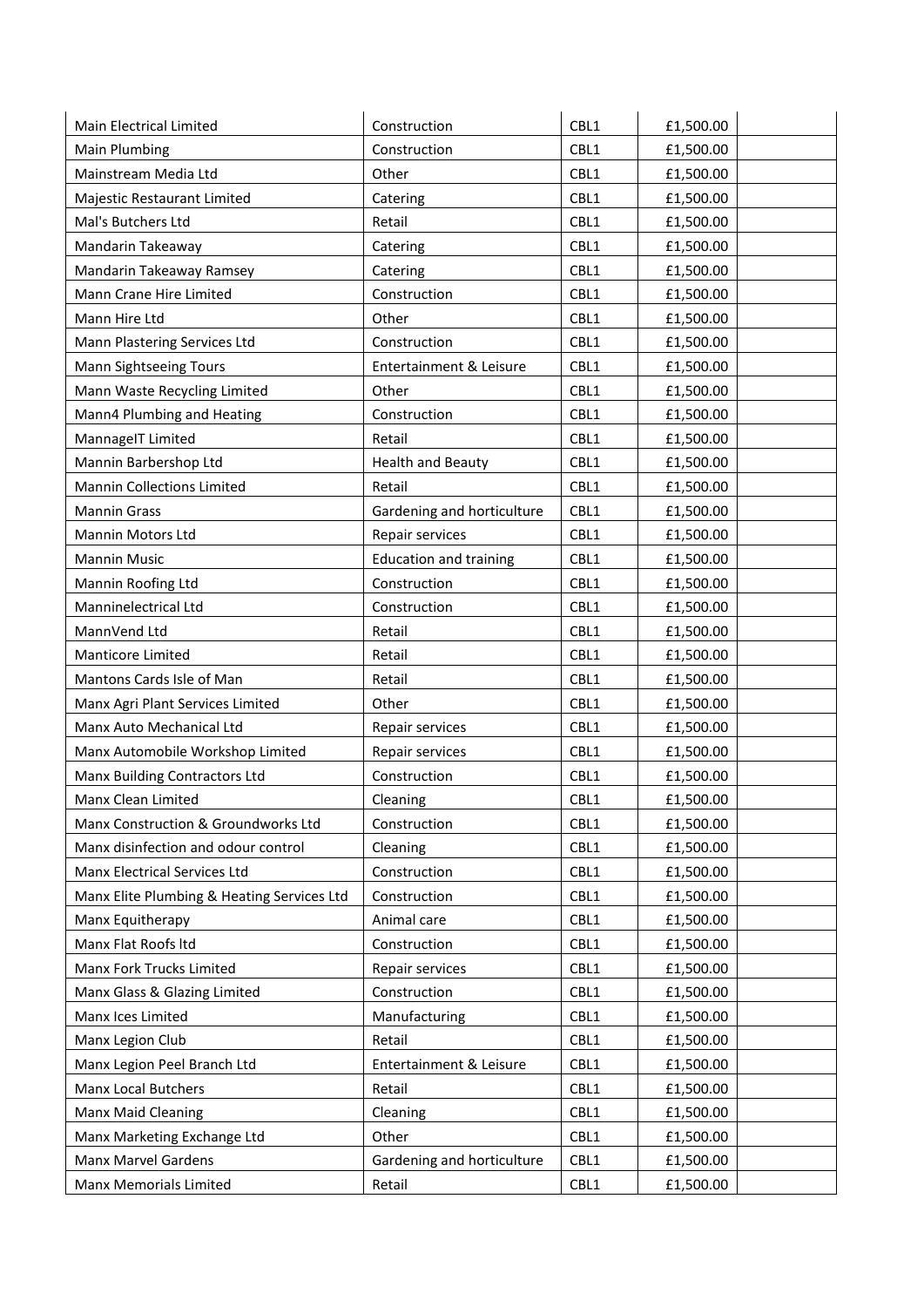| Main Electrical Limited                    | Construction                  | CBL1 | £1,500.00 |
|--------------------------------------------|-------------------------------|------|-----------|
| Main Plumbing                              | Construction                  | CBL1 | £1,500.00 |
| Mainstream Media Ltd                       | Other                         | CBL1 | £1,500.00 |
| Majestic Restaurant Limited                | Catering                      | CBL1 | £1,500.00 |
| Mal's Butchers Ltd                         | Retail                        | CBL1 | £1,500.00 |
| Mandarin Takeaway                          | Catering                      | CBL1 | £1,500.00 |
| Mandarin Takeaway Ramsey                   | Catering                      | CBL1 | £1,500.00 |
| Mann Crane Hire Limited                    | Construction                  | CBL1 | £1,500.00 |
| Mann Hire Ltd                              | Other                         | CBL1 | £1,500.00 |
| Mann Plastering Services Ltd               | Construction                  | CBL1 | £1,500.00 |
| Mann Sightseeing Tours                     | Entertainment & Leisure       | CBL1 | £1,500.00 |
| Mann Waste Recycling Limited               | Other                         | CBL1 | £1,500.00 |
| Mann4 Plumbing and Heating                 | Construction                  | CBL1 | £1,500.00 |
| MannageIT Limited                          | Retail                        | CBL1 | £1,500.00 |
| Mannin Barbershop Ltd                      | <b>Health and Beauty</b>      | CBL1 | £1,500.00 |
| <b>Mannin Collections Limited</b>          | Retail                        | CBL1 | £1,500.00 |
| <b>Mannin Grass</b>                        | Gardening and horticulture    | CBL1 | £1,500.00 |
| Mannin Motors Ltd                          | Repair services               | CBL1 | £1,500.00 |
| <b>Mannin Music</b>                        | <b>Education and training</b> | CBL1 | £1,500.00 |
| Mannin Roofing Ltd                         | Construction                  | CBL1 | £1,500.00 |
| Manninelectrical Ltd                       | Construction                  | CBL1 | £1,500.00 |
| MannVend Ltd                               | Retail                        | CBL1 | £1,500.00 |
| Manticore Limited                          | Retail                        | CBL1 | £1,500.00 |
| Mantons Cards Isle of Man                  | Retail                        | CBL1 | £1,500.00 |
| Manx Agri Plant Services Limited           | Other                         | CBL1 | £1,500.00 |
| Manx Auto Mechanical Ltd                   | Repair services               | CBL1 | £1,500.00 |
| Manx Automobile Workshop Limited           | Repair services               | CBL1 | £1,500.00 |
| Manx Building Contractors Ltd              | Construction                  | CBL1 | £1,500.00 |
| Manx Clean Limited                         | Cleaning                      | CBL1 | £1,500.00 |
| Manx Construction & Groundworks Ltd        | Construction                  | CBL1 | £1,500.00 |
| Manx disinfection and odour control        | Cleaning                      | CBL1 | £1,500.00 |
| Manx Electrical Services Ltd               | Construction                  | CBL1 | £1,500.00 |
| Manx Elite Plumbing & Heating Services Ltd | Construction                  | CBL1 | £1,500.00 |
| Manx Equitherapy                           | Animal care                   | CBL1 | £1,500.00 |
| Manx Flat Roofs Itd                        | Construction                  | CBL1 | £1,500.00 |
| Manx Fork Trucks Limited                   | Repair services               | CBL1 | £1,500.00 |
| Manx Glass & Glazing Limited               | Construction                  | CBL1 | £1,500.00 |
| Manx Ices Limited                          | Manufacturing                 | CBL1 | £1,500.00 |
| Manx Legion Club                           | Retail                        | CBL1 | £1,500.00 |
| Manx Legion Peel Branch Ltd                | Entertainment & Leisure       | CBL1 | £1,500.00 |
| <b>Manx Local Butchers</b>                 | Retail                        | CBL1 | £1,500.00 |
| Manx Maid Cleaning                         | Cleaning                      | CBL1 | £1,500.00 |
| Manx Marketing Exchange Ltd                | Other                         | CBL1 | £1,500.00 |
| Manx Marvel Gardens                        | Gardening and horticulture    | CBL1 | £1,500.00 |
| Manx Memorials Limited                     | Retail                        | CBL1 | £1,500.00 |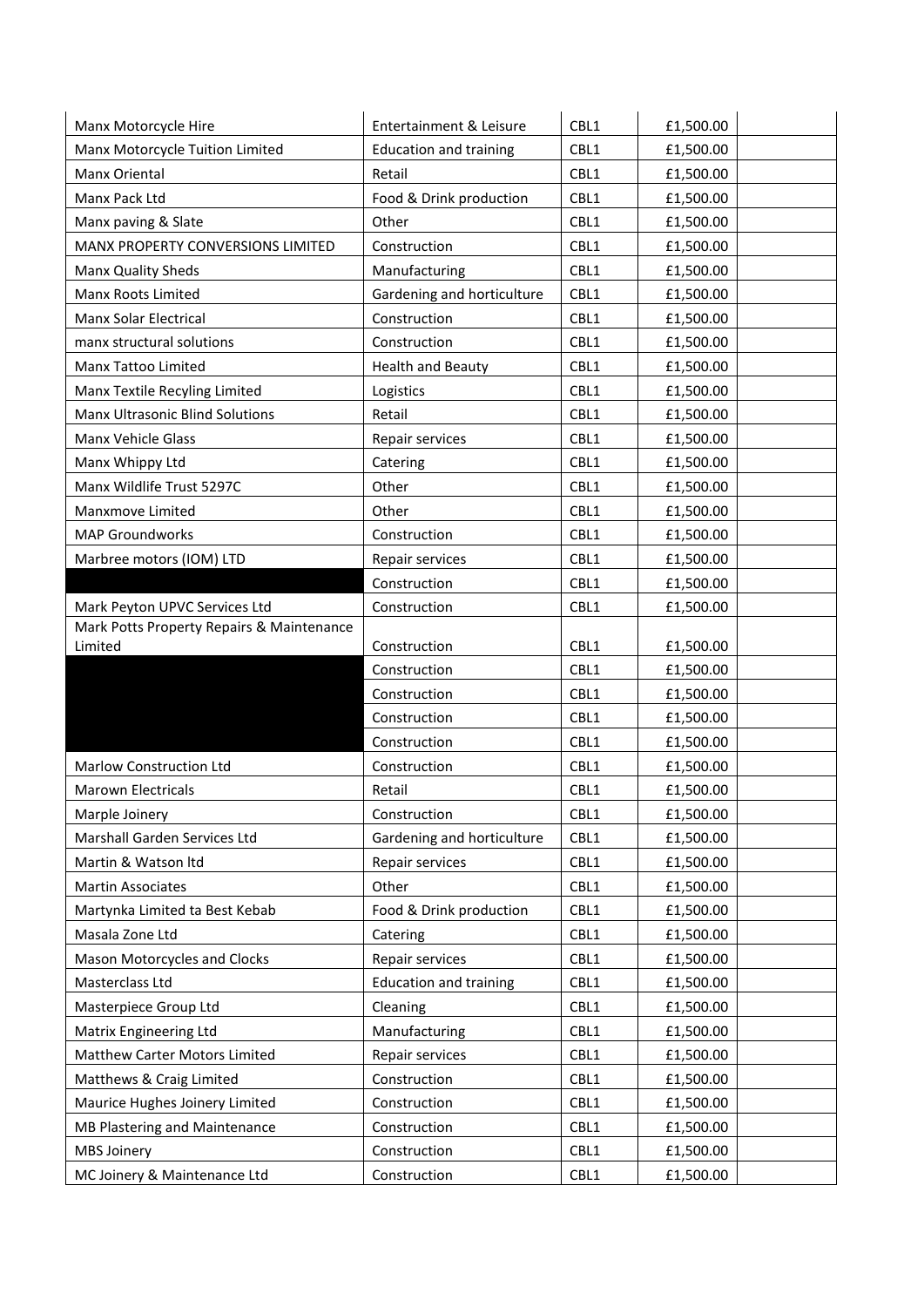| Manx Motorcycle Hire                      | Entertainment & Leisure       | CBL1 | £1,500.00 |
|-------------------------------------------|-------------------------------|------|-----------|
| Manx Motorcycle Tuition Limited           | <b>Education and training</b> | CBL1 | £1,500.00 |
| Manx Oriental                             | Retail                        | CBL1 | £1,500.00 |
| Manx Pack Ltd                             | Food & Drink production       | CBL1 | £1,500.00 |
| Manx paving & Slate                       | Other                         | CBL1 | £1,500.00 |
| MANX PROPERTY CONVERSIONS LIMITED         | Construction                  | CBL1 | £1,500.00 |
| Manx Quality Sheds                        | Manufacturing                 | CBL1 | £1,500.00 |
| Manx Roots Limited                        | Gardening and horticulture    | CBL1 | £1,500.00 |
| Manx Solar Electrical                     | Construction                  | CBL1 | £1,500.00 |
| manx structural solutions                 | Construction                  | CBL1 | £1,500.00 |
| Manx Tattoo Limited                       | <b>Health and Beauty</b>      | CBL1 | £1,500.00 |
| Manx Textile Recyling Limited             | Logistics                     | CBL1 | £1,500.00 |
| Manx Ultrasonic Blind Solutions           | Retail                        | CBL1 | £1,500.00 |
| Manx Vehicle Glass                        | Repair services               | CBL1 | £1,500.00 |
| Manx Whippy Ltd                           | Catering                      | CBL1 | £1,500.00 |
| Manx Wildlife Trust 5297C                 | Other                         | CBL1 | £1,500.00 |
| Manxmove Limited                          | Other                         | CBL1 | £1,500.00 |
| <b>MAP Groundworks</b>                    | Construction                  | CBL1 | £1,500.00 |
| Marbree motors (IOM) LTD                  | Repair services               | CBL1 | £1,500.00 |
|                                           | Construction                  | CBL1 | £1,500.00 |
| Mark Peyton UPVC Services Ltd             | Construction                  | CBL1 | £1,500.00 |
| Mark Potts Property Repairs & Maintenance |                               |      |           |
| Limited                                   | Construction                  | CBL1 | £1,500.00 |
|                                           | Construction                  | CBL1 | £1,500.00 |
|                                           | Construction                  | CBL1 | £1,500.00 |
|                                           | Construction                  | CBL1 | £1,500.00 |
|                                           | Construction                  | CBL1 | £1,500.00 |
| Marlow Construction Ltd                   | Construction                  | CBL1 | £1,500.00 |
| <b>Marown Electricals</b>                 | Retail                        | CBL1 | £1,500.00 |
| Marple Joinery                            | Construction                  | CBL1 | £1,500.00 |
| Marshall Garden Services Ltd              | Gardening and horticulture    | CBL1 | £1,500.00 |
| Martin & Watson Itd                       | Repair services               | CBL1 | £1,500.00 |
| <b>Martin Associates</b>                  | Other                         | CBL1 | £1,500.00 |
| Martynka Limited ta Best Kebab            | Food & Drink production       | CBL1 | £1,500.00 |
| Masala Zone Ltd                           | Catering                      | CBL1 | £1,500.00 |
| Mason Motorcycles and Clocks              | Repair services               | CBL1 | £1,500.00 |
| Masterclass Ltd                           | <b>Education and training</b> | CBL1 | £1,500.00 |
| Masterpiece Group Ltd                     | Cleaning                      | CBL1 | £1,500.00 |
| Matrix Engineering Ltd                    | Manufacturing                 | CBL1 | £1,500.00 |
| Matthew Carter Motors Limited             | Repair services               | CBL1 | £1,500.00 |
| Matthews & Craig Limited                  | Construction                  | CBL1 | £1,500.00 |
| Maurice Hughes Joinery Limited            | Construction                  | CBL1 | £1,500.00 |
| MB Plastering and Maintenance             | Construction                  | CBL1 | £1,500.00 |
| <b>MBS Joinery</b>                        | Construction                  | CBL1 | £1,500.00 |
| MC Joinery & Maintenance Ltd              | Construction                  | CBL1 | £1,500.00 |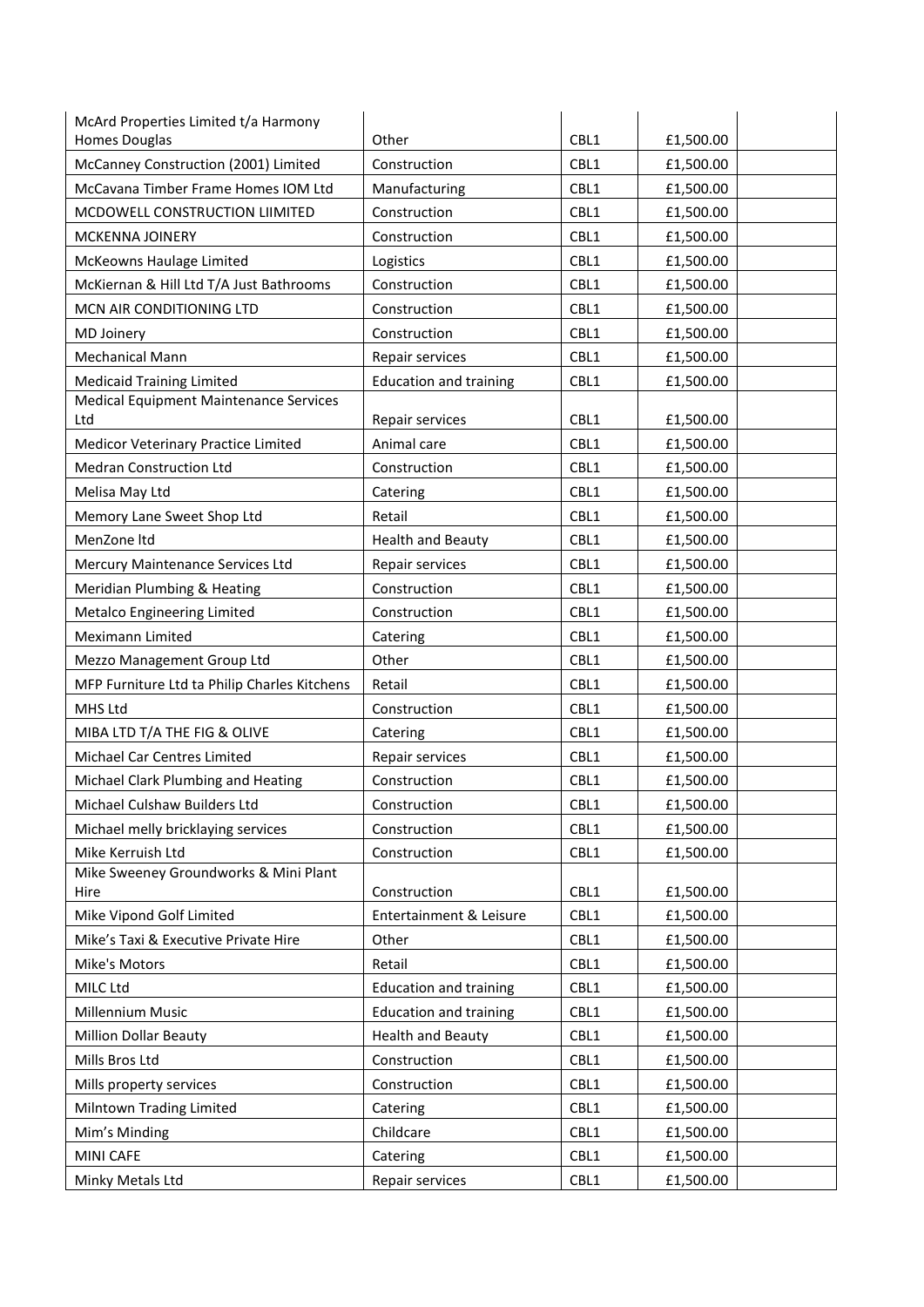| McArd Properties Limited t/a Harmony                 |                               |      |           |
|------------------------------------------------------|-------------------------------|------|-----------|
| <b>Homes Douglas</b>                                 | Other                         | CBL1 | £1,500.00 |
| McCanney Construction (2001) Limited                 | Construction                  | CBL1 | £1,500.00 |
| McCavana Timber Frame Homes IOM Ltd                  | Manufacturing                 | CBL1 | £1,500.00 |
| MCDOWELL CONSTRUCTION LIIMITED                       | Construction                  | CBL1 | £1,500.00 |
| MCKENNA JOINERY                                      | Construction                  | CBL1 | £1,500.00 |
| McKeowns Haulage Limited                             | Logistics                     | CBL1 | £1,500.00 |
| McKiernan & Hill Ltd T/A Just Bathrooms              | Construction                  | CBL1 | £1,500.00 |
| MCN AIR CONDITIONING LTD                             | Construction                  | CBL1 | £1,500.00 |
| <b>MD Joinery</b>                                    | Construction                  | CBL1 | £1,500.00 |
| <b>Mechanical Mann</b>                               | Repair services               | CBL1 | £1,500.00 |
| <b>Medicaid Training Limited</b>                     | <b>Education and training</b> | CBL1 | £1,500.00 |
| <b>Medical Equipment Maintenance Services</b><br>Ltd | Repair services               | CBL1 | £1,500.00 |
| Medicor Veterinary Practice Limited                  | Animal care                   | CBL1 | £1,500.00 |
| <b>Medran Construction Ltd</b>                       | Construction                  | CBL1 | £1,500.00 |
| Melisa May Ltd                                       | Catering                      | CBL1 | £1,500.00 |
| Memory Lane Sweet Shop Ltd                           | Retail                        | CBL1 | £1,500.00 |
| MenZone Itd                                          | <b>Health and Beauty</b>      | CBL1 | £1,500.00 |
| Mercury Maintenance Services Ltd                     | Repair services               | CBL1 | £1,500.00 |
| Meridian Plumbing & Heating                          | Construction                  | CBL1 | £1,500.00 |
| Metalco Engineering Limited                          | Construction                  | CBL1 | £1,500.00 |
| Meximann Limited                                     | Catering                      | CBL1 | £1,500.00 |
| Mezzo Management Group Ltd                           | Other                         | CBL1 | £1,500.00 |
| MFP Furniture Ltd ta Philip Charles Kitchens         | Retail                        | CBL1 | £1,500.00 |
| MHS Ltd                                              | Construction                  | CBL1 | £1,500.00 |
| MIBA LTD T/A THE FIG & OLIVE                         | Catering                      | CBL1 | £1,500.00 |
| Michael Car Centres Limited                          | Repair services               | CBL1 | £1,500.00 |
| Michael Clark Plumbing and Heating                   | Construction                  | CBL1 | £1,500.00 |
| Michael Culshaw Builders Ltd                         | Construction                  | CBL1 | £1,500.00 |
| Michael melly bricklaying services                   | Construction                  | CBL1 | £1,500.00 |
| Mike Kerruish Ltd                                    | Construction                  | CBL1 | £1,500.00 |
| Mike Sweeney Groundworks & Mini Plant<br>Hire        | Construction                  | CBL1 | £1,500.00 |
| Mike Vipond Golf Limited                             | Entertainment & Leisure       | CBL1 | £1,500.00 |
| Mike's Taxi & Executive Private Hire                 | Other                         | CBL1 | £1,500.00 |
| Mike's Motors                                        | Retail                        | CBL1 | £1,500.00 |
| MILC Ltd                                             | <b>Education and training</b> | CBL1 | £1,500.00 |
| Millennium Music                                     | <b>Education and training</b> | CBL1 | £1,500.00 |
| <b>Million Dollar Beauty</b>                         | <b>Health and Beauty</b>      | CBL1 | £1,500.00 |
| Mills Bros Ltd                                       | Construction                  | CBL1 | £1,500.00 |
| Mills property services                              | Construction                  | CBL1 | £1,500.00 |
| Milntown Trading Limited                             | Catering                      | CBL1 | £1,500.00 |
| Mim's Minding                                        | Childcare                     | CBL1 | £1,500.00 |
| <b>MINI CAFE</b>                                     | Catering                      | CBL1 | £1,500.00 |
| Minky Metals Ltd                                     | Repair services               | CBL1 | £1,500.00 |
|                                                      |                               |      |           |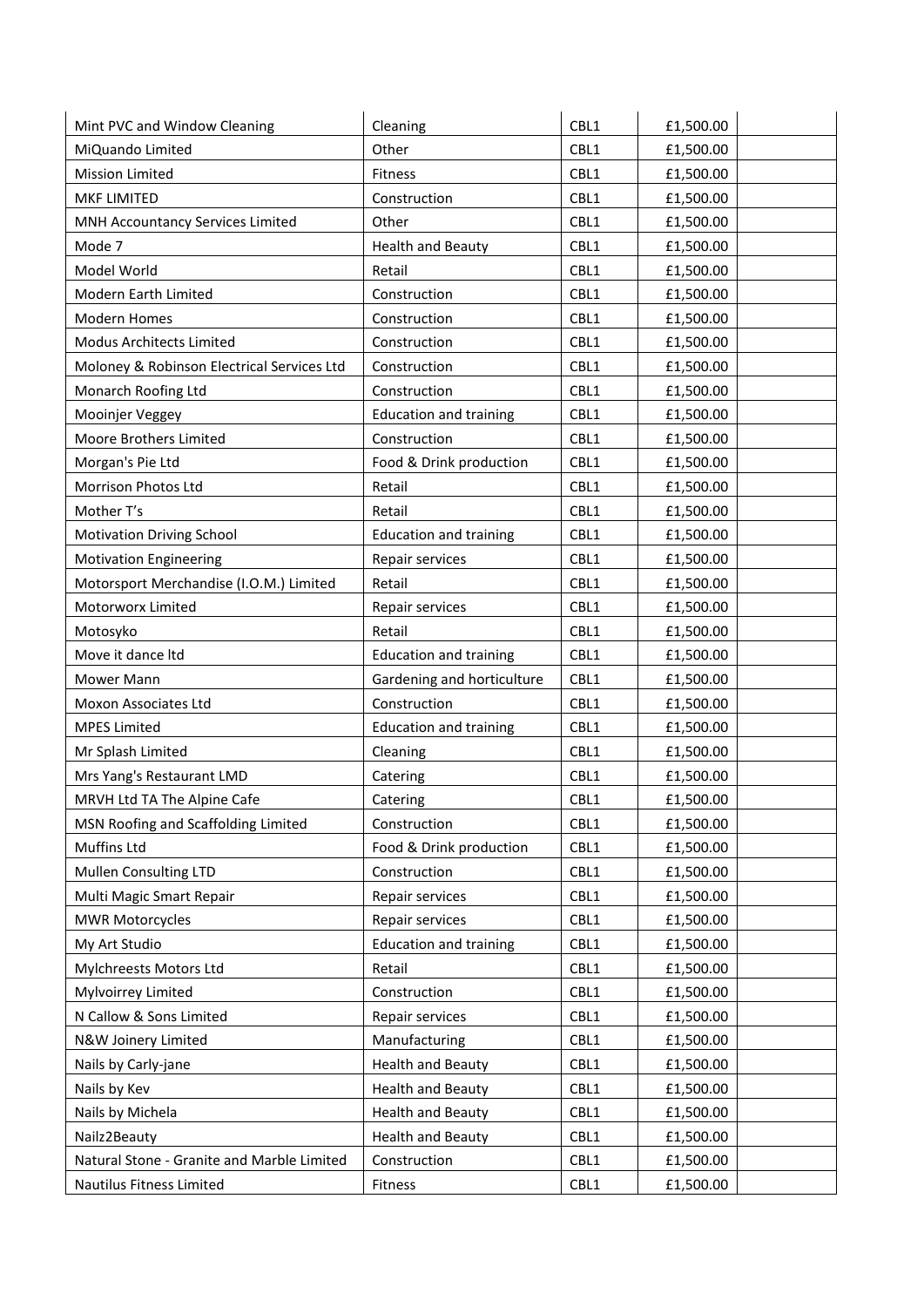| Mint PVC and Window Cleaning               | Cleaning                      | CBL1 | £1,500.00 |
|--------------------------------------------|-------------------------------|------|-----------|
| MiQuando Limited                           | Other                         | CBL1 | £1,500.00 |
| <b>Mission Limited</b>                     | <b>Fitness</b>                | CBL1 | £1,500.00 |
| MKF LIMITED                                | Construction                  | CBL1 | £1,500.00 |
| MNH Accountancy Services Limited           | Other                         | CBL1 | £1,500.00 |
| Mode 7                                     | <b>Health and Beauty</b>      | CBL1 | £1,500.00 |
| Model World                                | Retail                        | CBL1 | £1,500.00 |
| Modern Earth Limited                       | Construction                  | CBL1 | £1,500.00 |
| <b>Modern Homes</b>                        | Construction                  | CBL1 | £1,500.00 |
| Modus Architects Limited                   | Construction                  | CBL1 | £1,500.00 |
| Moloney & Robinson Electrical Services Ltd | Construction                  | CBL1 | £1,500.00 |
| Monarch Roofing Ltd                        | Construction                  | CBL1 | £1,500.00 |
| Mooinjer Veggey                            | <b>Education and training</b> | CBL1 | £1,500.00 |
| Moore Brothers Limited                     | Construction                  | CBL1 | £1,500.00 |
| Morgan's Pie Ltd                           | Food & Drink production       | CBL1 | £1,500.00 |
| Morrison Photos Ltd                        | Retail                        | CBL1 | £1,500.00 |
| Mother T's                                 | Retail                        | CBL1 | £1,500.00 |
| <b>Motivation Driving School</b>           | <b>Education and training</b> | CBL1 | £1,500.00 |
| <b>Motivation Engineering</b>              | Repair services               | CBL1 | £1,500.00 |
| Motorsport Merchandise (I.O.M.) Limited    | Retail                        | CBL1 | £1,500.00 |
| Motorworx Limited                          | Repair services               | CBL1 | £1,500.00 |
| Motosyko                                   | Retail                        | CBL1 | £1,500.00 |
| Move it dance Itd                          | <b>Education and training</b> | CBL1 | £1,500.00 |
| Mower Mann                                 | Gardening and horticulture    | CBL1 | £1,500.00 |
| Moxon Associates Ltd                       | Construction                  | CBL1 | £1,500.00 |
| <b>MPES Limited</b>                        | <b>Education and training</b> | CBL1 | £1,500.00 |
| Mr Splash Limited                          | Cleaning                      | CBL1 | £1,500.00 |
| Mrs Yang's Restaurant LMD                  | Catering                      | CBL1 | £1,500.00 |
| MRVH Ltd TA The Alpine Cafe                | Catering                      | CBL1 | £1,500.00 |
| MSN Roofing and Scaffolding Limited        | Construction                  | CBL1 | £1,500.00 |
| Muffins Ltd                                | Food & Drink production       | CBL1 | £1,500.00 |
| Mullen Consulting LTD                      | Construction                  | CBL1 | £1,500.00 |
| Multi Magic Smart Repair                   | Repair services               | CBL1 | £1,500.00 |
| <b>MWR Motorcycles</b>                     | Repair services               | CBL1 | £1,500.00 |
| My Art Studio                              | <b>Education and training</b> | CBL1 | £1,500.00 |
| Mylchreests Motors Ltd                     | Retail                        | CBL1 | £1,500.00 |
| Mylvoirrey Limited                         | Construction                  | CBL1 | £1,500.00 |
| N Callow & Sons Limited                    | Repair services               | CBL1 | £1,500.00 |
| N&W Joinery Limited                        | Manufacturing                 | CBL1 | £1,500.00 |
| Nails by Carly-jane                        | <b>Health and Beauty</b>      | CBL1 | £1,500.00 |
| Nails by Kev                               | <b>Health and Beauty</b>      | CBL1 | £1,500.00 |
| Nails by Michela                           | <b>Health and Beauty</b>      | CBL1 | £1,500.00 |
| Nailz2Beauty                               | <b>Health and Beauty</b>      | CBL1 | £1,500.00 |
| Natural Stone - Granite and Marble Limited | Construction                  | CBL1 | £1,500.00 |
| Nautilus Fitness Limited                   | Fitness                       | CBL1 | £1,500.00 |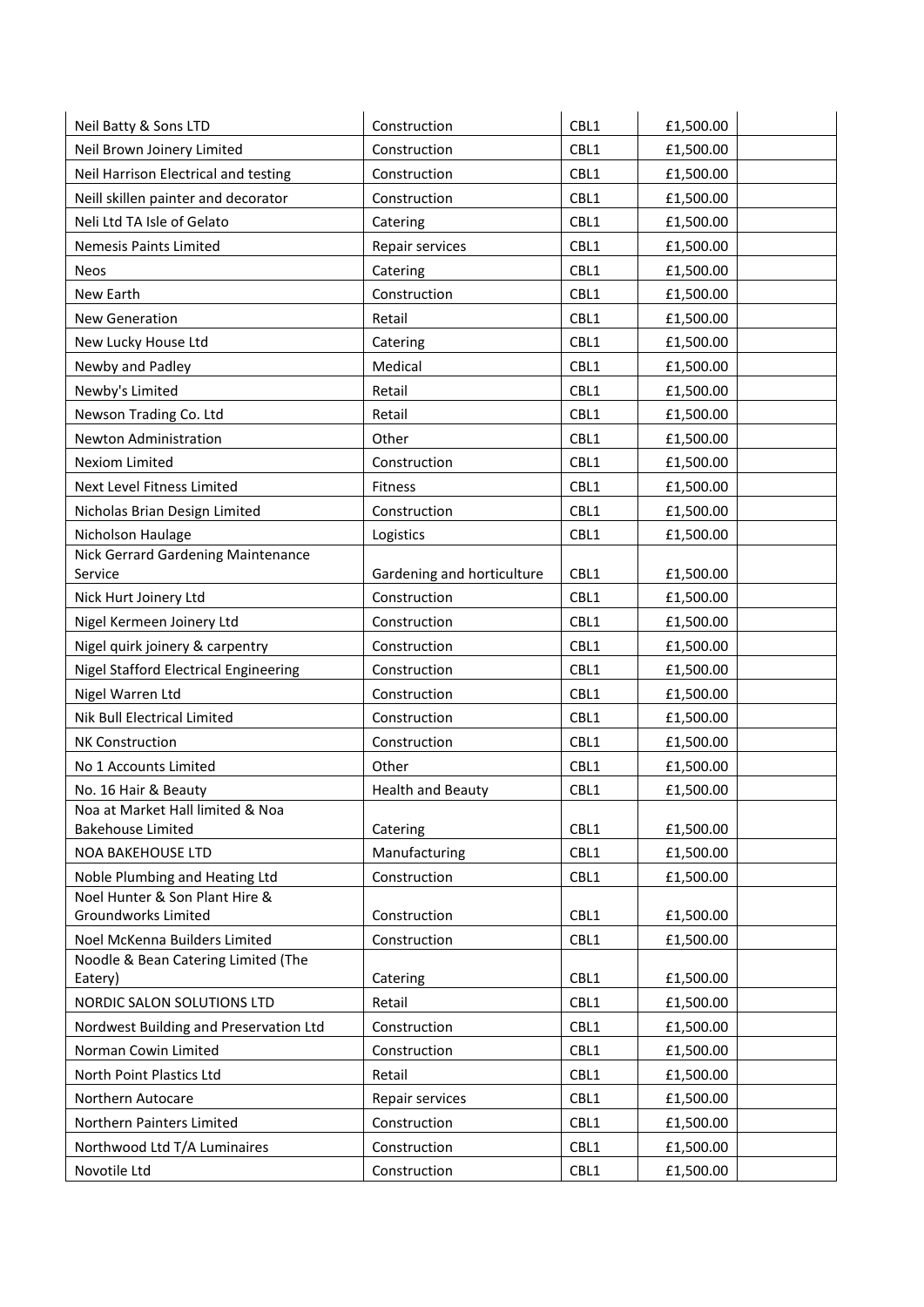| Neil Batty & Sons LTD                                    | Construction               | CBL1 | £1,500.00 |
|----------------------------------------------------------|----------------------------|------|-----------|
| Neil Brown Joinery Limited                               | Construction               | CBL1 | £1,500.00 |
| Neil Harrison Electrical and testing                     | Construction               | CBL1 | £1,500.00 |
| Neill skillen painter and decorator                      | Construction               | CBL1 | £1,500.00 |
| Neli Ltd TA Isle of Gelato                               | Catering                   | CBL1 | £1,500.00 |
| Nemesis Paints Limited                                   | Repair services            | CBL1 | £1,500.00 |
| Neos                                                     | Catering                   | CBL1 | £1,500.00 |
| New Earth                                                | Construction               | CBL1 | £1,500.00 |
| <b>New Generation</b>                                    | Retail                     | CBL1 | £1,500.00 |
| New Lucky House Ltd                                      | Catering                   | CBL1 | £1,500.00 |
| Newby and Padley                                         | Medical                    | CBL1 | £1,500.00 |
| Newby's Limited                                          | Retail                     | CBL1 | £1,500.00 |
| Newson Trading Co. Ltd                                   | Retail                     | CBL1 | £1,500.00 |
| Newton Administration                                    | Other                      | CBL1 | £1,500.00 |
| <b>Nexiom Limited</b>                                    | Construction               | CBL1 | £1,500.00 |
| Next Level Fitness Limited                               | Fitness                    | CBL1 | £1,500.00 |
| Nicholas Brian Design Limited                            | Construction               | CBL1 | £1,500.00 |
| Nicholson Haulage                                        | Logistics                  | CBL1 | £1,500.00 |
| Nick Gerrard Gardening Maintenance                       |                            |      |           |
| Service                                                  | Gardening and horticulture | CBL1 | £1,500.00 |
| Nick Hurt Joinery Ltd                                    | Construction               | CBL1 | £1,500.00 |
| Nigel Kermeen Joinery Ltd                                | Construction               | CBL1 | £1,500.00 |
| Nigel quirk joinery & carpentry                          | Construction               | CBL1 | £1,500.00 |
| Nigel Stafford Electrical Engineering                    | Construction               | CBL1 | £1,500.00 |
| Nigel Warren Ltd                                         | Construction               | CBL1 | £1,500.00 |
| Nik Bull Electrical Limited                              | Construction               | CBL1 | £1,500.00 |
| NK Construction                                          | Construction               | CBL1 | £1,500.00 |
| No 1 Accounts Limited                                    | Other                      | CBL1 | £1,500.00 |
| No. 16 Hair & Beauty<br>Noa at Market Hall limited & Noa | <b>Health and Beauty</b>   | CBL1 | £1,500.00 |
| Bakehouse Limited                                        | Catering                   | CBL1 | £1,500.00 |
| <b>NOA BAKEHOUSE LTD</b>                                 | Manufacturing              | CBL1 | £1,500.00 |
| Noble Plumbing and Heating Ltd                           | Construction               | CBL1 | £1,500.00 |
| Noel Hunter & Son Plant Hire &                           |                            |      |           |
| Groundworks Limited                                      | Construction               | CBL1 | £1,500.00 |
| Noel McKenna Builders Limited                            | Construction               | CBL1 | £1,500.00 |
| Noodle & Bean Catering Limited (The<br>Eatery)           | Catering                   | CBL1 | £1,500.00 |
| NORDIC SALON SOLUTIONS LTD                               | Retail                     | CBL1 | £1,500.00 |
| Nordwest Building and Preservation Ltd                   | Construction               | CBL1 | £1,500.00 |
| Norman Cowin Limited                                     | Construction               | CBL1 | £1,500.00 |
| North Point Plastics Ltd                                 | Retail                     | CBL1 | £1,500.00 |
| Northern Autocare                                        | Repair services            | CBL1 | £1,500.00 |
| Northern Painters Limited                                | Construction               | CBL1 | £1,500.00 |
| Northwood Ltd T/A Luminaires                             | Construction               | CBL1 | £1,500.00 |
| Novotile Ltd                                             | Construction               | CBL1 | £1,500.00 |
|                                                          |                            |      |           |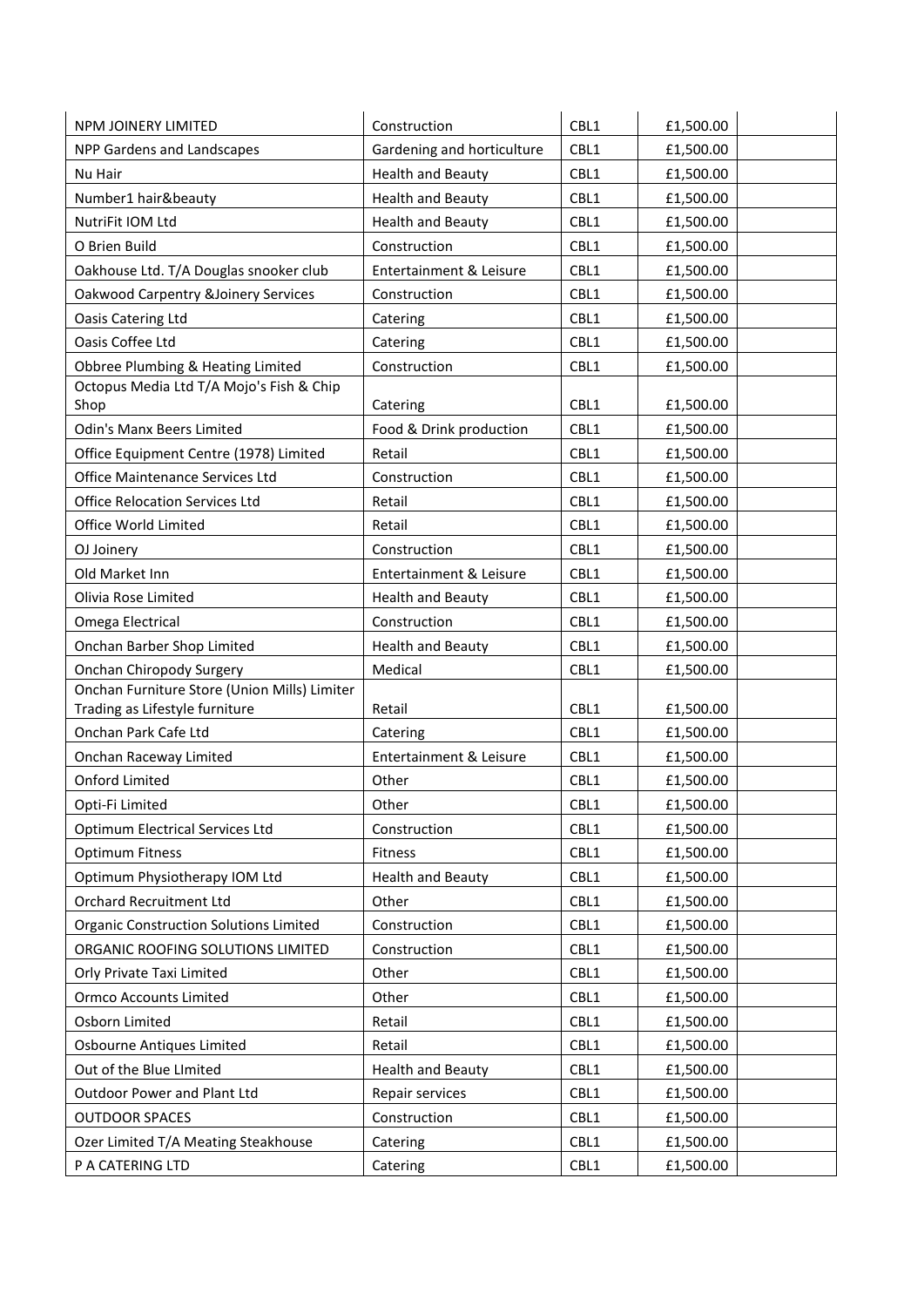| NPM JOINERY LIMITED                           | Construction               | CBL1 | £1,500.00 |
|-----------------------------------------------|----------------------------|------|-----------|
| NPP Gardens and Landscapes                    | Gardening and horticulture | CBL1 | £1,500.00 |
| Nu Hair                                       | <b>Health and Beauty</b>   | CBL1 | £1,500.00 |
| Number1 hair&beauty                           | <b>Health and Beauty</b>   | CBL1 | £1,500.00 |
| NutriFit IOM Ltd                              | <b>Health and Beauty</b>   | CBL1 | £1,500.00 |
| O Brien Build                                 | Construction               | CBL1 | £1,500.00 |
| Oakhouse Ltd. T/A Douglas snooker club        | Entertainment & Leisure    | CBL1 | £1,500.00 |
| Oakwood Carpentry &Joinery Services           | Construction               | CBL1 | £1,500.00 |
| Oasis Catering Ltd                            | Catering                   | CBL1 | £1,500.00 |
| Oasis Coffee Ltd                              | Catering                   | CBL1 | £1,500.00 |
| Obbree Plumbing & Heating Limited             | Construction               | CBL1 | £1,500.00 |
| Octopus Media Ltd T/A Mojo's Fish & Chip      |                            |      |           |
| Shop                                          | Catering                   | CBL1 | £1,500.00 |
| <b>Odin's Manx Beers Limited</b>              | Food & Drink production    | CBL1 | £1,500.00 |
| Office Equipment Centre (1978) Limited        | Retail                     | CBL1 | £1,500.00 |
| Office Maintenance Services Ltd               | Construction               | CBL1 | £1,500.00 |
| <b>Office Relocation Services Ltd</b>         | Retail                     | CBL1 | £1,500.00 |
| Office World Limited                          | Retail                     | CBL1 | £1,500.00 |
| OJ Joinery                                    | Construction               | CBL1 | £1,500.00 |
| Old Market Inn                                | Entertainment & Leisure    | CBL1 | £1,500.00 |
| Olivia Rose Limited                           | <b>Health and Beauty</b>   | CBL1 | £1,500.00 |
| Omega Electrical                              | Construction               | CBL1 | £1,500.00 |
| Onchan Barber Shop Limited                    | <b>Health and Beauty</b>   | CBL1 | £1,500.00 |
| <b>Onchan Chiropody Surgery</b>               | Medical                    | CBL1 | £1,500.00 |
| Onchan Furniture Store (Union Mills) Limiter  |                            |      |           |
| Trading as Lifestyle furniture                | Retail                     | CBL1 | £1,500.00 |
| Onchan Park Cafe Ltd                          | Catering                   | CBL1 | £1,500.00 |
| Onchan Raceway Limited                        | Entertainment & Leisure    | CBL1 | £1,500.00 |
| <b>Onford Limited</b>                         | Other                      | CBL1 | £1,500.00 |
| Opti-Fi Limited                               | Other                      | CBL1 | £1,500.00 |
| <b>Optimum Electrical Services Ltd</b>        | Construction               | CBL1 | £1,500.00 |
| <b>Optimum Fitness</b>                        | Fitness                    | CBL1 | £1,500.00 |
| Optimum Physiotherapy IOM Ltd                 | <b>Health and Beauty</b>   | CBL1 | £1,500.00 |
| <b>Orchard Recruitment Ltd</b>                | Other                      | CBL1 | £1,500.00 |
| <b>Organic Construction Solutions Limited</b> | Construction               | CBL1 | £1,500.00 |
| ORGANIC ROOFING SOLUTIONS LIMITED             | Construction               | CBL1 | £1,500.00 |
| Orly Private Taxi Limited                     | Other                      | CBL1 | £1,500.00 |
| <b>Ormco Accounts Limited</b>                 | Other                      | CBL1 | £1,500.00 |
| Osborn Limited                                | Retail                     | CBL1 | £1,500.00 |
| Osbourne Antiques Limited                     | Retail                     | CBL1 | £1,500.00 |
| Out of the Blue LImited                       | <b>Health and Beauty</b>   | CBL1 | £1,500.00 |
| Outdoor Power and Plant Ltd                   | Repair services            | CBL1 | £1,500.00 |
| <b>OUTDOOR SPACES</b>                         | Construction               | CBL1 | £1,500.00 |
| Ozer Limited T/A Meating Steakhouse           | Catering                   | CBL1 | £1,500.00 |
| P A CATERING LTD                              | Catering                   | CBL1 | £1,500.00 |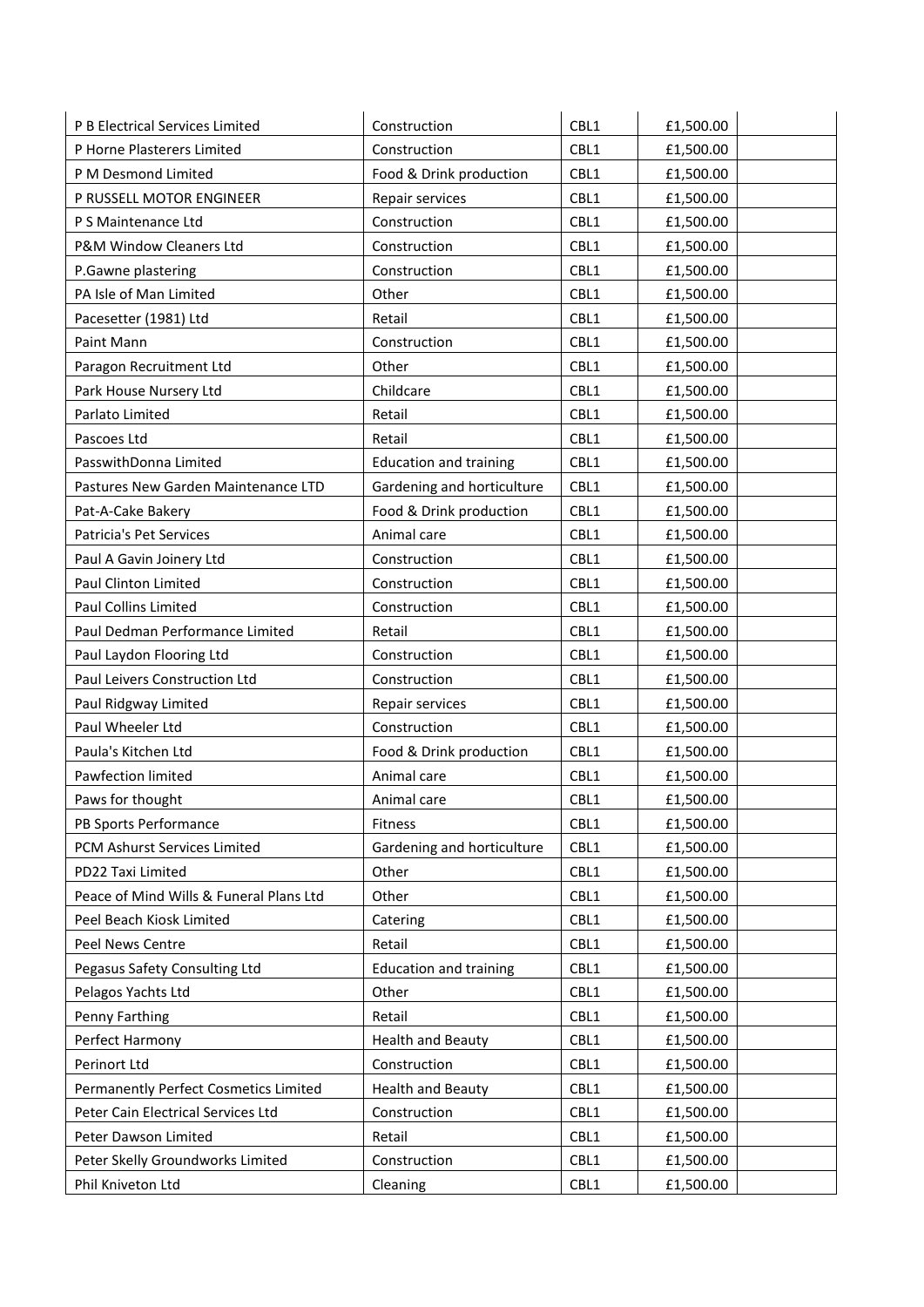| P B Electrical Services Limited         | Construction                  | CBL1 | £1,500.00 |
|-----------------------------------------|-------------------------------|------|-----------|
| P Horne Plasterers Limited              | Construction                  | CBL1 | £1,500.00 |
| P M Desmond Limited                     | Food & Drink production       | CBL1 | £1,500.00 |
| P RUSSELL MOTOR ENGINEER                | Repair services               | CBL1 | £1,500.00 |
| P S Maintenance Ltd                     | Construction                  | CBL1 | £1,500.00 |
| P&M Window Cleaners Ltd                 | Construction                  | CBL1 | £1,500.00 |
| P.Gawne plastering                      | Construction                  | CBL1 | £1,500.00 |
| PA Isle of Man Limited                  | Other                         | CBL1 | £1,500.00 |
| Pacesetter (1981) Ltd                   | Retail                        | CBL1 | £1,500.00 |
| Paint Mann                              | Construction                  | CBL1 | £1,500.00 |
| Paragon Recruitment Ltd                 | Other                         | CBL1 | £1,500.00 |
| Park House Nursery Ltd                  | Childcare                     | CBL1 | £1,500.00 |
| Parlato Limited                         | Retail                        | CBL1 | £1,500.00 |
| Pascoes Ltd                             | Retail                        | CBL1 | £1,500.00 |
| PasswithDonna Limited                   | <b>Education and training</b> | CBL1 | £1,500.00 |
| Pastures New Garden Maintenance LTD     | Gardening and horticulture    | CBL1 | £1,500.00 |
| Pat-A-Cake Bakery                       | Food & Drink production       | CBL1 | £1,500.00 |
| Patricia's Pet Services                 | Animal care                   | CBL1 | £1,500.00 |
| Paul A Gavin Joinery Ltd                | Construction                  | CBL1 | £1,500.00 |
| Paul Clinton Limited                    | Construction                  | CBL1 | £1,500.00 |
| Paul Collins Limited                    | Construction                  | CBL1 | £1,500.00 |
| Paul Dedman Performance Limited         | Retail                        | CBL1 | £1,500.00 |
| Paul Laydon Flooring Ltd                | Construction                  | CBL1 | £1,500.00 |
| Paul Leivers Construction Ltd           | Construction                  | CBL1 | £1,500.00 |
| Paul Ridgway Limited                    | Repair services               | CBL1 | £1,500.00 |
| Paul Wheeler Ltd                        | Construction                  | CBL1 | £1,500.00 |
| Paula's Kitchen Ltd                     | Food & Drink production       | CBL1 | £1,500.00 |
| Pawfection limited                      | Animal care                   | CBL1 | £1,500.00 |
| Paws for thought                        | Animal care                   | CBL1 | £1,500.00 |
| PB Sports Performance                   | Fitness                       | CBL1 | £1,500.00 |
| PCM Ashurst Services Limited            | Gardening and horticulture    | CBL1 | £1,500.00 |
| PD22 Taxi Limited                       | Other                         | CBL1 | £1,500.00 |
| Peace of Mind Wills & Funeral Plans Ltd | Other                         | CBL1 | £1,500.00 |
| Peel Beach Kiosk Limited                | Catering                      | CBL1 | £1,500.00 |
| Peel News Centre                        | Retail                        | CBL1 | £1,500.00 |
| Pegasus Safety Consulting Ltd           | <b>Education and training</b> | CBL1 | £1,500.00 |
| Pelagos Yachts Ltd                      | Other                         | CBL1 | £1,500.00 |
| Penny Farthing                          | Retail                        | CBL1 | £1,500.00 |
| Perfect Harmony                         | <b>Health and Beauty</b>      | CBL1 | £1,500.00 |
| Perinort Ltd                            | Construction                  | CBL1 | £1,500.00 |
| Permanently Perfect Cosmetics Limited   | <b>Health and Beauty</b>      | CBL1 | £1,500.00 |
| Peter Cain Electrical Services Ltd      | Construction                  | CBL1 | £1,500.00 |
| Peter Dawson Limited                    | Retail                        | CBL1 | £1,500.00 |
| Peter Skelly Groundworks Limited        | Construction                  | CBL1 | £1,500.00 |
| Phil Kniveton Ltd                       | Cleaning                      | CBL1 | £1,500.00 |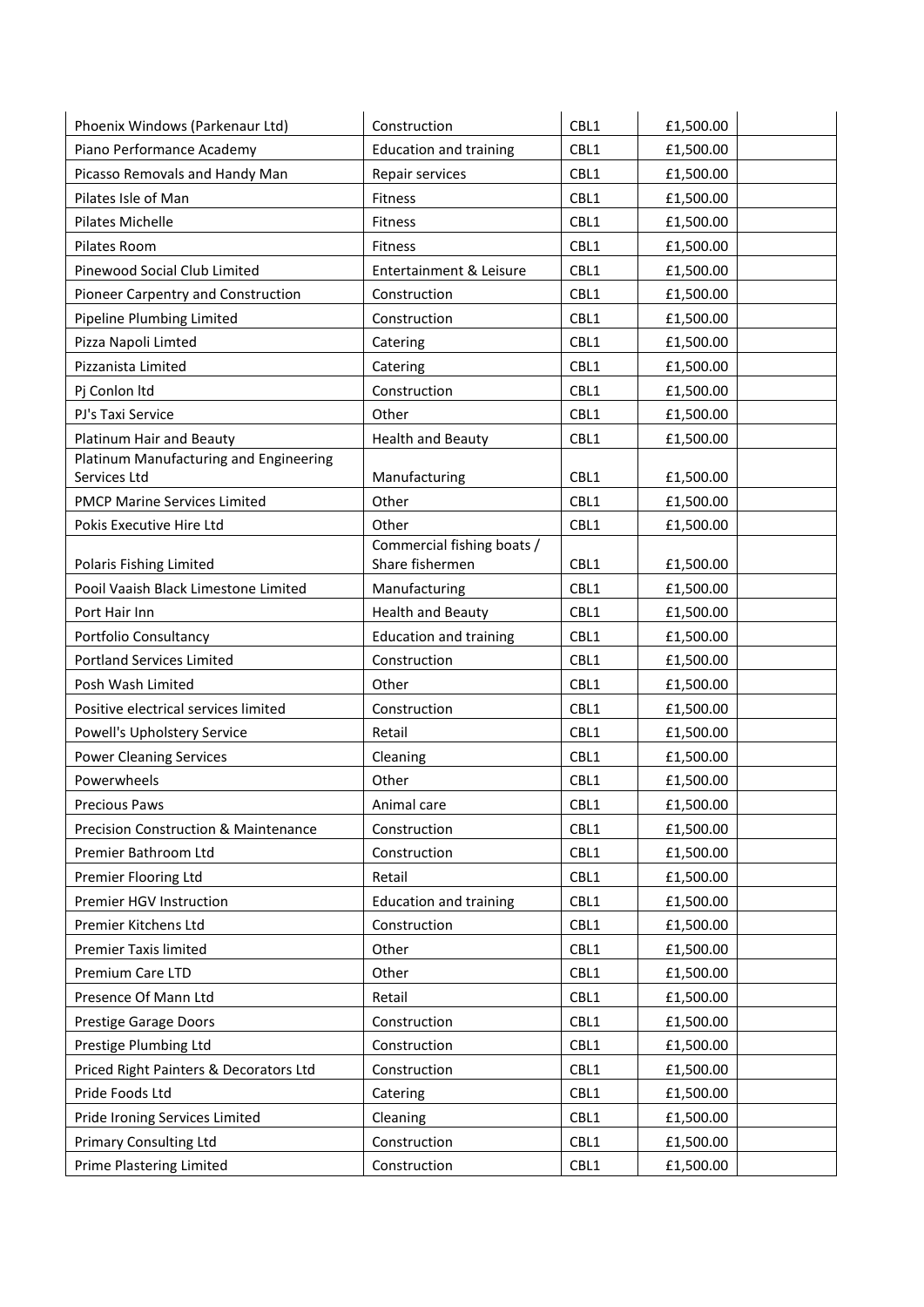| Phoenix Windows (Parkenaur Ltd)        | Construction                        | CBL1 | £1,500.00 |
|----------------------------------------|-------------------------------------|------|-----------|
| Piano Performance Academy              | <b>Education and training</b>       | CBL1 | £1,500.00 |
| Picasso Removals and Handy Man         | Repair services                     | CBL1 | £1,500.00 |
| Pilates Isle of Man                    | Fitness                             | CBL1 | £1,500.00 |
| Pilates Michelle                       | Fitness                             | CBL1 | £1,500.00 |
| Pilates Room                           | Fitness                             | CBL1 | £1,500.00 |
| Pinewood Social Club Limited           | Entertainment & Leisure             | CBL1 | £1,500.00 |
| Pioneer Carpentry and Construction     | Construction                        | CBL1 | £1,500.00 |
| Pipeline Plumbing Limited              | Construction                        | CBL1 | £1,500.00 |
| Pizza Napoli Limted                    | Catering                            | CBL1 | £1,500.00 |
| Pizzanista Limited                     | Catering                            | CBL1 | £1,500.00 |
| Pj Conlon Itd                          | Construction                        | CBL1 | £1,500.00 |
| PJ's Taxi Service                      | Other                               | CBL1 | £1,500.00 |
| Platinum Hair and Beauty               | <b>Health and Beauty</b>            | CBL1 | £1,500.00 |
| Platinum Manufacturing and Engineering |                                     |      |           |
| Services Ltd                           | Manufacturing                       | CBL1 | £1,500.00 |
| <b>PMCP Marine Services Limited</b>    | Other                               | CBL1 | £1,500.00 |
| Pokis Executive Hire Ltd               | Other<br>Commercial fishing boats / | CBL1 | £1,500.00 |
| Polaris Fishing Limited                | Share fishermen                     | CBL1 | £1,500.00 |
| Pooil Vaaish Black Limestone Limited   | Manufacturing                       | CBL1 | £1,500.00 |
| Port Hair Inn                          | <b>Health and Beauty</b>            | CBL1 | £1,500.00 |
| Portfolio Consultancy                  | <b>Education and training</b>       | CBL1 | £1,500.00 |
| Portland Services Limited              | Construction                        | CBL1 | £1,500.00 |
| Posh Wash Limited                      | Other                               | CBL1 | £1,500.00 |
| Positive electrical services limited   | Construction                        | CBL1 | £1,500.00 |
| Powell's Upholstery Service            | Retail                              | CBL1 | £1,500.00 |
| <b>Power Cleaning Services</b>         | Cleaning                            | CBL1 | £1,500.00 |
| Powerwheels                            | Other                               | CBL1 | £1,500.00 |
| Precious Paws                          | Animal care                         | CBL1 | £1,500.00 |
| Precision Construction & Maintenance   | Construction                        | CBL1 | £1,500.00 |
| Premier Bathroom Ltd                   | Construction                        | CBL1 | £1,500.00 |
| Premier Flooring Ltd                   | Retail                              | CBL1 | £1,500.00 |
| Premier HGV Instruction                | <b>Education and training</b>       | CBL1 | £1,500.00 |
| Premier Kitchens Ltd                   | Construction                        | CBL1 | £1,500.00 |
| Premier Taxis limited                  | Other                               | CBL1 | £1,500.00 |
| Premium Care LTD                       | Other                               | CBL1 | £1,500.00 |
| Presence Of Mann Ltd                   | Retail                              | CBL1 | £1,500.00 |
| Prestige Garage Doors                  | Construction                        | CBL1 | £1,500.00 |
| Prestige Plumbing Ltd                  | Construction                        | CBL1 | £1,500.00 |
| Priced Right Painters & Decorators Ltd | Construction                        | CBL1 | £1,500.00 |
| Pride Foods Ltd                        | Catering                            | CBL1 | £1,500.00 |
| Pride Ironing Services Limited         | Cleaning                            | CBL1 | £1,500.00 |
| <b>Primary Consulting Ltd</b>          | Construction                        | CBL1 | £1,500.00 |
| Prime Plastering Limited               | Construction                        | CBL1 | £1,500.00 |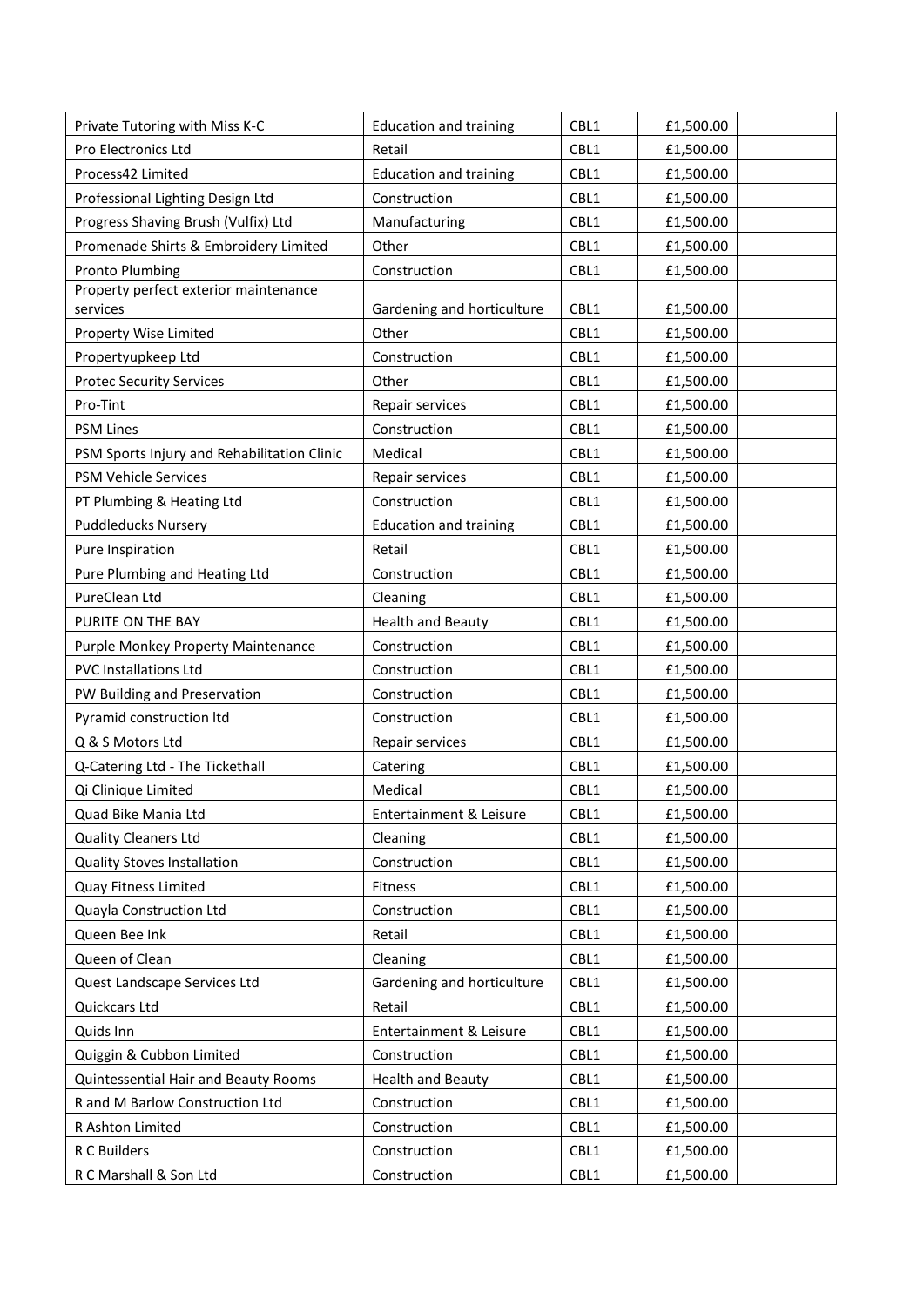| CBL1<br>Pro Electronics Ltd<br>£1,500.00<br>Retail<br>Process42 Limited<br>CBL1<br><b>Education and training</b><br>£1,500.00<br>CBL1<br>Professional Lighting Design Ltd<br>Construction<br>£1,500.00<br>Progress Shaving Brush (Vulfix) Ltd<br>Manufacturing<br>CBL1<br>£1,500.00<br>Promenade Shirts & Embroidery Limited<br>CBL1<br>Other<br>£1,500.00<br><b>Pronto Plumbing</b><br>CBL1<br>£1,500.00<br>Construction<br>Property perfect exterior maintenance<br>CBL1<br>services<br>Gardening and horticulture<br>£1,500.00<br>CBL1<br>Property Wise Limited<br>Other<br>£1,500.00<br>Construction<br>CBL1<br>Propertyupkeep Ltd<br>£1,500.00<br>Other<br>CBL1<br>£1,500.00<br><b>Protec Security Services</b><br>Pro-Tint<br>CBL1<br>Repair services<br>£1,500.00<br>CBL1<br><b>PSM Lines</b><br>Construction<br>£1,500.00<br>Medical<br>CBL1<br>PSM Sports Injury and Rehabilitation Clinic<br>£1,500.00<br>CBL1<br>PSM Vehicle Services<br>£1,500.00<br>Repair services<br>PT Plumbing & Heating Ltd<br>Construction<br>CBL1<br>£1,500.00<br><b>Puddleducks Nursery</b><br>CBL1<br><b>Education and training</b><br>£1,500.00<br>CBL1<br>Pure Inspiration<br>Retail<br>£1,500.00<br>Pure Plumbing and Heating Ltd<br>Construction<br>CBL1<br>£1,500.00<br>PureClean Ltd<br>CBL1<br>Cleaning<br>£1,500.00<br>CBL1<br>PURITE ON THE BAY<br><b>Health and Beauty</b><br>£1,500.00<br>CBL1<br>Purple Monkey Property Maintenance<br>Construction<br>£1,500.00<br><b>PVC Installations Ltd</b><br>Construction<br>CBL1<br>£1,500.00<br>CBL1<br>PW Building and Preservation<br>Construction<br>£1,500.00<br>Pyramid construction Itd<br>Construction<br>CBL1<br>£1,500.00<br>Q & S Motors Ltd<br>Repair services<br>CBL1<br>£1,500.00<br>CBL1<br>£1,500.00<br>Q-Catering Ltd - The Tickethall<br>Catering<br>Qi Clinique Limited<br>Medical<br>CBL1<br>£1,500.00<br>Entertainment & Leisure<br>Quad Bike Mania Ltd<br>CBL1<br>£1,500.00<br><b>Quality Cleaners Ltd</b><br>CBL1<br>£1,500.00<br>Cleaning<br><b>Quality Stoves Installation</b><br>Construction<br>CBL1<br>£1,500.00<br>Quay Fitness Limited<br>CBL1<br>£1,500.00<br>Fitness<br>Quayla Construction Ltd<br>CBL1<br>£1,500.00<br>Construction<br>Queen Bee Ink<br>CBL1<br>Retail<br>£1,500.00<br>Queen of Clean<br>CBL1<br>Cleaning<br>£1,500.00<br>CBL1<br>Quest Landscape Services Ltd<br>Gardening and horticulture<br>£1,500.00<br>Quickcars Ltd<br>Retail<br>CBL1<br>£1,500.00<br>Entertainment & Leisure<br>Quids Inn<br>CBL1<br>£1,500.00<br>CBL1<br>Quiggin & Cubbon Limited<br>Construction<br>£1,500.00<br>Quintessential Hair and Beauty Rooms<br><b>Health and Beauty</b><br>CBL1<br>£1,500.00<br>R and M Barlow Construction Ltd<br>CBL1<br>Construction<br>£1,500.00<br>R Ashton Limited<br>Construction<br>CBL1<br>£1,500.00<br>R C Builders<br>Construction<br>CBL1<br>£1,500.00 | Private Tutoring with Miss K-C | <b>Education and training</b> | CBL1 | £1,500.00 |  |
|-------------------------------------------------------------------------------------------------------------------------------------------------------------------------------------------------------------------------------------------------------------------------------------------------------------------------------------------------------------------------------------------------------------------------------------------------------------------------------------------------------------------------------------------------------------------------------------------------------------------------------------------------------------------------------------------------------------------------------------------------------------------------------------------------------------------------------------------------------------------------------------------------------------------------------------------------------------------------------------------------------------------------------------------------------------------------------------------------------------------------------------------------------------------------------------------------------------------------------------------------------------------------------------------------------------------------------------------------------------------------------------------------------------------------------------------------------------------------------------------------------------------------------------------------------------------------------------------------------------------------------------------------------------------------------------------------------------------------------------------------------------------------------------------------------------------------------------------------------------------------------------------------------------------------------------------------------------------------------------------------------------------------------------------------------------------------------------------------------------------------------------------------------------------------------------------------------------------------------------------------------------------------------------------------------------------------------------------------------------------------------------------------------------------------------------------------------------------------------------------------------------------------------------------------------------------------------------------------------------------------------------------------------------------------------------------------------------------------------------------------------------------------------------------------------------------------------------------------------------------|--------------------------------|-------------------------------|------|-----------|--|
|                                                                                                                                                                                                                                                                                                                                                                                                                                                                                                                                                                                                                                                                                                                                                                                                                                                                                                                                                                                                                                                                                                                                                                                                                                                                                                                                                                                                                                                                                                                                                                                                                                                                                                                                                                                                                                                                                                                                                                                                                                                                                                                                                                                                                                                                                                                                                                                                                                                                                                                                                                                                                                                                                                                                                                                                                                                                   |                                |                               |      |           |  |
|                                                                                                                                                                                                                                                                                                                                                                                                                                                                                                                                                                                                                                                                                                                                                                                                                                                                                                                                                                                                                                                                                                                                                                                                                                                                                                                                                                                                                                                                                                                                                                                                                                                                                                                                                                                                                                                                                                                                                                                                                                                                                                                                                                                                                                                                                                                                                                                                                                                                                                                                                                                                                                                                                                                                                                                                                                                                   |                                |                               |      |           |  |
|                                                                                                                                                                                                                                                                                                                                                                                                                                                                                                                                                                                                                                                                                                                                                                                                                                                                                                                                                                                                                                                                                                                                                                                                                                                                                                                                                                                                                                                                                                                                                                                                                                                                                                                                                                                                                                                                                                                                                                                                                                                                                                                                                                                                                                                                                                                                                                                                                                                                                                                                                                                                                                                                                                                                                                                                                                                                   |                                |                               |      |           |  |
|                                                                                                                                                                                                                                                                                                                                                                                                                                                                                                                                                                                                                                                                                                                                                                                                                                                                                                                                                                                                                                                                                                                                                                                                                                                                                                                                                                                                                                                                                                                                                                                                                                                                                                                                                                                                                                                                                                                                                                                                                                                                                                                                                                                                                                                                                                                                                                                                                                                                                                                                                                                                                                                                                                                                                                                                                                                                   |                                |                               |      |           |  |
|                                                                                                                                                                                                                                                                                                                                                                                                                                                                                                                                                                                                                                                                                                                                                                                                                                                                                                                                                                                                                                                                                                                                                                                                                                                                                                                                                                                                                                                                                                                                                                                                                                                                                                                                                                                                                                                                                                                                                                                                                                                                                                                                                                                                                                                                                                                                                                                                                                                                                                                                                                                                                                                                                                                                                                                                                                                                   |                                |                               |      |           |  |
|                                                                                                                                                                                                                                                                                                                                                                                                                                                                                                                                                                                                                                                                                                                                                                                                                                                                                                                                                                                                                                                                                                                                                                                                                                                                                                                                                                                                                                                                                                                                                                                                                                                                                                                                                                                                                                                                                                                                                                                                                                                                                                                                                                                                                                                                                                                                                                                                                                                                                                                                                                                                                                                                                                                                                                                                                                                                   |                                |                               |      |           |  |
|                                                                                                                                                                                                                                                                                                                                                                                                                                                                                                                                                                                                                                                                                                                                                                                                                                                                                                                                                                                                                                                                                                                                                                                                                                                                                                                                                                                                                                                                                                                                                                                                                                                                                                                                                                                                                                                                                                                                                                                                                                                                                                                                                                                                                                                                                                                                                                                                                                                                                                                                                                                                                                                                                                                                                                                                                                                                   |                                |                               |      |           |  |
|                                                                                                                                                                                                                                                                                                                                                                                                                                                                                                                                                                                                                                                                                                                                                                                                                                                                                                                                                                                                                                                                                                                                                                                                                                                                                                                                                                                                                                                                                                                                                                                                                                                                                                                                                                                                                                                                                                                                                                                                                                                                                                                                                                                                                                                                                                                                                                                                                                                                                                                                                                                                                                                                                                                                                                                                                                                                   |                                |                               |      |           |  |
|                                                                                                                                                                                                                                                                                                                                                                                                                                                                                                                                                                                                                                                                                                                                                                                                                                                                                                                                                                                                                                                                                                                                                                                                                                                                                                                                                                                                                                                                                                                                                                                                                                                                                                                                                                                                                                                                                                                                                                                                                                                                                                                                                                                                                                                                                                                                                                                                                                                                                                                                                                                                                                                                                                                                                                                                                                                                   |                                |                               |      |           |  |
|                                                                                                                                                                                                                                                                                                                                                                                                                                                                                                                                                                                                                                                                                                                                                                                                                                                                                                                                                                                                                                                                                                                                                                                                                                                                                                                                                                                                                                                                                                                                                                                                                                                                                                                                                                                                                                                                                                                                                                                                                                                                                                                                                                                                                                                                                                                                                                                                                                                                                                                                                                                                                                                                                                                                                                                                                                                                   |                                |                               |      |           |  |
|                                                                                                                                                                                                                                                                                                                                                                                                                                                                                                                                                                                                                                                                                                                                                                                                                                                                                                                                                                                                                                                                                                                                                                                                                                                                                                                                                                                                                                                                                                                                                                                                                                                                                                                                                                                                                                                                                                                                                                                                                                                                                                                                                                                                                                                                                                                                                                                                                                                                                                                                                                                                                                                                                                                                                                                                                                                                   |                                |                               |      |           |  |
|                                                                                                                                                                                                                                                                                                                                                                                                                                                                                                                                                                                                                                                                                                                                                                                                                                                                                                                                                                                                                                                                                                                                                                                                                                                                                                                                                                                                                                                                                                                                                                                                                                                                                                                                                                                                                                                                                                                                                                                                                                                                                                                                                                                                                                                                                                                                                                                                                                                                                                                                                                                                                                                                                                                                                                                                                                                                   |                                |                               |      |           |  |
|                                                                                                                                                                                                                                                                                                                                                                                                                                                                                                                                                                                                                                                                                                                                                                                                                                                                                                                                                                                                                                                                                                                                                                                                                                                                                                                                                                                                                                                                                                                                                                                                                                                                                                                                                                                                                                                                                                                                                                                                                                                                                                                                                                                                                                                                                                                                                                                                                                                                                                                                                                                                                                                                                                                                                                                                                                                                   |                                |                               |      |           |  |
|                                                                                                                                                                                                                                                                                                                                                                                                                                                                                                                                                                                                                                                                                                                                                                                                                                                                                                                                                                                                                                                                                                                                                                                                                                                                                                                                                                                                                                                                                                                                                                                                                                                                                                                                                                                                                                                                                                                                                                                                                                                                                                                                                                                                                                                                                                                                                                                                                                                                                                                                                                                                                                                                                                                                                                                                                                                                   |                                |                               |      |           |  |
|                                                                                                                                                                                                                                                                                                                                                                                                                                                                                                                                                                                                                                                                                                                                                                                                                                                                                                                                                                                                                                                                                                                                                                                                                                                                                                                                                                                                                                                                                                                                                                                                                                                                                                                                                                                                                                                                                                                                                                                                                                                                                                                                                                                                                                                                                                                                                                                                                                                                                                                                                                                                                                                                                                                                                                                                                                                                   |                                |                               |      |           |  |
|                                                                                                                                                                                                                                                                                                                                                                                                                                                                                                                                                                                                                                                                                                                                                                                                                                                                                                                                                                                                                                                                                                                                                                                                                                                                                                                                                                                                                                                                                                                                                                                                                                                                                                                                                                                                                                                                                                                                                                                                                                                                                                                                                                                                                                                                                                                                                                                                                                                                                                                                                                                                                                                                                                                                                                                                                                                                   |                                |                               |      |           |  |
|                                                                                                                                                                                                                                                                                                                                                                                                                                                                                                                                                                                                                                                                                                                                                                                                                                                                                                                                                                                                                                                                                                                                                                                                                                                                                                                                                                                                                                                                                                                                                                                                                                                                                                                                                                                                                                                                                                                                                                                                                                                                                                                                                                                                                                                                                                                                                                                                                                                                                                                                                                                                                                                                                                                                                                                                                                                                   |                                |                               |      |           |  |
|                                                                                                                                                                                                                                                                                                                                                                                                                                                                                                                                                                                                                                                                                                                                                                                                                                                                                                                                                                                                                                                                                                                                                                                                                                                                                                                                                                                                                                                                                                                                                                                                                                                                                                                                                                                                                                                                                                                                                                                                                                                                                                                                                                                                                                                                                                                                                                                                                                                                                                                                                                                                                                                                                                                                                                                                                                                                   |                                |                               |      |           |  |
|                                                                                                                                                                                                                                                                                                                                                                                                                                                                                                                                                                                                                                                                                                                                                                                                                                                                                                                                                                                                                                                                                                                                                                                                                                                                                                                                                                                                                                                                                                                                                                                                                                                                                                                                                                                                                                                                                                                                                                                                                                                                                                                                                                                                                                                                                                                                                                                                                                                                                                                                                                                                                                                                                                                                                                                                                                                                   |                                |                               |      |           |  |
|                                                                                                                                                                                                                                                                                                                                                                                                                                                                                                                                                                                                                                                                                                                                                                                                                                                                                                                                                                                                                                                                                                                                                                                                                                                                                                                                                                                                                                                                                                                                                                                                                                                                                                                                                                                                                                                                                                                                                                                                                                                                                                                                                                                                                                                                                                                                                                                                                                                                                                                                                                                                                                                                                                                                                                                                                                                                   |                                |                               |      |           |  |
|                                                                                                                                                                                                                                                                                                                                                                                                                                                                                                                                                                                                                                                                                                                                                                                                                                                                                                                                                                                                                                                                                                                                                                                                                                                                                                                                                                                                                                                                                                                                                                                                                                                                                                                                                                                                                                                                                                                                                                                                                                                                                                                                                                                                                                                                                                                                                                                                                                                                                                                                                                                                                                                                                                                                                                                                                                                                   |                                |                               |      |           |  |
|                                                                                                                                                                                                                                                                                                                                                                                                                                                                                                                                                                                                                                                                                                                                                                                                                                                                                                                                                                                                                                                                                                                                                                                                                                                                                                                                                                                                                                                                                                                                                                                                                                                                                                                                                                                                                                                                                                                                                                                                                                                                                                                                                                                                                                                                                                                                                                                                                                                                                                                                                                                                                                                                                                                                                                                                                                                                   |                                |                               |      |           |  |
|                                                                                                                                                                                                                                                                                                                                                                                                                                                                                                                                                                                                                                                                                                                                                                                                                                                                                                                                                                                                                                                                                                                                                                                                                                                                                                                                                                                                                                                                                                                                                                                                                                                                                                                                                                                                                                                                                                                                                                                                                                                                                                                                                                                                                                                                                                                                                                                                                                                                                                                                                                                                                                                                                                                                                                                                                                                                   |                                |                               |      |           |  |
|                                                                                                                                                                                                                                                                                                                                                                                                                                                                                                                                                                                                                                                                                                                                                                                                                                                                                                                                                                                                                                                                                                                                                                                                                                                                                                                                                                                                                                                                                                                                                                                                                                                                                                                                                                                                                                                                                                                                                                                                                                                                                                                                                                                                                                                                                                                                                                                                                                                                                                                                                                                                                                                                                                                                                                                                                                                                   |                                |                               |      |           |  |
|                                                                                                                                                                                                                                                                                                                                                                                                                                                                                                                                                                                                                                                                                                                                                                                                                                                                                                                                                                                                                                                                                                                                                                                                                                                                                                                                                                                                                                                                                                                                                                                                                                                                                                                                                                                                                                                                                                                                                                                                                                                                                                                                                                                                                                                                                                                                                                                                                                                                                                                                                                                                                                                                                                                                                                                                                                                                   |                                |                               |      |           |  |
|                                                                                                                                                                                                                                                                                                                                                                                                                                                                                                                                                                                                                                                                                                                                                                                                                                                                                                                                                                                                                                                                                                                                                                                                                                                                                                                                                                                                                                                                                                                                                                                                                                                                                                                                                                                                                                                                                                                                                                                                                                                                                                                                                                                                                                                                                                                                                                                                                                                                                                                                                                                                                                                                                                                                                                                                                                                                   |                                |                               |      |           |  |
|                                                                                                                                                                                                                                                                                                                                                                                                                                                                                                                                                                                                                                                                                                                                                                                                                                                                                                                                                                                                                                                                                                                                                                                                                                                                                                                                                                                                                                                                                                                                                                                                                                                                                                                                                                                                                                                                                                                                                                                                                                                                                                                                                                                                                                                                                                                                                                                                                                                                                                                                                                                                                                                                                                                                                                                                                                                                   |                                |                               |      |           |  |
|                                                                                                                                                                                                                                                                                                                                                                                                                                                                                                                                                                                                                                                                                                                                                                                                                                                                                                                                                                                                                                                                                                                                                                                                                                                                                                                                                                                                                                                                                                                                                                                                                                                                                                                                                                                                                                                                                                                                                                                                                                                                                                                                                                                                                                                                                                                                                                                                                                                                                                                                                                                                                                                                                                                                                                                                                                                                   |                                |                               |      |           |  |
|                                                                                                                                                                                                                                                                                                                                                                                                                                                                                                                                                                                                                                                                                                                                                                                                                                                                                                                                                                                                                                                                                                                                                                                                                                                                                                                                                                                                                                                                                                                                                                                                                                                                                                                                                                                                                                                                                                                                                                                                                                                                                                                                                                                                                                                                                                                                                                                                                                                                                                                                                                                                                                                                                                                                                                                                                                                                   |                                |                               |      |           |  |
|                                                                                                                                                                                                                                                                                                                                                                                                                                                                                                                                                                                                                                                                                                                                                                                                                                                                                                                                                                                                                                                                                                                                                                                                                                                                                                                                                                                                                                                                                                                                                                                                                                                                                                                                                                                                                                                                                                                                                                                                                                                                                                                                                                                                                                                                                                                                                                                                                                                                                                                                                                                                                                                                                                                                                                                                                                                                   |                                |                               |      |           |  |
|                                                                                                                                                                                                                                                                                                                                                                                                                                                                                                                                                                                                                                                                                                                                                                                                                                                                                                                                                                                                                                                                                                                                                                                                                                                                                                                                                                                                                                                                                                                                                                                                                                                                                                                                                                                                                                                                                                                                                                                                                                                                                                                                                                                                                                                                                                                                                                                                                                                                                                                                                                                                                                                                                                                                                                                                                                                                   |                                |                               |      |           |  |
|                                                                                                                                                                                                                                                                                                                                                                                                                                                                                                                                                                                                                                                                                                                                                                                                                                                                                                                                                                                                                                                                                                                                                                                                                                                                                                                                                                                                                                                                                                                                                                                                                                                                                                                                                                                                                                                                                                                                                                                                                                                                                                                                                                                                                                                                                                                                                                                                                                                                                                                                                                                                                                                                                                                                                                                                                                                                   |                                |                               |      |           |  |
|                                                                                                                                                                                                                                                                                                                                                                                                                                                                                                                                                                                                                                                                                                                                                                                                                                                                                                                                                                                                                                                                                                                                                                                                                                                                                                                                                                                                                                                                                                                                                                                                                                                                                                                                                                                                                                                                                                                                                                                                                                                                                                                                                                                                                                                                                                                                                                                                                                                                                                                                                                                                                                                                                                                                                                                                                                                                   |                                |                               |      |           |  |
|                                                                                                                                                                                                                                                                                                                                                                                                                                                                                                                                                                                                                                                                                                                                                                                                                                                                                                                                                                                                                                                                                                                                                                                                                                                                                                                                                                                                                                                                                                                                                                                                                                                                                                                                                                                                                                                                                                                                                                                                                                                                                                                                                                                                                                                                                                                                                                                                                                                                                                                                                                                                                                                                                                                                                                                                                                                                   |                                |                               |      |           |  |
|                                                                                                                                                                                                                                                                                                                                                                                                                                                                                                                                                                                                                                                                                                                                                                                                                                                                                                                                                                                                                                                                                                                                                                                                                                                                                                                                                                                                                                                                                                                                                                                                                                                                                                                                                                                                                                                                                                                                                                                                                                                                                                                                                                                                                                                                                                                                                                                                                                                                                                                                                                                                                                                                                                                                                                                                                                                                   |                                |                               |      |           |  |
|                                                                                                                                                                                                                                                                                                                                                                                                                                                                                                                                                                                                                                                                                                                                                                                                                                                                                                                                                                                                                                                                                                                                                                                                                                                                                                                                                                                                                                                                                                                                                                                                                                                                                                                                                                                                                                                                                                                                                                                                                                                                                                                                                                                                                                                                                                                                                                                                                                                                                                                                                                                                                                                                                                                                                                                                                                                                   |                                |                               |      |           |  |
|                                                                                                                                                                                                                                                                                                                                                                                                                                                                                                                                                                                                                                                                                                                                                                                                                                                                                                                                                                                                                                                                                                                                                                                                                                                                                                                                                                                                                                                                                                                                                                                                                                                                                                                                                                                                                                                                                                                                                                                                                                                                                                                                                                                                                                                                                                                                                                                                                                                                                                                                                                                                                                                                                                                                                                                                                                                                   |                                |                               |      |           |  |
|                                                                                                                                                                                                                                                                                                                                                                                                                                                                                                                                                                                                                                                                                                                                                                                                                                                                                                                                                                                                                                                                                                                                                                                                                                                                                                                                                                                                                                                                                                                                                                                                                                                                                                                                                                                                                                                                                                                                                                                                                                                                                                                                                                                                                                                                                                                                                                                                                                                                                                                                                                                                                                                                                                                                                                                                                                                                   |                                |                               |      |           |  |
|                                                                                                                                                                                                                                                                                                                                                                                                                                                                                                                                                                                                                                                                                                                                                                                                                                                                                                                                                                                                                                                                                                                                                                                                                                                                                                                                                                                                                                                                                                                                                                                                                                                                                                                                                                                                                                                                                                                                                                                                                                                                                                                                                                                                                                                                                                                                                                                                                                                                                                                                                                                                                                                                                                                                                                                                                                                                   |                                |                               |      |           |  |
|                                                                                                                                                                                                                                                                                                                                                                                                                                                                                                                                                                                                                                                                                                                                                                                                                                                                                                                                                                                                                                                                                                                                                                                                                                                                                                                                                                                                                                                                                                                                                                                                                                                                                                                                                                                                                                                                                                                                                                                                                                                                                                                                                                                                                                                                                                                                                                                                                                                                                                                                                                                                                                                                                                                                                                                                                                                                   |                                |                               |      |           |  |
|                                                                                                                                                                                                                                                                                                                                                                                                                                                                                                                                                                                                                                                                                                                                                                                                                                                                                                                                                                                                                                                                                                                                                                                                                                                                                                                                                                                                                                                                                                                                                                                                                                                                                                                                                                                                                                                                                                                                                                                                                                                                                                                                                                                                                                                                                                                                                                                                                                                                                                                                                                                                                                                                                                                                                                                                                                                                   |                                |                               |      |           |  |
|                                                                                                                                                                                                                                                                                                                                                                                                                                                                                                                                                                                                                                                                                                                                                                                                                                                                                                                                                                                                                                                                                                                                                                                                                                                                                                                                                                                                                                                                                                                                                                                                                                                                                                                                                                                                                                                                                                                                                                                                                                                                                                                                                                                                                                                                                                                                                                                                                                                                                                                                                                                                                                                                                                                                                                                                                                                                   |                                |                               |      |           |  |
|                                                                                                                                                                                                                                                                                                                                                                                                                                                                                                                                                                                                                                                                                                                                                                                                                                                                                                                                                                                                                                                                                                                                                                                                                                                                                                                                                                                                                                                                                                                                                                                                                                                                                                                                                                                                                                                                                                                                                                                                                                                                                                                                                                                                                                                                                                                                                                                                                                                                                                                                                                                                                                                                                                                                                                                                                                                                   |                                |                               |      |           |  |
|                                                                                                                                                                                                                                                                                                                                                                                                                                                                                                                                                                                                                                                                                                                                                                                                                                                                                                                                                                                                                                                                                                                                                                                                                                                                                                                                                                                                                                                                                                                                                                                                                                                                                                                                                                                                                                                                                                                                                                                                                                                                                                                                                                                                                                                                                                                                                                                                                                                                                                                                                                                                                                                                                                                                                                                                                                                                   | R C Marshall & Son Ltd         | Construction                  | CBL1 | £1,500.00 |  |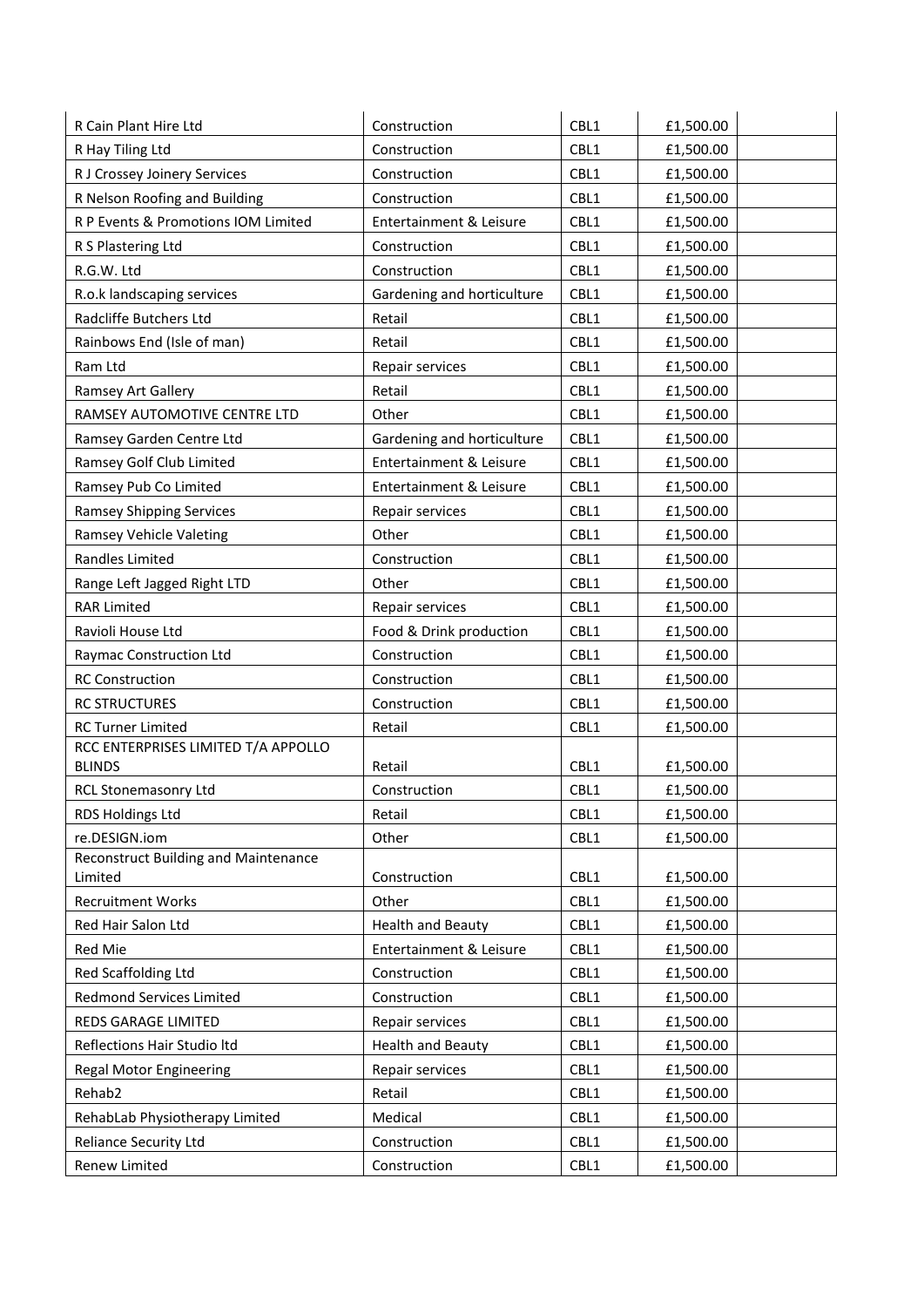| R Cain Plant Hire Ltd                           | Construction               | CBL1 | £1,500.00 |
|-------------------------------------------------|----------------------------|------|-----------|
| R Hay Tiling Ltd                                | Construction               | CBL1 | £1,500.00 |
| R J Crossey Joinery Services                    | Construction               | CBL1 | £1,500.00 |
| R Nelson Roofing and Building                   | Construction               | CBL1 | £1,500.00 |
| R P Events & Promotions IOM Limited             | Entertainment & Leisure    | CBL1 | £1,500.00 |
| R S Plastering Ltd                              | Construction               | CBL1 | £1,500.00 |
| R.G.W. Ltd                                      | Construction               | CBL1 | £1,500.00 |
| R.o.k landscaping services                      | Gardening and horticulture | CBL1 | £1,500.00 |
| Radcliffe Butchers Ltd                          | Retail                     | CBL1 | £1,500.00 |
| Rainbows End (Isle of man)                      | Retail                     | CBL1 | £1,500.00 |
| Ram Ltd                                         | Repair services            | CBL1 | £1,500.00 |
| Ramsey Art Gallery                              | Retail                     | CBL1 | £1,500.00 |
| RAMSEY AUTOMOTIVE CENTRE LTD                    | Other                      | CBL1 | £1,500.00 |
| Ramsey Garden Centre Ltd                        | Gardening and horticulture | CBL1 | £1,500.00 |
| Ramsey Golf Club Limited                        | Entertainment & Leisure    | CBL1 | £1,500.00 |
| Ramsey Pub Co Limited                           | Entertainment & Leisure    | CBL1 | £1,500.00 |
| <b>Ramsey Shipping Services</b>                 | Repair services            | CBL1 | £1,500.00 |
| Ramsey Vehicle Valeting                         | Other                      | CBL1 | £1,500.00 |
| Randles Limited                                 | Construction               | CBL1 | £1,500.00 |
| Range Left Jagged Right LTD                     | Other                      | CBL1 | £1,500.00 |
| <b>RAR Limited</b>                              | Repair services            | CBL1 | £1,500.00 |
| Ravioli House Ltd                               | Food & Drink production    | CBL1 | £1,500.00 |
| Raymac Construction Ltd                         | Construction               | CBL1 | £1,500.00 |
| <b>RC Construction</b>                          | Construction               | CBL1 | £1,500.00 |
| <b>RC STRUCTURES</b>                            | Construction               | CBL1 | £1,500.00 |
| <b>RC Turner Limited</b>                        | Retail                     | CBL1 | £1,500.00 |
| RCC ENTERPRISES LIMITED T/A APPOLLO             |                            |      |           |
| <b>BLINDS</b>                                   | Retail                     | CBL1 | £1,500.00 |
| RCL Stonemasonry Ltd                            | Construction               | CBL1 | £1,500.00 |
| RDS Holdings Ltd                                | Retail                     | CBL1 | £1,500.00 |
| re.DESIGN.iom                                   | Other                      | CBL1 | £1,500.00 |
| Reconstruct Building and Maintenance<br>Limited | Construction               | CBL1 | £1,500.00 |
| <b>Recruitment Works</b>                        | Other                      | CBL1 | £1,500.00 |
| Red Hair Salon Ltd                              | <b>Health and Beauty</b>   | CBL1 | £1,500.00 |
| Red Mie                                         | Entertainment & Leisure    | CBL1 | £1,500.00 |
| Red Scaffolding Ltd                             | Construction               | CBL1 | £1,500.00 |
| Redmond Services Limited                        | Construction               | CBL1 | £1,500.00 |
| REDS GARAGE LIMITED                             | Repair services            | CBL1 | £1,500.00 |
| Reflections Hair Studio Itd                     | <b>Health and Beauty</b>   | CBL1 | £1,500.00 |
| <b>Regal Motor Engineering</b>                  | Repair services            | CBL1 | £1,500.00 |
| Rehab2                                          | Retail                     | CBL1 | £1,500.00 |
| RehabLab Physiotherapy Limited                  | Medical                    | CBL1 | £1,500.00 |
| <b>Reliance Security Ltd</b>                    | Construction               | CBL1 | £1,500.00 |
|                                                 |                            | CBL1 |           |
| Renew Limited                                   | Construction               |      | £1,500.00 |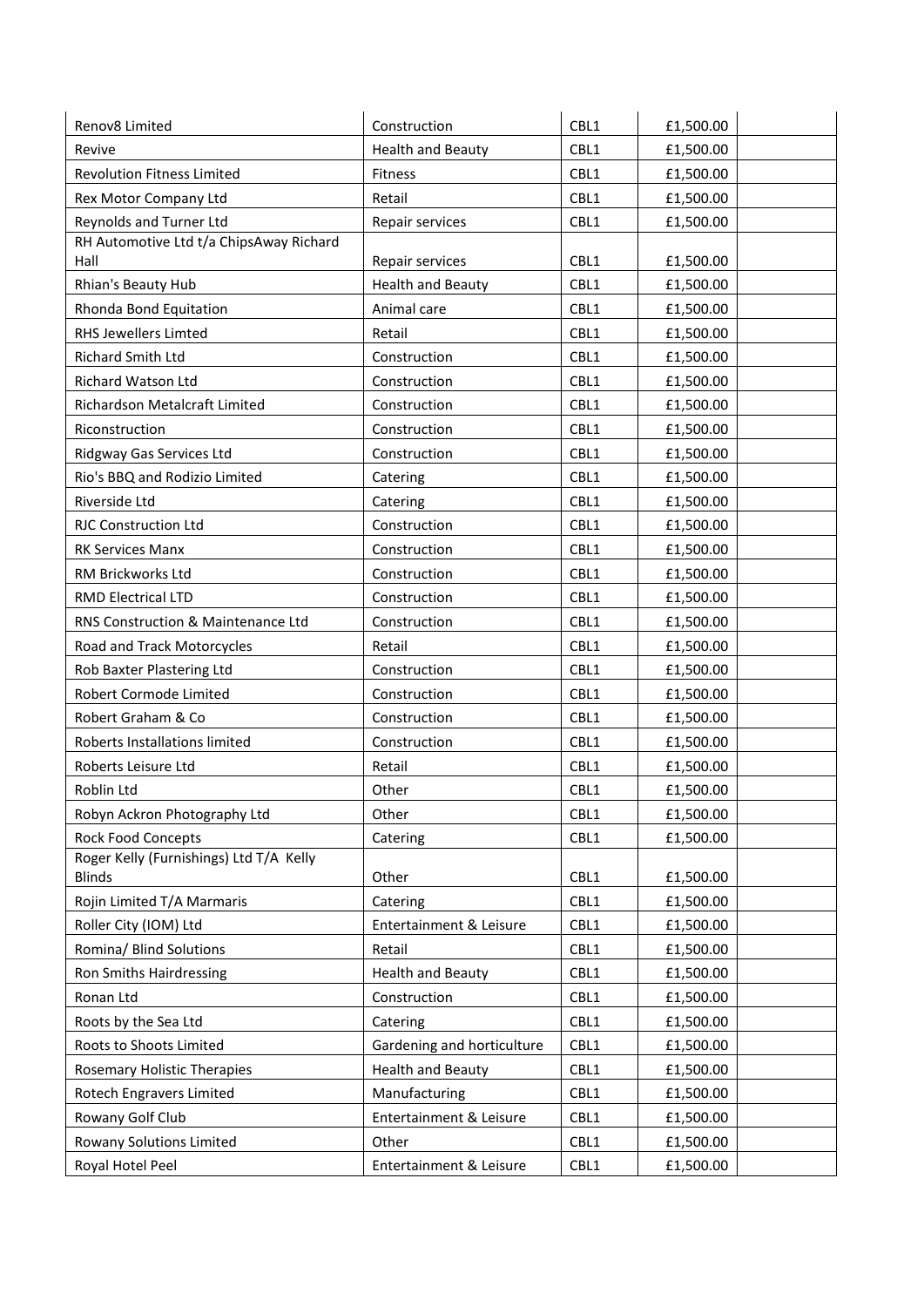| Renov8 Limited                                           | Construction               | CBL1 | £1,500.00 |
|----------------------------------------------------------|----------------------------|------|-----------|
| Revive                                                   | <b>Health and Beauty</b>   | CBL1 | £1,500.00 |
| <b>Revolution Fitness Limited</b>                        | Fitness                    | CBL1 | £1,500.00 |
| Rex Motor Company Ltd                                    | Retail                     | CBL1 | £1,500.00 |
| Reynolds and Turner Ltd                                  | Repair services            | CBL1 | £1,500.00 |
| RH Automotive Ltd t/a ChipsAway Richard                  |                            |      |           |
| Hall                                                     | Repair services            | CBL1 | £1,500.00 |
| Rhian's Beauty Hub                                       | <b>Health and Beauty</b>   | CBL1 | £1,500.00 |
| Rhonda Bond Equitation                                   | Animal care                | CBL1 | £1,500.00 |
| RHS Jewellers Limted                                     | Retail                     | CBL1 | £1,500.00 |
| Richard Smith Ltd                                        | Construction               | CBL1 | £1,500.00 |
| Richard Watson Ltd                                       | Construction               | CBL1 | £1,500.00 |
| Richardson Metalcraft Limited                            | Construction               | CBL1 | £1,500.00 |
| Riconstruction                                           | Construction               | CBL1 | £1,500.00 |
| Ridgway Gas Services Ltd                                 | Construction               | CBL1 | £1,500.00 |
| Rio's BBQ and Rodizio Limited                            | Catering                   | CBL1 | £1,500.00 |
| Riverside Ltd                                            | Catering                   | CBL1 | £1,500.00 |
| <b>RJC Construction Ltd</b>                              | Construction               | CBL1 | £1,500.00 |
| <b>RK Services Manx</b>                                  | Construction               | CBL1 | £1,500.00 |
| RM Brickworks Ltd                                        | Construction               | CBL1 | £1,500.00 |
| <b>RMD Electrical LTD</b>                                | Construction               | CBL1 | £1,500.00 |
| RNS Construction & Maintenance Ltd                       | Construction               | CBL1 | £1,500.00 |
| Road and Track Motorcycles                               | Retail                     | CBL1 | £1,500.00 |
| Rob Baxter Plastering Ltd                                | Construction               | CBL1 | £1,500.00 |
| Robert Cormode Limited                                   | Construction               | CBL1 | £1,500.00 |
| Robert Graham & Co                                       | Construction               | CBL1 | £1,500.00 |
| Roberts Installations limited                            | Construction               | CBL1 | £1,500.00 |
| Roberts Leisure Ltd                                      | Retail                     | CBL1 | £1,500.00 |
| Roblin Ltd                                               | Other                      | CBL1 | £1,500.00 |
| Robyn Ackron Photography Ltd                             | Other                      | CBL1 | £1,500.00 |
| <b>Rock Food Concepts</b>                                | Catering                   | CBL1 | £1,500.00 |
| Roger Kelly (Furnishings) Ltd T/A Kelly<br><b>Blinds</b> | Other                      | CBL1 | £1,500.00 |
| Rojin Limited T/A Marmaris                               | Catering                   | CBL1 | £1,500.00 |
| Roller City (IOM) Ltd                                    | Entertainment & Leisure    | CBL1 | £1,500.00 |
| Romina/ Blind Solutions                                  | Retail                     | CBL1 | £1,500.00 |
| Ron Smiths Hairdressing                                  | <b>Health and Beauty</b>   | CBL1 | £1,500.00 |
| Ronan Ltd                                                | Construction               | CBL1 | £1,500.00 |
| Roots by the Sea Ltd                                     | Catering                   | CBL1 | £1,500.00 |
| Roots to Shoots Limited                                  | Gardening and horticulture | CBL1 | £1,500.00 |
| <b>Rosemary Holistic Therapies</b>                       | <b>Health and Beauty</b>   | CBL1 | £1,500.00 |
| Rotech Engravers Limited                                 | Manufacturing              | CBL1 | £1,500.00 |
| Rowany Golf Club                                         | Entertainment & Leisure    | CBL1 | £1,500.00 |
| Rowany Solutions Limited                                 | Other                      | CBL1 | £1,500.00 |
|                                                          |                            |      |           |
| Royal Hotel Peel                                         | Entertainment & Leisure    | CBL1 | £1,500.00 |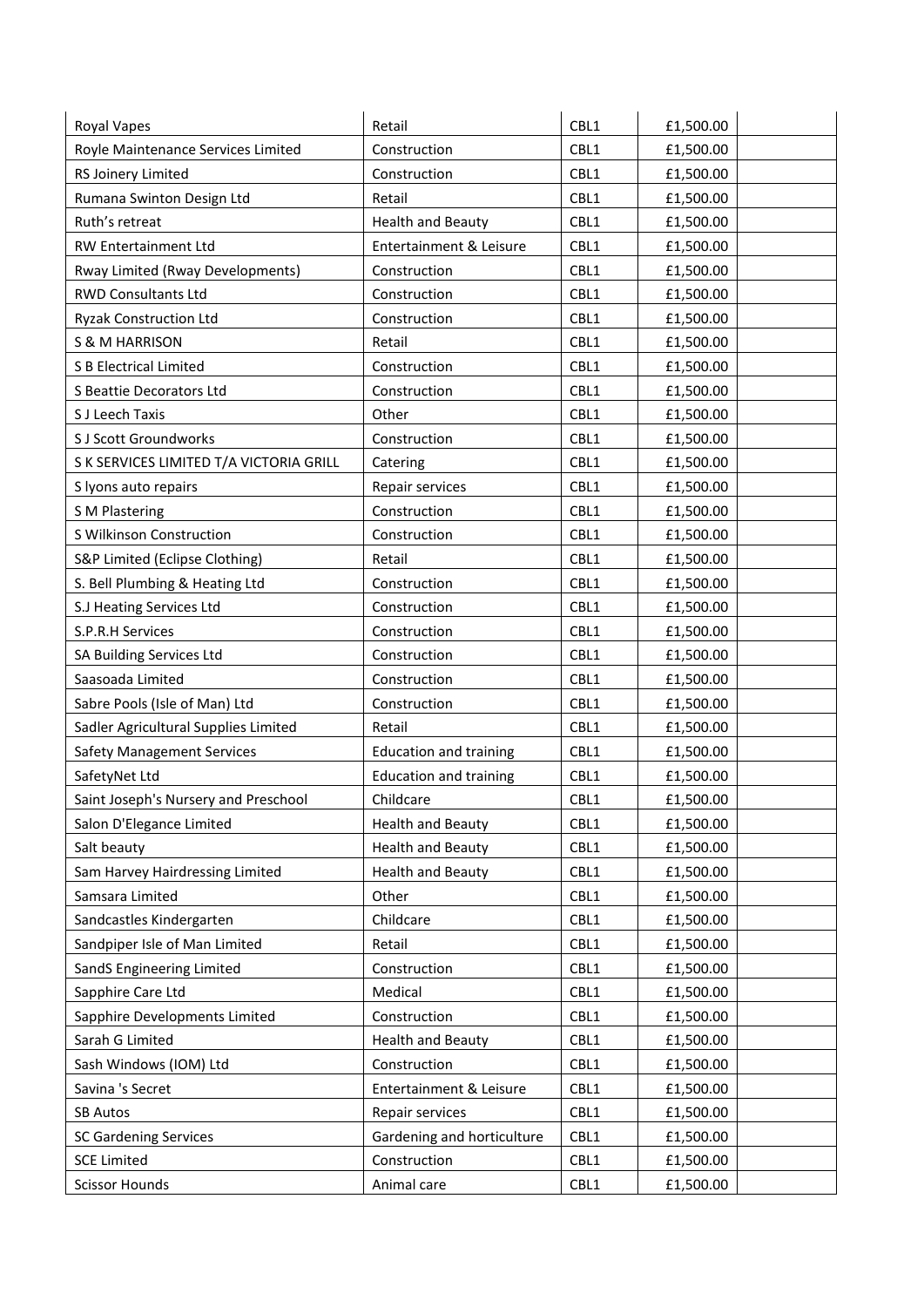| Royal Vapes                             | Retail                        | CBL1 | £1,500.00 |
|-----------------------------------------|-------------------------------|------|-----------|
| Royle Maintenance Services Limited      | Construction                  | CBL1 | £1,500.00 |
| RS Joinery Limited                      | Construction                  | CBL1 | £1,500.00 |
| Rumana Swinton Design Ltd               | Retail                        | CBL1 | £1,500.00 |
| Ruth's retreat                          | <b>Health and Beauty</b>      | CBL1 | £1,500.00 |
| RW Entertainment Ltd                    | Entertainment & Leisure       | CBL1 | £1,500.00 |
| Rway Limited (Rway Developments)        | Construction                  | CBL1 | £1,500.00 |
| <b>RWD Consultants Ltd</b>              | Construction                  | CBL1 | £1,500.00 |
| <b>Ryzak Construction Ltd</b>           | Construction                  | CBL1 | £1,500.00 |
| <b>S &amp; M HARRISON</b>               | Retail                        | CBL1 | £1,500.00 |
| S B Electrical Limited                  | Construction                  | CBL1 | £1,500.00 |
| S Beattie Decorators Ltd                | Construction                  | CBL1 | £1,500.00 |
| S J Leech Taxis                         | Other                         | CBL1 | £1,500.00 |
| S J Scott Groundworks                   | Construction                  | CBL1 | £1,500.00 |
| S K SERVICES LIMITED T/A VICTORIA GRILL | Catering                      | CBL1 | £1,500.00 |
| S lyons auto repairs                    | Repair services               | CBL1 | £1,500.00 |
| S M Plastering                          | Construction                  | CBL1 | £1,500.00 |
| S Wilkinson Construction                | Construction                  | CBL1 | £1,500.00 |
| S&P Limited (Eclipse Clothing)          | Retail                        | CBL1 | £1,500.00 |
| S. Bell Plumbing & Heating Ltd          | Construction                  | CBL1 | £1,500.00 |
| S.J Heating Services Ltd                | Construction                  | CBL1 | £1,500.00 |
| S.P.R.H Services                        | Construction                  | CBL1 | £1,500.00 |
| SA Building Services Ltd                | Construction                  | CBL1 | £1,500.00 |
| Saasoada Limited                        | Construction                  | CBL1 | £1,500.00 |
| Sabre Pools (Isle of Man) Ltd           | Construction                  | CBL1 | £1,500.00 |
| Sadler Agricultural Supplies Limited    | Retail                        | CBL1 | £1,500.00 |
| <b>Safety Management Services</b>       | <b>Education and training</b> | CBL1 | £1,500.00 |
| SafetyNet Ltd                           | <b>Education and training</b> | CBL1 | £1,500.00 |
| Saint Joseph's Nursery and Preschool    | Childcare                     | CBL1 | £1,500.00 |
| Salon D'Elegance Limited                | <b>Health and Beauty</b>      | CBL1 | £1,500.00 |
| Salt beauty                             | <b>Health and Beauty</b>      | CBL1 | £1,500.00 |
| Sam Harvey Hairdressing Limited         | <b>Health and Beauty</b>      | CBL1 | £1,500.00 |
| Samsara Limited                         | Other                         | CBL1 | £1,500.00 |
| Sandcastles Kindergarten                | Childcare                     | CBL1 | £1,500.00 |
| Sandpiper Isle of Man Limited           | Retail                        | CBL1 | £1,500.00 |
| SandS Engineering Limited               | Construction                  | CBL1 | £1,500.00 |
| Sapphire Care Ltd                       | Medical                       | CBL1 | £1,500.00 |
| Sapphire Developments Limited           | Construction                  | CBL1 | £1,500.00 |
| Sarah G Limited                         | <b>Health and Beauty</b>      | CBL1 | £1,500.00 |
| Sash Windows (IOM) Ltd                  | Construction                  | CBL1 | £1,500.00 |
| Savina 's Secret                        | Entertainment & Leisure       | CBL1 | £1,500.00 |
| <b>SB Autos</b>                         | Repair services               | CBL1 | £1,500.00 |
| <b>SC Gardening Services</b>            | Gardening and horticulture    | CBL1 | £1,500.00 |
| <b>SCE Limited</b>                      | Construction                  | CBL1 | £1,500.00 |
| <b>Scissor Hounds</b>                   | Animal care                   | CBL1 | £1,500.00 |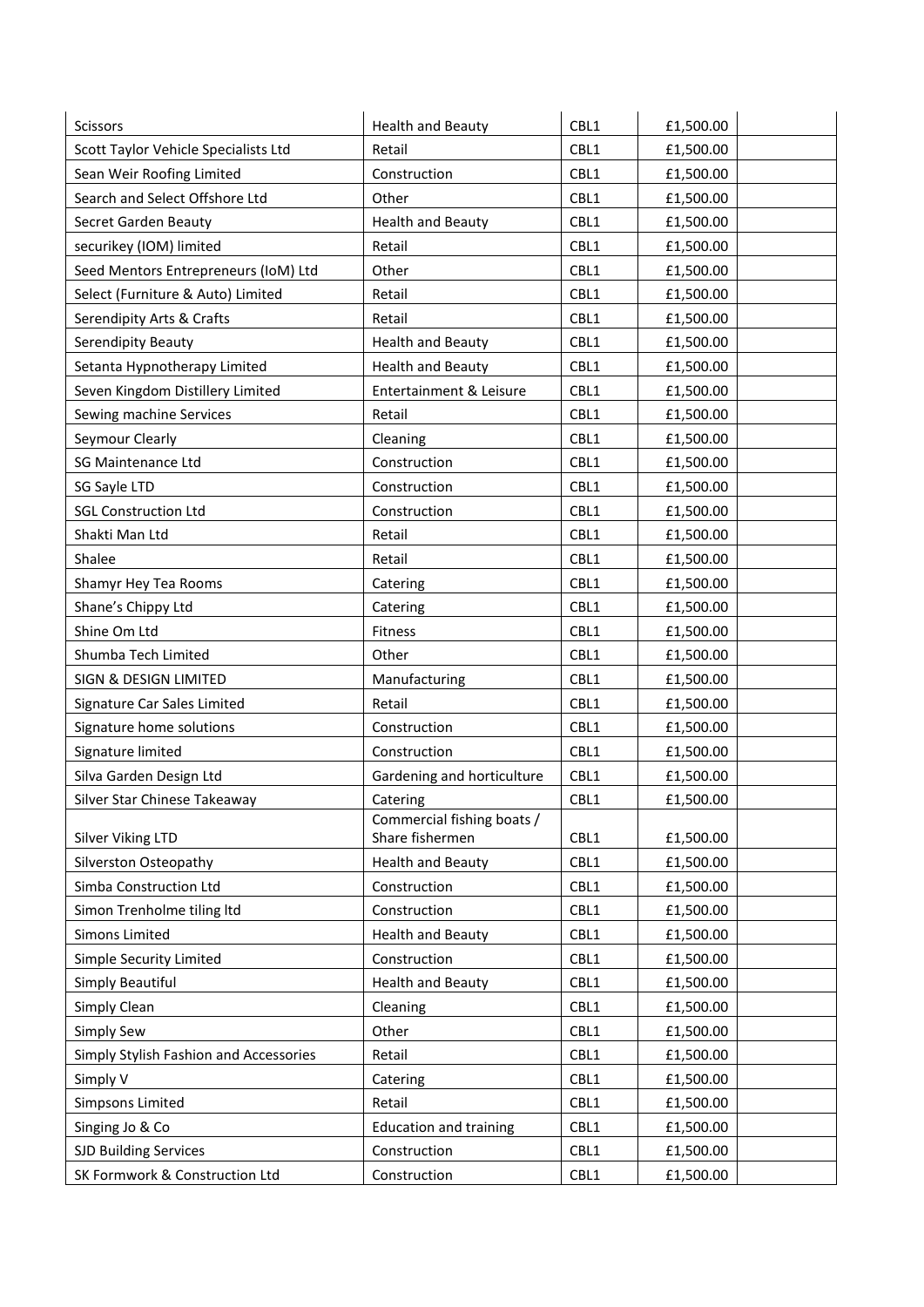| Scissors                               | <b>Health and Beauty</b>      | CBL1         | £1,500.00 |
|----------------------------------------|-------------------------------|--------------|-----------|
| Scott Taylor Vehicle Specialists Ltd   | Retail                        | CBL1         | £1,500.00 |
| Sean Weir Roofing Limited              | Construction                  | CBL1         | £1,500.00 |
| Search and Select Offshore Ltd         | Other                         | CBL1         | £1,500.00 |
| Secret Garden Beauty                   | <b>Health and Beauty</b>      | CBL1         | £1,500.00 |
| securikey (IOM) limited                | Retail                        | CBL1         | £1,500.00 |
| Seed Mentors Entrepreneurs (IoM) Ltd   | Other                         | CBL1         | £1,500.00 |
| Select (Furniture & Auto) Limited      | Retail                        | CBL1         | £1,500.00 |
| Serendipity Arts & Crafts              | Retail                        | CBL1         | £1,500.00 |
| Serendipity Beauty                     | <b>Health and Beauty</b>      | CBL1         | £1,500.00 |
| Setanta Hypnotherapy Limited           | <b>Health and Beauty</b>      | CBL1         | £1,500.00 |
| Seven Kingdom Distillery Limited       | Entertainment & Leisure       | CBL1         | £1,500.00 |
| Sewing machine Services                | Retail                        | CBL1         | £1,500.00 |
| Seymour Clearly                        | Cleaning                      | CBL1         | £1,500.00 |
| <b>SG Maintenance Ltd</b>              | Construction                  | CBL1         | £1,500.00 |
| SG Sayle LTD                           | Construction                  | CBL1         | £1,500.00 |
| <b>SGL Construction Ltd</b>            | Construction                  | CBL1         | £1,500.00 |
| Shakti Man Ltd                         | Retail                        | CBL1         | £1,500.00 |
| Shalee                                 | Retail                        | CBL1         | £1,500.00 |
| Shamyr Hey Tea Rooms                   | Catering                      | CBL1         | £1,500.00 |
| Shane's Chippy Ltd                     | Catering                      | CBL1         | £1,500.00 |
| Shine Om Ltd                           | Fitness                       | CBL1         | £1,500.00 |
| Shumba Tech Limited                    | Other                         | CBL1         | £1,500.00 |
| SIGN & DESIGN LIMITED                  | Manufacturing                 | CBL1         | £1,500.00 |
| Signature Car Sales Limited            | Retail                        | CBL1         | £1,500.00 |
| Signature home solutions               | Construction                  | CBL1         | £1,500.00 |
| Signature limited                      | Construction                  | CBL1         | £1,500.00 |
| Silva Garden Design Ltd                | Gardening and horticulture    | CBL1         | £1,500.00 |
| Silver Star Chinese Takeaway           | Catering                      | CBL1         | £1,500.00 |
|                                        | Commercial fishing boats /    |              |           |
| Silver Viking LTD                      | Share fishermen               | CBL1         | £1,500.00 |
| Silverston Osteopathy                  | <b>Health and Beauty</b>      | CBL1         | £1,500.00 |
| Simba Construction Ltd                 | Construction                  | CBL1         | £1,500.00 |
| Simon Trenholme tiling ltd             | Construction                  | CBL1         | £1,500.00 |
| Simons Limited                         | <b>Health and Beauty</b>      | CBL1<br>CBL1 | £1,500.00 |
| Simple Security Limited                | Construction                  |              | £1,500.00 |
| Simply Beautiful                       | <b>Health and Beauty</b>      | CBL1         | £1,500.00 |
| Simply Clean                           | Cleaning                      | CBL1         | £1,500.00 |
| Simply Sew                             | Other                         | CBL1         | £1,500.00 |
| Simply Stylish Fashion and Accessories | Retail                        | CBL1         | £1,500.00 |
| Simply V                               | Catering                      | CBL1         | £1,500.00 |
| <b>Simpsons Limited</b>                | Retail                        | CBL1         | £1,500.00 |
| Singing Jo & Co                        | <b>Education and training</b> | CBL1         | £1,500.00 |
| <b>SJD Building Services</b>           | Construction                  | CBL1         | £1,500.00 |
| SK Formwork & Construction Ltd         | Construction                  | CBL1         | £1,500.00 |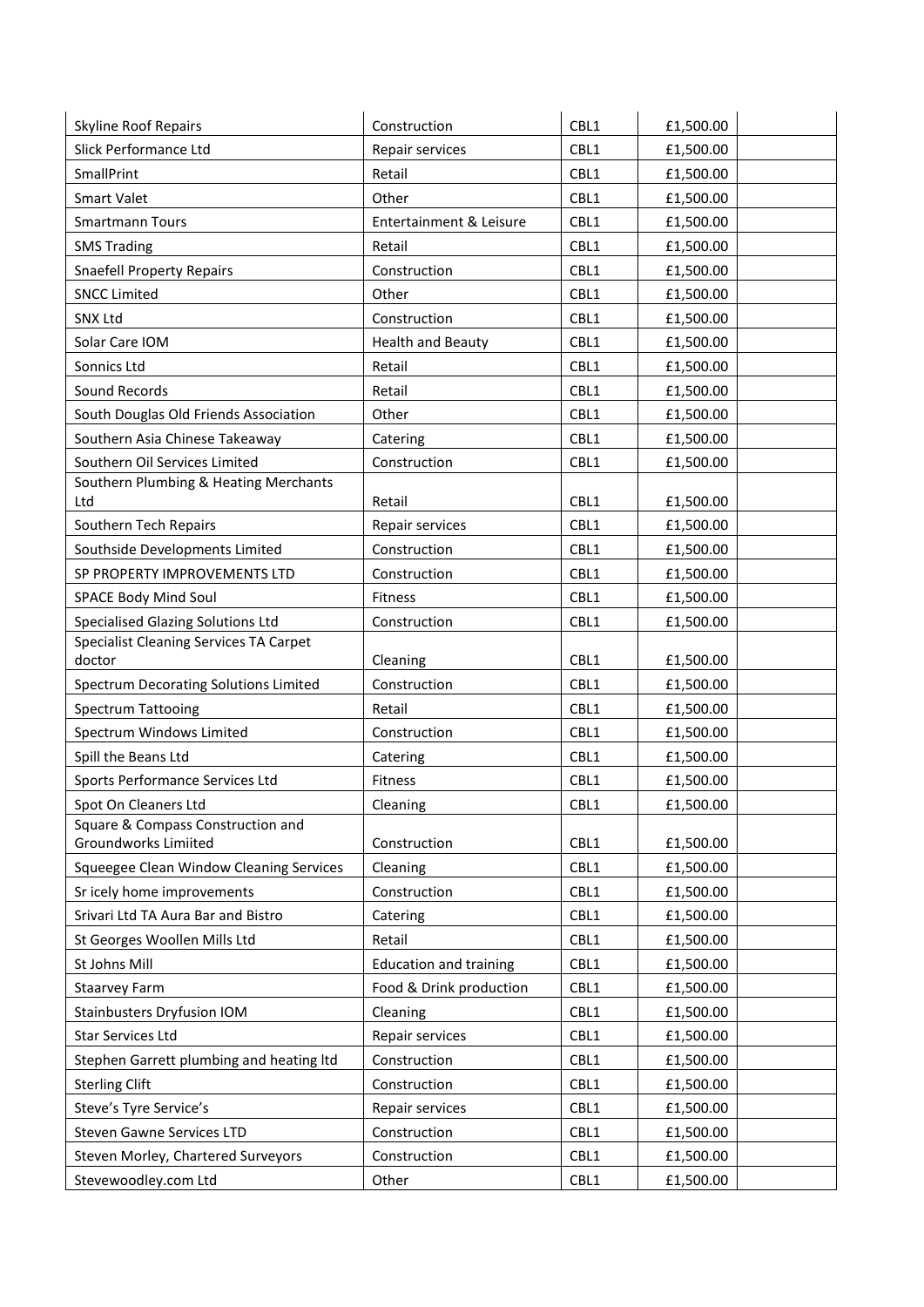| Skyline Roof Repairs                                    | Construction                  | CBL1 | £1,500.00 |
|---------------------------------------------------------|-------------------------------|------|-----------|
| Slick Performance Ltd                                   | Repair services               | CBL1 | £1,500.00 |
| SmallPrint                                              | Retail                        | CBL1 | £1,500.00 |
| <b>Smart Valet</b>                                      | Other                         | CBL1 | £1,500.00 |
| <b>Smartmann Tours</b>                                  | Entertainment & Leisure       | CBL1 | £1,500.00 |
| <b>SMS Trading</b>                                      | Retail                        | CBL1 | £1,500.00 |
| <b>Snaefell Property Repairs</b>                        | Construction                  | CBL1 | £1,500.00 |
| <b>SNCC Limited</b>                                     | Other                         | CBL1 | £1,500.00 |
| SNX Ltd                                                 | Construction                  | CBL1 | £1,500.00 |
| Solar Care IOM                                          | <b>Health and Beauty</b>      | CBL1 | £1,500.00 |
| Sonnics Ltd                                             | Retail                        | CBL1 | £1,500.00 |
| Sound Records                                           | Retail                        | CBL1 | £1,500.00 |
| South Douglas Old Friends Association                   | Other                         | CBL1 | £1,500.00 |
| Southern Asia Chinese Takeaway                          | Catering                      | CBL1 | £1,500.00 |
| Southern Oil Services Limited                           | Construction                  | CBL1 | £1,500.00 |
| Southern Plumbing & Heating Merchants                   |                               |      |           |
| Ltd                                                     | Retail                        | CBL1 | £1,500.00 |
| Southern Tech Repairs                                   | Repair services               | CBL1 | £1,500.00 |
| Southside Developments Limited                          | Construction                  | CBL1 | £1,500.00 |
| SP PROPERTY IMPROVEMENTS LTD                            | Construction                  | CBL1 | £1,500.00 |
| <b>SPACE Body Mind Soul</b>                             | <b>Fitness</b>                | CBL1 | £1,500.00 |
| <b>Specialised Glazing Solutions Ltd</b>                | Construction                  | CBL1 | £1,500.00 |
| <b>Specialist Cleaning Services TA Carpet</b><br>doctor | Cleaning                      | CBL1 | £1,500.00 |
| Spectrum Decorating Solutions Limited                   | Construction                  | CBL1 | £1,500.00 |
| Spectrum Tattooing                                      | Retail                        | CBL1 | £1,500.00 |
| Spectrum Windows Limited                                | Construction                  | CBL1 | £1,500.00 |
| Spill the Beans Ltd                                     | Catering                      | CBL1 | £1,500.00 |
| Sports Performance Services Ltd                         | Fitness                       | CBL1 | £1,500.00 |
| Spot On Cleaners Ltd                                    | Cleaning                      | CBL1 | £1,500.00 |
| Square & Compass Construction and                       |                               |      |           |
| Groundworks Limiited                                    | Construction                  | CBL1 | £1,500.00 |
| Squeegee Clean Window Cleaning Services                 | Cleaning                      | CBL1 | £1,500.00 |
| Sr icely home improvements                              | Construction                  | CBL1 | £1,500.00 |
| Srivari Ltd TA Aura Bar and Bistro                      | Catering                      | CBL1 | £1,500.00 |
| St Georges Woollen Mills Ltd                            | Retail                        | CBL1 | £1,500.00 |
| St Johns Mill                                           | <b>Education and training</b> | CBL1 | £1,500.00 |
| <b>Staarvey Farm</b>                                    | Food & Drink production       | CBL1 | £1,500.00 |
| Stainbusters Dryfusion IOM                              | Cleaning                      | CBL1 | £1,500.00 |
| <b>Star Services Ltd</b>                                | Repair services               | CBL1 | £1,500.00 |
| Stephen Garrett plumbing and heating Itd                | Construction                  | CBL1 | £1,500.00 |
| <b>Sterling Clift</b>                                   | Construction                  | CBL1 | £1,500.00 |
| Steve's Tyre Service's                                  | Repair services               | CBL1 | £1,500.00 |
| Steven Gawne Services LTD                               | Construction                  | CBL1 | £1,500.00 |
| Steven Morley, Chartered Surveyors                      | Construction                  | CBL1 | £1,500.00 |
| Stevewoodley.com Ltd                                    | Other                         | CBL1 | £1,500.00 |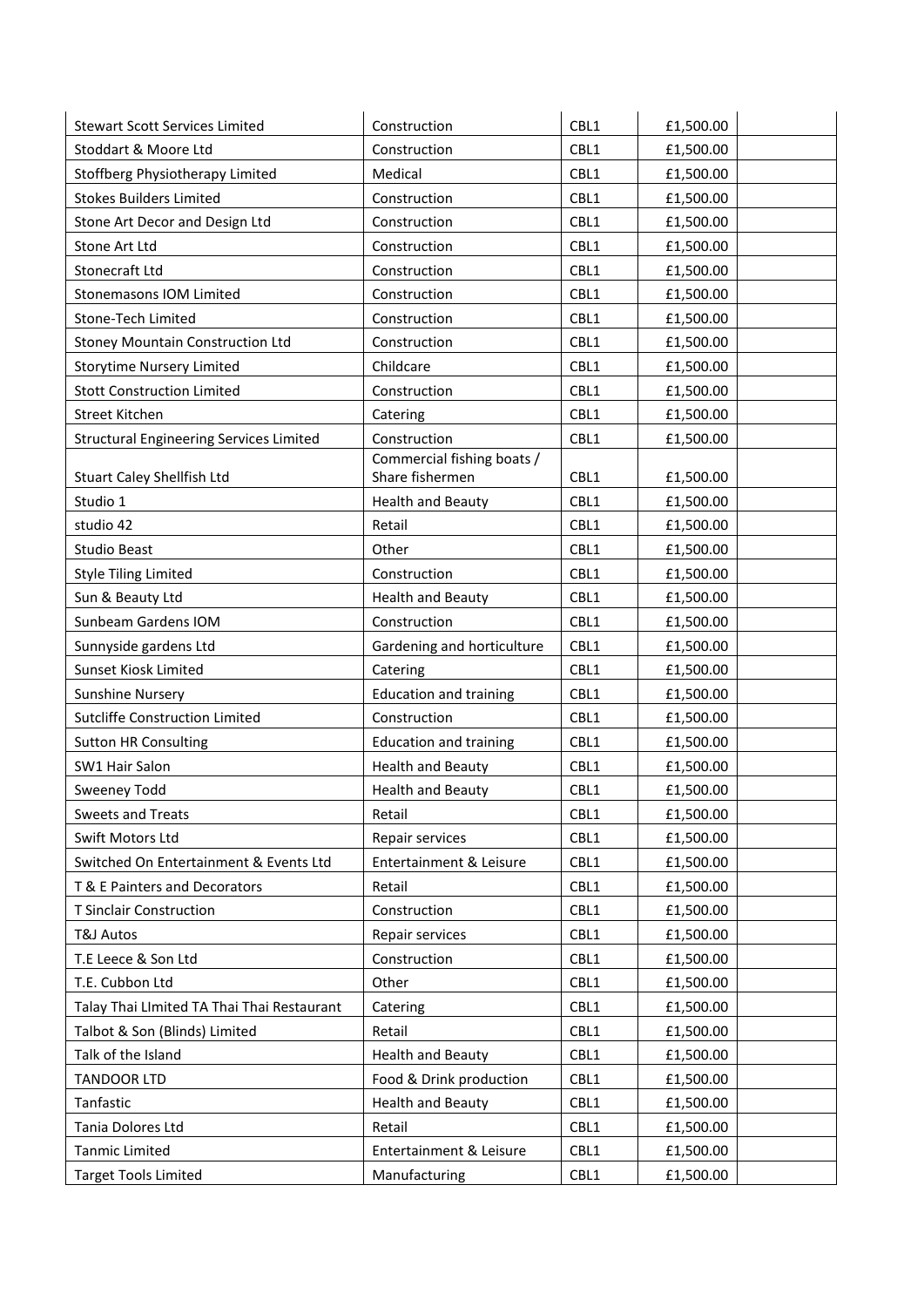| <b>Stewart Scott Services Limited</b>          | Construction                  | CBL1 | £1,500.00 |
|------------------------------------------------|-------------------------------|------|-----------|
| Stoddart & Moore Ltd                           | Construction                  | CBL1 | £1,500.00 |
| Stoffberg Physiotherapy Limited                | Medical                       | CBL1 | £1,500.00 |
| <b>Stokes Builders Limited</b>                 | Construction                  | CBL1 | £1,500.00 |
| Stone Art Decor and Design Ltd                 | Construction                  | CBL1 | £1,500.00 |
| Stone Art Ltd                                  | Construction                  | CBL1 | £1,500.00 |
| Stonecraft Ltd                                 | Construction                  | CBL1 | £1,500.00 |
| Stonemasons IOM Limited                        | Construction                  | CBL1 | £1,500.00 |
| Stone-Tech Limited                             | Construction                  | CBL1 | £1,500.00 |
| <b>Stoney Mountain Construction Ltd</b>        | Construction                  | CBL1 | £1,500.00 |
| <b>Storytime Nursery Limited</b>               | Childcare                     | CBL1 | £1,500.00 |
| <b>Stott Construction Limited</b>              | Construction                  | CBL1 | £1,500.00 |
| Street Kitchen                                 | Catering                      | CBL1 | £1,500.00 |
| <b>Structural Engineering Services Limited</b> | Construction                  | CBL1 | £1,500.00 |
|                                                | Commercial fishing boats /    |      |           |
| <b>Stuart Caley Shellfish Ltd</b>              | Share fishermen               | CBL1 | £1,500.00 |
| Studio 1                                       | <b>Health and Beauty</b>      | CBL1 | £1,500.00 |
| studio 42                                      | Retail                        | CBL1 | £1,500.00 |
| <b>Studio Beast</b>                            | Other                         | CBL1 | £1,500.00 |
| <b>Style Tiling Limited</b>                    | Construction                  | CBL1 | £1,500.00 |
| Sun & Beauty Ltd                               | <b>Health and Beauty</b>      | CBL1 | £1,500.00 |
| Sunbeam Gardens IOM                            | Construction                  | CBL1 | £1,500.00 |
| Sunnyside gardens Ltd                          | Gardening and horticulture    | CBL1 | £1,500.00 |
| Sunset Kiosk Limited                           | Catering                      | CBL1 | £1,500.00 |
| <b>Sunshine Nursery</b>                        | <b>Education and training</b> | CBL1 | £1,500.00 |
| Sutcliffe Construction Limited                 | Construction                  | CBL1 | £1,500.00 |
| <b>Sutton HR Consulting</b>                    | <b>Education and training</b> | CBL1 | £1,500.00 |
| SW1 Hair Salon                                 | <b>Health and Beauty</b>      | CBL1 | £1,500.00 |
| Sweeney Todd                                   | <b>Health and Beauty</b>      | CBL1 | £1,500.00 |
| Sweets and Treats                              | Retail                        | CBL1 | £1,500.00 |
| Swift Motors Ltd                               | Repair services               | CBL1 | £1,500.00 |
| Switched On Entertainment & Events Ltd         | Entertainment & Leisure       | CBL1 | £1,500.00 |
| T & E Painters and Decorators                  | Retail                        | CBL1 | £1,500.00 |
| <b>T Sinclair Construction</b>                 | Construction                  | CBL1 | £1,500.00 |
| T&J Autos                                      | Repair services               | CBL1 | £1,500.00 |
| T.E Leece & Son Ltd                            | Construction                  | CBL1 | £1,500.00 |
| T.E. Cubbon Ltd                                | Other                         | CBL1 | £1,500.00 |
| Talay Thai LImited TA Thai Thai Restaurant     | Catering                      | CBL1 | £1,500.00 |
| Talbot & Son (Blinds) Limited                  | Retail                        | CBL1 | £1,500.00 |
| Talk of the Island                             | <b>Health and Beauty</b>      | CBL1 | £1,500.00 |
| <b>TANDOOR LTD</b>                             | Food & Drink production       | CBL1 | £1,500.00 |
| Tanfastic                                      | <b>Health and Beauty</b>      | CBL1 | £1,500.00 |
| Tania Dolores Ltd                              | Retail                        | CBL1 | £1,500.00 |
| <b>Tanmic Limited</b>                          | Entertainment & Leisure       | CBL1 | £1,500.00 |
| <b>Target Tools Limited</b>                    | Manufacturing                 | CBL1 | £1,500.00 |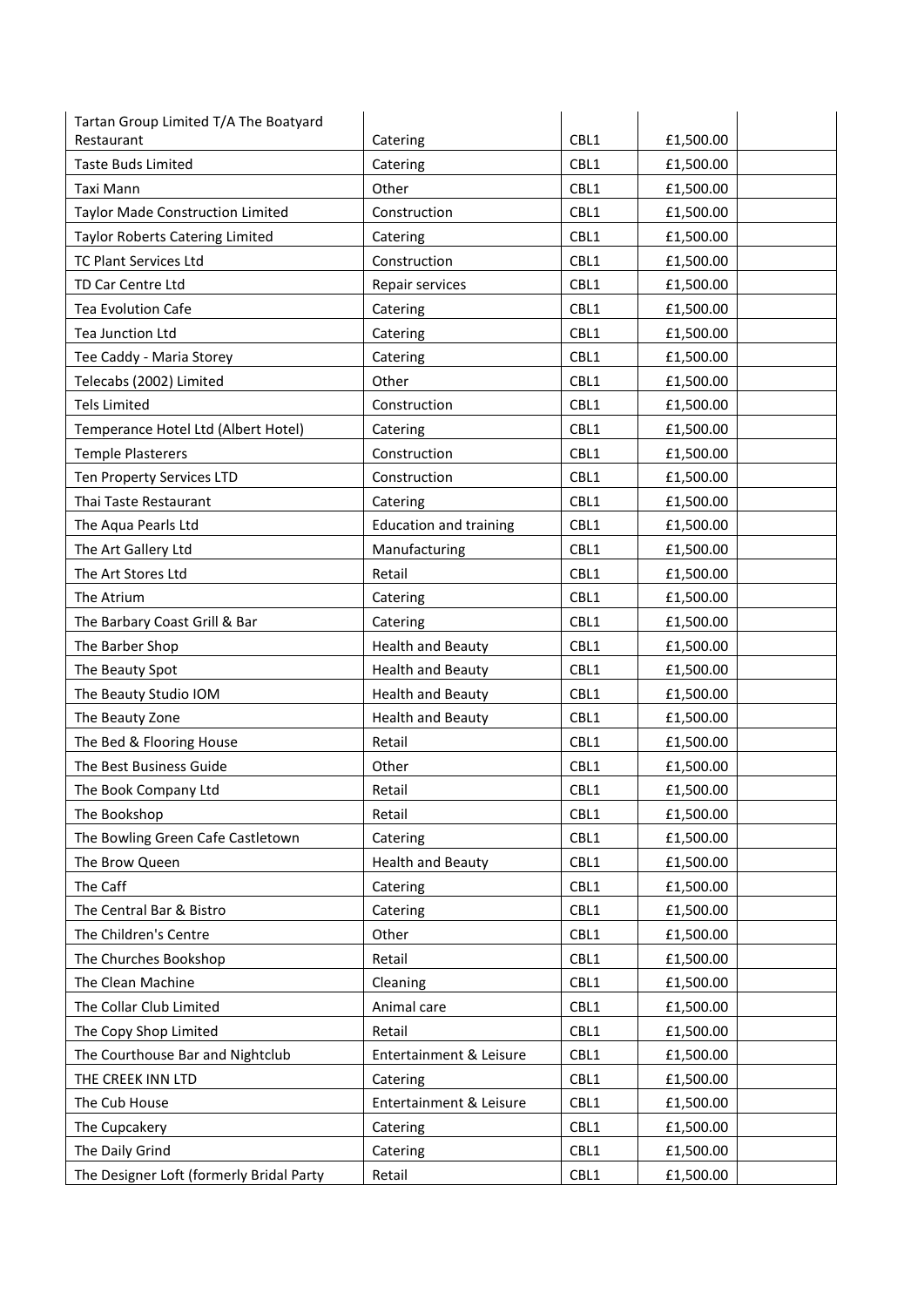| Tartan Group Limited T/A The Boatyard    |                               |      |           |
|------------------------------------------|-------------------------------|------|-----------|
| Restaurant                               | Catering                      | CBL1 | £1,500.00 |
| <b>Taste Buds Limited</b>                | Catering                      | CBL1 | £1,500.00 |
| Taxi Mann                                | Other                         | CBL1 | £1,500.00 |
| <b>Taylor Made Construction Limited</b>  | Construction                  | CBL1 | £1,500.00 |
| <b>Taylor Roberts Catering Limited</b>   | Catering                      | CBL1 | £1,500.00 |
| TC Plant Services Ltd                    | Construction                  | CBL1 | £1,500.00 |
| TD Car Centre Ltd                        | Repair services               | CBL1 | £1,500.00 |
| <b>Tea Evolution Cafe</b>                | Catering                      | CBL1 | £1,500.00 |
| <b>Tea Junction Ltd</b>                  | Catering                      | CBL1 | £1,500.00 |
| Tee Caddy - Maria Storey                 | Catering                      | CBL1 | £1,500.00 |
| Telecabs (2002) Limited                  | Other                         | CBL1 | £1,500.00 |
| <b>Tels Limited</b>                      | Construction                  | CBL1 | £1,500.00 |
| Temperance Hotel Ltd (Albert Hotel)      | Catering                      | CBL1 | £1,500.00 |
| <b>Temple Plasterers</b>                 | Construction                  | CBL1 | £1,500.00 |
| Ten Property Services LTD                | Construction                  | CBL1 | £1,500.00 |
| Thai Taste Restaurant                    | Catering                      | CBL1 | £1,500.00 |
| The Aqua Pearls Ltd                      | <b>Education and training</b> | CBL1 | £1,500.00 |
| The Art Gallery Ltd                      | Manufacturing                 | CBL1 | £1,500.00 |
| The Art Stores Ltd                       | Retail                        | CBL1 | £1,500.00 |
| The Atrium                               | Catering                      | CBL1 | £1,500.00 |
| The Barbary Coast Grill & Bar            | Catering                      | CBL1 | £1,500.00 |
| The Barber Shop                          | <b>Health and Beauty</b>      | CBL1 | £1,500.00 |
| The Beauty Spot                          | <b>Health and Beauty</b>      | CBL1 | £1,500.00 |
| The Beauty Studio IOM                    | <b>Health and Beauty</b>      | CBL1 | £1,500.00 |
| The Beauty Zone                          | <b>Health and Beauty</b>      | CBL1 | £1,500.00 |
| The Bed & Flooring House                 | Retail                        | CBL1 | £1,500.00 |
| The Best Business Guide                  | Other                         | CBL1 | £1,500.00 |
| The Book Company Ltd                     | Retail                        | CBL1 | £1,500.00 |
| The Bookshop                             | Retail                        | CBL1 | £1,500.00 |
| The Bowling Green Cafe Castletown        | Catering                      | CBL1 | £1,500.00 |
| The Brow Queen                           | <b>Health and Beauty</b>      | CBL1 | £1,500.00 |
| The Caff                                 | Catering                      | CBL1 | £1,500.00 |
| The Central Bar & Bistro                 | Catering                      | CBL1 | £1,500.00 |
| The Children's Centre                    | Other                         | CBL1 | £1,500.00 |
| The Churches Bookshop                    | Retail                        | CBL1 | £1,500.00 |
| The Clean Machine                        | Cleaning                      | CBL1 | £1,500.00 |
| The Collar Club Limited                  | Animal care                   | CBL1 | £1,500.00 |
| The Copy Shop Limited                    | Retail                        | CBL1 | £1,500.00 |
| The Courthouse Bar and Nightclub         | Entertainment & Leisure       | CBL1 | £1,500.00 |
| THE CREEK INN LTD                        | Catering                      | CBL1 | £1,500.00 |
| The Cub House                            | Entertainment & Leisure       | CBL1 | £1,500.00 |
| The Cupcakery                            | Catering                      | CBL1 | £1,500.00 |
| The Daily Grind                          | Catering                      | CBL1 | £1,500.00 |
| The Designer Loft (formerly Bridal Party | Retail                        | CBL1 | £1,500.00 |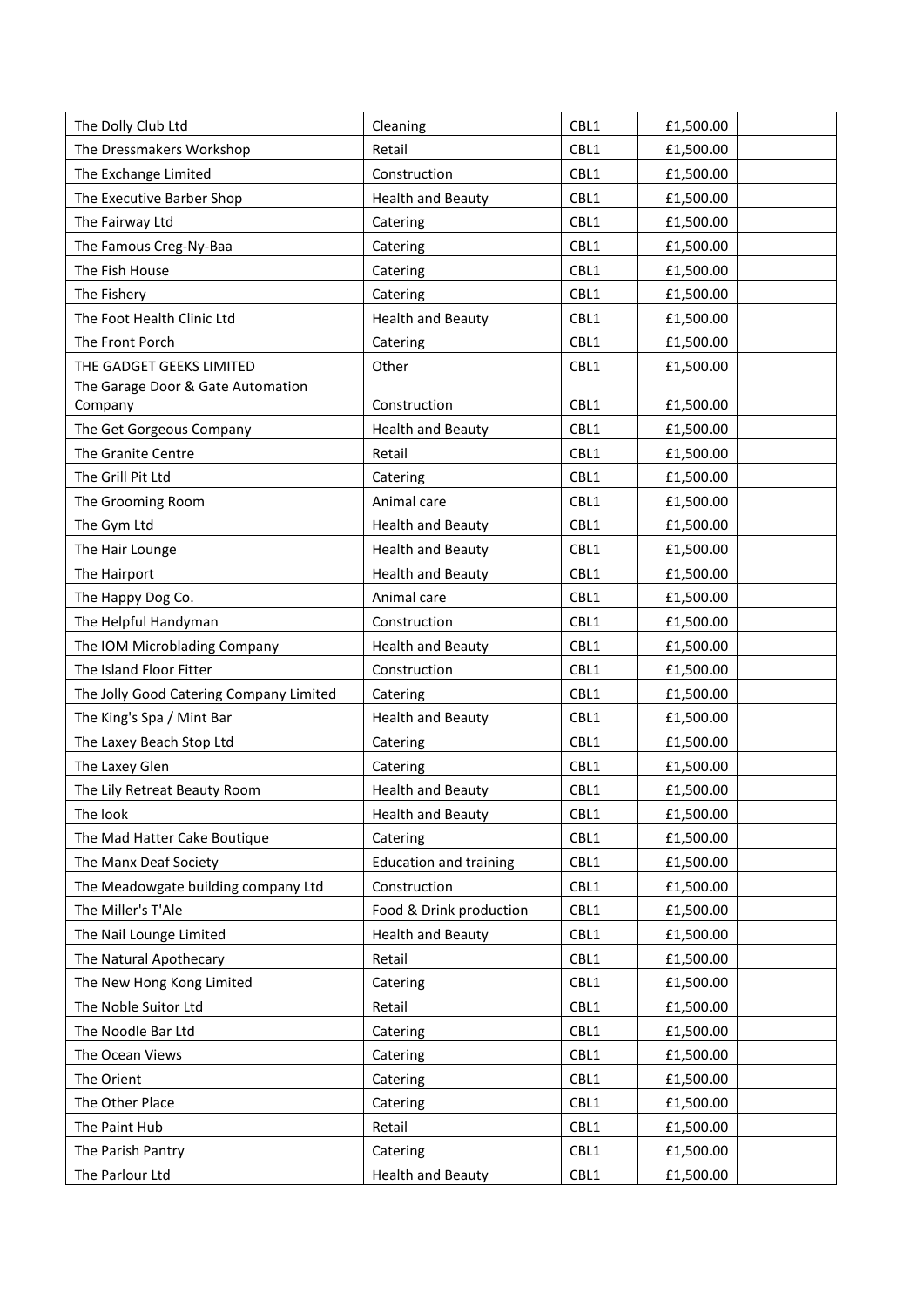| The Dolly Club Ltd                      | Cleaning                      | CBL1 | £1,500.00 |
|-----------------------------------------|-------------------------------|------|-----------|
| The Dressmakers Workshop                | Retail                        | CBL1 | £1,500.00 |
| The Exchange Limited                    | Construction                  | CBL1 | £1,500.00 |
| The Executive Barber Shop               | <b>Health and Beauty</b>      | CBL1 | £1,500.00 |
| The Fairway Ltd                         | Catering                      | CBL1 | £1,500.00 |
| The Famous Creg-Ny-Baa                  | Catering                      | CBL1 | £1,500.00 |
| The Fish House                          | Catering                      | CBL1 | £1,500.00 |
| The Fishery                             | Catering                      | CBL1 | £1,500.00 |
| The Foot Health Clinic Ltd              | <b>Health and Beauty</b>      | CBL1 | £1,500.00 |
| The Front Porch                         | Catering                      | CBL1 | £1,500.00 |
| THE GADGET GEEKS LIMITED                | Other                         | CBL1 | £1,500.00 |
| The Garage Door & Gate Automation       |                               |      |           |
| Company                                 | Construction                  | CBL1 | £1,500.00 |
| The Get Gorgeous Company                | <b>Health and Beauty</b>      | CBL1 | £1,500.00 |
| The Granite Centre                      | Retail                        | CBL1 | £1,500.00 |
| The Grill Pit Ltd                       | Catering                      | CBL1 | £1,500.00 |
| The Grooming Room                       | Animal care                   | CBL1 | £1,500.00 |
| The Gym Ltd                             | <b>Health and Beauty</b>      | CBL1 | £1,500.00 |
| The Hair Lounge                         | <b>Health and Beauty</b>      | CBL1 | £1,500.00 |
| The Hairport                            | <b>Health and Beauty</b>      | CBL1 | £1,500.00 |
| The Happy Dog Co.                       | Animal care                   | CBL1 | £1,500.00 |
| The Helpful Handyman                    | Construction                  | CBL1 | £1,500.00 |
| The IOM Microblading Company            | <b>Health and Beauty</b>      | CBL1 | £1,500.00 |
| The Island Floor Fitter                 | Construction                  | CBL1 | £1,500.00 |
| The Jolly Good Catering Company Limited | Catering                      | CBL1 | £1,500.00 |
| The King's Spa / Mint Bar               | <b>Health and Beauty</b>      | CBL1 | £1,500.00 |
| The Laxey Beach Stop Ltd                | Catering                      | CBL1 | £1,500.00 |
| The Laxey Glen                          | Catering                      | CBL1 | £1,500.00 |
| The Lily Retreat Beauty Room            | <b>Health and Beauty</b>      | CBL1 | £1,500.00 |
| The look                                | <b>Health and Beauty</b>      | CBL1 | £1,500.00 |
| The Mad Hatter Cake Boutique            | Catering                      | CBL1 | £1,500.00 |
| The Manx Deaf Society                   | <b>Education and training</b> | CBL1 | £1,500.00 |
| The Meadowgate building company Ltd     | Construction                  | CBL1 | £1,500.00 |
| The Miller's T'Ale                      | Food & Drink production       | CBL1 | £1,500.00 |
| The Nail Lounge Limited                 | <b>Health and Beauty</b>      | CBL1 | £1,500.00 |
| The Natural Apothecary                  | Retail                        | CBL1 | £1,500.00 |
| The New Hong Kong Limited               | Catering                      | CBL1 | £1,500.00 |
| The Noble Suitor Ltd                    | Retail                        | CBL1 | £1,500.00 |
| The Noodle Bar Ltd                      | Catering                      | CBL1 | £1,500.00 |
| The Ocean Views                         | Catering                      | CBL1 | £1,500.00 |
| The Orient                              | Catering                      | CBL1 | £1,500.00 |
| The Other Place                         | Catering                      | CBL1 | £1,500.00 |
| The Paint Hub                           | Retail                        | CBL1 | £1,500.00 |
| The Parish Pantry                       | Catering                      | CBL1 | £1,500.00 |
| The Parlour Ltd                         | <b>Health and Beauty</b>      | CBL1 | £1,500.00 |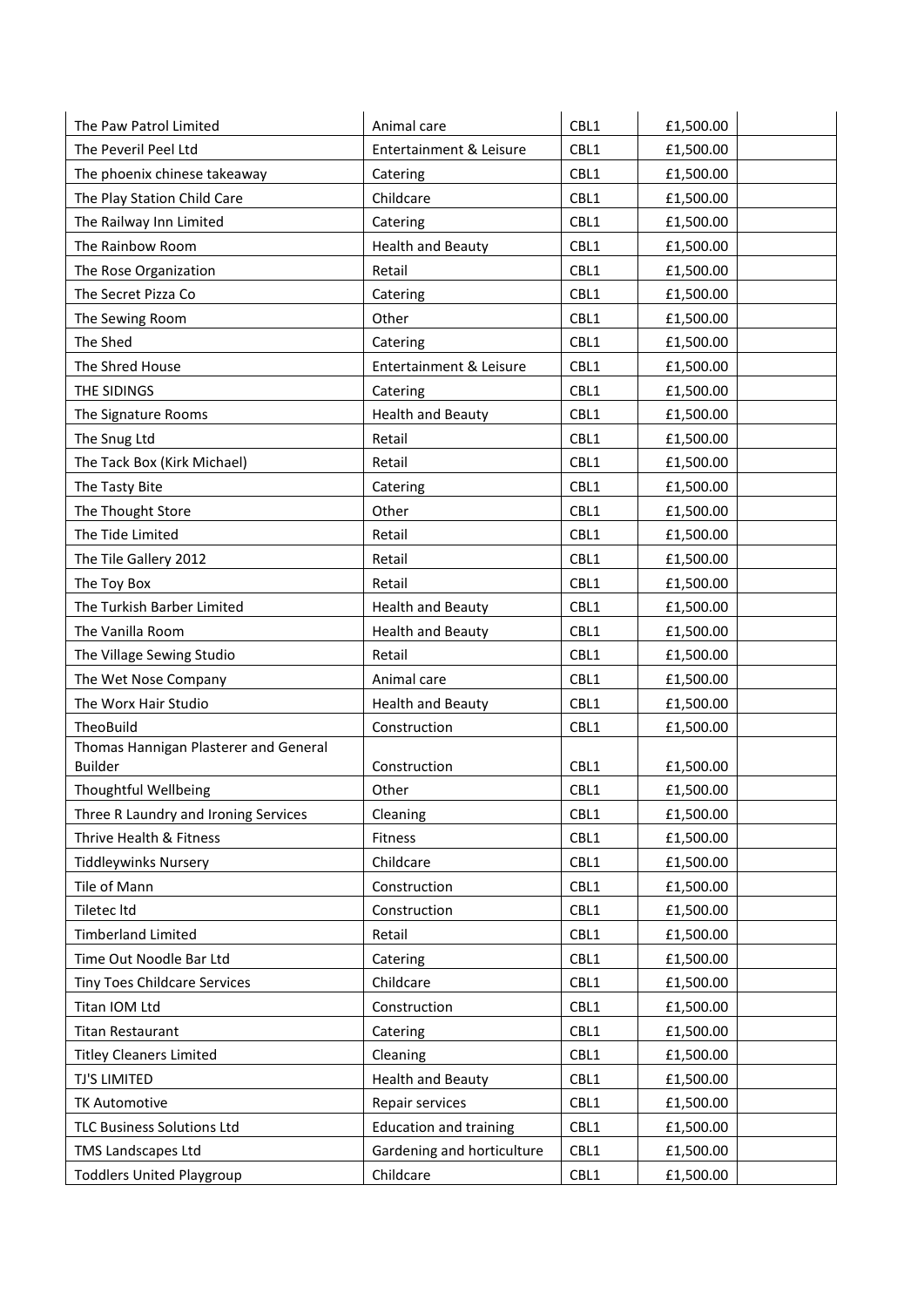| The Paw Patrol Limited                | Animal care                   | CBL1 | £1,500.00 |
|---------------------------------------|-------------------------------|------|-----------|
| The Peveril Peel Ltd                  | Entertainment & Leisure       | CBL1 | £1,500.00 |
| The phoenix chinese takeaway          | Catering                      | CBL1 | £1,500.00 |
| The Play Station Child Care           | Childcare                     | CBL1 | £1,500.00 |
| The Railway Inn Limited               | Catering                      | CBL1 | £1,500.00 |
| The Rainbow Room                      | <b>Health and Beauty</b>      | CBL1 | £1,500.00 |
| The Rose Organization                 | Retail                        | CBL1 | £1,500.00 |
| The Secret Pizza Co                   | Catering                      | CBL1 | £1,500.00 |
| The Sewing Room                       | Other                         | CBL1 | £1,500.00 |
| The Shed                              | Catering                      | CBL1 | £1,500.00 |
| The Shred House                       | Entertainment & Leisure       | CBL1 | £1,500.00 |
| THE SIDINGS                           | Catering                      | CBL1 | £1,500.00 |
| The Signature Rooms                   | <b>Health and Beauty</b>      | CBL1 | £1,500.00 |
| The Snug Ltd                          | Retail                        | CBL1 | £1,500.00 |
| The Tack Box (Kirk Michael)           | Retail                        | CBL1 | £1,500.00 |
| The Tasty Bite                        | Catering                      | CBL1 | £1,500.00 |
| The Thought Store                     | Other                         | CBL1 | £1,500.00 |
| The Tide Limited                      | Retail                        | CBL1 | £1,500.00 |
| The Tile Gallery 2012                 | Retail                        | CBL1 | £1,500.00 |
| The Toy Box                           | Retail                        | CBL1 | £1,500.00 |
| The Turkish Barber Limited            | <b>Health and Beauty</b>      | CBL1 | £1,500.00 |
| The Vanilla Room                      | <b>Health and Beauty</b>      | CBL1 | £1,500.00 |
| The Village Sewing Studio             | Retail                        | CBL1 | £1,500.00 |
| The Wet Nose Company                  | Animal care                   | CBL1 | £1,500.00 |
| The Worx Hair Studio                  | <b>Health and Beauty</b>      | CBL1 | £1,500.00 |
| TheoBuild                             | Construction                  | CBL1 | £1,500.00 |
| Thomas Hannigan Plasterer and General |                               |      |           |
| <b>Builder</b>                        | Construction                  | CBL1 | £1,500.00 |
| Thoughtful Wellbeing                  | Other                         | CBL1 | £1,500.00 |
| Three R Laundry and Ironing Services  | Cleaning                      | CBL1 | £1,500.00 |
| Thrive Health & Fitness               | Fitness                       | CBL1 | £1,500.00 |
| <b>Tiddleywinks Nursery</b>           | Childcare                     | CBL1 | £1,500.00 |
| Tile of Mann                          | Construction                  | CBL1 | £1,500.00 |
| Tiletec Itd                           | Construction                  | CBL1 | £1,500.00 |
| <b>Timberland Limited</b>             | Retail                        | CBL1 | £1,500.00 |
| Time Out Noodle Bar Ltd               | Catering                      | CBL1 | £1,500.00 |
| Tiny Toes Childcare Services          | Childcare                     | CBL1 | £1,500.00 |
| Titan IOM Ltd                         | Construction                  | CBL1 | £1,500.00 |
| <b>Titan Restaurant</b>               | Catering                      | CBL1 | £1,500.00 |
| <b>Titley Cleaners Limited</b>        | Cleaning                      | CBL1 | £1,500.00 |
| TJ'S LIMITED                          | <b>Health and Beauty</b>      | CBL1 | £1,500.00 |
| <b>TK Automotive</b>                  | Repair services               | CBL1 | £1,500.00 |
| <b>TLC Business Solutions Ltd</b>     | <b>Education and training</b> | CBL1 | £1,500.00 |
| <b>TMS Landscapes Ltd</b>             | Gardening and horticulture    | CBL1 | £1,500.00 |
| <b>Toddlers United Playgroup</b>      | Childcare                     | CBL1 | £1,500.00 |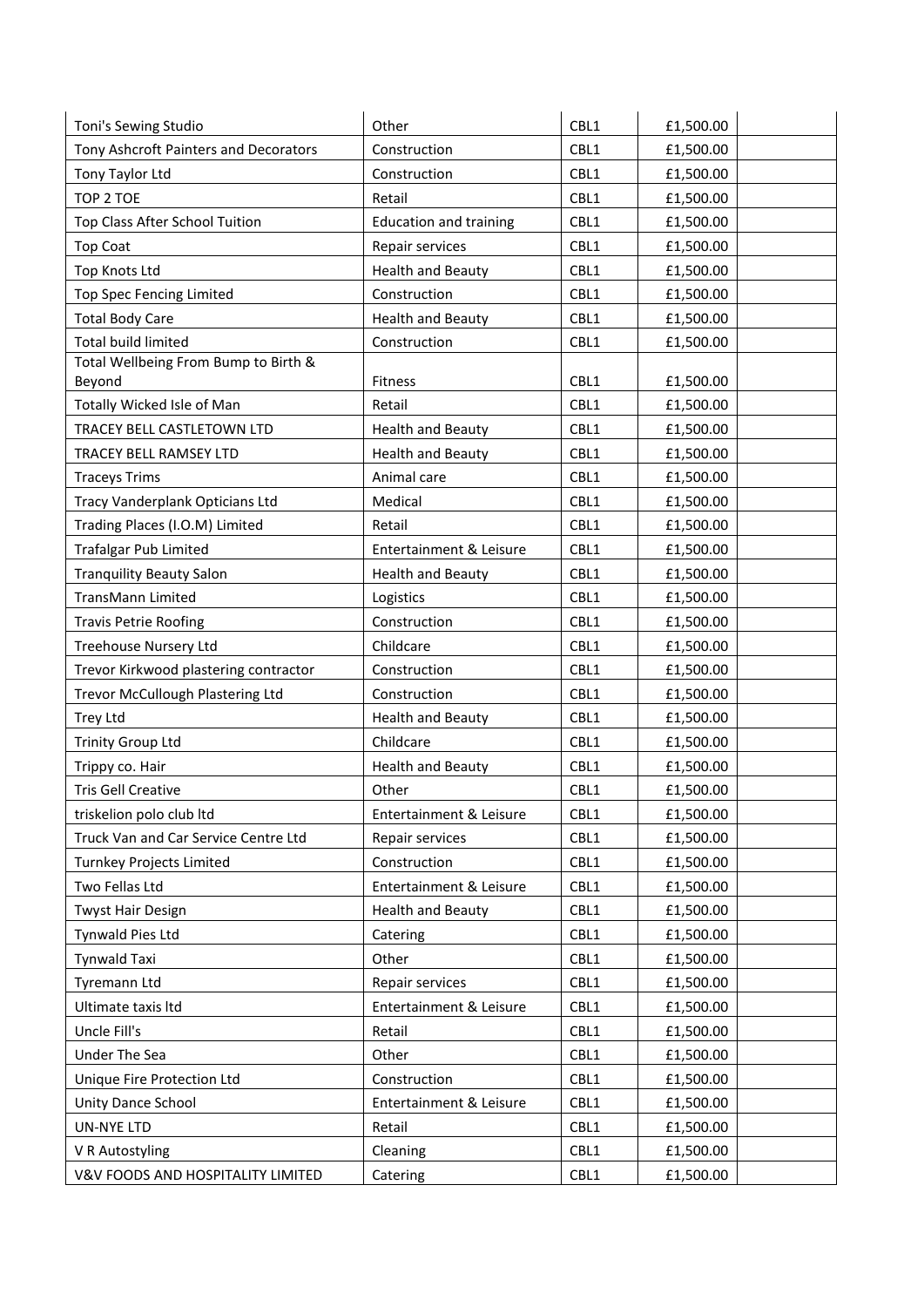| Toni's Sewing Studio                  | Other                         | CBL1 | £1,500.00 |
|---------------------------------------|-------------------------------|------|-----------|
| Tony Ashcroft Painters and Decorators | Construction                  | CBL1 | £1,500.00 |
| Tony Taylor Ltd                       | Construction                  | CBL1 | £1,500.00 |
| TOP 2 TOE                             | Retail                        | CBL1 | £1,500.00 |
| Top Class After School Tuition        | <b>Education and training</b> | CBL1 | £1,500.00 |
| <b>Top Coat</b>                       | Repair services               | CBL1 | £1,500.00 |
| <b>Top Knots Ltd</b>                  | <b>Health and Beauty</b>      | CBL1 | £1,500.00 |
| Top Spec Fencing Limited              | Construction                  | CBL1 | £1,500.00 |
| <b>Total Body Care</b>                | <b>Health and Beauty</b>      | CBL1 | £1,500.00 |
| <b>Total build limited</b>            | Construction                  | CBL1 | £1,500.00 |
| Total Wellbeing From Bump to Birth &  |                               |      |           |
| Beyond                                | Fitness                       | CBL1 | £1,500.00 |
| Totally Wicked Isle of Man            | Retail                        | CBL1 | £1,500.00 |
| TRACEY BELL CASTLETOWN LTD            | <b>Health and Beauty</b>      | CBL1 | £1,500.00 |
| TRACEY BELL RAMSEY LTD                | <b>Health and Beauty</b>      | CBL1 | £1,500.00 |
| <b>Traceys Trims</b>                  | Animal care                   | CBL1 | £1,500.00 |
| Tracy Vanderplank Opticians Ltd       | Medical                       | CBL1 | £1,500.00 |
| Trading Places (I.O.M) Limited        | Retail                        | CBL1 | £1,500.00 |
| <b>Trafalgar Pub Limited</b>          | Entertainment & Leisure       | CBL1 | £1,500.00 |
| <b>Tranquility Beauty Salon</b>       | <b>Health and Beauty</b>      | CBL1 | £1,500.00 |
| TransMann Limited                     | Logistics                     | CBL1 | £1,500.00 |
| <b>Travis Petrie Roofing</b>          | Construction                  | CBL1 | £1,500.00 |
| <b>Treehouse Nursery Ltd</b>          | Childcare                     | CBL1 | £1,500.00 |
| Trevor Kirkwood plastering contractor | Construction                  | CBL1 | £1,500.00 |
| Trevor McCullough Plastering Ltd      | Construction                  | CBL1 | £1,500.00 |
| Trey Ltd                              | <b>Health and Beauty</b>      | CBL1 | £1,500.00 |
| <b>Trinity Group Ltd</b>              | Childcare                     | CBL1 | £1,500.00 |
| Trippy co. Hair                       | <b>Health and Beauty</b>      | CBL1 | £1,500.00 |
| Tris Gell Creative                    | Other                         | CBL1 | £1,500.00 |
| triskelion polo club Itd              | Entertainment & Leisure       | CBL1 | £1,500.00 |
| Truck Van and Car Service Centre Ltd  | Repair services               | CBL1 | £1,500.00 |
| Turnkey Projects Limited              | Construction                  | CBL1 | £1,500.00 |
| Two Fellas Ltd                        | Entertainment & Leisure       | CBL1 | £1,500.00 |
| <b>Twyst Hair Design</b>              | <b>Health and Beauty</b>      | CBL1 | £1,500.00 |
| Tynwald Pies Ltd                      | Catering                      | CBL1 | £1,500.00 |
| <b>Tynwald Taxi</b>                   | Other                         | CBL1 | £1,500.00 |
| Tyremann Ltd                          | Repair services               | CBL1 | £1,500.00 |
| Ultimate taxis ltd                    | Entertainment & Leisure       | CBL1 | £1,500.00 |
| Uncle Fill's                          | Retail                        | CBL1 | £1,500.00 |
| <b>Under The Sea</b>                  | Other                         | CBL1 | £1,500.00 |
| Unique Fire Protection Ltd            | Construction                  | CBL1 | £1,500.00 |
| Unity Dance School                    | Entertainment & Leisure       | CBL1 | £1,500.00 |
| UN-NYE LTD                            | Retail                        | CBL1 | £1,500.00 |
| V R Autostyling                       | Cleaning                      | CBL1 | £1,500.00 |
| V&V FOODS AND HOSPITALITY LIMITED     | Catering                      | CBL1 | £1,500.00 |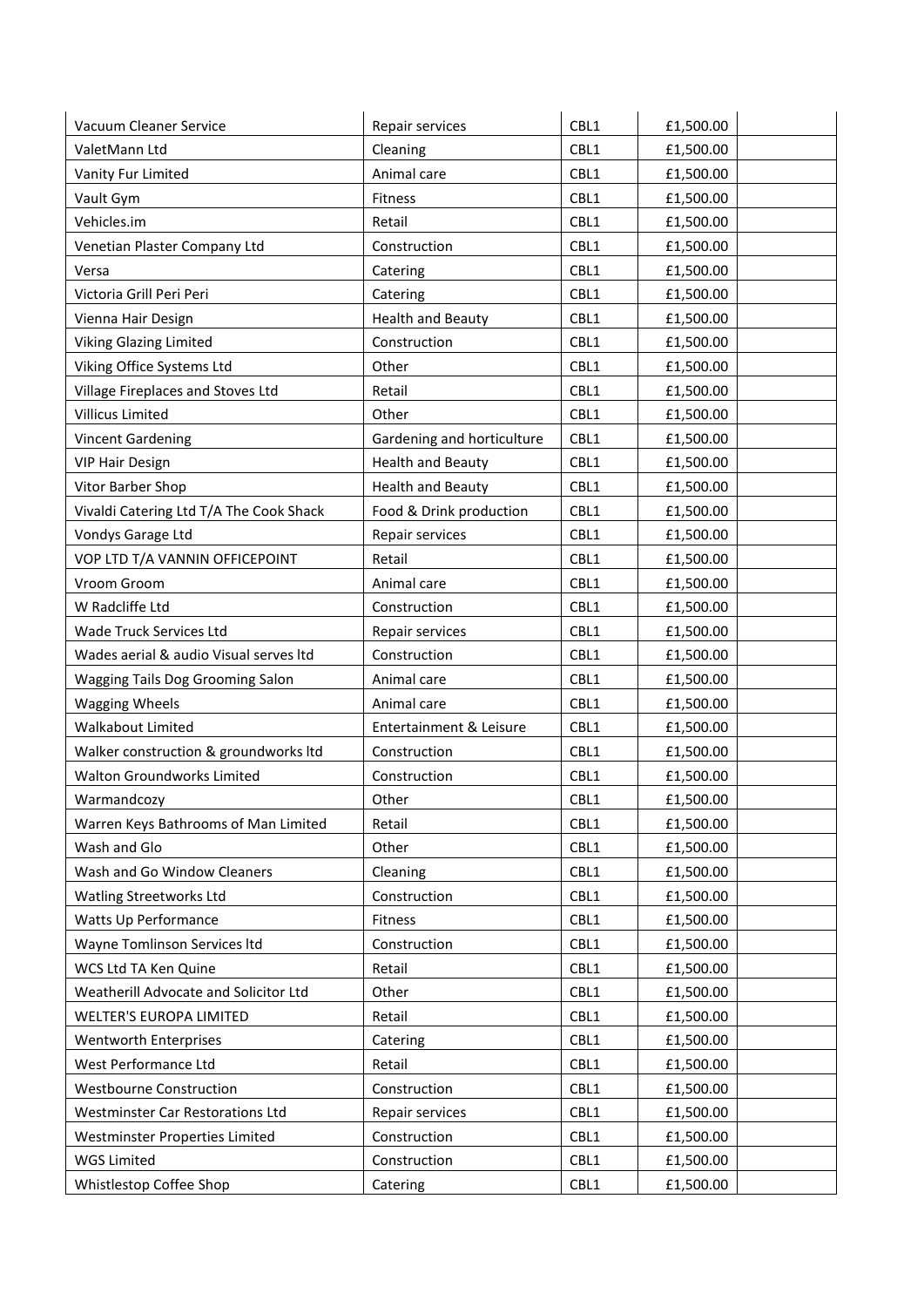| Vacuum Cleaner Service                  | Repair services            | CBL1 | £1,500.00 |
|-----------------------------------------|----------------------------|------|-----------|
| ValetMann Ltd                           | Cleaning                   | CBL1 | £1,500.00 |
| Vanity Fur Limited                      | Animal care                | CBL1 | £1,500.00 |
| Vault Gym                               | Fitness                    | CBL1 | £1,500.00 |
| Vehicles.im                             | Retail                     | CBL1 | £1,500.00 |
| Venetian Plaster Company Ltd            | Construction               | CBL1 | £1,500.00 |
| Versa                                   | Catering                   | CBL1 | £1,500.00 |
| Victoria Grill Peri Peri                | Catering                   | CBL1 | £1,500.00 |
| Vienna Hair Design                      | <b>Health and Beauty</b>   | CBL1 | £1,500.00 |
| <b>Viking Glazing Limited</b>           | Construction               | CBL1 | £1,500.00 |
| Viking Office Systems Ltd               | Other                      | CBL1 | £1,500.00 |
| Village Fireplaces and Stoves Ltd       | Retail                     | CBL1 | £1,500.00 |
| Villicus Limited                        | Other                      | CBL1 | £1,500.00 |
| <b>Vincent Gardening</b>                | Gardening and horticulture | CBL1 | £1,500.00 |
| <b>VIP Hair Design</b>                  | <b>Health and Beauty</b>   | CBL1 | £1,500.00 |
| Vitor Barber Shop                       | <b>Health and Beauty</b>   | CBL1 | £1,500.00 |
| Vivaldi Catering Ltd T/A The Cook Shack | Food & Drink production    | CBL1 | £1,500.00 |
| Vondys Garage Ltd                       | Repair services            | CBL1 | £1,500.00 |
| VOP LTD T/A VANNIN OFFICEPOINT          | Retail                     | CBL1 | £1,500.00 |
| Vroom Groom                             | Animal care                | CBL1 | £1,500.00 |
| W Radcliffe Ltd                         | Construction               | CBL1 | £1,500.00 |
| Wade Truck Services Ltd                 | Repair services            | CBL1 | £1,500.00 |
| Wades aerial & audio Visual serves Itd  | Construction               | CBL1 | £1,500.00 |
| Wagging Tails Dog Grooming Salon        | Animal care                | CBL1 | £1,500.00 |
| <b>Wagging Wheels</b>                   | Animal care                | CBL1 | £1,500.00 |
| Walkabout Limited                       | Entertainment & Leisure    | CBL1 | £1,500.00 |
| Walker construction & groundworks ltd   | Construction               | CBL1 | £1,500.00 |
| Walton Groundworks Limited              | Construction               | CBL1 | £1,500.00 |
| Warmandcozy                             | Other                      | CBL1 | £1,500.00 |
| Warren Keys Bathrooms of Man Limited    | Retail                     | CBL1 | £1,500.00 |
| Wash and Glo                            | Other                      | CBL1 | £1,500.00 |
| Wash and Go Window Cleaners             | Cleaning                   | CBL1 | £1,500.00 |
| <b>Watling Streetworks Ltd</b>          | Construction               | CBL1 | £1,500.00 |
| Watts Up Performance                    | Fitness                    | CBL1 | £1,500.00 |
| Wayne Tomlinson Services Itd            | Construction               | CBL1 | £1,500.00 |
| WCS Ltd TA Ken Quine                    | Retail                     | CBL1 | £1,500.00 |
| Weatherill Advocate and Solicitor Ltd   | Other                      | CBL1 | £1,500.00 |
| <b>WELTER'S EUROPA LIMITED</b>          | Retail                     | CBL1 | £1,500.00 |
| Wentworth Enterprises                   | Catering                   | CBL1 | £1,500.00 |
| West Performance Ltd                    | Retail                     | CBL1 | £1,500.00 |
| <b>Westbourne Construction</b>          | Construction               | CBL1 | £1,500.00 |
| <b>Westminster Car Restorations Ltd</b> | Repair services            | CBL1 | £1,500.00 |
| Westminster Properties Limited          | Construction               | CBL1 | £1,500.00 |
| <b>WGS Limited</b>                      | Construction               | CBL1 | £1,500.00 |
| Whistlestop Coffee Shop                 | Catering                   | CBL1 | £1,500.00 |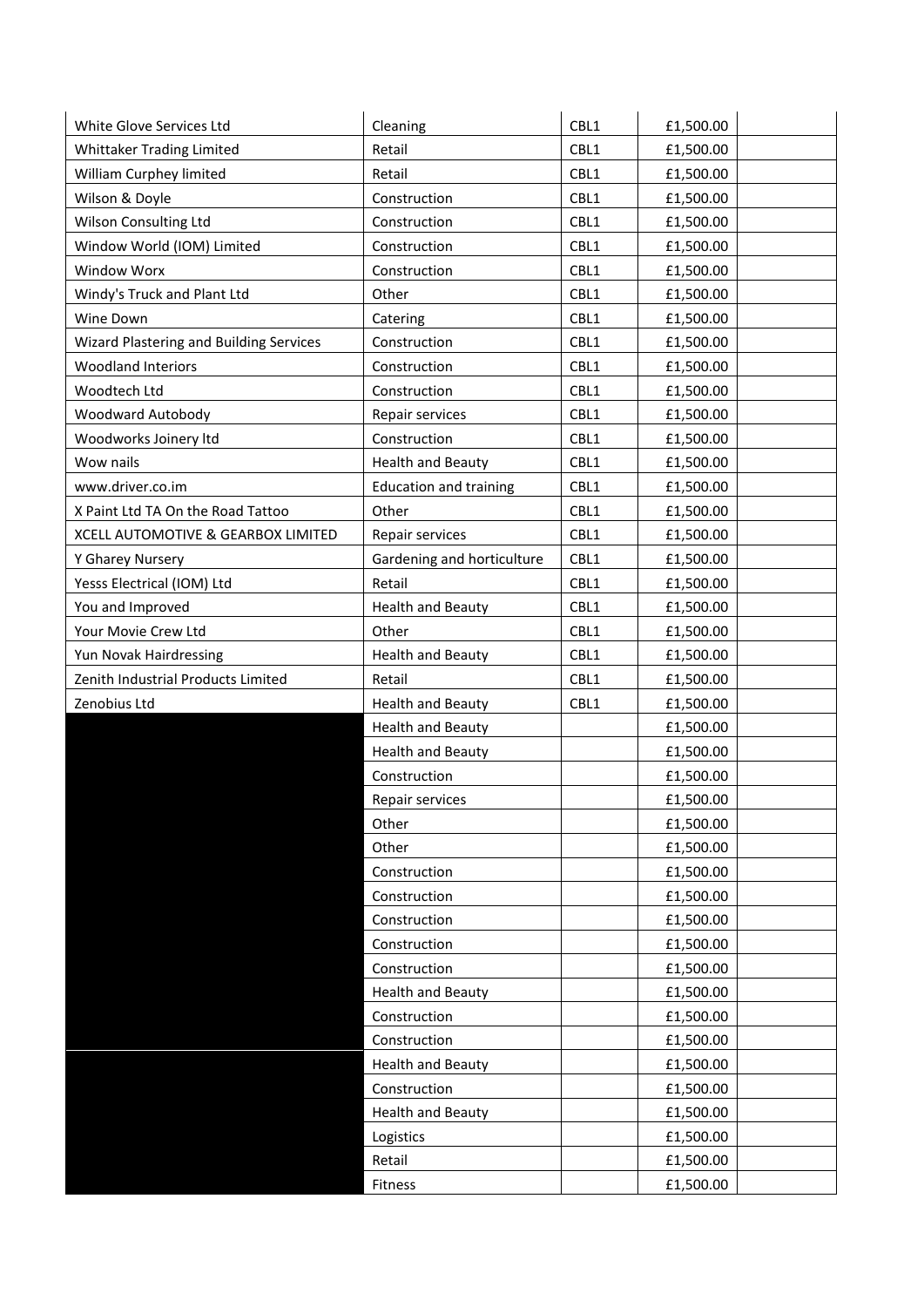| White Glove Services Ltd                | Cleaning                      | CBL1 | £1,500.00 |
|-----------------------------------------|-------------------------------|------|-----------|
| Whittaker Trading Limited               | Retail                        | CBL1 | £1,500.00 |
| William Curphey limited                 | Retail                        | CBL1 | £1,500.00 |
| Wilson & Doyle                          | Construction                  | CBL1 | £1,500.00 |
| Wilson Consulting Ltd                   | Construction                  | CBL1 | £1,500.00 |
| Window World (IOM) Limited              | Construction                  | CBL1 | £1,500.00 |
| Window Worx                             | Construction                  | CBL1 | £1,500.00 |
| Windy's Truck and Plant Ltd             | Other                         | CBL1 | £1,500.00 |
| Wine Down                               | Catering                      | CBL1 | £1,500.00 |
| Wizard Plastering and Building Services | Construction                  | CBL1 | £1,500.00 |
| <b>Woodland Interiors</b>               | Construction                  | CBL1 | £1,500.00 |
| Woodtech Ltd                            | Construction                  | CBL1 | £1,500.00 |
| Woodward Autobody                       | Repair services               | CBL1 | £1,500.00 |
| Woodworks Joinery Itd                   | Construction                  | CBL1 | £1,500.00 |
| Wow nails                               | <b>Health and Beauty</b>      | CBL1 | £1,500.00 |
| www.driver.co.im                        | <b>Education and training</b> | CBL1 | £1,500.00 |
| X Paint Ltd TA On the Road Tattoo       | Other                         | CBL1 | £1,500.00 |
| XCELL AUTOMOTIVE & GEARBOX LIMITED      | Repair services               | CBL1 | £1,500.00 |
| Y Gharey Nursery                        | Gardening and horticulture    | CBL1 | £1,500.00 |
| Yesss Electrical (IOM) Ltd              | Retail                        | CBL1 | £1,500.00 |
| You and Improved                        | <b>Health and Beauty</b>      | CBL1 | £1,500.00 |
| Your Movie Crew Ltd                     | Other                         | CBL1 | £1,500.00 |
| Yun Novak Hairdressing                  | <b>Health and Beauty</b>      | CBL1 | £1,500.00 |
| Zenith Industrial Products Limited      | Retail                        | CBL1 | £1,500.00 |
| Zenobius Ltd                            | <b>Health and Beauty</b>      | CBL1 | £1,500.00 |
|                                         | <b>Health and Beauty</b>      |      | £1,500.00 |
|                                         | <b>Health and Beauty</b>      |      | £1,500.00 |
|                                         | Construction                  |      | £1,500.00 |
|                                         | Repair services               |      | £1,500.00 |
|                                         | Other                         |      | £1,500.00 |
|                                         | Other                         |      | £1,500.00 |
|                                         | Construction                  |      | £1,500.00 |
|                                         | Construction                  |      | £1,500.00 |
|                                         | Construction                  |      | £1,500.00 |
|                                         | Construction                  |      | £1,500.00 |
|                                         | Construction                  |      | £1,500.00 |
|                                         | <b>Health and Beauty</b>      |      | £1,500.00 |
|                                         | Construction                  |      | £1,500.00 |
|                                         | Construction                  |      | £1,500.00 |
|                                         | <b>Health and Beauty</b>      |      | £1,500.00 |
|                                         | Construction                  |      | £1,500.00 |
|                                         | <b>Health and Beauty</b>      |      | £1,500.00 |
|                                         | Logistics                     |      | £1,500.00 |
|                                         | Retail                        |      | £1,500.00 |
|                                         | Fitness                       |      | £1,500.00 |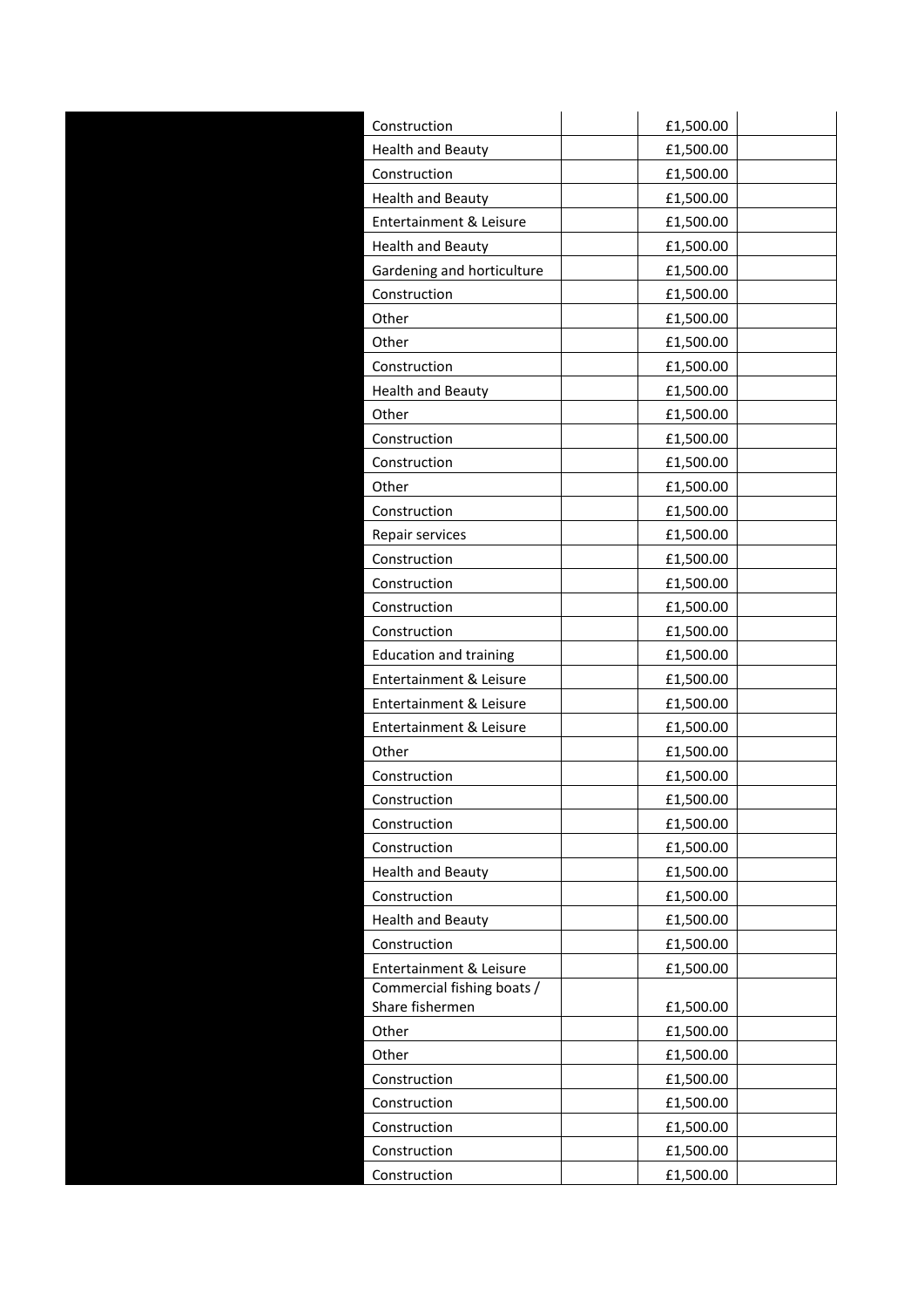| Construction                  | £1,500.00 |
|-------------------------------|-----------|
| <b>Health and Beauty</b>      | £1,500.00 |
| Construction                  | £1,500.00 |
| <b>Health and Beauty</b>      | £1,500.00 |
| Entertainment & Leisure       | £1,500.00 |
| <b>Health and Beauty</b>      | £1,500.00 |
| Gardening and horticulture    | £1,500.00 |
| Construction                  | £1,500.00 |
| Other                         | £1,500.00 |
| Other                         | £1,500.00 |
| Construction                  | £1,500.00 |
| <b>Health and Beauty</b>      | £1,500.00 |
| Other                         | £1,500.00 |
| Construction                  | £1,500.00 |
| Construction                  | £1,500.00 |
| Other                         | £1,500.00 |
| Construction                  | £1,500.00 |
| Repair services               | £1,500.00 |
| Construction                  | £1,500.00 |
| Construction                  | £1,500.00 |
| Construction                  | £1,500.00 |
| Construction                  | £1,500.00 |
| <b>Education and training</b> | £1,500.00 |
| Entertainment & Leisure       | £1,500.00 |
| Entertainment & Leisure       | £1,500.00 |
| Entertainment & Leisure       | £1,500.00 |
| Other                         | £1,500.00 |
| Construction                  | £1,500.00 |
| Construction                  | £1,500.00 |
| Construction                  | £1,500.00 |
| Construction                  | £1,500.00 |
| <b>Health and Beauty</b>      | £1,500.00 |
| Construction                  | £1,500.00 |
| <b>Health and Beauty</b>      | £1,500.00 |
| Construction                  | £1,500.00 |
| Entertainment & Leisure       | £1,500.00 |
| Commercial fishing boats /    |           |
| Share fishermen               | £1,500.00 |
| Other                         | £1,500.00 |
| Other<br>Construction         | £1,500.00 |
|                               | £1,500.00 |
| Construction                  | £1,500.00 |
| Construction                  | £1,500.00 |
| Construction                  | £1,500.00 |
| Construction                  | £1,500.00 |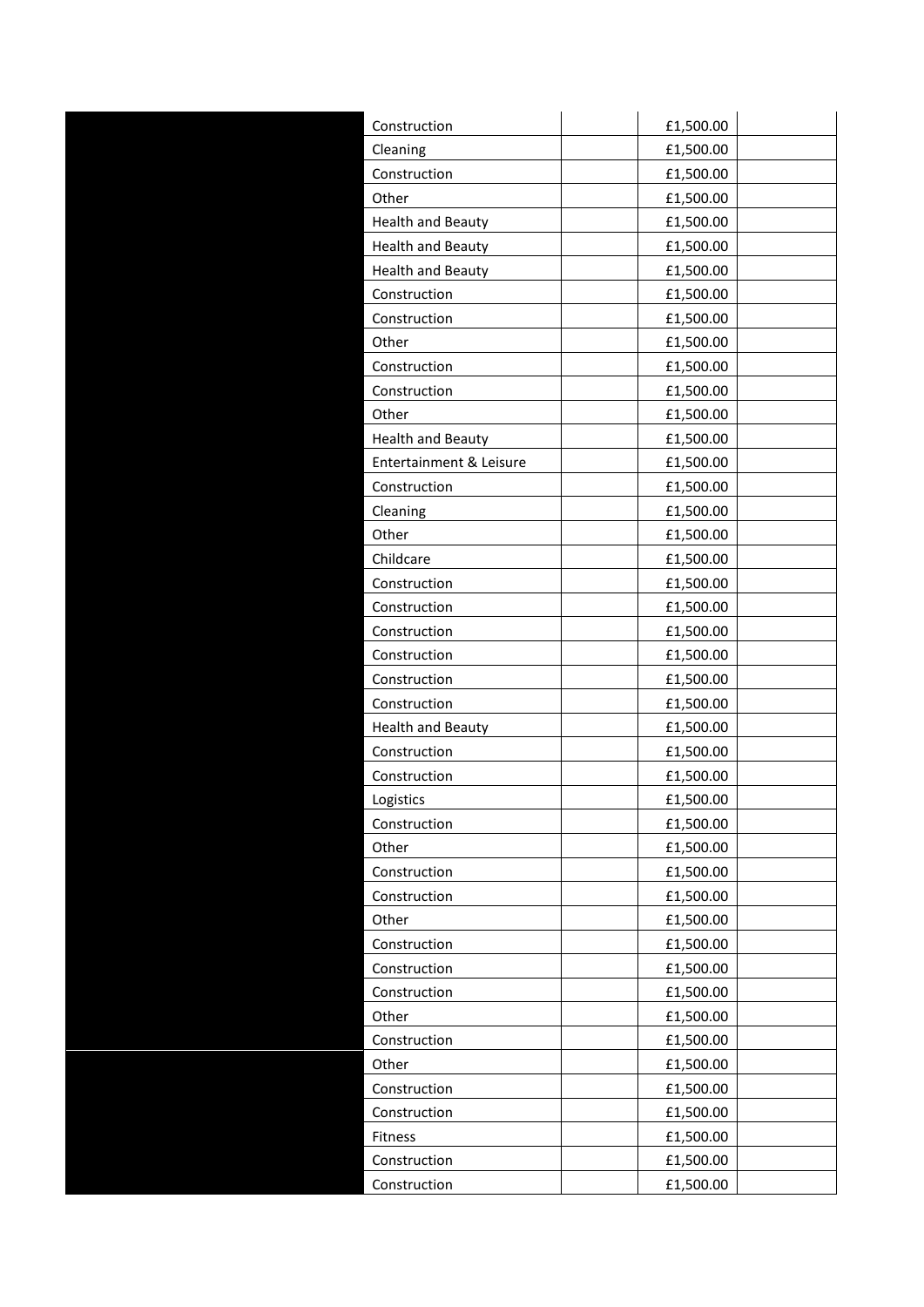| Construction             | £1,500.00 |
|--------------------------|-----------|
| Cleaning                 | £1,500.00 |
| Construction             | £1,500.00 |
| Other                    | £1,500.00 |
| <b>Health and Beauty</b> | £1,500.00 |
| <b>Health and Beauty</b> | £1,500.00 |
| <b>Health and Beauty</b> | £1,500.00 |
| Construction             | £1,500.00 |
| Construction             | £1,500.00 |
| Other                    | £1,500.00 |
| Construction             | £1,500.00 |
| Construction             | £1,500.00 |
| Other                    | £1,500.00 |
| <b>Health and Beauty</b> | £1,500.00 |
| Entertainment & Leisure  | £1,500.00 |
| Construction             | £1,500.00 |
| Cleaning                 | £1,500.00 |
| Other                    | £1,500.00 |
| Childcare                | £1,500.00 |
| Construction             | £1,500.00 |
| Construction             | £1,500.00 |
| Construction             | £1,500.00 |
| Construction             | £1,500.00 |
| Construction             | £1,500.00 |
| Construction             | £1,500.00 |
| <b>Health and Beauty</b> | £1,500.00 |
| Construction             | £1,500.00 |
| Construction             | £1,500.00 |
| Logistics                | £1,500.00 |
| Construction             | £1,500.00 |
| Other                    | £1,500.00 |
| Construction             | £1,500.00 |
| Construction             | £1,500.00 |
| Other                    | £1,500.00 |
| Construction             | £1,500.00 |
| Construction             | £1,500.00 |
| Construction             | £1,500.00 |
| Other                    | £1,500.00 |
| Construction             | £1,500.00 |
| Other                    | £1,500.00 |
| Construction             | £1,500.00 |
| Construction             | £1,500.00 |
| Fitness                  | £1,500.00 |
| Construction             | £1,500.00 |
|                          |           |
| Construction             | £1,500.00 |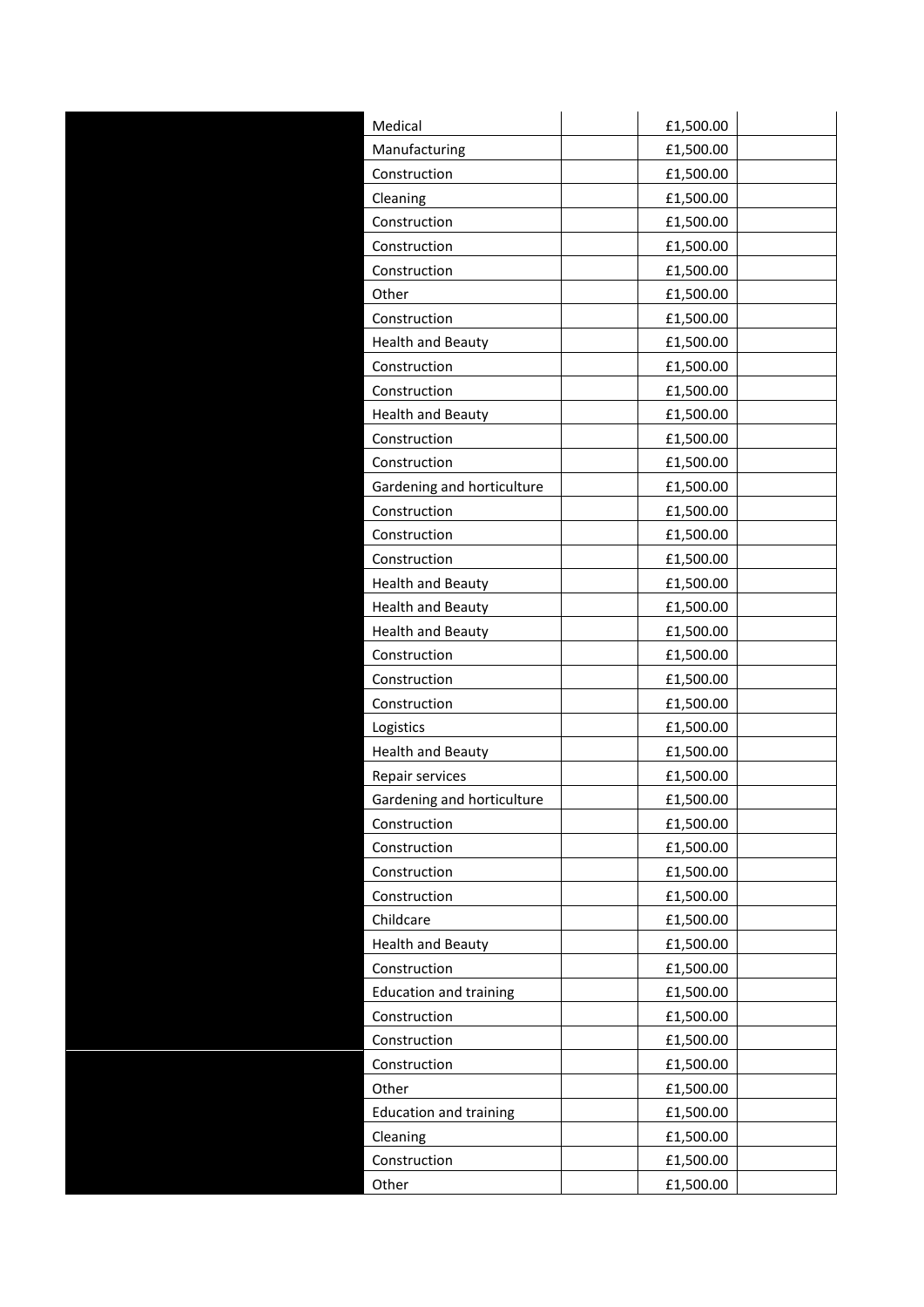| Medical                       | £1,500.00 |  |
|-------------------------------|-----------|--|
| Manufacturing                 | £1,500.00 |  |
| Construction                  | £1,500.00 |  |
| Cleaning                      | £1,500.00 |  |
| Construction                  | £1,500.00 |  |
| Construction                  | £1,500.00 |  |
| Construction                  | £1,500.00 |  |
| Other                         | £1,500.00 |  |
| Construction                  | £1,500.00 |  |
| <b>Health and Beauty</b>      | £1,500.00 |  |
| Construction                  | £1,500.00 |  |
| Construction                  | £1,500.00 |  |
| <b>Health and Beauty</b>      | £1,500.00 |  |
| Construction                  | £1,500.00 |  |
| Construction                  | £1,500.00 |  |
| Gardening and horticulture    | £1,500.00 |  |
| Construction                  | £1,500.00 |  |
| Construction                  | £1,500.00 |  |
| Construction                  | £1,500.00 |  |
| <b>Health and Beauty</b>      | £1,500.00 |  |
| <b>Health and Beauty</b>      | £1,500.00 |  |
| <b>Health and Beauty</b>      | £1,500.00 |  |
| Construction                  | £1,500.00 |  |
| Construction                  | £1,500.00 |  |
| Construction                  | £1,500.00 |  |
| Logistics                     | £1,500.00 |  |
| <b>Health and Beauty</b>      | £1,500.00 |  |
| Repair services               | £1,500.00 |  |
| Gardening and horticulture    | £1,500.00 |  |
| Construction                  | £1,500.00 |  |
| Construction                  | £1,500.00 |  |
| Construction                  | £1,500.00 |  |
| Construction                  | £1,500.00 |  |
| Childcare                     | £1,500.00 |  |
|                               |           |  |
| <b>Health and Beauty</b>      | £1,500.00 |  |
| Construction                  | £1,500.00 |  |
| <b>Education and training</b> | £1,500.00 |  |
| Construction                  | £1,500.00 |  |
| Construction                  | £1,500.00 |  |
| Construction                  | £1,500.00 |  |
| Other                         | £1,500.00 |  |
| <b>Education and training</b> | £1,500.00 |  |
| Cleaning                      | £1,500.00 |  |
| Construction                  | £1,500.00 |  |
| Other                         | £1,500.00 |  |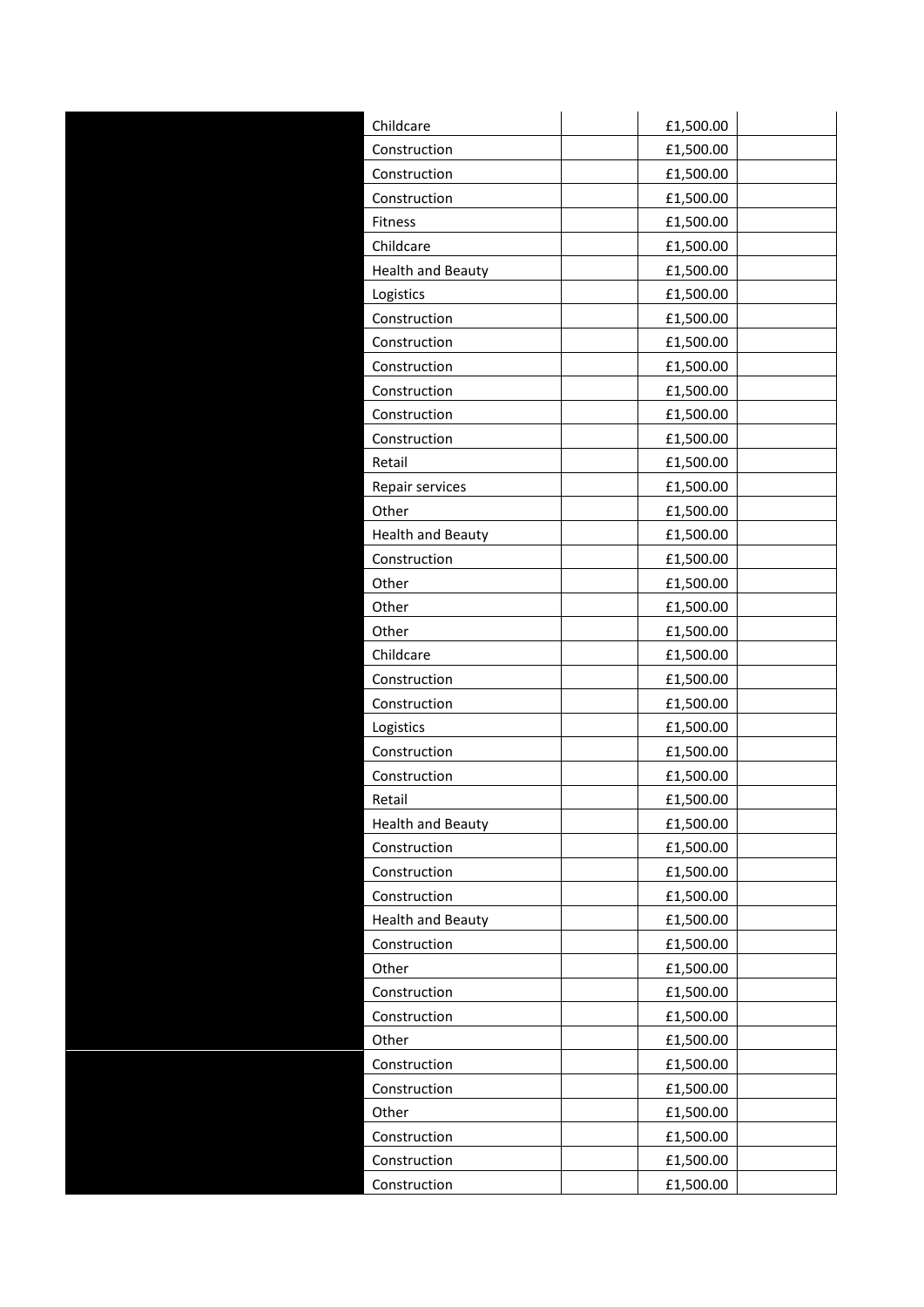| Childcare                | £1,500.00 |
|--------------------------|-----------|
| Construction             | £1,500.00 |
| Construction             | £1,500.00 |
| Construction             | £1,500.00 |
| Fitness                  | £1,500.00 |
| Childcare                | £1,500.00 |
| <b>Health and Beauty</b> | £1,500.00 |
| Logistics                | £1,500.00 |
| Construction             | £1,500.00 |
| Construction             | £1,500.00 |
| Construction             | £1,500.00 |
| Construction             | £1,500.00 |
| Construction             | £1,500.00 |
|                          |           |
| Construction             | £1,500.00 |
| Retail                   | £1,500.00 |
| Repair services          | £1,500.00 |
| Other                    | £1,500.00 |
| <b>Health and Beauty</b> | £1,500.00 |
| Construction             | £1,500.00 |
| Other                    | £1,500.00 |
| Other                    | £1,500.00 |
| Other                    | £1,500.00 |
| Childcare                | £1,500.00 |
| Construction             | £1,500.00 |
| Construction             | £1,500.00 |
| Logistics                | £1,500.00 |
| Construction             | £1,500.00 |
| Construction             | £1,500.00 |
| Retail                   | £1,500.00 |
| <b>Health and Beauty</b> | £1,500.00 |
| Construction             | £1,500.00 |
| Construction             | £1,500.00 |
| Construction             | £1,500.00 |
| <b>Health and Beauty</b> | £1,500.00 |
| Construction             | £1,500.00 |
| Other                    | £1,500.00 |
| Construction             | £1,500.00 |
| Construction             | £1,500.00 |
| Other                    | £1,500.00 |
| Construction             | £1,500.00 |
| Construction             | £1,500.00 |
| Other                    | £1,500.00 |
|                          |           |
| Construction             | £1,500.00 |
| Construction             | £1,500.00 |
| Construction             | £1,500.00 |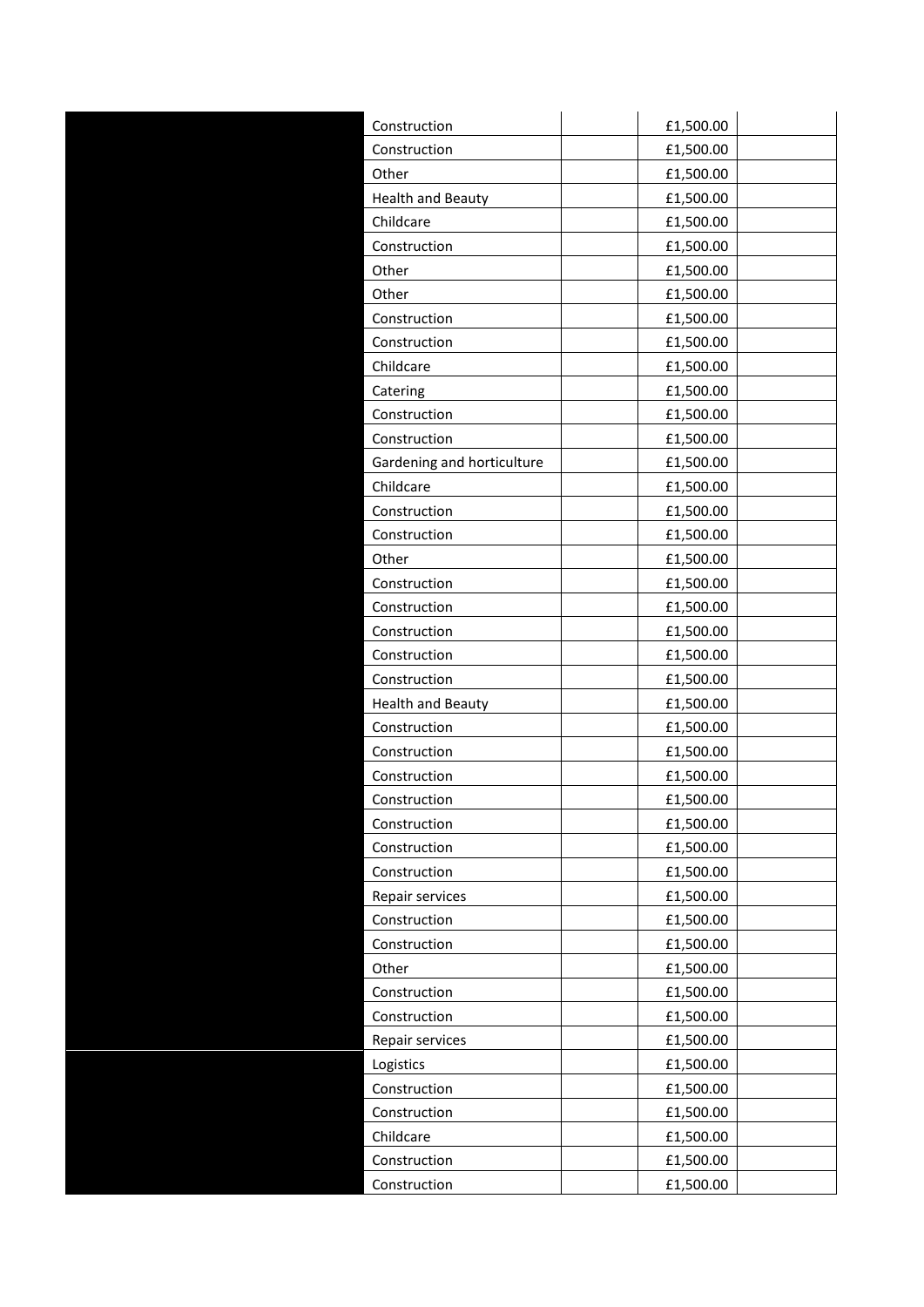| Construction               | £1,500.00 |  |
|----------------------------|-----------|--|
| Construction               | £1,500.00 |  |
| Other                      | £1,500.00 |  |
| <b>Health and Beauty</b>   | £1,500.00 |  |
| Childcare                  | £1,500.00 |  |
| Construction               | £1,500.00 |  |
| Other                      | £1,500.00 |  |
| Other                      | £1,500.00 |  |
| Construction               | £1,500.00 |  |
| Construction               | £1,500.00 |  |
| Childcare                  | £1,500.00 |  |
| Catering                   | £1,500.00 |  |
| Construction               | £1,500.00 |  |
| Construction               | £1,500.00 |  |
| Gardening and horticulture | £1,500.00 |  |
| Childcare                  | £1,500.00 |  |
| Construction               | £1,500.00 |  |
| Construction               | £1,500.00 |  |
| Other                      | £1,500.00 |  |
| Construction               | £1,500.00 |  |
| Construction               | £1,500.00 |  |
| Construction               | £1,500.00 |  |
| Construction               | £1,500.00 |  |
| Construction               | £1,500.00 |  |
| <b>Health and Beauty</b>   | £1,500.00 |  |
| Construction               | £1,500.00 |  |
| Construction               | £1,500.00 |  |
| Construction               | £1,500.00 |  |
| Construction               | £1,500.00 |  |
| Construction               | £1,500.00 |  |
| Construction               | £1,500.00 |  |
| Construction               | £1,500.00 |  |
| Repair services            | £1,500.00 |  |
| Construction               | £1,500.00 |  |
| Construction               | £1,500.00 |  |
| Other                      | £1,500.00 |  |
| Construction               | £1,500.00 |  |
| Construction               | £1,500.00 |  |
| Repair services            | £1,500.00 |  |
| Logistics                  | £1,500.00 |  |
| Construction               | £1,500.00 |  |
| Construction               | £1,500.00 |  |
| Childcare                  | £1,500.00 |  |
| Construction               | £1,500.00 |  |
| Construction               | £1,500.00 |  |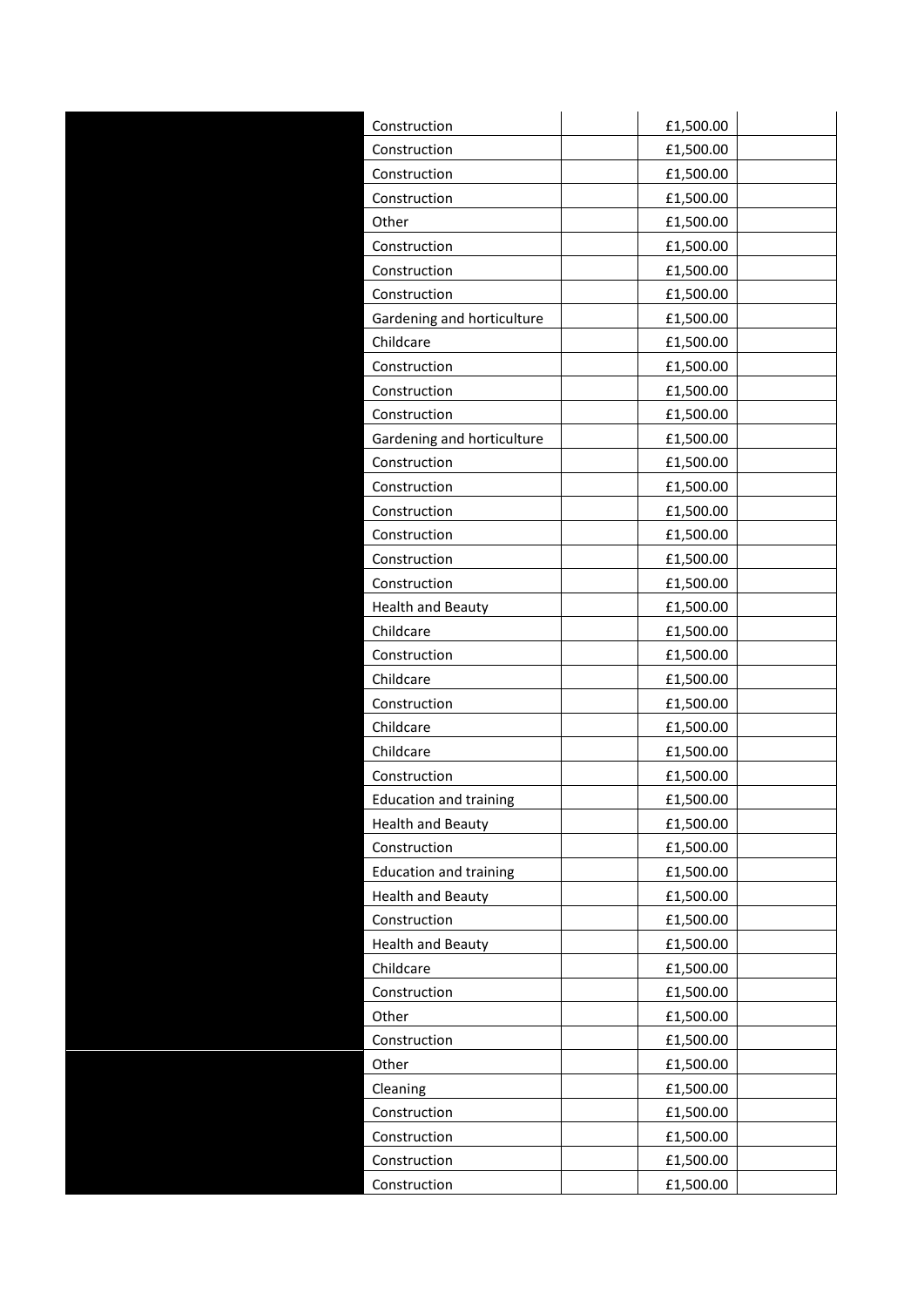| Construction                  | £1,500.00 |  |
|-------------------------------|-----------|--|
| Construction                  | £1,500.00 |  |
| Construction                  | £1,500.00 |  |
| Construction                  | £1,500.00 |  |
| Other                         | £1,500.00 |  |
| Construction                  | £1,500.00 |  |
| Construction                  | £1,500.00 |  |
| Construction                  | £1,500.00 |  |
| Gardening and horticulture    | £1,500.00 |  |
| Childcare                     | £1,500.00 |  |
| Construction                  | £1,500.00 |  |
| Construction                  | £1,500.00 |  |
| Construction                  | £1,500.00 |  |
| Gardening and horticulture    | £1,500.00 |  |
| Construction                  | £1,500.00 |  |
| Construction                  | £1,500.00 |  |
| Construction                  | £1,500.00 |  |
| Construction                  | £1,500.00 |  |
| Construction                  | £1,500.00 |  |
| Construction                  | £1,500.00 |  |
| <b>Health and Beauty</b>      | £1,500.00 |  |
| Childcare                     | £1,500.00 |  |
| Construction                  | £1,500.00 |  |
| Childcare                     | £1,500.00 |  |
| Construction                  | £1,500.00 |  |
| Childcare                     | £1,500.00 |  |
| Childcare                     | £1,500.00 |  |
| Construction                  | £1,500.00 |  |
| <b>Education and training</b> | £1,500.00 |  |
| <b>Health and Beauty</b>      | £1,500.00 |  |
| Construction                  | £1,500.00 |  |
| <b>Education and training</b> | £1,500.00 |  |
| <b>Health and Beauty</b>      | £1,500.00 |  |
| Construction                  | £1,500.00 |  |
| <b>Health and Beauty</b>      | £1,500.00 |  |
| Childcare                     | £1,500.00 |  |
| Construction                  | £1,500.00 |  |
| Other                         | £1,500.00 |  |
| Construction                  | £1,500.00 |  |
| Other                         | £1,500.00 |  |
| Cleaning                      | £1,500.00 |  |
| Construction                  | £1,500.00 |  |
| Construction                  | £1,500.00 |  |
| Construction                  | £1,500.00 |  |
| Construction                  | £1,500.00 |  |
|                               |           |  |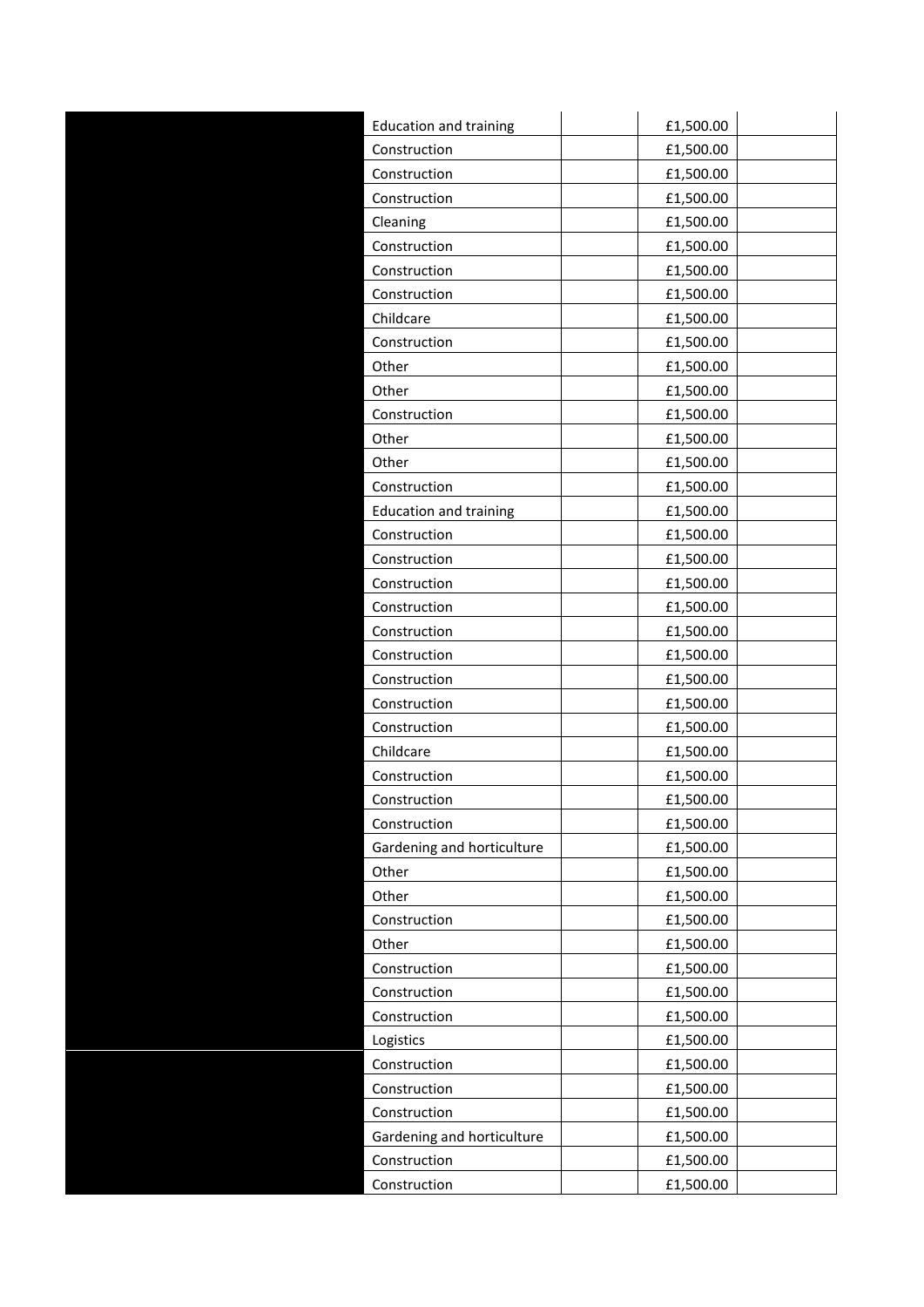| <b>Education and training</b> | £1,500.00 |  |
|-------------------------------|-----------|--|
| Construction                  | £1,500.00 |  |
| Construction                  | £1,500.00 |  |
| Construction                  | £1,500.00 |  |
| Cleaning                      | £1,500.00 |  |
| Construction                  | £1,500.00 |  |
| Construction                  | £1,500.00 |  |
| Construction                  | £1,500.00 |  |
| Childcare                     | £1,500.00 |  |
| Construction                  | £1,500.00 |  |
| Other                         | £1,500.00 |  |
| Other                         | £1,500.00 |  |
| Construction                  | £1,500.00 |  |
| Other                         | £1,500.00 |  |
| Other                         | £1,500.00 |  |
| Construction                  | £1,500.00 |  |
| <b>Education and training</b> | £1,500.00 |  |
| Construction                  | £1,500.00 |  |
| Construction                  | £1,500.00 |  |
| Construction                  | £1,500.00 |  |
| Construction                  | £1,500.00 |  |
| Construction                  | £1,500.00 |  |
| Construction                  | £1,500.00 |  |
| Construction                  | £1,500.00 |  |
| Construction                  | £1,500.00 |  |
| Construction                  | £1,500.00 |  |
| Childcare                     | £1,500.00 |  |
| Construction                  | £1,500.00 |  |
| Construction                  | £1,500.00 |  |
| Construction                  | £1,500.00 |  |
| Gardening and horticulture    | £1,500.00 |  |
| Other                         | £1,500.00 |  |
| Other                         | £1,500.00 |  |
| Construction                  | £1,500.00 |  |
| Other                         | £1,500.00 |  |
| Construction                  | £1,500.00 |  |
| Construction                  | £1,500.00 |  |
| Construction                  | £1,500.00 |  |
| Logistics                     | £1,500.00 |  |
| Construction                  | £1,500.00 |  |
| Construction                  | £1,500.00 |  |
| Construction                  | £1,500.00 |  |
| Gardening and horticulture    | £1,500.00 |  |
| Construction                  | £1,500.00 |  |
| Construction                  | £1,500.00 |  |
|                               |           |  |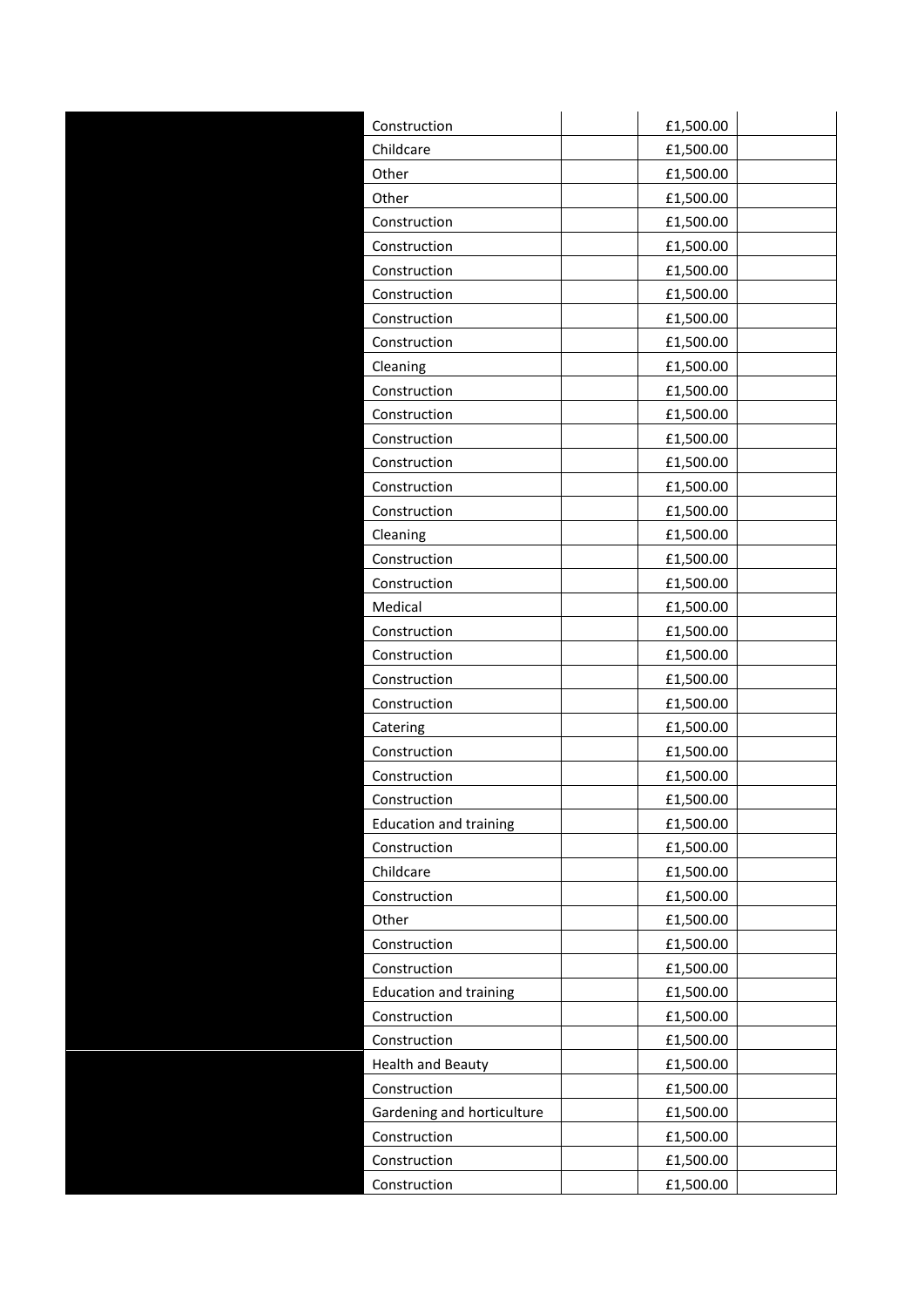| Construction                  | £1,500.00 |
|-------------------------------|-----------|
| Childcare                     | £1,500.00 |
| Other                         | £1,500.00 |
| Other                         | £1,500.00 |
| Construction                  | £1,500.00 |
| Construction                  | £1,500.00 |
| Construction                  | £1,500.00 |
| Construction                  | £1,500.00 |
| Construction                  | £1,500.00 |
| Construction                  | £1,500.00 |
| Cleaning                      | £1,500.00 |
| Construction                  | £1,500.00 |
| Construction                  | £1,500.00 |
| Construction                  | £1,500.00 |
| Construction                  | £1,500.00 |
| Construction                  | £1,500.00 |
| Construction                  | £1,500.00 |
| Cleaning                      | £1,500.00 |
| Construction                  | £1,500.00 |
| Construction                  | £1,500.00 |
| Medical                       | £1,500.00 |
| Construction                  | £1,500.00 |
| Construction                  | £1,500.00 |
| Construction                  | £1,500.00 |
| Construction                  | £1,500.00 |
| Catering                      | £1,500.00 |
| Construction                  | £1,500.00 |
| Construction                  | £1,500.00 |
| Construction                  | £1,500.00 |
| <b>Education and training</b> | £1,500.00 |
| Construction                  | £1,500.00 |
| Childcare                     | £1,500.00 |
| Construction                  | £1,500.00 |
| Other                         | £1,500.00 |
| Construction                  | £1,500.00 |
| Construction                  | £1,500.00 |
| <b>Education and training</b> | £1,500.00 |
| Construction                  | £1,500.00 |
| Construction                  | £1,500.00 |
| <b>Health and Beauty</b>      | £1,500.00 |
| Construction                  | £1,500.00 |
| Gardening and horticulture    | £1,500.00 |
| Construction                  | £1,500.00 |
| Construction                  | £1,500.00 |
| Construction                  | £1,500.00 |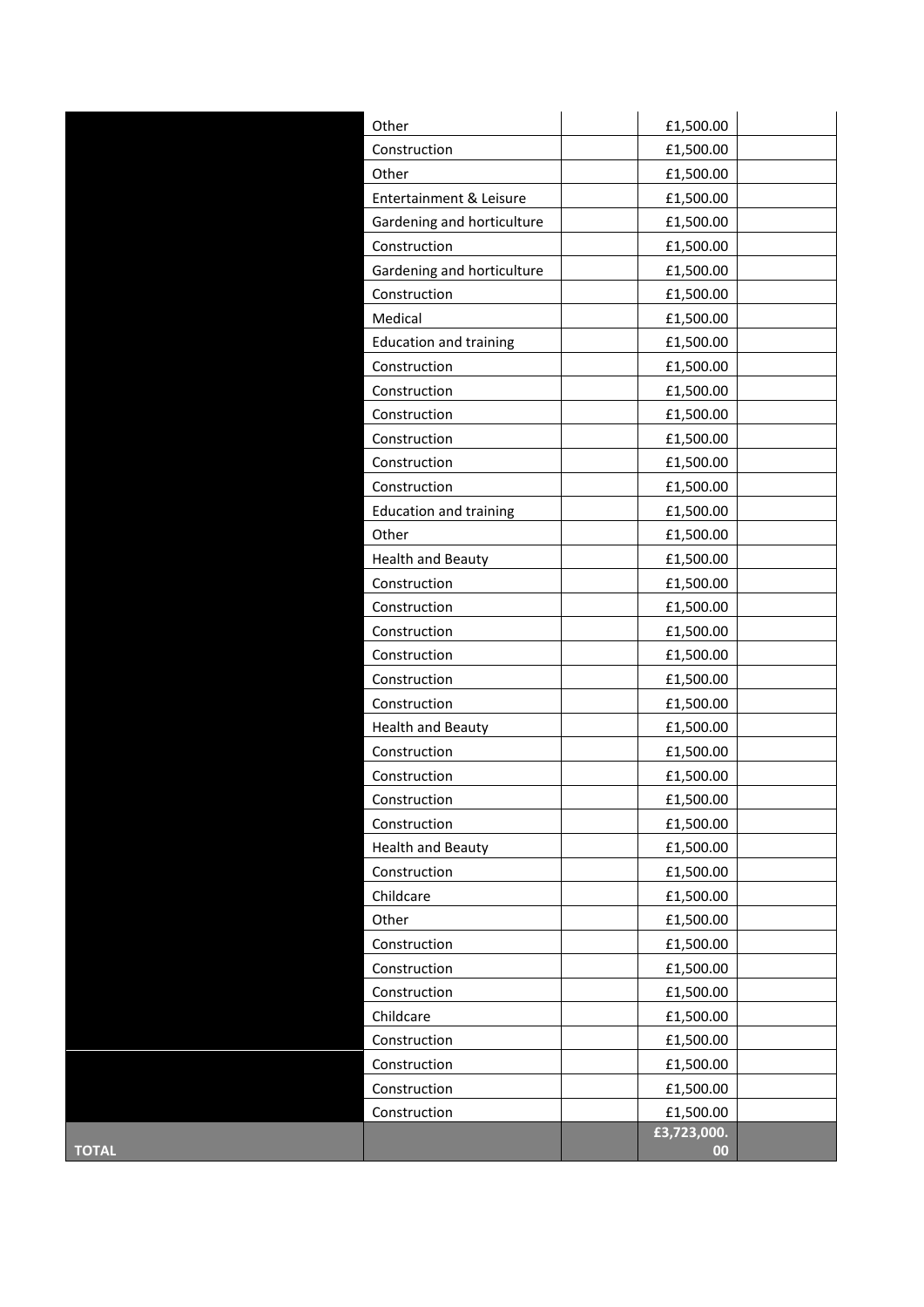|              | Other                         | £1,500.00         |  |
|--------------|-------------------------------|-------------------|--|
|              | Construction                  | £1,500.00         |  |
|              | Other                         | £1,500.00         |  |
|              | Entertainment & Leisure       | £1,500.00         |  |
|              | Gardening and horticulture    | £1,500.00         |  |
|              | Construction                  | £1,500.00         |  |
|              | Gardening and horticulture    | £1,500.00         |  |
|              | Construction                  | £1,500.00         |  |
|              | Medical                       | £1,500.00         |  |
|              | <b>Education and training</b> | £1,500.00         |  |
|              | Construction                  | £1,500.00         |  |
|              | Construction                  | £1,500.00         |  |
|              | Construction                  | £1,500.00         |  |
|              | Construction                  | £1,500.00         |  |
|              | Construction                  | £1,500.00         |  |
|              | Construction                  | £1,500.00         |  |
|              | <b>Education and training</b> | £1,500.00         |  |
|              | Other                         | £1,500.00         |  |
|              | <b>Health and Beauty</b>      | £1,500.00         |  |
|              | Construction                  | £1,500.00         |  |
|              | Construction                  | £1,500.00         |  |
|              | Construction                  | £1,500.00         |  |
|              | Construction                  | £1,500.00         |  |
|              | Construction                  | £1,500.00         |  |
|              | Construction                  | £1,500.00         |  |
|              | <b>Health and Beauty</b>      | £1,500.00         |  |
|              | Construction                  | £1,500.00         |  |
|              | Construction                  | £1,500.00         |  |
|              | Construction                  | £1,500.00         |  |
|              | Construction                  | £1,500.00         |  |
|              | <b>Health and Beauty</b>      | £1,500.00         |  |
|              | Construction                  | £1,500.00         |  |
|              | Childcare                     | £1,500.00         |  |
|              | Other                         | £1,500.00         |  |
|              | Construction                  | £1,500.00         |  |
|              | Construction                  | £1,500.00         |  |
|              | Construction                  | £1,500.00         |  |
|              | Childcare                     | £1,500.00         |  |
|              | Construction                  | £1,500.00         |  |
|              | Construction                  | £1,500.00         |  |
|              | Construction                  | £1,500.00         |  |
|              | Construction                  | £1,500.00         |  |
| <b>TOTAL</b> |                               | £3,723,000.<br>00 |  |